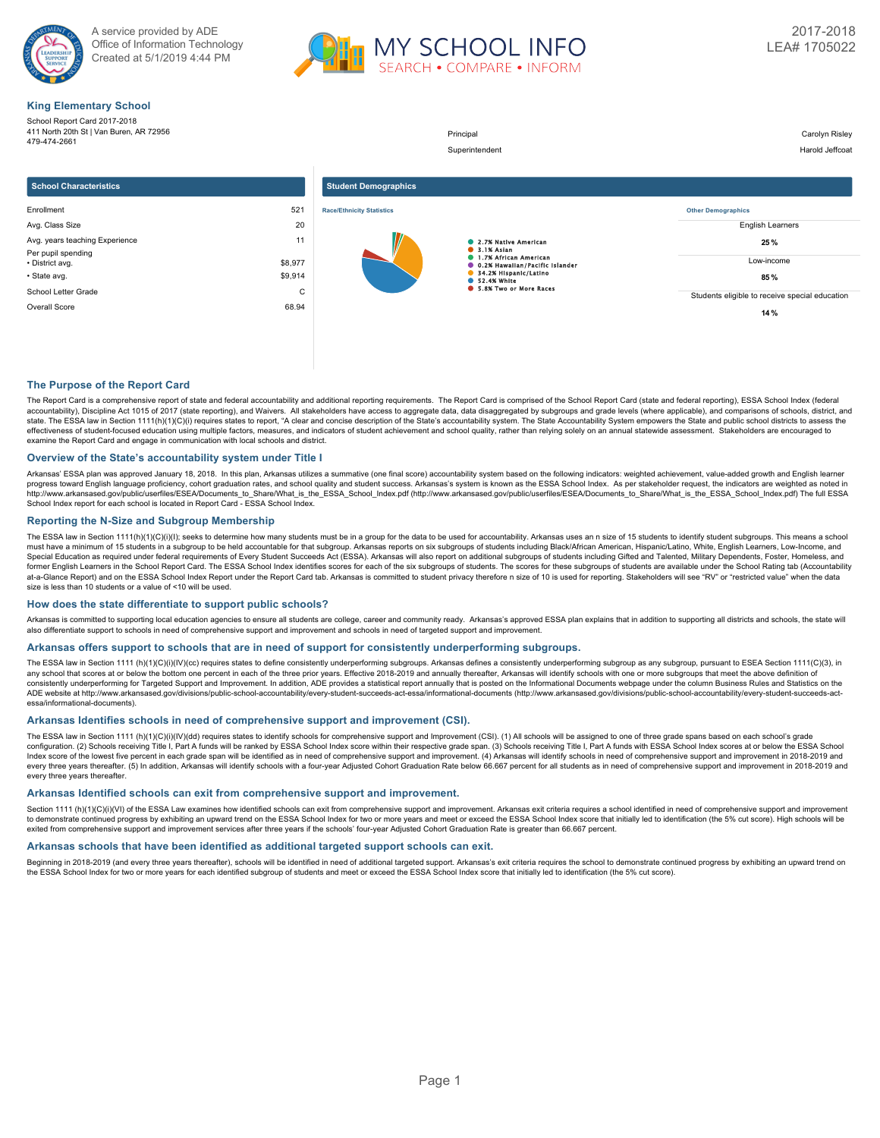

Per pu

A service provided by ADE Office of Information Technology Created at 5/1/2019 4:44 PM



#### **King Elementary School**

Schoo<br>411 No 411 North 20th St | Van Buren, AR 72956 479-4

| School Report Card 2017-2018<br>411 North 20th St   Van Buren, AR 72956<br>479-474-2661 |         |                                  | Principal<br>Superintendent                                    | Carolyn Risley<br>Harold Jeffcoat              |
|-----------------------------------------------------------------------------------------|---------|----------------------------------|----------------------------------------------------------------|------------------------------------------------|
| <b>School Characteristics</b>                                                           |         | <b>Student Demographics</b>      |                                                                |                                                |
| Enrollment                                                                              | 521     | <b>Race/Ethnicity Statistics</b> |                                                                | <b>Other Demographics</b>                      |
| Avg. Class Size                                                                         | 20      |                                  |                                                                | <b>English Learners</b>                        |
| Avg. years teaching Experience<br>Per pupil spending                                    | 11      |                                  | 2.7% Native American<br><b>3.1% Aslan</b>                      | 25%                                            |
| · District avg.                                                                         | \$8,977 |                                  | 1.7% African American<br><b>0.2% Hawallan/Pacific Islander</b> | Low-income                                     |
| · State avg.                                                                            | \$9,914 |                                  | 34.2% Hispanic/Latino<br><b>6</b> 52.4% White                  | 85%                                            |
| School Letter Grade                                                                     | C       |                                  | 5.8% Two or More Races                                         | Students eligible to receive special education |
| Overall Score                                                                           | 68.94   |                                  |                                                                | 14 %                                           |
|                                                                                         |         |                                  |                                                                |                                                |

#### **The Purpose of the Report Card**

The Report Card is a comprehensive report of state and federal accountability and additional reporting requirements. The Report Card is comprised of the School Report Card (state and federal reporting). ESSA School Index ( accountability), Discipline Act 1015 of 2017 (state reporting), and Waivers. All stakeholders have access to aggregate data, data disaggregated by subgroups and grade levels (where applicable), and comparisons of schools, state. The ESSA law in Section 1111(h)(1)(C)(i) requires states to report, "A clear and concise description of the State's accountability system. The State Accountability System empowers the State and public school distric effectiveness of student-focused education using multiple factors, measures, and indicators of student achievement and school quality, rather than relying solely on an annual statewide assessment. Stakeholders are encourag examine the Report Card and engage in communication with local schools and district.

#### **Overview of the State's accountability system under Title I**

Arkansas' ESSA plan was approved January 18, 2018. In this plan, Arkansas utilizes a summative (one final score) accountability system based on the following indicators: weighted achievement, value-added growth and English progress toward English language proficiency, cohort graduation rates, and school quality and student success. Arkansas's system is known as the ESSA School Index. As per stakeholder request, the indicators are weighted as School Index report for each school is located in Report Card - ESSA School Index.

#### **Reporting the N-Size and Subgroup Membership**

The ESSA law in Section 1111(h)(1)(C)(i)(l); seeks to determine how many students must be in a group for the data to be used for accountability. Arkansas uses an n size of 15 students to identify student subgroups. This me must have a minimum of 15 students in a subgroup to be held accountable for that subgroup. Arkansas reports on six subgroups of students including Black/African American, Hispanic/Latino, White, English Learners, Low-Incom Special Education as required under federal requirements of Every Student Succeeds Act (ESSA). Arkansas will also report on additional subgroups of students including Gifted and Talented, Military Dependents, Foster, Homel former English Learners in the School Report Card. The ESSA School Index identifies scores for each of the six subgroups of students. The scores for these subgroups of students are available under the School Rating tab (Ac at-a-Glance Report) and on the ESSA School Index Report under the Report Card tab. Arkansas is committed to student privacy therefore n size of 10 is used for reporting. Stakeholders will see "RV" or "restricted value" whe size is less than 10 students or a value of <10 will be used.

#### **How does the state differentiate to support public schools?**

Arkansas is committed to supporting local education agencies to ensure all students are college, career and community ready. Arkansas's approved ESSA plan explains that in addition to supporting all districts and schools, also differentiate support to schools in need of comprehensive support and improvement and schools in need of targeted support and improvement.

#### **Arkansas offers support to schools that are in need of support for consistently underperforming subgroups.**

The ESSA law in Section 1111 (h)(1)(O)(i)(IV)(cc) requires states to define consistently underperforming subgroups. Arkansas defines a consistently underperforming subgroups as any subgroup, pursuant to ESEA Section 1111(C any school that scores at or below the bottom one percent in each of the three prior years. Effective 2018-2019 and annually thereafter. Arkansas will identify schools with one or more subgroups that meet the above definit consistently underperforming for Targeted Support and Improvement. In addition, ADE provides a statistical report annually that is posted on the Informational Documents webpage under the column Business Rules and Statistic ADE website at http://www.arkansased.gov/divisions/public-school-accountability/every-student-succeeds-act-essa/informational-documents (http://www.arkansased.gov/divisions/public-school-accountability/every-student-succee essa/informational-documents).

#### **Arkansas Identifies schools in need of comprehensive support and improvement (CSI).**

The ESSA law in Section 1111 (h)(1)(C)(i)(IV)(dd) requires states to identify schools for comprehensive support and Improvement (CSI). (1) All schools will be assigned to one of three grade spans based on each school's gra configuration. (2) Schools receiving Title I, Part A funds will be ranked by ESSA School Index score within their respective grade span. (3) Schools receiving Title I, Part A funds with ESSA School Index scores at or below every three years thereafter. (5) In addition, Arkansas will identify schools with a four-year Adjusted Cohort Graduation Rate below 66.667 percent for all students as in need of comprehensive support and improvement in 20 every three years thereafter.

#### **Arkansas Identified schools can exit from comprehensive support and improvement.**

Section 1111 (h)(1)(C)(i)(VI) of the ESSA Law examines how identified schools can exit from comprehensive support and improvement. Arkansas exit criteria requires a school identified in need of comprehensive support and im to demonstrate continued progress by exhibiting an upward trend on the ESSA School Index for two or more years and meet or exceed the ESSA School Index score that initially led to identification (the 5% cut score). High sc exited from comprehensive support and improvement services after three years if the schools' four-year Adjusted Cohort Graduation Rate is greater than 66.667 percent.

#### **Arkansas schools that have been identified as additional targeted support schools can exit.**

Beginning in 2018-2019 (and every three years thereafter), schools will be identified in need of additional targeted support. Arkansas's exit criteria requires the school to demonstrate continued progress by exhibiting an the ESSA School Index for two or more years for each identified subgroup of students and meet or exceed the ESSA School Index score that initially led to identification (the 5% cut score).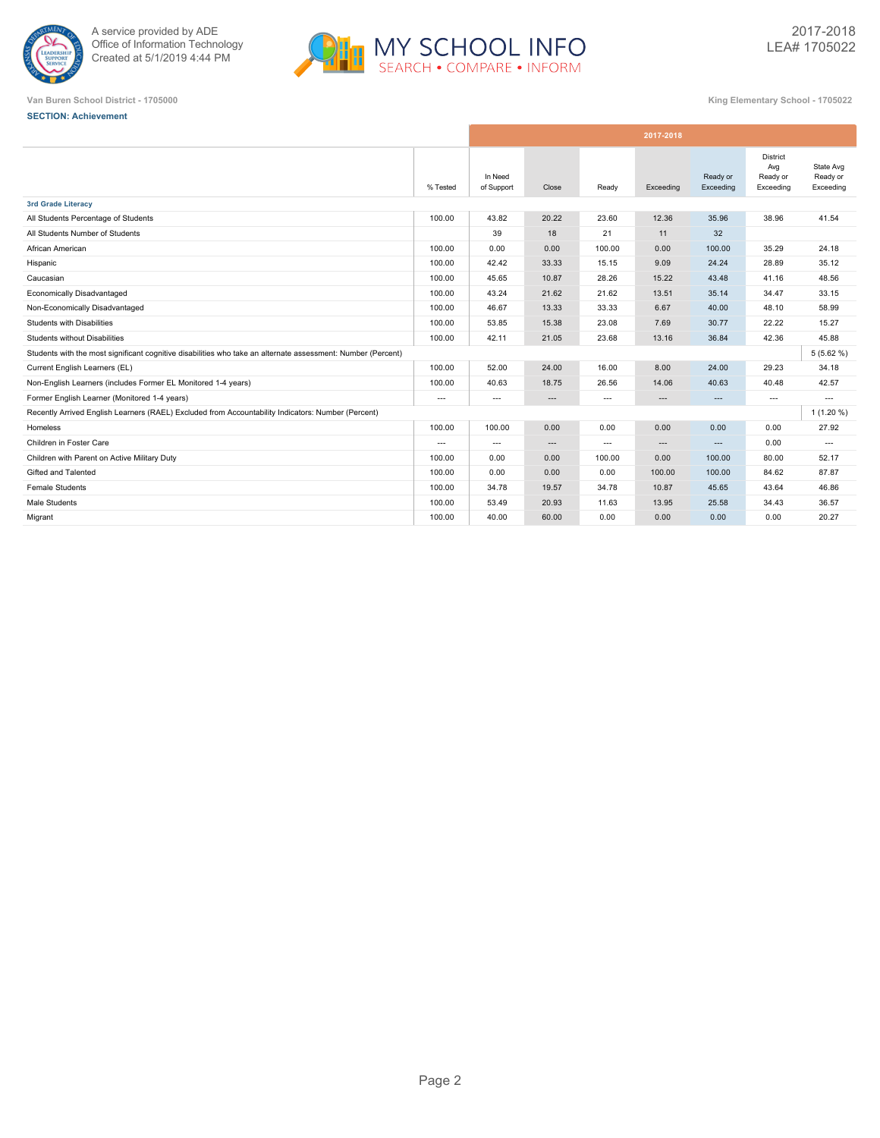



|                                                                                                              |          |                          |                          |          | 2017-2018                |                               |                                          |                                    |
|--------------------------------------------------------------------------------------------------------------|----------|--------------------------|--------------------------|----------|--------------------------|-------------------------------|------------------------------------------|------------------------------------|
|                                                                                                              | % Tested | In Need<br>of Support    | Close                    | Ready    | Exceeding                | Ready or<br>Exceeding         | District<br>Avg<br>Ready or<br>Exceeding | State Avg<br>Ready or<br>Exceeding |
| <b>3rd Grade Literacy</b>                                                                                    |          |                          |                          |          |                          |                               |                                          |                                    |
| All Students Percentage of Students                                                                          | 100.00   | 43.82                    | 20.22                    | 23.60    | 12.36                    | 35.96                         | 38.96                                    | 41.54                              |
| All Students Number of Students                                                                              |          | 39                       | 18                       | 21       | 11                       | 32                            |                                          |                                    |
| African American                                                                                             | 100.00   | 0.00                     | 0.00                     | 100.00   | 0.00                     | 100.00                        | 35.29                                    | 24.18                              |
| Hispanic                                                                                                     | 100.00   | 42.42                    | 33.33                    | 15.15    | 9.09                     | 24.24                         | 28.89                                    | 35.12                              |
| Caucasian                                                                                                    | 100.00   | 45.65                    | 10.87                    | 28.26    | 15.22                    | 43.48                         | 41.16                                    | 48.56                              |
| Economically Disadvantaged                                                                                   | 100.00   | 43.24                    | 21.62                    | 21.62    | 13.51                    | 35.14                         | 34.47                                    | 33.15                              |
| Non-Economically Disadvantaged                                                                               | 100.00   | 46.67                    | 13.33                    | 33.33    | 6.67                     | 40.00                         | 48.10                                    | 58.99                              |
| <b>Students with Disabilities</b>                                                                            | 100.00   | 53.85                    | 15.38                    | 23.08    | 7.69                     | 30.77                         | 22.22                                    | 15.27                              |
| <b>Students without Disabilities</b>                                                                         | 100.00   | 42.11                    | 21.05                    | 23.68    | 13.16                    | 36.84                         | 42.36                                    | 45.88                              |
| Students with the most significant cognitive disabilities who take an alternate assessment: Number (Percent) |          |                          |                          |          |                          |                               |                                          | $5(5.62\%)$                        |
| Current English Learners (EL)                                                                                | 100.00   | 52.00                    | 24.00                    | 16.00    | 8.00                     | 24.00                         | 29.23                                    | 34.18                              |
| Non-English Learners (includes Former EL Monitored 1-4 years)                                                | 100.00   | 40.63                    | 18.75                    | 26.56    | 14.06                    | 40.63                         | 40.48                                    | 42.57                              |
| Former English Learner (Monitored 1-4 years)                                                                 | $\cdots$ | $\cdots$                 | $\hspace{0.05cm} \ldots$ | $  -$    | $\hspace{0.05cm} \ldots$ | $\hspace{1.5cm} \textbf{---}$ | $\cdots$                                 | ---                                |
| Recently Arrived English Learners (RAEL) Excluded from Accountability Indicators: Number (Percent)           |          |                          |                          |          |                          |                               |                                          | $1(1.20\%)$                        |
| Homeless                                                                                                     | 100.00   | 100.00                   | 0.00                     | 0.00     | 0.00                     | 0.00                          | 0.00                                     | 27.92                              |
| Children in Foster Care                                                                                      | $\ldots$ | $\hspace{0.05cm} \ldots$ | $\hspace{0.05cm} \ldots$ | $\cdots$ | $---$                    | $\cdots$                      | 0.00                                     | $---$                              |
| Children with Parent on Active Military Duty                                                                 | 100.00   | 0.00                     | 0.00                     | 100.00   | 0.00                     | 100.00                        | 80.00                                    | 52.17                              |
| Gifted and Talented                                                                                          | 100.00   | 0.00                     | 0.00                     | 0.00     | 100.00                   | 100.00                        | 84.62                                    | 87.87                              |
| <b>Female Students</b>                                                                                       | 100.00   | 34.78                    | 19.57                    | 34.78    | 10.87                    | 45.65                         | 43.64                                    | 46.86                              |
| Male Students                                                                                                | 100.00   | 53.49                    | 20.93                    | 11.63    | 13.95                    | 25.58                         | 34.43                                    | 36.57                              |
| Migrant                                                                                                      | 100.00   | 40.00                    | 60.00                    | 0.00     | 0.00                     | 0.00                          | 0.00                                     | 20.27                              |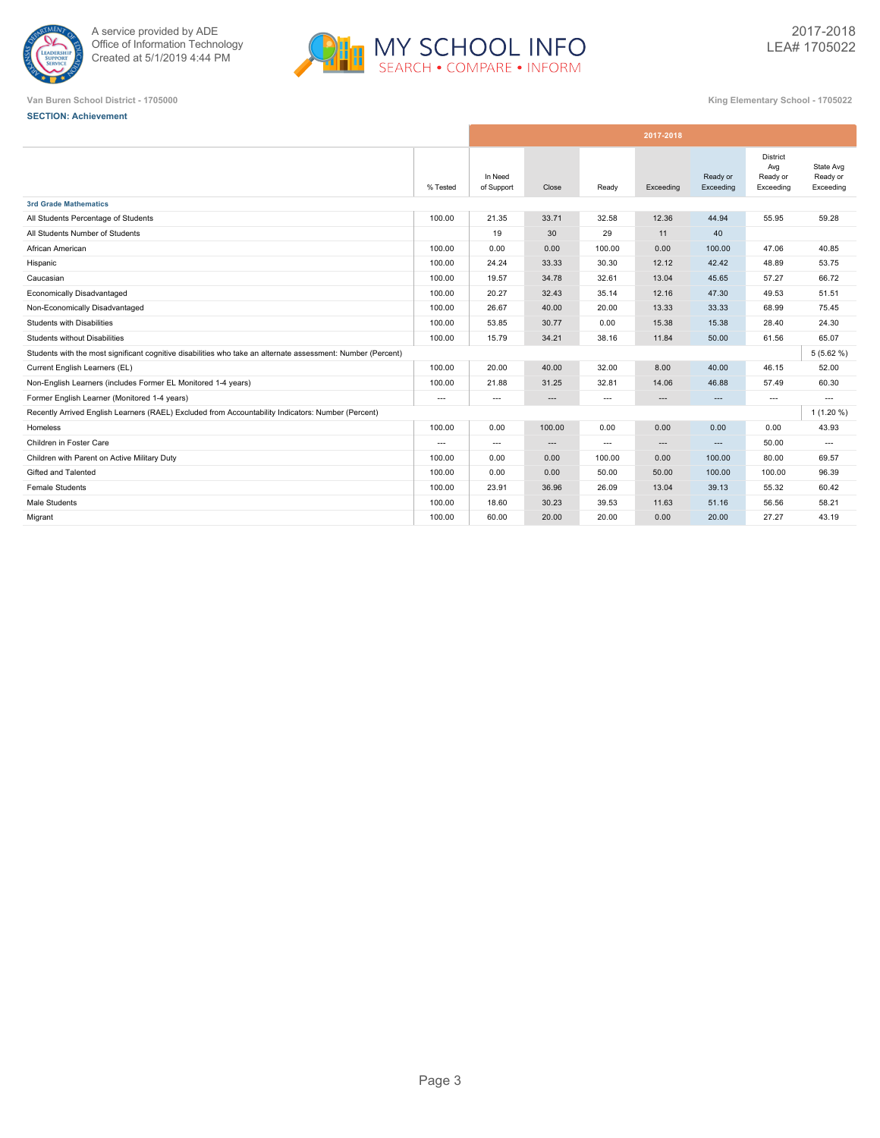



|                                                                                                              |                |                          |                          |                          | 2017-2018                |                       |                                          |                                    |
|--------------------------------------------------------------------------------------------------------------|----------------|--------------------------|--------------------------|--------------------------|--------------------------|-----------------------|------------------------------------------|------------------------------------|
|                                                                                                              | % Tested       | In Need<br>of Support    | Close                    | Ready                    | Exceeding                | Ready or<br>Exceeding | District<br>Avg<br>Ready or<br>Exceeding | State Avg<br>Ready or<br>Exceeding |
| <b>3rd Grade Mathematics</b>                                                                                 |                |                          |                          |                          |                          |                       |                                          |                                    |
| All Students Percentage of Students                                                                          | 100.00         | 21.35                    | 33.71                    | 32.58                    | 12.36                    | 44.94                 | 55.95                                    | 59.28                              |
| All Students Number of Students                                                                              |                | 19                       | 30                       | 29                       | 11                       | 40                    |                                          |                                    |
| African American                                                                                             | 100.00         | 0.00                     | 0.00                     | 100.00                   | 0.00                     | 100.00                | 47.06                                    | 40.85                              |
| Hispanic                                                                                                     | 100.00         | 24.24                    | 33.33                    | 30.30                    | 12.12                    | 42.42                 | 48.89                                    | 53.75                              |
| Caucasian                                                                                                    | 100.00         | 19.57                    | 34.78                    | 32.61                    | 13.04                    | 45.65                 | 57.27                                    | 66.72                              |
| Economically Disadvantaged                                                                                   | 100.00         | 20.27                    | 32.43                    | 35.14                    | 12.16                    | 47.30                 | 49.53                                    | 51.51                              |
| Non-Economically Disadvantaged                                                                               | 100.00         | 26.67                    | 40.00                    | 20.00                    | 13.33                    | 33.33                 | 68.99                                    | 75.45                              |
| Students with Disabilities                                                                                   | 100.00         | 53.85                    | 30.77                    | 0.00                     | 15.38                    | 15.38                 | 28.40                                    | 24.30                              |
| Students without Disabilities                                                                                | 100.00         | 15.79                    | 34.21                    | 38.16                    | 11.84                    | 50.00                 | 61.56                                    | 65.07                              |
| Students with the most significant cognitive disabilities who take an alternate assessment: Number (Percent) |                |                          |                          |                          |                          |                       |                                          | 5(5.62%)                           |
| Current English Learners (EL)                                                                                | 100.00         | 20.00                    | 40.00                    | 32.00                    | 8.00                     | 40.00                 | 46.15                                    | 52.00                              |
| Non-English Learners (includes Former EL Monitored 1-4 years)                                                | 100.00         | 21.88                    | 31.25                    | 32.81                    | 14.06                    | 46.88                 | 57.49                                    | 60.30                              |
| Former English Learner (Monitored 1-4 years)                                                                 | $\sim$ $\sim$  | $\hspace{0.05cm} \ldots$ | $\hspace{0.05cm} \ldots$ | $\hspace{0.05cm} \ldots$ | $\hspace{0.05cm} \ldots$ | $\cdots$              | $\cdots$                                 | $\cdots$                           |
| Recently Arrived English Learners (RAEL) Excluded from Accountability Indicators: Number (Percent)           |                |                          |                          |                          |                          |                       |                                          | $1(1.20\%)$                        |
| Homeless                                                                                                     | 100.00         | 0.00                     | 100.00                   | 0.00                     | 0.00                     | 0.00                  | 0.00                                     | 43.93                              |
| Children in Foster Care                                                                                      | $\overline{a}$ | $\hspace{0.05cm} \ldots$ | $\qquad \qquad -$        | $\cdots$                 | $\cdots$                 | $\cdots$              | 50.00                                    | $\qquad \qquad -$                  |
| Children with Parent on Active Military Duty                                                                 | 100.00         | 0.00                     | 0.00                     | 100.00                   | 0.00                     | 100.00                | 80.00                                    | 69.57                              |
| Gifted and Talented                                                                                          | 100.00         | 0.00                     | 0.00                     | 50.00                    | 50.00                    | 100.00                | 100.00                                   | 96.39                              |
| <b>Female Students</b>                                                                                       | 100.00         | 23.91                    | 36.96                    | 26.09                    | 13.04                    | 39.13                 | 55.32                                    | 60.42                              |
| Male Students                                                                                                | 100.00         | 18.60                    | 30.23                    | 39.53                    | 11.63                    | 51.16                 | 56.56                                    | 58.21                              |
| Migrant                                                                                                      | 100.00         | 60.00                    | 20.00                    | 20.00                    | 0.00                     | 20.00                 | 27.27                                    | 43.19                              |
|                                                                                                              |                |                          |                          |                          |                          |                       |                                          |                                    |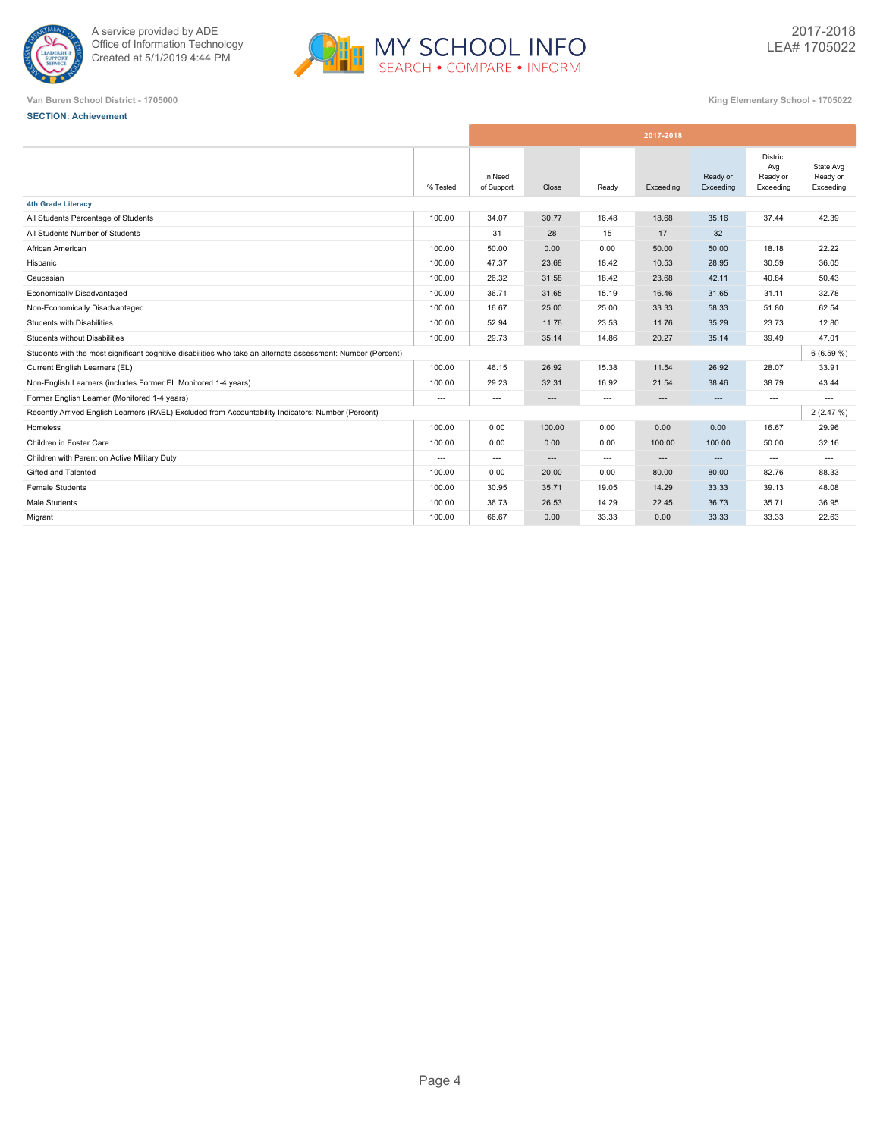



|                                                                                                              |                |                          |          |                          | 2017-2018 |                       |                                          |                                    |
|--------------------------------------------------------------------------------------------------------------|----------------|--------------------------|----------|--------------------------|-----------|-----------------------|------------------------------------------|------------------------------------|
|                                                                                                              | % Tested       | In Need<br>of Support    | Close    | Ready                    | Exceeding | Ready or<br>Exceeding | District<br>Avg<br>Ready or<br>Exceeding | State Avg<br>Ready or<br>Exceeding |
| <b>4th Grade Literacy</b>                                                                                    |                |                          |          |                          |           |                       |                                          |                                    |
| All Students Percentage of Students                                                                          | 100.00         | 34.07                    | 30.77    | 16.48                    | 18.68     | 35.16                 | 37.44                                    | 42.39                              |
| All Students Number of Students                                                                              |                | 31                       | 28       | 15                       | 17        | 32                    |                                          |                                    |
| African American                                                                                             | 100.00         | 50.00                    | 0.00     | 0.00                     | 50.00     | 50.00                 | 18.18                                    | 22.22                              |
| Hispanic                                                                                                     | 100.00         | 47.37                    | 23.68    | 18.42                    | 10.53     | 28.95                 | 30.59                                    | 36.05                              |
| Caucasian                                                                                                    | 100.00         | 26.32                    | 31.58    | 18.42                    | 23.68     | 42.11                 | 40.84                                    | 50.43                              |
| Economically Disadvantaged                                                                                   | 100.00         | 36.71                    | 31.65    | 15.19                    | 16.46     | 31.65                 | 31.11                                    | 32.78                              |
| Non-Economically Disadvantaged                                                                               | 100.00         | 16.67                    | 25.00    | 25.00                    | 33.33     | 58.33                 | 51.80                                    | 62.54                              |
| <b>Students with Disabilities</b>                                                                            | 100.00         | 52.94                    | 11.76    | 23.53                    | 11.76     | 35.29                 | 23.73                                    | 12.80                              |
| Students without Disabilities                                                                                | 100.00         | 29.73                    | 35.14    | 14.86                    | 20.27     | 35.14                 | 39.49                                    | 47.01                              |
| Students with the most significant cognitive disabilities who take an alternate assessment: Number (Percent) |                |                          |          |                          |           |                       |                                          | 6(6.59%)                           |
| Current English Learners (EL)                                                                                | 100.00         | 46.15                    | 26.92    | 15.38                    | 11.54     | 26.92                 | 28.07                                    | 33.91                              |
| Non-English Learners (includes Former EL Monitored 1-4 years)                                                | 100.00         | 29.23                    | 32.31    | 16.92                    | 21.54     | 38.46                 | 38.79                                    | 43.44                              |
| Former English Learner (Monitored 1-4 years)                                                                 | $\overline{a}$ | $\hspace{0.05cm} \ldots$ | $\cdots$ | $\hspace{0.05cm} \ldots$ | $\cdots$  | $\cdots$              | $\cdots$                                 | $\overline{\phantom{a}}$           |
| Recently Arrived English Learners (RAEL) Excluded from Accountability Indicators: Number (Percent)           |                |                          |          |                          |           |                       |                                          | 2(2.47%)                           |
| Homeless                                                                                                     | 100.00         | 0.00                     | 100.00   | 0.00                     | 0.00      | 0.00                  | 16.67                                    | 29.96                              |
| Children in Foster Care                                                                                      | 100.00         | 0.00                     | 0.00     | 0.00                     | 100.00    | 100.00                | 50.00                                    | 32.16                              |
| Children with Parent on Active Military Duty                                                                 | $\overline{a}$ | $---$                    | $---$    | $---$                    | $---$     | $---$                 | $---$                                    | $---$                              |
| Gifted and Talented                                                                                          | 100.00         | 0.00                     | 20.00    | 0.00                     | 80.00     | 80.00                 | 82.76                                    | 88.33                              |
| <b>Female Students</b>                                                                                       | 100.00         | 30.95                    | 35.71    | 19.05                    | 14.29     | 33.33                 | 39.13                                    | 48.08                              |
| <b>Male Students</b>                                                                                         | 100.00         | 36.73                    | 26.53    | 14.29                    | 22.45     | 36.73                 | 35.71                                    | 36.95                              |
| Migrant                                                                                                      | 100.00         | 66.67                    | 0.00     | 33.33                    | 0.00      | 33.33                 | 33.33                                    | 22.63                              |
|                                                                                                              |                |                          |          |                          |           |                       |                                          |                                    |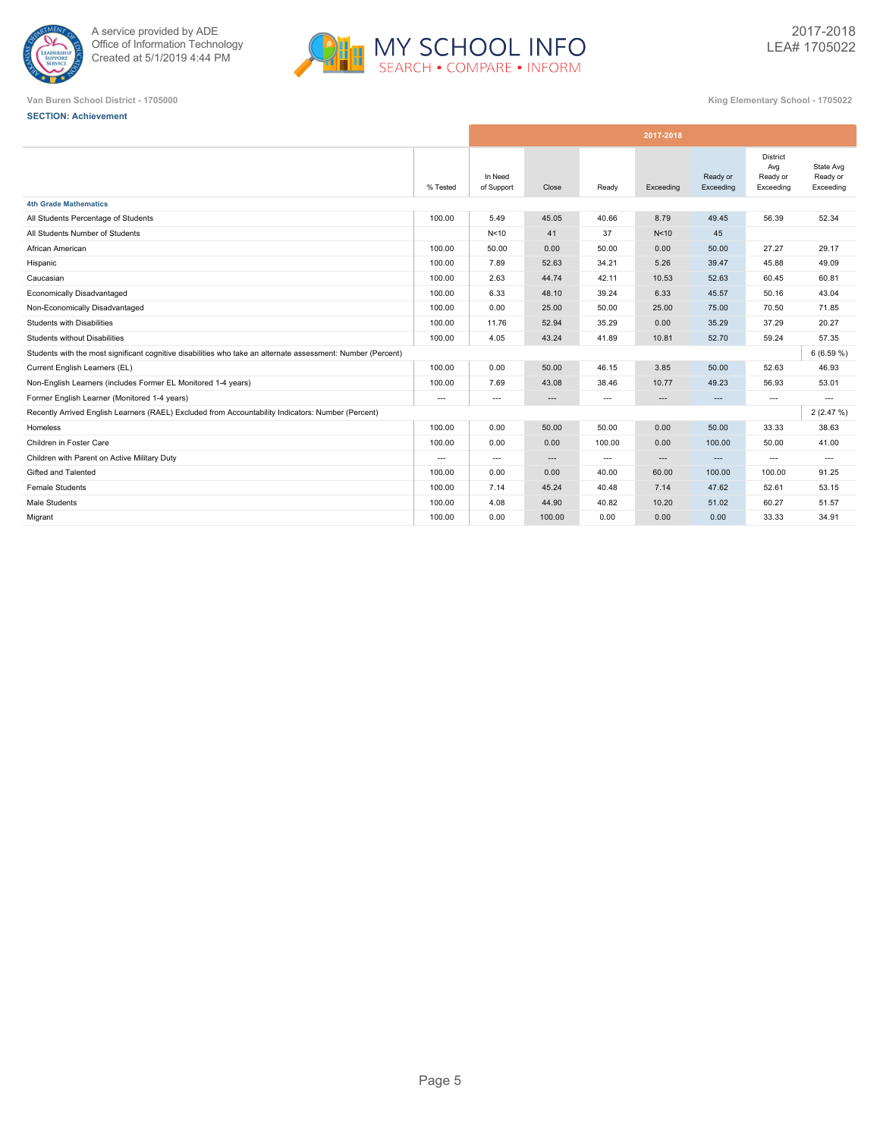



|                                                                                                              |          |                          |                          |          | 2017-2018                |                       |                                                 |                                    |
|--------------------------------------------------------------------------------------------------------------|----------|--------------------------|--------------------------|----------|--------------------------|-----------------------|-------------------------------------------------|------------------------------------|
|                                                                                                              | % Tested | In Need<br>of Support    | Close                    | Ready    | Exceeding                | Ready or<br>Exceeding | <b>District</b><br>Avg<br>Ready or<br>Exceeding | State Avg<br>Ready or<br>Exceeding |
| <b>4th Grade Mathematics</b>                                                                                 |          |                          |                          |          |                          |                       |                                                 |                                    |
| All Students Percentage of Students                                                                          | 100.00   | 5.49                     | 45.05                    | 40.66    | 8.79                     | 49.45                 | 56.39                                           | 52.34                              |
| All Students Number of Students                                                                              |          | N <sub>10</sub>          | 41                       | 37       | N<10                     | 45                    |                                                 |                                    |
| African American                                                                                             | 100.00   | 50.00                    | 0.00                     | 50.00    | 0.00                     | 50.00                 | 27.27                                           | 29.17                              |
| Hispanic                                                                                                     | 100.00   | 7.89                     | 52.63                    | 34.21    | 5.26                     | 39.47                 | 45.88                                           | 49.09                              |
| Caucasian                                                                                                    | 100.00   | 2.63                     | 44.74                    | 42.11    | 10.53                    | 52.63                 | 60.45                                           | 60.81                              |
| Economically Disadvantaged                                                                                   | 100.00   | 6.33                     | 48.10                    | 39.24    | 6.33                     | 45.57                 | 50.16                                           | 43.04                              |
| Non-Economically Disadvantaged                                                                               | 100.00   | 0.00                     | 25.00                    | 50.00    | 25.00                    | 75.00                 | 70.50                                           | 71.85                              |
| <b>Students with Disabilities</b>                                                                            | 100.00   | 11.76                    | 52.94                    | 35.29    | 0.00                     | 35.29                 | 37.29                                           | 20.27                              |
| <b>Students without Disabilities</b>                                                                         | 100.00   | 4.05                     | 43.24                    | 41.89    | 10.81                    | 52.70                 | 59.24                                           | 57.35                              |
| Students with the most significant cognitive disabilities who take an alternate assessment: Number (Percent) |          |                          |                          |          |                          |                       |                                                 | 6(6.59%)                           |
| Current English Learners (EL)                                                                                | 100.00   | 0.00                     | 50.00                    | 46.15    | 3.85                     | 50.00                 | 52.63                                           | 46.93                              |
| Non-English Learners (includes Former EL Monitored 1-4 years)                                                | 100.00   | 7.69                     | 43.08                    | 38.46    | 10.77                    | 49.23                 | 56.93                                           | 53.01                              |
| Former English Learner (Monitored 1-4 years)                                                                 | $\cdots$ | $\hspace{0.05cm} \ldots$ | $\hspace{0.05cm} \ldots$ | $\cdots$ | $\hspace{0.05cm} \ldots$ | $\cdots$              | $\cdots$                                        | ---                                |
| Recently Arrived English Learners (RAEL) Excluded from Accountability Indicators: Number (Percent)           |          |                          |                          |          |                          |                       |                                                 | 2(2.47%)                           |
| Homeless                                                                                                     | 100.00   | 0.00                     | 50.00                    | 50.00    | 0.00                     | 50.00                 | 33.33                                           | 38.63                              |
| Children in Foster Care                                                                                      | 100.00   | 0.00                     | 0.00                     | 100.00   | 0.00                     | 100.00                | 50.00                                           | 41.00                              |
| Children with Parent on Active Military Duty                                                                 | $\cdots$ | $\cdots$                 | $\hspace{0.05cm} \ldots$ | $\cdots$ | $\qquad \qquad \cdots$   | $\cdots$              | $\cdots$                                        | $---$                              |
| Gifted and Talented                                                                                          | 100.00   | 0.00                     | 0.00                     | 40.00    | 60.00                    | 100.00                | 100.00                                          | 91.25                              |
| <b>Female Students</b>                                                                                       | 100.00   | 7.14                     | 45.24                    | 40.48    | 7.14                     | 47.62                 | 52.61                                           | 53.15                              |
| <b>Male Students</b>                                                                                         | 100.00   | 4.08                     | 44.90                    | 40.82    | 10.20                    | 51.02                 | 60.27                                           | 51.57                              |
| Migrant                                                                                                      | 100.00   | 0.00                     | 100.00                   | 0.00     | 0.00                     | 0.00                  | 33.33                                           | 34.91                              |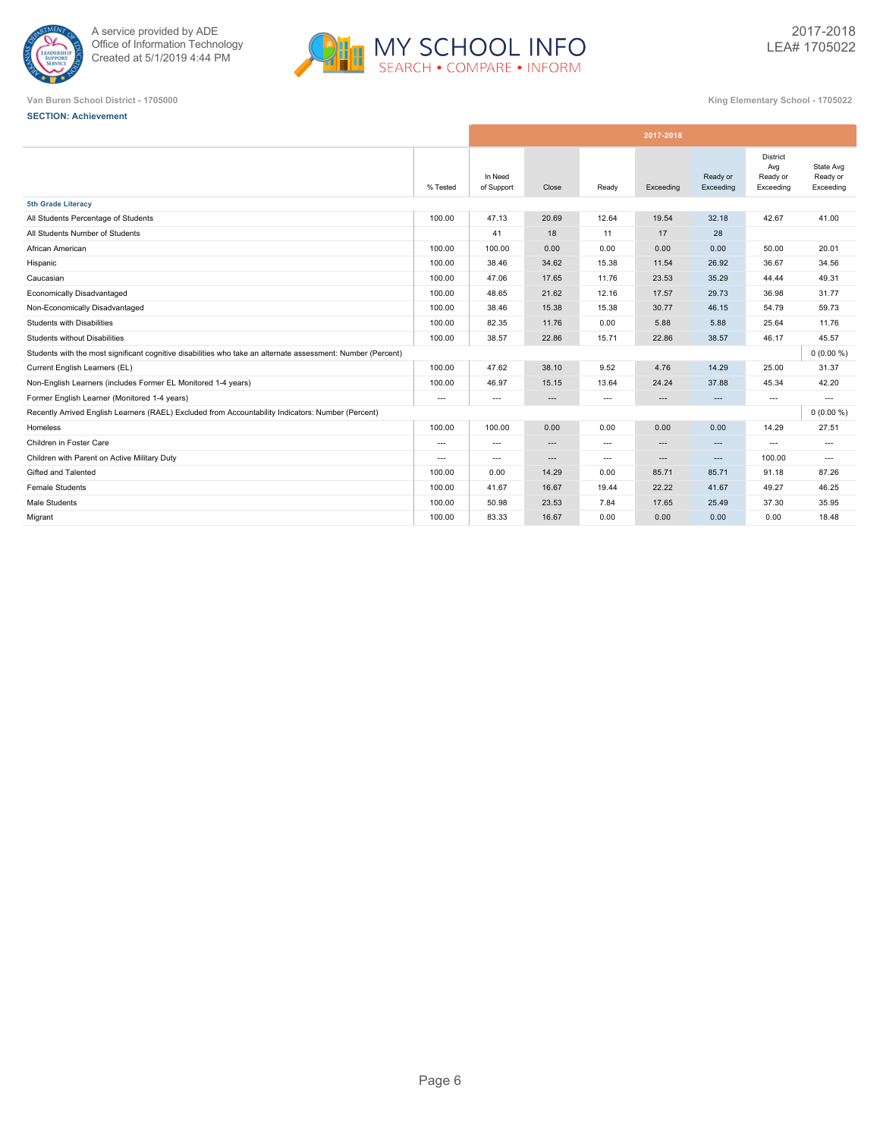



|                                                                                                              |                          |                               |                          |                          | 2017-2018                |                               |                                          |                                    |
|--------------------------------------------------------------------------------------------------------------|--------------------------|-------------------------------|--------------------------|--------------------------|--------------------------|-------------------------------|------------------------------------------|------------------------------------|
|                                                                                                              | % Tested                 | In Need<br>of Support         | Close                    | Ready                    | Exceeding                | Ready or<br>Exceeding         | District<br>Avg<br>Ready or<br>Exceeding | State Avg<br>Ready or<br>Exceeding |
| <b>5th Grade Literacy</b>                                                                                    |                          |                               |                          |                          |                          |                               |                                          |                                    |
| All Students Percentage of Students                                                                          | 100.00                   | 47.13                         | 20.69                    | 12.64                    | 19.54                    | 32.18                         | 42.67                                    | 41.00                              |
| All Students Number of Students                                                                              |                          | 41                            | 18                       | 11                       | 17                       | 28                            |                                          |                                    |
| African American                                                                                             | 100.00                   | 100.00                        | 0.00                     | 0.00                     | 0.00                     | 0.00                          | 50.00                                    | 20.01                              |
| Hispanic                                                                                                     | 100.00                   | 38.46                         | 34.62                    | 15.38                    | 11.54                    | 26.92                         | 36.67                                    | 34.56                              |
| Caucasian                                                                                                    | 100.00                   | 47.06                         | 17.65                    | 11.76                    | 23.53                    | 35.29                         | 44.44                                    | 49.31                              |
| Economically Disadvantaged                                                                                   | 100.00                   | 48.65                         | 21.62                    | 12.16                    | 17.57                    | 29.73                         | 36.98                                    | 31.77                              |
| Non-Economically Disadvantaged                                                                               | 100.00                   | 38.46                         | 15.38                    | 15.38                    | 30.77                    | 46.15                         | 54.79                                    | 59.73                              |
| <b>Students with Disabilities</b>                                                                            | 100.00                   | 82.35                         | 11.76                    | 0.00                     | 5.88                     | 5.88                          | 25.64                                    | 11.76                              |
| <b>Students without Disabilities</b>                                                                         | 100.00                   | 38.57                         | 22.86                    | 15.71                    | 22.86                    | 38.57                         | 46.17                                    | 45.57                              |
| Students with the most significant cognitive disabilities who take an alternate assessment: Number (Percent) |                          |                               |                          |                          |                          |                               |                                          | $0(0.00\%)$                        |
| Current English Learners (EL)                                                                                | 100.00                   | 47.62                         | 38.10                    | 9.52                     | 4.76                     | 14.29                         | 25.00                                    | 31.37                              |
| Non-English Learners (includes Former EL Monitored 1-4 years)                                                | 100.00                   | 46.97                         | 15.15                    | 13.64                    | 24.24                    | 37.88                         | 45.34                                    | 42.20                              |
| Former English Learner (Monitored 1-4 years)                                                                 | $\ldots$                 | $\hspace{1.5cm} \textbf{---}$ | $\hspace{0.05cm} \ldots$ | $\hspace{0.05cm} \ldots$ | $\hspace{0.05cm} \ldots$ | $\hspace{1.5cm} \textbf{---}$ | $\qquad \qquad - - -$                    | $\cdots$                           |
| Recently Arrived English Learners (RAEL) Excluded from Accountability Indicators: Number (Percent)           |                          |                               |                          |                          |                          |                               |                                          | $0(0.00\%)$                        |
| Homeless                                                                                                     | 100.00                   | 100.00                        | 0.00                     | 0.00                     | 0.00                     | 0.00                          | 14.29                                    | 27.51                              |
| Children in Foster Care                                                                                      | $\cdots$                 | $\cdots$                      | $\hspace{0.05cm} \ldots$ | $  -$                    | $---$                    | $\cdots$                      | $\cdots$                                 | $---$                              |
| Children with Parent on Active Military Duty                                                                 | $\hspace{0.05cm} \ldots$ | $\hspace{0.05cm} \ldots$      | $\hspace{0.05cm} \ldots$ | $\qquad \qquad \cdots$   | $\hspace{0.05cm} \ldots$ | $\cdots$                      | 100.00                                   | $---$                              |
| Gifted and Talented                                                                                          | 100.00                   | 0.00                          | 14.29                    | 0.00                     | 85.71                    | 85.71                         | 91.18                                    | 87.26                              |
| <b>Female Students</b>                                                                                       | 100.00                   | 41.67                         | 16.67                    | 19.44                    | 22.22                    | 41.67                         | 49.27                                    | 46.25                              |
| Male Students                                                                                                | 100.00                   | 50.98                         | 23.53                    | 7.84                     | 17.65                    | 25.49                         | 37.30                                    | 35.95                              |
| Migrant                                                                                                      | 100.00                   | 83.33                         | 16.67                    | 0.00                     | 0.00                     | 0.00                          | 0.00                                     | 18.48                              |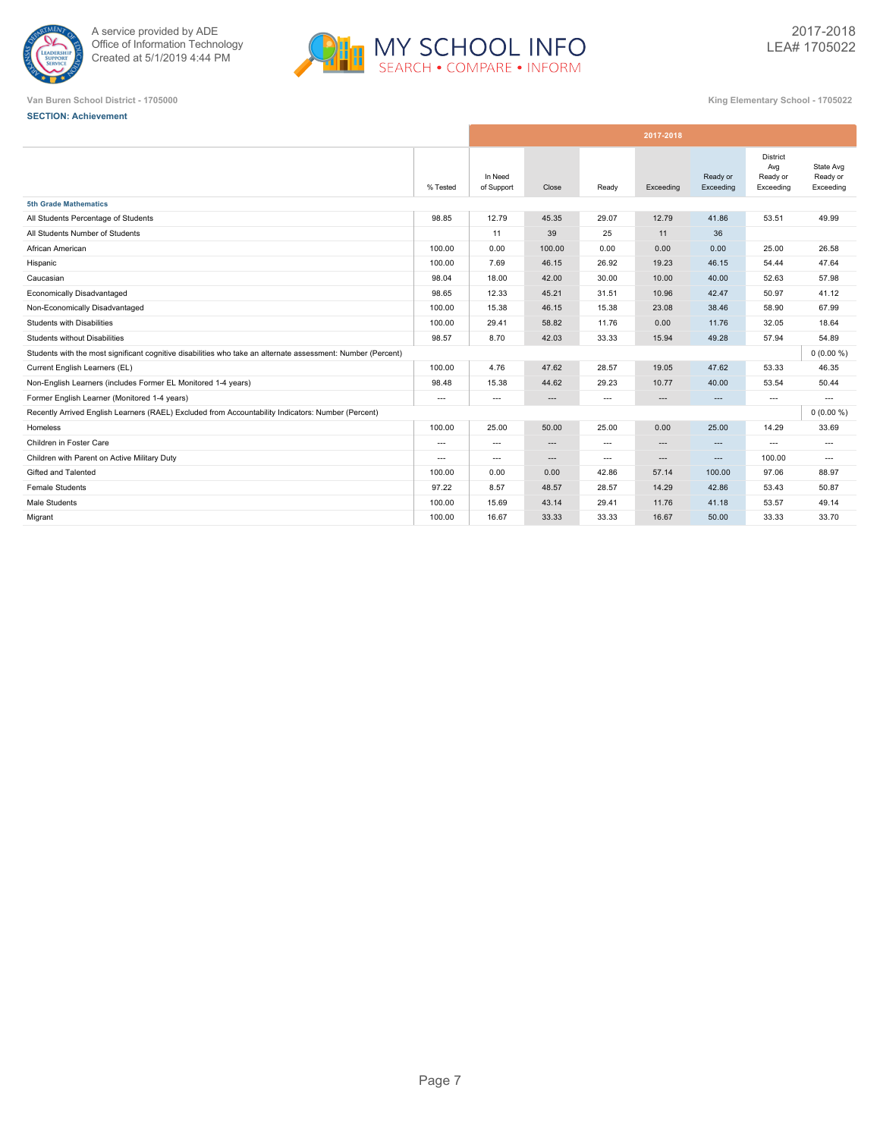



| <b>SECTION: Achievement</b> |
|-----------------------------|
|                             |

|                                                                                                              |                        |                          |                               |                          | 2017-2018                |                               |                                          |                                    |
|--------------------------------------------------------------------------------------------------------------|------------------------|--------------------------|-------------------------------|--------------------------|--------------------------|-------------------------------|------------------------------------------|------------------------------------|
|                                                                                                              | % Tested               | In Need<br>of Support    | Close                         | Ready                    | Exceeding                | Ready or<br>Exceeding         | District<br>Avg<br>Ready or<br>Exceeding | State Avg<br>Ready or<br>Exceeding |
| <b>5th Grade Mathematics</b>                                                                                 |                        |                          |                               |                          |                          |                               |                                          |                                    |
| All Students Percentage of Students                                                                          | 98.85                  | 12.79                    | 45.35                         | 29.07                    | 12.79                    | 41.86                         | 53.51                                    | 49.99                              |
| All Students Number of Students                                                                              |                        | 11                       | 39                            | 25                       | 11                       | 36                            |                                          |                                    |
| African American                                                                                             | 100.00                 | 0.00                     | 100.00                        | 0.00                     | 0.00                     | 0.00                          | 25.00                                    | 26.58                              |
| Hispanic                                                                                                     | 100.00                 | 7.69                     | 46.15                         | 26.92                    | 19.23                    | 46.15                         | 54.44                                    | 47.64                              |
| Caucasian                                                                                                    | 98.04                  | 18.00                    | 42.00                         | 30.00                    | 10.00                    | 40.00                         | 52.63                                    | 57.98                              |
| Economically Disadvantaged                                                                                   | 98.65                  | 12.33                    | 45.21                         | 31.51                    | 10.96                    | 42.47                         | 50.97                                    | 41.12                              |
| Non-Economically Disadvantaged                                                                               | 100.00                 | 15.38                    | 46.15                         | 15.38                    | 23.08                    | 38.46                         | 58.90                                    | 67.99                              |
| <b>Students with Disabilities</b>                                                                            | 100.00                 | 29.41                    | 58.82                         | 11.76                    | 0.00                     | 11.76                         | 32.05                                    | 18.64                              |
| <b>Students without Disabilities</b>                                                                         | 98.57                  | 8.70                     | 42.03                         | 33.33                    | 15.94                    | 49.28                         | 57.94                                    | 54.89                              |
| Students with the most significant cognitive disabilities who take an alternate assessment: Number (Percent) |                        |                          |                               |                          |                          |                               |                                          | $0(0.00\%)$                        |
| Current English Learners (EL)                                                                                | 100.00                 | 4.76                     | 47.62                         | 28.57                    | 19.05                    | 47.62                         | 53.33                                    | 46.35                              |
| Non-English Learners (includes Former EL Monitored 1-4 years)                                                | 98.48                  | 15.38                    | 44.62                         | 29.23                    | 10.77                    | 40.00                         | 53.54                                    | 50.44                              |
| Former English Learner (Monitored 1-4 years)                                                                 | $\cdots$               | $---$                    | $\hspace{1.5cm} \textbf{---}$ | $\cdots$                 | $\hspace{0.05cm} \ldots$ | $\hspace{1.5cm} \textbf{---}$ | $\overline{\phantom{a}}$                 | ---                                |
| Recently Arrived English Learners (RAEL) Excluded from Accountability Indicators: Number (Percent)           |                        |                          |                               |                          |                          |                               |                                          | $0(0.00\%)$                        |
| Homeless                                                                                                     | 100.00                 | 25.00                    | 50.00                         | 25.00                    | 0.00                     | 25.00                         | 14.29                                    | 33.69                              |
| Children in Foster Care                                                                                      | $\cdots$               | $\hspace{0.05cm} \ldots$ | $\cdots$                      | $\hspace{0.05cm} \ldots$ | $\cdots$                 | $\cdots$                      | $---$                                    | $---$                              |
| Children with Parent on Active Military Duty                                                                 | $\qquad \qquad \cdots$ | ---                      | $\cdots$                      | ---                      | $\hspace{0.05cm} \ldots$ | $\cdots$                      | 100.00                                   | $---$                              |
| Gifted and Talented                                                                                          | 100.00                 | 0.00                     | 0.00                          | 42.86                    | 57.14                    | 100.00                        | 97.06                                    | 88.97                              |
| <b>Female Students</b>                                                                                       | 97.22                  | 8.57                     | 48.57                         | 28.57                    | 14.29                    | 42.86                         | 53.43                                    | 50.87                              |
| Male Students                                                                                                | 100.00                 | 15.69                    | 43.14                         | 29.41                    | 11.76                    | 41.18                         | 53.57                                    | 49.14                              |
| Migrant                                                                                                      | 100.00                 | 16.67                    | 33.33                         | 33.33                    | 16.67                    | 50.00                         | 33.33                                    | 33.70                              |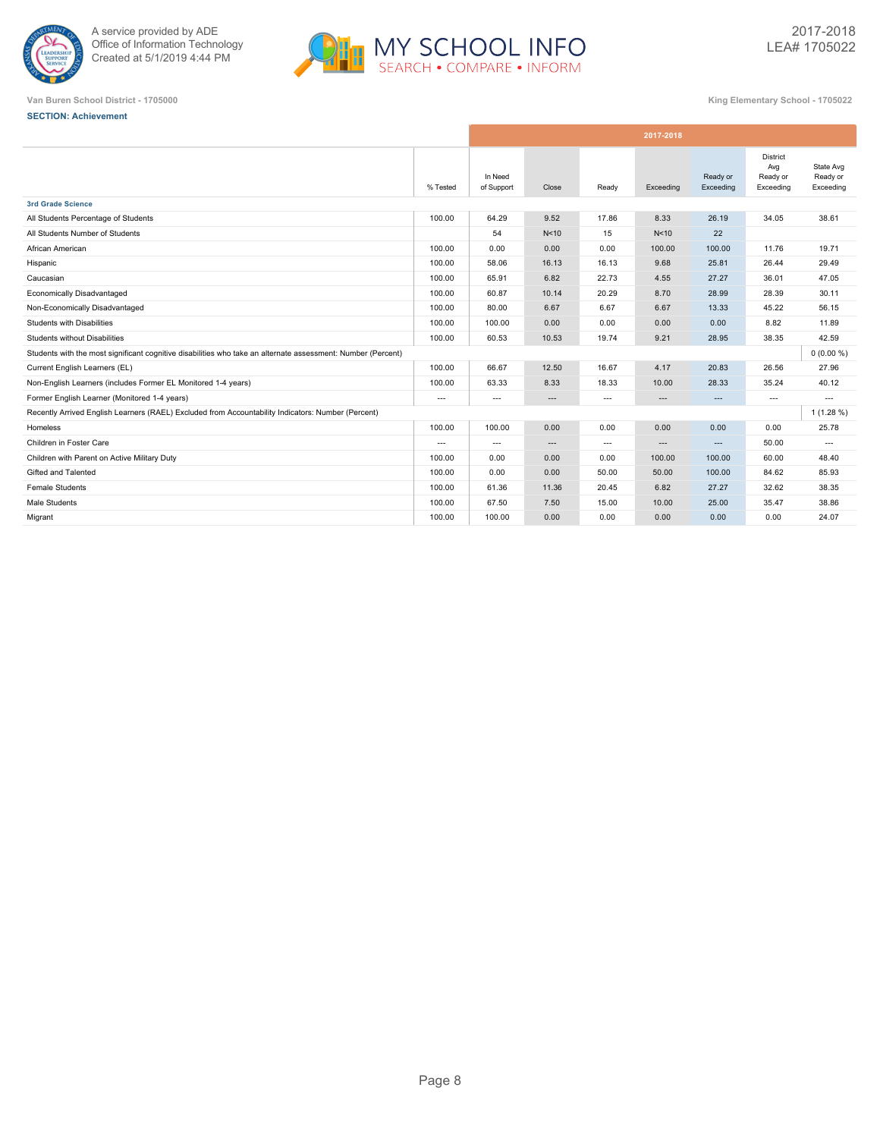



|                                                                                                              |                          |                          |                          |                          | 2017-2018 |                       |                                          |                                    |
|--------------------------------------------------------------------------------------------------------------|--------------------------|--------------------------|--------------------------|--------------------------|-----------|-----------------------|------------------------------------------|------------------------------------|
|                                                                                                              | % Tested                 | In Need<br>of Support    | Close                    | Ready                    | Exceeding | Ready or<br>Exceeding | District<br>Avg<br>Ready or<br>Exceeding | State Avg<br>Ready or<br>Exceeding |
| <b>3rd Grade Science</b>                                                                                     |                          |                          |                          |                          |           |                       |                                          |                                    |
| All Students Percentage of Students                                                                          | 100.00                   | 64.29                    | 9.52                     | 17.86                    | 8.33      | 26.19                 | 34.05                                    | 38.61                              |
| All Students Number of Students                                                                              |                          | 54                       | N <sub>10</sub>          | 15                       | N<10      | 22                    |                                          |                                    |
| African American                                                                                             | 100.00                   | 0.00                     | 0.00                     | 0.00                     | 100.00    | 100.00                | 11.76                                    | 19.71                              |
| Hispanic                                                                                                     | 100.00                   | 58.06                    | 16.13                    | 16.13                    | 9.68      | 25.81                 | 26.44                                    | 29.49                              |
| Caucasian                                                                                                    | 100.00                   | 65.91                    | 6.82                     | 22.73                    | 4.55      | 27.27                 | 36.01                                    | 47.05                              |
| Economically Disadvantaged                                                                                   | 100.00                   | 60.87                    | 10.14                    | 20.29                    | 8.70      | 28.99                 | 28.39                                    | 30.11                              |
| Non-Economically Disadvantaged                                                                               | 100.00                   | 80.00                    | 6.67                     | 6.67                     | 6.67      | 13.33                 | 45.22                                    | 56.15                              |
| Students with Disabilities                                                                                   | 100.00                   | 100.00                   | 0.00                     | 0.00                     | 0.00      | 0.00                  | 8.82                                     | 11.89                              |
| Students without Disabilities                                                                                | 100.00                   | 60.53                    | 10.53                    | 19.74                    | 9.21      | 28.95                 | 38.35                                    | 42.59                              |
| Students with the most significant cognitive disabilities who take an alternate assessment: Number (Percent) |                          |                          |                          |                          |           |                       |                                          | $0(0.00\%)$                        |
| Current English Learners (EL)                                                                                | 100.00                   | 66.67                    | 12.50                    | 16.67                    | 4.17      | 20.83                 | 26.56                                    | 27.96                              |
| Non-English Learners (includes Former EL Monitored 1-4 years)                                                | 100.00                   | 63.33                    | 8.33                     | 18.33                    | 10.00     | 28.33                 | 35.24                                    | 40.12                              |
| Former English Learner (Monitored 1-4 years)                                                                 | $\hspace{0.05cm} \ldots$ | $\hspace{0.05cm} \ldots$ | $\hspace{0.05cm} \ldots$ | $\hspace{0.05cm} \ldots$ | $\cdots$  | $\cdots$              | $\cdots$                                 | $\overline{\phantom{a}}$           |
| Recently Arrived English Learners (RAEL) Excluded from Accountability Indicators: Number (Percent)           |                          |                          |                          |                          |           |                       |                                          | $1(1.28\%)$                        |
| Homeless                                                                                                     | 100.00                   | 100.00                   | 0.00                     | 0.00                     | 0.00      | 0.00                  | 0.00                                     | 25.78                              |
| Children in Foster Care                                                                                      | $\hspace{0.05cm} \ldots$ | $\hspace{0.05cm} \ldots$ | $\cdots$                 | $\hspace{0.05cm} \ldots$ | $\cdots$  | $\cdots$              | 50.00                                    | ---                                |
| Children with Parent on Active Military Duty                                                                 | 100.00                   | 0.00                     | 0.00                     | 0.00                     | 100.00    | 100.00                | 60.00                                    | 48.40                              |
| Gifted and Talented                                                                                          | 100.00                   | 0.00                     | 0.00                     | 50.00                    | 50.00     | 100.00                | 84.62                                    | 85.93                              |
| <b>Female Students</b>                                                                                       | 100.00                   | 61.36                    | 11.36                    | 20.45                    | 6.82      | 27.27                 | 32.62                                    | 38.35                              |
| Male Students                                                                                                | 100.00                   | 67.50                    | 7.50                     | 15.00                    | 10.00     | 25.00                 | 35.47                                    | 38.86                              |
| Migrant                                                                                                      | 100.00                   | 100.00                   | 0.00                     | 0.00                     | 0.00      | 0.00                  | 0.00                                     | 24.07                              |
|                                                                                                              |                          |                          |                          |                          |           |                       |                                          |                                    |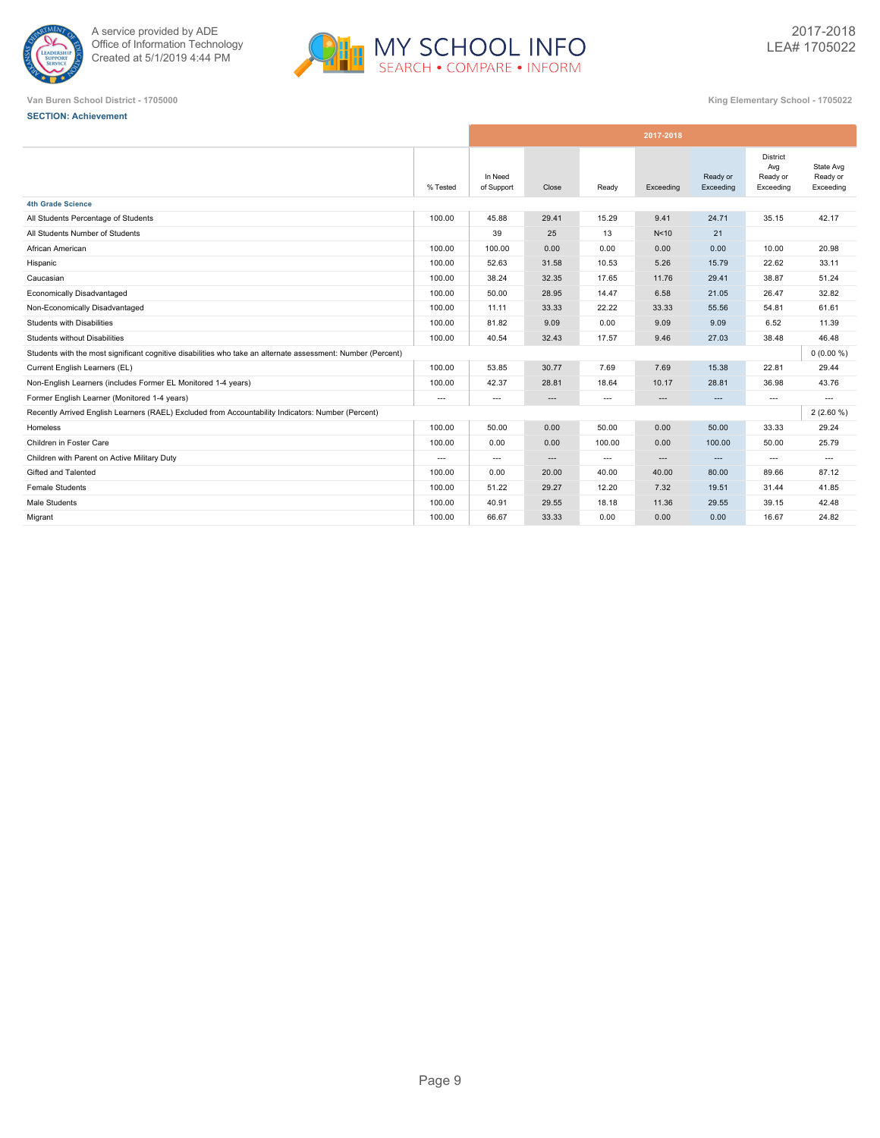



|                                                                                                              |                          |                          |          |          | 2017-2018                |                       |                                          |                                    |
|--------------------------------------------------------------------------------------------------------------|--------------------------|--------------------------|----------|----------|--------------------------|-----------------------|------------------------------------------|------------------------------------|
|                                                                                                              | % Tested                 | In Need<br>of Support    | Close    | Ready    | Exceeding                | Ready or<br>Exceeding | District<br>Avg<br>Ready or<br>Exceeding | State Avg<br>Ready or<br>Exceeding |
| <b>4th Grade Science</b>                                                                                     |                          |                          |          |          |                          |                       |                                          |                                    |
| All Students Percentage of Students                                                                          | 100.00                   | 45.88                    | 29.41    | 15.29    | 9.41                     | 24.71                 | 35.15                                    | 42.17                              |
| All Students Number of Students                                                                              |                          | 39                       | 25       | 13       | N<10                     | 21                    |                                          |                                    |
| African American                                                                                             | 100.00                   | 100.00                   | 0.00     | 0.00     | 0.00                     | 0.00                  | 10.00                                    | 20.98                              |
| Hispanic                                                                                                     | 100.00                   | 52.63                    | 31.58    | 10.53    | 5.26                     | 15.79                 | 22.62                                    | 33.11                              |
| Caucasian                                                                                                    | 100.00                   | 38.24                    | 32.35    | 17.65    | 11.76                    | 29.41                 | 38.87                                    | 51.24                              |
| Economically Disadvantaged                                                                                   | 100.00                   | 50.00                    | 28.95    | 14.47    | 6.58                     | 21.05                 | 26.47                                    | 32.82                              |
| Non-Economically Disadvantaged                                                                               | 100.00                   | 11.11                    | 33.33    | 22.22    | 33.33                    | 55.56                 | 54.81                                    | 61.61                              |
| Students with Disabilities                                                                                   | 100.00                   | 81.82                    | 9.09     | 0.00     | 9.09                     | 9.09                  | 6.52                                     | 11.39                              |
| <b>Students without Disabilities</b>                                                                         | 100.00                   | 40.54                    | 32.43    | 17.57    | 9.46                     | 27.03                 | 38.48                                    | 46.48                              |
| Students with the most significant cognitive disabilities who take an alternate assessment: Number (Percent) |                          |                          |          |          |                          |                       |                                          | $0(0.00\%)$                        |
| Current English Learners (EL)                                                                                | 100.00                   | 53.85                    | 30.77    | 7.69     | 7.69                     | 15.38                 | 22.81                                    | 29.44                              |
| Non-English Learners (includes Former EL Monitored 1-4 years)                                                | 100.00                   | 42.37                    | 28.81    | 18.64    | 10.17                    | 28.81                 | 36.98                                    | 43.76                              |
| Former English Learner (Monitored 1-4 years)                                                                 | $\hspace{0.05cm} \ldots$ | $\cdots$                 | $\cdots$ | $  -$    | $\hspace{0.05cm} \ldots$ | $\cdots$              | $\cdots$                                 | ---                                |
| Recently Arrived English Learners (RAEL) Excluded from Accountability Indicators: Number (Percent)           |                          |                          |          |          |                          |                       |                                          | $2(2.60\%)$                        |
| Homeless                                                                                                     | 100.00                   | 50.00                    | 0.00     | 50.00    | 0.00                     | 50.00                 | 33.33                                    | 29.24                              |
| Children in Foster Care                                                                                      | 100.00                   | 0.00                     | 0.00     | 100.00   | 0.00                     | 100.00                | 50.00                                    | 25.79                              |
| Children with Parent on Active Military Duty                                                                 | ---                      | $\hspace{0.05cm} \ldots$ | $\cdots$ | $\cdots$ | $\cdots$                 | $\cdots$              | $\cdots$                                 | $\hspace{0.05cm} \ldots$           |
| Gifted and Talented                                                                                          | 100.00                   | 0.00                     | 20.00    | 40.00    | 40.00                    | 80.00                 | 89.66                                    | 87.12                              |
| <b>Female Students</b>                                                                                       | 100.00                   | 51.22                    | 29.27    | 12.20    | 7.32                     | 19.51                 | 31.44                                    | 41.85                              |
| Male Students                                                                                                | 100.00                   | 40.91                    | 29.55    | 18.18    | 11.36                    | 29.55                 | 39.15                                    | 42.48                              |
| Migrant                                                                                                      | 100.00                   | 66.67                    | 33.33    | 0.00     | 0.00                     | 0.00                  | 16.67                                    | 24.82                              |
|                                                                                                              |                          |                          |          |          |                          |                       |                                          |                                    |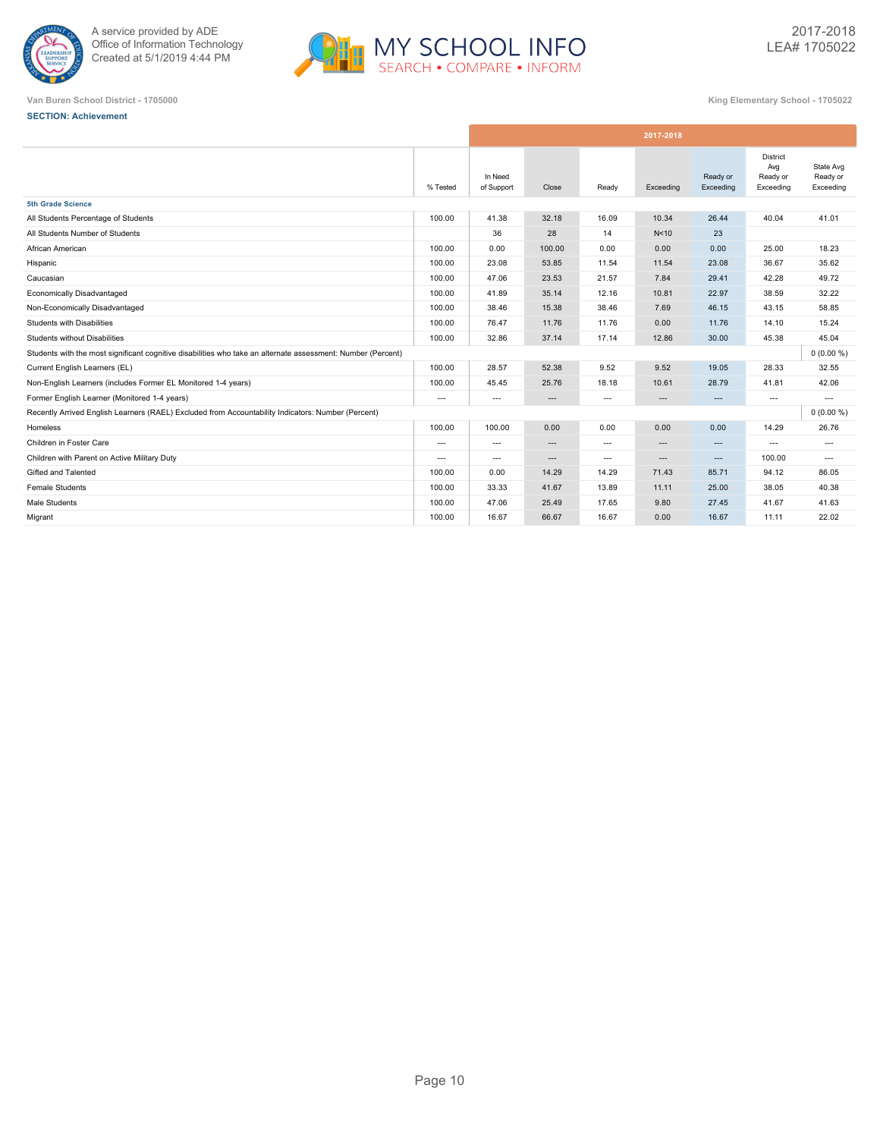



|                                                                                                              |                          |                          |                          |                          | 2017-2018                |                       |                                                 |                                    |
|--------------------------------------------------------------------------------------------------------------|--------------------------|--------------------------|--------------------------|--------------------------|--------------------------|-----------------------|-------------------------------------------------|------------------------------------|
|                                                                                                              | % Tested                 | In Need<br>of Support    | Close                    | Ready                    | Exceeding                | Ready or<br>Exceeding | <b>District</b><br>Avg<br>Ready or<br>Exceeding | State Avg<br>Ready or<br>Exceeding |
| <b>5th Grade Science</b>                                                                                     |                          |                          |                          |                          |                          |                       |                                                 |                                    |
| All Students Percentage of Students                                                                          | 100.00                   | 41.38                    | 32.18                    | 16.09                    | 10.34                    | 26.44                 | 40.04                                           | 41.01                              |
| All Students Number of Students                                                                              |                          | 36                       | 28                       | 14                       | N<10                     | 23                    |                                                 |                                    |
| African American                                                                                             | 100.00                   | 0.00                     | 100.00                   | 0.00                     | 0.00                     | 0.00                  | 25.00                                           | 18.23                              |
| Hispanic                                                                                                     | 100.00                   | 23.08                    | 53.85                    | 11.54                    | 11.54                    | 23.08                 | 36.67                                           | 35.62                              |
| Caucasian                                                                                                    | 100.00                   | 47.06                    | 23.53                    | 21.57                    | 7.84                     | 29.41                 | 42.28                                           | 49.72                              |
| <b>Economically Disadvantaged</b>                                                                            | 100.00                   | 41.89                    | 35.14                    | 12.16                    | 10.81                    | 22.97                 | 38.59                                           | 32.22                              |
| Non-Economically Disadvantaged                                                                               | 100.00                   | 38.46                    | 15.38                    | 38.46                    | 7.69                     | 46.15                 | 43.15                                           | 58.85                              |
| Students with Disabilities                                                                                   | 100.00                   | 76.47                    | 11.76                    | 11.76                    | 0.00                     | 11.76                 | 14.10                                           | 15.24                              |
| <b>Students without Disabilities</b>                                                                         | 100.00                   | 32.86                    | 37.14                    | 17.14                    | 12.86                    | 30.00                 | 45.38                                           | 45.04                              |
| Students with the most significant cognitive disabilities who take an alternate assessment: Number (Percent) |                          |                          |                          |                          |                          |                       |                                                 | $0(0.00\%)$                        |
| Current English Learners (EL)                                                                                | 100.00                   | 28.57                    | 52.38                    | 9.52                     | 9.52                     | 19.05                 | 28.33                                           | 32.55                              |
| Non-English Learners (includes Former EL Monitored 1-4 years)                                                | 100.00                   | 45.45                    | 25.76                    | 18.18                    | 10.61                    | 28.79                 | 41.81                                           | 42.06                              |
| Former English Learner (Monitored 1-4 years)                                                                 | $\hspace{0.05cm} \ldots$ | $\hspace{0.05cm} \ldots$ | $\qquad \qquad - -$      | $\hspace{0.05cm} \ldots$ | $\hspace{0.05cm} \cdots$ | $\cdots$              | $\cdots$                                        | $---$                              |
| Recently Arrived English Learners (RAEL) Excluded from Accountability Indicators: Number (Percent)           |                          |                          |                          |                          |                          |                       |                                                 | $0(0.00\%)$                        |
| Homeless                                                                                                     | 100.00                   | 100.00                   | 0.00                     | 0.00                     | 0.00                     | 0.00                  | 14.29                                           | 26.76                              |
| Children in Foster Care                                                                                      | $\hspace{0.05cm} \ldots$ | $\cdots$                 | $\hspace{0.05cm} \ldots$ | $\cdots$                 | $\cdots$                 | $\cdots$              | $\cdots$                                        | $---$                              |
| Children with Parent on Active Military Duty                                                                 | $\cdots$                 | $\hspace{0.05cm} \ldots$ | $\cdots$                 | $\hspace{0.05cm} \ldots$ | $\sim$ $\sim$            | $---$                 | 100.00                                          | $---$                              |
| Gifted and Talented                                                                                          | 100.00                   | 0.00                     | 14.29                    | 14.29                    | 71.43                    | 85.71                 | 94.12                                           | 86.05                              |
| Female Students                                                                                              | 100.00                   | 33.33                    | 41.67                    | 13.89                    | 11.11                    | 25.00                 | 38.05                                           | 40.38                              |
| Male Students                                                                                                | 100.00                   | 47.06                    | 25.49                    | 17.65                    | 9.80                     | 27.45                 | 41.67                                           | 41.63                              |
| Migrant                                                                                                      | 100.00                   | 16.67                    | 66.67                    | 16.67                    | 0.00                     | 16.67                 | 11.11                                           | 22.02                              |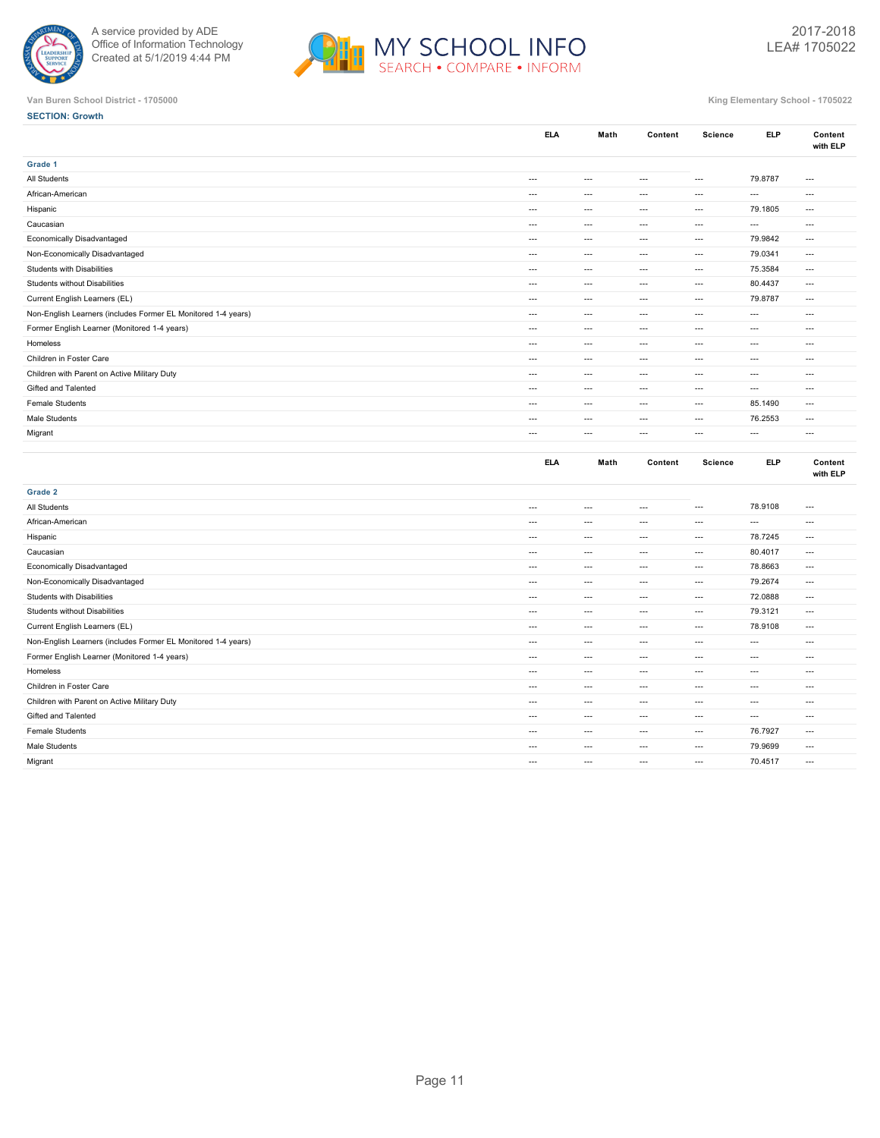

**SECTION: Growth**



|                                                               | <b>ELA</b>        | Math                     | Content                  | <b>Science</b>           | <b>ELP</b> | Content<br>with ELP      |
|---------------------------------------------------------------|-------------------|--------------------------|--------------------------|--------------------------|------------|--------------------------|
| Grade 1                                                       |                   |                          |                          |                          |            |                          |
| All Students                                                  | $\cdots$          | $\hspace{0.05cm} \ldots$ | $\hspace{0.05cm} \ldots$ | $\sim$ $\sim$            | 79.8787    | $\cdots$                 |
| African-American                                              | $\cdots$          | $---$                    | $\sim$ $\sim$            | $\sim$ $\sim$            | $\cdots$   | $\cdots$                 |
| Hispanic                                                      | $---$             | $---$                    | $\hspace{0.05cm} \ldots$ | $\sim$ $\sim$            | 79.1805    | $\cdots$                 |
| Caucasian                                                     | $\cdots$          | $---$                    | $\sim$ $\sim$            | $\sim$ $\sim$            | $\cdots$   | $\hspace{0.05cm} \ldots$ |
| Economically Disadvantaged                                    | $---$             | $---$                    | $---$                    | $\hspace{0.05cm} \ldots$ | 79.9842    | $\cdots$                 |
| Non-Economically Disadvantaged                                | $\qquad \qquad -$ | $\hspace{0.05cm} \ldots$ | $\hspace{0.05cm} \ldots$ | $\sim$ $\sim$            | 79.0341    | $\cdots$                 |
| Students with Disabilities                                    | $---$             | $---$                    | $---$                    | $\sim$ $\sim$            | 75.3584    | $\cdots$                 |
| Students without Disabilities                                 | $---$             | $  -$                    | $\hspace{0.05cm} \ldots$ | $---$                    | 80.4437    | $---$                    |
| Current English Learners (EL)                                 | $---$             | $\hspace{0.05cm} \ldots$ | $\hspace{0.05cm} \ldots$ | $---$                    | 79.8787    | $\cdots$                 |
| Non-English Learners (includes Former EL Monitored 1-4 years) | $---$             | $\hspace{0.05cm} \ldots$ | $\cdots$                 | $\sim$ $\sim$            | $\cdots$   | $\hspace{0.05cm} \ldots$ |
| Former English Learner (Monitored 1-4 years)                  | $\qquad \qquad -$ | $---$                    | $\cdots$                 | $\hspace{0.05cm} \ldots$ | $\cdots$   | $\cdots$                 |
| Homeless                                                      | $---$             | $---$                    | $---$                    | $---$                    | $---$      | $---$                    |
| Children in Foster Care                                       | $---$             | $---$                    | $  -$                    | $---$                    | $---$      | $---$                    |
| Children with Parent on Active Military Duty                  | $---$             | $---$                    | $\sim$ $\sim$            | $\sim$ $\sim$            | $\cdots$   | $\hspace{0.05cm} \ldots$ |
| Gifted and Talented                                           | $---$             | $---$                    | $---$                    | $---$                    | $---$      | $---$                    |
| <b>Female Students</b>                                        | $\cdots$          | $---$                    | $\sim$ $\sim$            | $\sim$ $\sim$            | 85.1490    | $\hspace{0.05cm} \ldots$ |
| Male Students                                                 | $---$             | $---$                    | $\cdots$                 | $\hspace{0.05cm} \ldots$ | 76.2553    | $\cdots$                 |
| Migrant                                                       | $\qquad \qquad -$ | $---$                    | $\cdots$                 | $\hspace{0.05cm} \ldots$ | $---$      | $\cdots$                 |
|                                                               |                   |                          |                          |                          |            |                          |
|                                                               | <b>ELA</b>        | Math                     | Content                  | <b>Science</b>           | <b>ELP</b> | Content<br>with ELP      |

| Grade 2                                                       |                   |                          |                          |          |                   |                          |
|---------------------------------------------------------------|-------------------|--------------------------|--------------------------|----------|-------------------|--------------------------|
| All Students                                                  | $\qquad \qquad -$ | $\cdots$                 | $\cdots$                 | $---$    | 78.9108           | $---$                    |
| African-American                                              | $---$             | $---$                    | $---$                    | $---$    | $---$             | $---$                    |
| Hispanic                                                      | $---$             | $---$                    | $---$                    | $---$    | 78.7245           | $---$                    |
| Caucasian                                                     | $\qquad \qquad -$ | $---$                    | $---$                    | $\cdots$ | 80.4017           | $---$                    |
| Economically Disadvantaged                                    | $---$             | $---$                    | $---$                    | $---$    | 78.8663           | $---$                    |
| Non-Economically Disadvantaged                                | $---$             | $---$                    | $---$                    | $---$    | 79.2674           | $\hspace{0.05cm} \ldots$ |
| Students with Disabilities                                    | $---$             | $---$                    | $---$                    | $\cdots$ | 72.0888           | $\hspace{0.05cm} \ldots$ |
| Students without Disabilities                                 | $---$             | $---$                    | $---$                    | $---$    | 79.3121           | $---$                    |
| Current English Learners (EL)                                 | $---$             | $---$                    | $---$                    | $\cdots$ | 78.9108           | $---$                    |
| Non-English Learners (includes Former EL Monitored 1-4 years) | $---$             | $---$                    | $---$                    | $---$    | $---$             | $---$                    |
| Former English Learner (Monitored 1-4 years)                  | $---$             | $---$                    | $---$                    | $---$    | $---$             | $---$                    |
| Homeless                                                      | $\qquad \qquad -$ | $\hspace{0.05cm} \ldots$ | $\hspace{0.05cm} \ldots$ | $\cdots$ | $\qquad \qquad -$ | $---$                    |
| Children in Foster Care                                       | $---$             | $---$                    | $---$                    | $---$    | $---$             | $---$                    |
| Children with Parent on Active Military Duty                  | $---$             | $---$                    | $---$                    | $---$    | $---$             | $---$                    |
| Gifted and Talented                                           | $\qquad \qquad -$ | $\hspace{0.05cm} \ldots$ | $\hspace{0.05cm} \ldots$ | $---$    | $\cdots$          | $\hspace{0.05cm} \ldots$ |
| Female Students                                               | $\qquad \qquad -$ | $\hspace{0.05cm} \ldots$ | $\cdots$                 | $---$    | 76.7927           | $---$                    |
| Male Students                                                 | $---$             | $---$                    | $---$                    | $---$    | 79.9699           | $---$                    |
| Migrant                                                       | $---$             | $---$                    | $---$                    | $---$    | 70.4517           | $---$                    |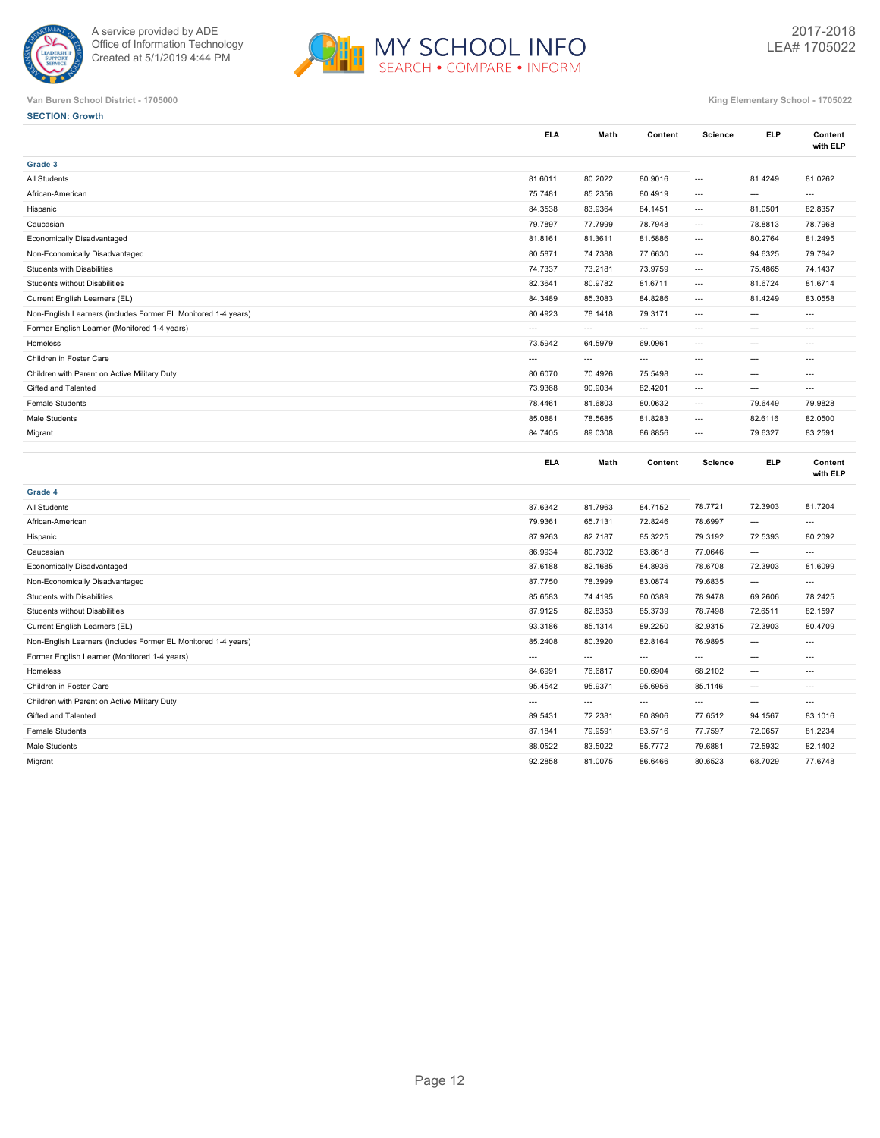

**SECTION: Growth**



|                                                               | <b>ELA</b>               | Math                     | Content                  | <b>Science</b>           | <b>ELP</b>               | Content<br>with ELP      |
|---------------------------------------------------------------|--------------------------|--------------------------|--------------------------|--------------------------|--------------------------|--------------------------|
| Grade 3                                                       |                          |                          |                          |                          |                          |                          |
| All Students                                                  | 81.6011                  | 80.2022                  | 80.9016                  | $\overline{\phantom{a}}$ | 81.4249                  | 81.0262                  |
| African-American                                              | 75.7481                  | 85.2356                  | 80.4919                  | $\overline{\phantom{a}}$ | ---                      | ---                      |
| Hispanic                                                      | 84.3538                  | 83.9364                  | 84.1451                  | $\overline{\phantom{a}}$ | 81.0501                  | 82.8357                  |
| Caucasian                                                     | 79.7897                  | 77.7999                  | 78.7948                  | $\overline{\phantom{a}}$ | 78.8813                  | 78.7968                  |
| Economically Disadvantaged                                    | 81.8161                  | 81.3611                  | 81.5886                  | $\overline{\phantom{a}}$ | 80.2764                  | 81.2495                  |
| Non-Economically Disadvantaged                                | 80.5871                  | 74.7388                  | 77.6630                  | $\overline{\phantom{a}}$ | 94.6325                  | 79.7842                  |
| Students with Disabilities                                    | 74.7337                  | 73.2181                  | 73.9759                  | $\overline{a}$           | 75.4865                  | 74.1437                  |
| <b>Students without Disabilities</b>                          | 82.3641                  | 80.9782                  | 81.6711                  | $\overline{\phantom{a}}$ | 81.6724                  | 81.6714                  |
| Current English Learners (EL)                                 | 84.3489                  | 85.3083                  | 84.8286                  | $\overline{\phantom{a}}$ | 81.4249                  | 83.0558                  |
| Non-English Learners (includes Former EL Monitored 1-4 years) | 80.4923                  | 78.1418                  | 79.3171                  | $\overline{\phantom{a}}$ | $\overline{\phantom{a}}$ | $\overline{\phantom{a}}$ |
| Former English Learner (Monitored 1-4 years)                  | $\overline{\phantom{a}}$ | $\overline{\phantom{a}}$ | $\overline{\phantom{a}}$ | $\overline{a}$           | $\overline{\phantom{a}}$ | $\overline{\phantom{a}}$ |
| Homeless                                                      | 73.5942                  | 64.5979                  | 69.0961                  | $\overline{a}$           | ---                      | ---                      |
| Children in Foster Care                                       | $\overline{\phantom{a}}$ | $\overline{a}$           | ---                      | $\overline{a}$           | $\overline{\phantom{a}}$ | $\overline{a}$           |
| Children with Parent on Active Military Duty                  | 80.6070                  | 70.4926                  | 75.5498                  | $\overline{\phantom{a}}$ | $\overline{\phantom{a}}$ | $\overline{\phantom{a}}$ |
| Gifted and Talented                                           | 73.9368                  | 90.9034                  | 82.4201                  | $\overline{a}$           | ---                      | ---                      |
| <b>Female Students</b>                                        | 78.4461                  | 81.6803                  | 80.0632                  | $\overline{\phantom{a}}$ | 79.6449                  | 79.9828                  |
| Male Students                                                 | 85.0881                  | 78.5685                  | 81.8283                  | $\overline{a}$           | 82.6116                  | 82.0500                  |
| Migrant                                                       | 84.7405                  | 89.0308                  | 86.8856                  | $\overline{\phantom{a}}$ | 79.6327                  | 83.2591                  |
|                                                               |                          |                          |                          |                          |                          |                          |
|                                                               | <b>ELA</b>               | Math                     | Content                  | <b>Science</b>           | <b>ELP</b>               | Content<br>with ELP      |
| Grade 4                                                       |                          |                          |                          |                          |                          |                          |
| All Students                                                  | 87.6342                  | 81.7963                  | 84.7152                  | 78.7721                  | 72.3903                  | 81.7204                  |
| African-American                                              | 79.9361                  | 65.7131                  | 72.8246                  | 78.6997                  | $\overline{a}$           | $\overline{a}$           |
| Hispanic                                                      | 87.9263                  | 82.7187                  | 85.3225                  | 79.3192                  | 72.5393                  | 80.2092                  |
| Caucasian                                                     | 86.9934                  | 80.7302                  | 83.8618                  | 77.0646                  | $\overline{a}$           | $\overline{a}$           |
| Economically Disadvantaged                                    | 87.6188                  | 82.1685                  | 84.8936                  | 78.6708                  | 72.3903                  | 81.6099                  |
| Non-Economically Disadvantaged                                | 87.7750                  | 78.3999                  | 83.0874                  | 79.6835                  | $\overline{\phantom{a}}$ | $\overline{a}$           |
| Students with Disabilities                                    | 85.6583                  | 74.4195                  | 80.0389                  | 78.9478                  | 69.2606                  | 78.2425                  |
| Students without Disabilities                                 | 87.9125                  | 82.8353                  | 85.3739                  | 78.7498                  | 72.6511                  | 82.1597                  |
| Current English Learners (EL)                                 | 93.3186                  | 85.1314                  | 89.2250                  | 82.9315                  | 72.3903                  | 80.4709                  |
| Non-English Learners (includes Former EL Monitored 1-4 years) | 85.2408                  | 80.3920                  | 82.8164                  | 76.9895                  | $\overline{\phantom{a}}$ | $\overline{\phantom{a}}$ |
| Former English Learner (Monitored 1-4 years)                  | $\overline{a}$           | $\overline{a}$           | $\overline{a}$           | $\overline{a}$           | $\overline{a}$           | $---$                    |
| Homeless                                                      | 84.6991                  | 76.6817                  | 80.6904                  | 68.2102                  | $\overline{a}$           | $---$                    |
| Children in Foster Care                                       | 95.4542                  | 95.9371                  | 95.6956                  | 85.1146                  | $\overline{a}$           | $---$                    |
| Children with Parent on Active Military Duty                  | $\overline{a}$           | $\overline{a}$           | $\overline{\phantom{a}}$ | $\overline{\phantom{a}}$ | $\overline{a}$           | $\overline{a}$           |
| Gifted and Talented                                           | 89.5431                  | 72.2381                  | 80.8906                  | 77.6512                  | 94.1567                  | 83.1016                  |
| <b>Female Students</b>                                        | 87.1841                  | 79.9591                  | 83.5716                  | 77.7597                  | 72.0657                  | 81.2234                  |
| Male Students                                                 | 88.0522                  | 83.5022                  | 85.7772                  | 79.6881                  | 72.5932                  | 82.1402                  |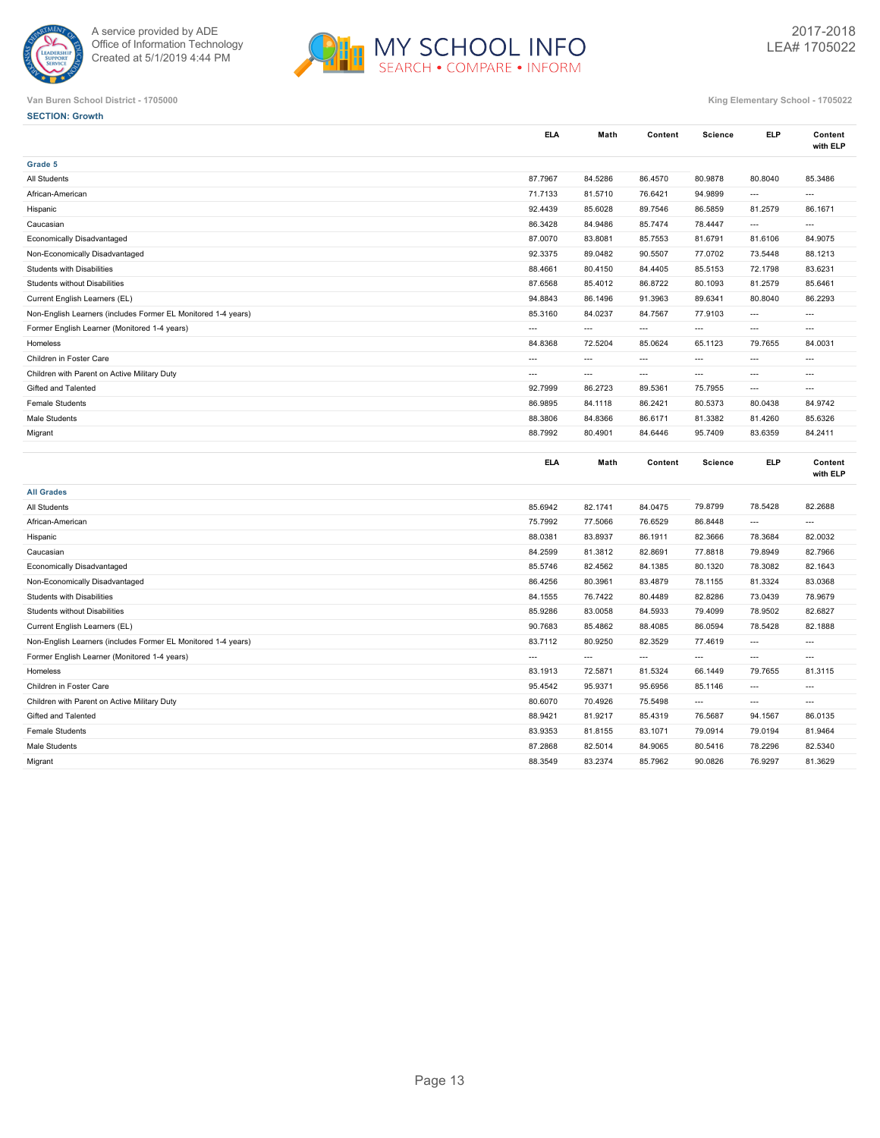

**SECTION: Growth**



|                                                               | <b>ELA</b>               | Math                     | Content                  | <b>Science</b>           | <b>ELP</b>               | Content<br>with ELP      |
|---------------------------------------------------------------|--------------------------|--------------------------|--------------------------|--------------------------|--------------------------|--------------------------|
| Grade 5                                                       |                          |                          |                          |                          |                          |                          |
| All Students                                                  | 87.7967                  | 84.5286                  | 86.4570                  | 80.9878                  | 80.8040                  | 85.3486                  |
| African-American                                              | 71.7133                  | 81.5710                  | 76.6421                  | 94.9899                  | $\overline{\phantom{a}}$ | $\overline{a}$           |
| Hispanic                                                      | 92.4439                  | 85.6028                  | 89.7546                  | 86.5859                  | 81.2579                  | 86.1671                  |
| Caucasian                                                     | 86.3428                  | 84.9486                  | 85.7474                  | 78.4447                  | ---                      | $\overline{a}$           |
| Economically Disadvantaged                                    | 87.0070                  | 83.8081                  | 85.7553                  | 81.6791                  | 81.6106                  | 84.9075                  |
| Non-Economically Disadvantaged                                | 92.3375                  | 89.0482                  | 90.5507                  | 77.0702                  | 73.5448                  | 88.1213                  |
| Students with Disabilities                                    | 88.4661                  | 80.4150                  | 84.4405                  | 85.5153                  | 72.1798                  | 83.6231                  |
| Students without Disabilities                                 | 87.6568                  | 85.4012                  | 86.8722                  | 80.1093                  | 81.2579                  | 85.6461                  |
| Current English Learners (EL)                                 | 94.8843                  | 86.1496                  | 91.3963                  | 89.6341                  | 80.8040                  | 86.2293                  |
| Non-English Learners (includes Former EL Monitored 1-4 years) | 85.3160                  | 84.0237                  | 84.7567                  | 77.9103                  | $\overline{a}$           | ---                      |
| Former English Learner (Monitored 1-4 years)                  | $\overline{a}$           | $\overline{a}$           | ---                      | $\overline{a}$           | $\overline{\phantom{a}}$ | $\overline{a}$           |
| Homeless                                                      | 84.8368                  | 72.5204                  | 85.0624                  | 65.1123                  | 79.7655                  | 84.0031                  |
| Children in Foster Care                                       | $\overline{a}$           | $\overline{a}$           | $\overline{a}$           | $\overline{a}$           | $\overline{\phantom{a}}$ | $\overline{a}$           |
| Children with Parent on Active Military Duty                  | $\overline{\phantom{a}}$ | $\overline{\phantom{a}}$ | $\overline{\phantom{a}}$ | $\overline{\phantom{a}}$ | $\overline{\phantom{a}}$ | $\overline{\phantom{a}}$ |
| Gifted and Talented                                           | 92.7999                  | 86.2723                  | 89.5361                  | 75.7955                  | $\overline{a}$           | $\overline{a}$           |
| <b>Female Students</b>                                        | 86.9895                  | 84.1118                  | 86.2421                  | 80.5373                  | 80.0438                  | 84.9742                  |
| Male Students                                                 | 88.3806                  | 84.8366                  | 86.6171                  | 81.3382                  | 81.4260                  | 85.6326                  |
| Migrant                                                       | 88.7992                  | 80.4901                  | 84.6446                  | 95.7409                  | 83.6359                  | 84.2411                  |
|                                                               |                          |                          |                          |                          |                          |                          |
|                                                               | <b>ELA</b>               | Math                     | Content                  | <b>Science</b>           | <b>ELP</b>               | Content                  |
| <b>All Grades</b>                                             |                          |                          |                          |                          |                          | with ELP                 |
| All Students                                                  | 85.6942                  | 82.1741                  | 84.0475                  | 79.8799                  | 78.5428                  | 82.2688                  |
| African-American                                              | 75.7992                  | 77.5066                  | 76.6529                  | 86.8448                  | $\overline{\phantom{a}}$ | ---                      |
| Hispanic                                                      | 88.0381                  | 83.8937                  | 86.1911                  | 82.3666                  | 78.3684                  | 82.0032                  |
| Caucasian                                                     | 84.2599                  | 81.3812                  | 82.8691                  | 77.8818                  | 79.8949                  | 82.7966                  |
| Economically Disadvantaged                                    | 85.5746                  | 82.4562                  | 84.1385                  | 80.1320                  | 78.3082                  | 82.1643                  |
| Non-Economically Disadvantaged                                | 86.4256                  | 80.3961                  | 83.4879                  | 78.1155                  | 81.3324                  | 83.0368                  |
| Students with Disabilities                                    | 84.1555                  | 76.7422                  | 80.4489                  | 82.8286                  | 73.0439                  | 78.9679                  |
| Students without Disabilities                                 | 85.9286                  | 83.0058                  | 84.5933                  | 79.4099                  | 78.9502                  | 82.6827                  |
| Current English Learners (EL)                                 | 90.7683                  | 85.4862                  | 88.4085                  | 86.0594                  | 78.5428                  | 82.1888                  |
| Non-English Learners (includes Former EL Monitored 1-4 years) | 83.7112                  | 80.9250                  | 82.3529                  | 77.4619                  | $\overline{a}$           | $\overline{a}$           |
| Former English Learner (Monitored 1-4 years)                  | $\overline{a}$           | $\overline{a}$           | $\overline{a}$           | $\overline{a}$           | $\overline{\phantom{a}}$ | $\overline{a}$           |
| Homeless                                                      | 83.1913                  | 72.5871                  | 81.5324                  | 66.1449                  | 79.7655                  | 81.3115                  |
| Children in Foster Care                                       | 95.4542                  | 95.9371                  | 95.6956                  | 85.1146                  | $\overline{\phantom{a}}$ | $\overline{a}$           |
| Children with Parent on Active Military Duty                  | 80.6070                  | 70.4926                  | 75.5498                  | $\overline{\phantom{a}}$ | $\overline{a}$           | $\overline{a}$           |
| Gifted and Talented                                           | 88.9421                  | 81.9217                  | 85.4319                  | 76.5687                  | 94.1567                  | 86.0135                  |
| Female Students                                               | 83.9353                  | 81.8155                  | 83.1071                  | 79.0914                  | 79.0194                  | 81.9464                  |
| Male Students                                                 | 87.2868                  | 82.5014                  | 84.9065                  | 80.5416                  | 78.2296                  | 82.5340                  |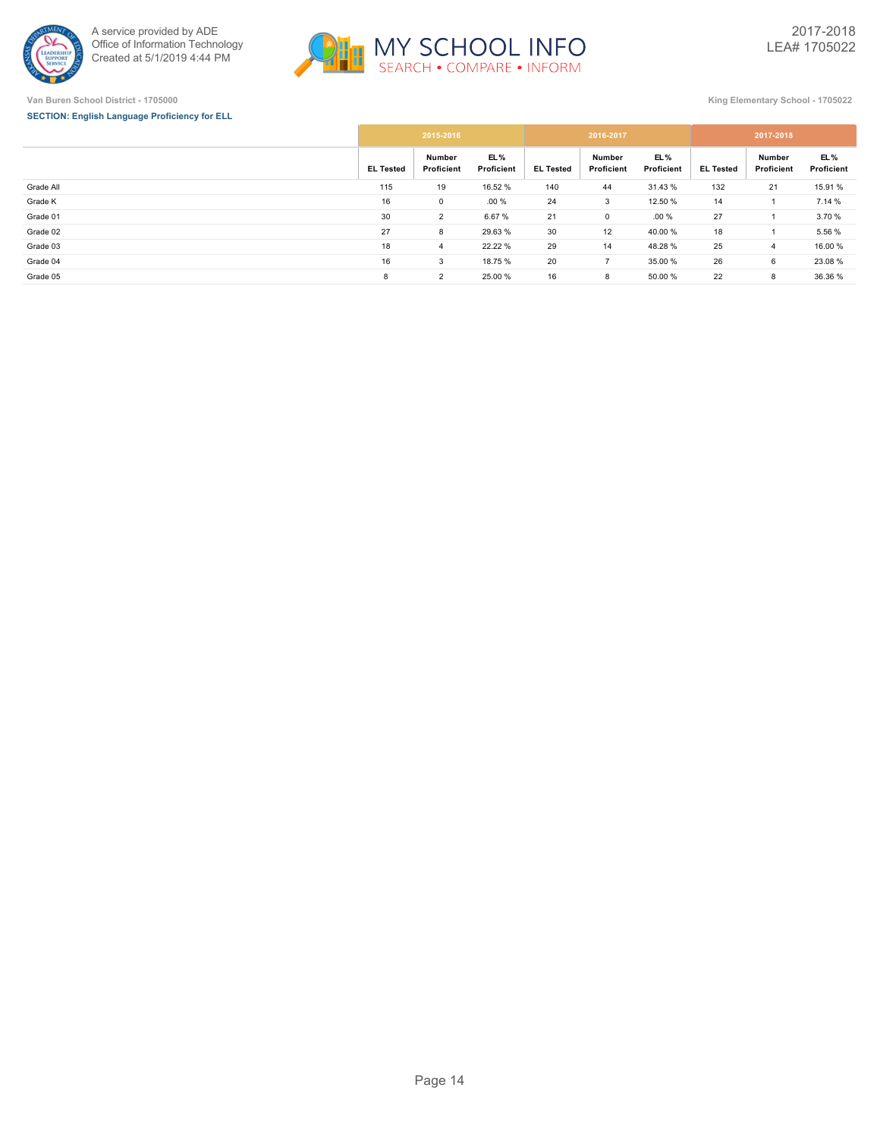

A service provided by ADE Office of Information Technology Created at 5/1/2019 4:44 PM



**Van Buren School District - 1705000 King Elementary School - 1705022**

### **SECTION: English Language Proficiency for ELL**

**EL Tested Number Proficient EL % Proficient EL Tested Number Proficient EL % Proficient EL Tested Number Proficient EL % Proficient** Grade All 115 19 16.52 % 140 44 31.43 % 132 21 15.91 % Grade K 16 0 .00 % 24 3 12.50 % 14 1 7.14 % Grade 01 30 2 6.67 % 21 0 .00 % 27 1 3.70 % Grade 02 27 8 29.63 % 30 12 40.00 % 18 1 5.56 % Grade 03 18 4 22.22 % 29 14 48.28 % 25 4 16.00 % Grade 04 16 3 18.75 % 20 7 35.00 % 26 6 23.08 % Grade 05 8 2 25.00 % 16 8 50.00 % 22 8 36.36 %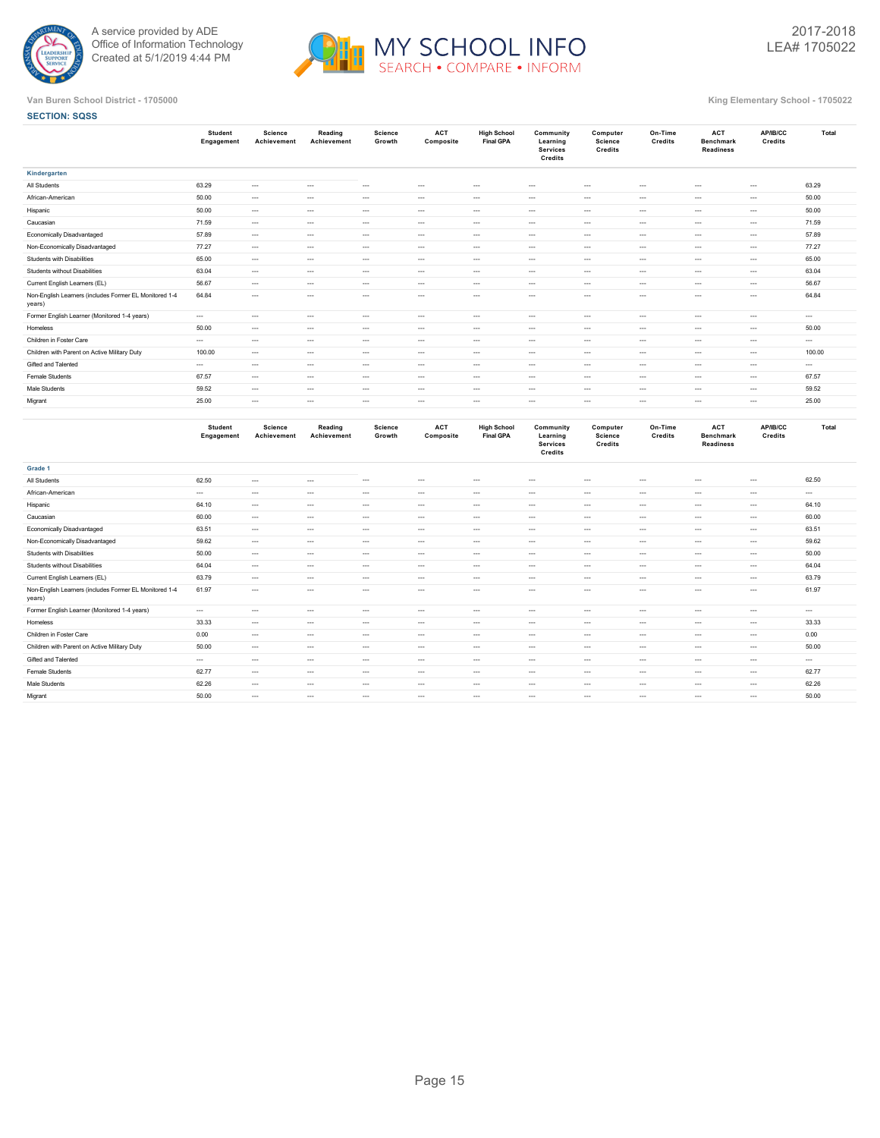

**SECTION: SQSS**



|                                                                  | Student<br>Engagement | Science<br>Achievement | Reading<br>Achievement | Science<br>Growth | <b>ACT</b><br>Composite | <b>High School</b><br><b>Final GPA</b> | Community<br>Learning<br><b>Services</b><br>Credits | Computer<br>Science<br>Credits | On-Time<br>Credits | <b>ACT</b><br><b>Benchmark</b><br><b>Readiness</b> | AP/IB/CC<br>Credits | Total    |
|------------------------------------------------------------------|-----------------------|------------------------|------------------------|-------------------|-------------------------|----------------------------------------|-----------------------------------------------------|--------------------------------|--------------------|----------------------------------------------------|---------------------|----------|
| Kindergarten                                                     |                       |                        |                        |                   |                         |                                        |                                                     |                                |                    |                                                    |                     |          |
| All Students                                                     | 63.29                 | $---$                  | $\cdots$               | $\cdots$          | $\sim$                  | $\cdots$                               | $\cdots$                                            | $\cdots$                       | $\cdots$           | $\cdots$                                           | $---$               | 63.29    |
| African-American                                                 | 50.00                 | $\cdots$               | $\cdots$               | $\cdots$          | $\cdots$                | $\cdots$                               | $\cdots$                                            | $\cdots$                       | $\cdots$           | $\cdots$                                           | $---$               | 50.00    |
| Hispanic                                                         | 50.00                 | $\cdots$               | $\cdots$               | $\cdots$          | $\cdots$                | $\cdots$                               | $\cdots$                                            | $\cdots$                       | $\sim$             | $\cdots$                                           | $\cdots$            | 50.00    |
| Caucasian                                                        | 71.59                 | $\cdots$               | $\cdots$               | $\cdots$          | $\cdots$                | $\cdots$                               | $\cdots$                                            | $\cdots$                       | $\cdots$           | $\cdots$                                           | $---$               | 71.59    |
| Economically Disadvantaged                                       | 57.89                 | $\cdots$               | $\cdots$               | $\cdots$          | $\cdots$                | $\cdots$                               | $\cdots$                                            | $\cdots$                       | $\cdots$           | $\cdots$                                           | $---$               | 57.89    |
| Non-Economically Disadvantaged                                   | 77.27                 | $\cdots$               | $\cdots$               | $\cdots$          | $\sim$                  | $\cdots$                               | $\cdots$                                            | $\cdots$                       | $\sim$             | $\cdots$                                           | $---$               | 77.27    |
| Students with Disabilities                                       | 65.00                 | $\cdots$               | $\cdots$               | $\cdots$          | $\cdots$                | $\cdots$                               | $\cdots$                                            | $\cdots$                       | $\sim$             | $\cdots$                                           | $---$               | 65.00    |
| Students without Disabilities                                    | 63.04                 | $---$                  |                        | $---$             | $\sim$                  | $\cdots$                               | $\cdots$                                            | $\cdots$                       | $\sim$             | $\cdots$                                           | $---$               | 63.04    |
| Current English Learners (EL)                                    | 56.67                 | $\cdots$               | $\cdots$               | $\cdots$          | $\sim$                  | $\cdots$                               | $\cdots$                                            | $\cdots$                       | $\sim$             | $\cdots$                                           | $\cdots$            | 56.67    |
| Non-English Learners (includes Former EL Monitored 1-4<br>years) | 64.84                 | $\cdots$               | $\cdots$               | $\cdots$          | $\sim$                  | $\cdots$                               | $\cdots$                                            | $\cdots$                       | $\sim$             | $\cdots$                                           | $---$               | 64.84    |
| Former English Learner (Monitored 1-4 years)                     | $\cdots$              | $\cdots$               | $\cdots$               | $\cdots$          | $\cdots$                | $\cdots$                               | $\cdots$                                            | $\cdots$                       | $\sim$             | $\cdots$                                           | $---$               | $- - -$  |
| Homeless                                                         | 50.00                 | $\cdots$               |                        | $\cdots$          | $\cdots$                | $\cdots$                               | $\cdots$                                            | $\cdots$                       | $\sim$             | $\cdots$                                           | $\cdots$            | 50.00    |
| Children in Foster Care                                          | $\cdots$              | $---$                  | $\cdots$               | $\cdots$          | $\cdots$                | $\cdots$                               | $\cdots$                                            | $\cdots$                       | $\cdots$           | $\cdots$                                           | $---$               | $\cdots$ |
| Children with Parent on Active Military Duty                     | 100.00                | $\cdots$               | $\cdots$               | $\cdots$          | $\cdots$                | $\cdots$                               | $\cdots$                                            | $\cdots$                       | $\cdots$           | $\cdots$                                           | $---$               | 100.00   |
| Gifted and Talented                                              | $\cdots$              | $\cdots$               | $\cdots$               | $\cdots$          | $\cdots$                | $\cdots$                               | $\cdots$                                            | $\cdots$                       | $\cdots$           | $\cdots$                                           | $---$               | $\cdots$ |
| <b>Female Students</b>                                           | 67.57                 | $\cdots$               | $\cdots$               | $\cdots$          | $\cdots$                | $\cdots$                               | $\cdots$                                            | $\cdots$                       | $\cdots$           | $\cdots$                                           | $---$               | 67.57    |
| Male Students                                                    | 59.52                 | $\cdots$               | $\cdots$               | $\cdots$          | $\cdots$                | $\cdots$                               | $\cdots$                                            | $\cdots$                       | $\cdots$           | $\cdots$                                           | $\cdots$            | 59.52    |
| Migrant                                                          | 25.00                 | $\cdots$               | $\cdots$               | $\cdots$          | $\sim$                  | $\cdots$                               | $\cdots$                                            | $\cdots$                       | $\cdots$           | $\cdots$                                           | $---$               | 25.00    |
|                                                                  |                       |                        |                        |                   |                         |                                        |                                                     |                                |                    |                                                    |                     |          |

|                                                                  | <b>Student</b><br>Engagement | Science<br>Achievement | Reading<br>Achievement | Science<br>Growth | <b>ACT</b><br>Composite | <b>High School</b><br><b>Final GPA</b> | Community<br>Learning<br><b>Services</b><br>Credits | Computer<br>Science<br>Credits | On-Time<br>Credits | <b>ACT</b><br><b>Benchmark</b><br><b>Readiness</b> | AP/IB/CC<br>Credits | Total |
|------------------------------------------------------------------|------------------------------|------------------------|------------------------|-------------------|-------------------------|----------------------------------------|-----------------------------------------------------|--------------------------------|--------------------|----------------------------------------------------|---------------------|-------|
| Grade 1                                                          |                              |                        |                        |                   |                         |                                        |                                                     |                                |                    |                                                    |                     |       |
| All Students                                                     | 62.50                        | $\cdots$               | $\cdots$               | $\cdots$          | $\sim$                  | $\cdots$                               | $---$                                               | $\cdots$                       | $\cdots$           | $\sim$                                             | $---$               | 62.50 |
| African-American                                                 | $- - -$                      | $\cdots$               | $\cdots$               | $\cdots$          | $\sim$                  | $\cdots$                               | $---$                                               | $\sim$                         | $\cdots$           | $-1$                                               | $---$               | $---$ |
| Hispanic                                                         | 64.10                        | $---$                  | $\cdots$               | $\cdots$          | $\sim$                  | $-1$                                   | $---$                                               | $\sim$                         | $\cdots$           | $\sim$                                             | $---$               | 64.10 |
| Caucasian                                                        | 60.00                        | $---$                  | $\cdots$               | $\cdots$          | $\sim$                  | $\cdots$                               | $---$                                               | $\sim$                         | $\cdots$           | $\sim$                                             | $---$               | 60.00 |
| Economically Disadvantaged                                       | 63.51                        | $\cdots$               | $- - -$                | $\cdots$          | $\sim$                  | $\cdots$                               | $---$                                               | $\cdots$                       | $\cdots$           | $\sim$                                             | $---$               | 63.51 |
| Non-Economically Disadvantaged                                   | 59.62                        | $---$                  | $\cdots$               | $\cdots$          | $\cdots$                | $\cdots$                               | $\cdots$                                            | $\cdots$                       | $\cdots$           | $\sim$                                             | $---$               | 59.62 |
| Students with Disabilities                                       | 50.00                        | $---$                  | $\cdots$               | $\cdots$          | $\sim$                  | $\cdots$                               | $---$                                               | $\sim$                         | $\cdots$           | $\sim$                                             | $---$               | 50.00 |
| Students without Disabilities                                    | 64.04                        | $\cdots$               | $\cdots$               | $\cdots$          | $\sim$                  | $\cdots$                               | $---$                                               | $\sim$                         | $\cdots$           | $\sim$                                             | $---$               | 64.04 |
| Current English Learners (EL)                                    | 63.79                        | $\cdots$               | $\cdots$               | $\cdots$          | $\cdots$                | $\cdots$                               | $---$                                               | $\sim$                         | $\cdots$           | $\sim$                                             | $\cdots$            | 63.79 |
| Non-English Learners (includes Former EL Monitored 1-4<br>years) | 61.97                        | $\cdots$               | $\cdots$               | $\cdots$          | $\cdots$                | $- - -$                                | $\cdots$                                            | $\cdots$                       | $\sim$             | $\sim$                                             | $\cdots$            | 61.97 |
| Former English Learner (Monitored 1-4 years)                     | $\sim$                       | $\cdots$               | $\cdots$               | $\cdots$          | $\sim$                  | $\cdots$                               | $---$                                               | $\sim$                         | $\cdots$           | $\sim$                                             | $---$               | $---$ |
| Homeless                                                         | 33.33                        | $\cdots$               | $\cdots$               | $\cdots$          | $\cdots$                | $\cdots$                               | $---$                                               | $\cdots$                       | $\cdots$           | $\sim$                                             | $---$               | 33.33 |
| Children in Foster Care                                          | 0.00                         | $---$                  | $-1$                   | $\cdots$          | $\sim$                  | $-1$                                   | $---$                                               | $\sim$                         | $\cdots$           | $\sim$                                             | $---$               | 0.00  |
| Children with Parent on Active Military Duty                     | 50.00                        | $---$                  | $\cdots$               | $\cdots$          | $\sim$                  | $\cdots$                               | $---$                                               | $\cdots$                       | $\cdots$           | $-1$                                               | $---$               | 50.00 |
| Gifted and Talented                                              | $- - -$                      | $---$                  | $-1$                   | $\cdots$          | $\sim$                  | $\cdots$                               | $---$                                               | $\sim$                         | $\cdots$           | $\sim$                                             | $---$               | $-1$  |
| Female Students                                                  | 62.77                        | $\cdots$               | $-1$                   | $\cdots$          | $\sim$                  | $\cdots$                               | $---$                                               | $\cdots$                       | $\cdots$           | $\sim$                                             | $---$               | 62.77 |
| Male Students                                                    | 62.26                        | $\cdots$               | $\cdots$               | $\cdots$          | $\sim$                  | $\cdots$                               | $---$                                               | $\cdots$                       | $\cdots$           | $-1$                                               | $\cdots$            | 62.26 |
| Migrant                                                          | 50.00                        | $---$                  | $\cdots$               | $\cdots$          | $\cdots$                | $-1$                                   | $---$                                               | $\sim$                         | $\sim$             | $\sim$                                             | $---$               | 50.00 |
|                                                                  |                              |                        |                        |                   |                         |                                        |                                                     |                                |                    |                                                    |                     |       |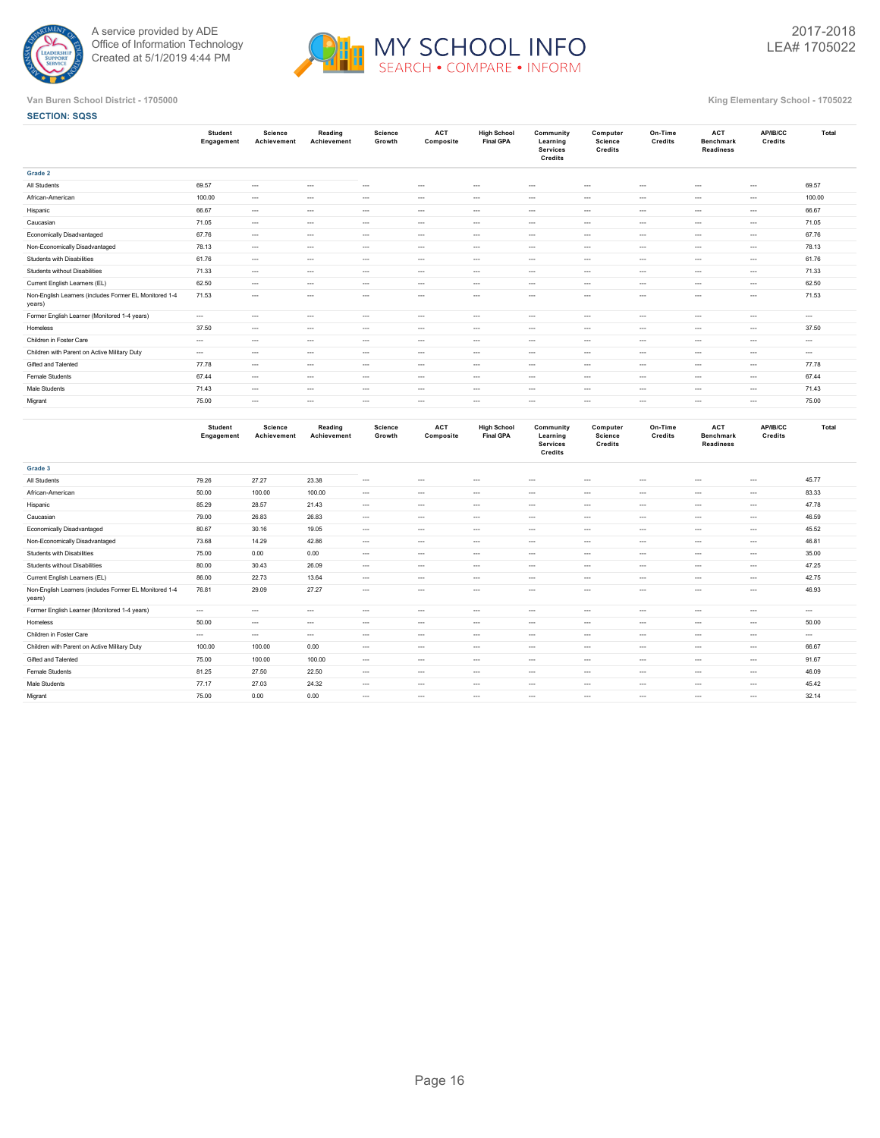

**SECTION: SQSS**



|                                                                  | Student<br>Engagement | Science<br>Achievement | Reading<br>Achievement | Science<br>Growth | <b>ACT</b><br>Composite | <b>High School</b><br><b>Final GPA</b> | Community<br>Learning<br><b>Services</b><br>Credits | Computer<br>Science<br>Credits | On-Time<br>Credits | <b>ACT</b><br><b>Benchmark</b><br><b>Readiness</b> | AP/IB/CC<br>Credits | Total    |
|------------------------------------------------------------------|-----------------------|------------------------|------------------------|-------------------|-------------------------|----------------------------------------|-----------------------------------------------------|--------------------------------|--------------------|----------------------------------------------------|---------------------|----------|
| Grade 2                                                          |                       |                        |                        |                   |                         |                                        |                                                     |                                |                    |                                                    |                     |          |
| All Students                                                     | 69.57                 |                        | $\cdots$               | $\cdots$          | $---$                   | $- - -$                                | $\cdots$                                            | $\cdots$                       | $\cdots$           | $-1$                                               | $\cdots$            | 69.57    |
| African-American                                                 | 100.00                | $\cdots$               | $\cdots$               | $---$             | $---$                   | $---$                                  | $---$                                               | $\cdots$                       | $\sim$             | $-1$                                               | $\cdots$            | 100.00   |
| Hispanic                                                         | 66.67                 | $\cdots$               | $\cdots$               | $---$             | $---$                   | $---$                                  | $---$                                               | $\cdots$                       | $\sim$             | $-1$                                               | $\cdots$            | 66.67    |
| Caucasian                                                        | 71.05                 | $\cdots$               | $\cdots$               | $---$             | $\cdots$                | $---$                                  | $\cdots$                                            | $\cdots$                       | $\sim$             | $-1$                                               | $\cdots$            | 71.05    |
| Economically Disadvantaged                                       | 67.76                 | $\cdots$               | $\cdots$               | $\cdots$          | $\sim$                  | $---$                                  | $\cdots$                                            | $\cdots$                       | $\sim$             | $-1$                                               | $\cdots$            | 67.76    |
| Non-Economically Disadvantaged                                   | 78.13                 | $\cdots$               | $\cdots$               | $\cdots$          | $---$                   | $- - -$                                | $---$                                               | $\cdots$                       | $\sim$             | $\sim$                                             | $\cdots$            | 78.13    |
| Students with Disabilities                                       | 61.76                 | $\cdots$               | $\cdots$               | $\cdots$          | $\cdots$                | $---$                                  | $\cdots$                                            | $\cdots$                       | $\sim$             | $-1$                                               | $\cdots$            | 61.76    |
| Students without Disabilities                                    | 71.33                 |                        | $\cdots$               | $---$             | $---$                   | $---$                                  | $---$                                               | $\cdots$                       | $\sim$             | $-1$                                               | $\cdots$            | 71.33    |
| Current English Learners (EL)                                    | 62.50                 | $\cdots$               | $\cdots$               | $\cdots$          | $---$                   | $---$                                  | $---$                                               | $\cdots$                       | $\sim$             | $\sim$                                             | $\cdots$            | 62.50    |
| Non-English Learners (includes Former EL Monitored 1-4<br>years) | 71.53                 | $---$                  | $\cdots$               | $---$             | $---$                   | $---$                                  | $---$                                               | $\cdots$                       | $\sim$             | $\sim$                                             | $\cdots$            | 71.53    |
| Former English Learner (Monitored 1-4 years)                     | $\cdots$              | $---$                  | $\cdots$               | $\cdots$          | $\sim$                  | $---$                                  | $---$                                               | $\cdots$                       | $\sim$             | $-1$                                               | $\cdots$            | $\cdots$ |
| Homeless                                                         | 37.50                 | $\cdots$               | $\cdots$               | $\cdots$          | $\sim$                  | $---$                                  | $\cdots$                                            | $\cdots$                       | $\sim$             | $-1$                                               | $\cdots$            | 37.50    |
| Children in Foster Care                                          | $---$                 | $---$                  | $\cdots$               | $---$             | $---$                   | $---$                                  | $---$                                               | $\cdots$                       | $\sim$             | $-1$                                               | $\cdots$            | $\cdots$ |
| Children with Parent on Active Military Duty                     | $\sim$                | $\cdots$               | $---$                  | $\cdots$          | $\sim$                  | $\cdots$                               | $\cdots$                                            | $\cdots$                       | $\sim$             | $-1$                                               | $\cdots$            | $---$    |
| Gifted and Talented                                              | 77.78                 |                        | $\cdots$               |                   | $---$                   |                                        |                                                     | $\cdots$                       |                    | $\sim$                                             | $\cdots$            | 77.78    |
| Female Students                                                  | 67.44                 | $\cdots$               | $\cdots$               | $---$             | $\cdots$                | $\cdots$                               | $---$                                               | $\cdots$                       | $\sim$             | $-1$                                               | $\cdots$            | 67.44    |
| Male Students                                                    | 71.43                 | $\cdots$               | $\cdots$               | $---$             | $---$                   | $---$                                  | $---$                                               | $\cdots$                       | $\sim$             | $\sim$                                             | $\cdots$            | 71.43    |
| Migrant                                                          | 75.00                 | $\cdots$               | $\cdots$               | $---$             | $\cdots$                | $\cdots$                               | $\cdots$                                            | $\cdots$                       | $\cdots$           | $-1$                                               | $\cdots$            | 75.00    |
|                                                                  |                       |                        |                        |                   |                         |                                        |                                                     |                                |                    |                                                    |                     |          |

|                                                                  | <b>Student</b><br>Engagement | <b>Science</b><br>Achievement | Reading<br>Achievement | Science<br>Growth | <b>ACT</b><br>Composite | <b>High School</b><br><b>Final GPA</b> | Community<br>Learning<br><b>Services</b><br>Credits | Computer<br><b>Science</b><br>Credits | On-Time<br>Credits | <b>ACT</b><br><b>Benchmark</b><br><b>Readiness</b> | AP/IB/CC<br>Credits | Total |
|------------------------------------------------------------------|------------------------------|-------------------------------|------------------------|-------------------|-------------------------|----------------------------------------|-----------------------------------------------------|---------------------------------------|--------------------|----------------------------------------------------|---------------------|-------|
| Grade 3                                                          |                              |                               |                        |                   |                         |                                        |                                                     |                                       |                    |                                                    |                     |       |
| All Students                                                     | 79.26                        | 27.27                         | 23.38                  | $\cdots$          | $\cdots$                | $\cdots$                               | $---$                                               | $\cdots$                              | $\cdots$           | $\cdots$                                           | $\cdots$            | 45.77 |
| African-American                                                 | 50.00                        | 100.00                        | 100.00                 | $\cdots$          | $\sim$ $\sim$           | $---$                                  | $---$                                               | $\cdots$                              | $\sim$             | $\cdots$                                           | $\cdots$            | 83.33 |
| Hispanic                                                         | 85.29                        | 28.57                         | 21.43                  | $\sim$ $\sim$     | $\sim$ $\sim$           | $---$                                  | $---$                                               | $\cdots$                              | $\sim$             | $\cdots$                                           | $\cdots$            | 47.78 |
| Caucasian                                                        | 79.00                        | 26.83                         | 26.83                  | $\cdots$          | $\cdots$                | $\cdots$                               | $\cdots$                                            | $\cdots$                              | $\cdots$           | $\cdots$                                           | $---$               | 46.59 |
| Economically Disadvantaged                                       | 80.67                        | 30.16                         | 19.05                  | $\cdots$          | $\sim$ $\sim$           | $---$                                  | $---$                                               | $\cdots$                              | $\sim$             | $\cdots$                                           | $\cdots$            | 45.52 |
| Non-Economically Disadvantaged                                   | 73.68                        | 14.29                         | 42.86                  | $\cdots$          | $\cdots$                | $---$                                  |                                                     | $\cdots$                              | $\sim$             | $\cdots$                                           | $\cdots$            | 46.81 |
| Students with Disabilities                                       | 75.00                        | 0.00                          | 0.00                   | $\cdots$          | $\cdots$                | $- - -$                                | $\cdots$                                            | $\cdots$                              | $\cdots$           | $\cdots$                                           | $\cdots$            | 35.00 |
| Students without Disabilities                                    | 80.00                        | 30.43                         | 26.09                  | $\sim$ $\sim$     | $\sim$ $\sim$           | $---$                                  | $---$                                               | $\cdots$                              | $\sim$             | $\cdots$                                           | $\cdots$            | 47.25 |
| Current English Learners (EL)                                    | 86.00                        | 22.73                         | 13.64                  | $\cdots$          | $\sim$ $\sim$           | $---$                                  | $\cdots$                                            | $\cdots$                              | $\cdots$           | $\cdots$                                           | $\cdots$            | 42.75 |
| Non-English Learners (includes Former EL Monitored 1-4<br>years) | 76.81                        | 29.09                         | 27.27                  | $\cdots$          | $\cdots$                | $\cdots$                               | $---$                                               | $\cdots$                              | $\cdots$           | $\cdots$                                           | $\cdots$            | 46.93 |
| Former English Learner (Monitored 1-4 years)                     | $\cdots$                     | $\cdots$                      | $\cdots$               | $\cdots$          | $\cdots$                | $\cdots$                               | $---$                                               | $\cdots$                              | $\cdots$           | $\cdots$                                           | $\cdots$            | $---$ |
| Homeless                                                         | 50.00                        | $---$                         | $\cdots$               | $\cdots$          | $\cdots$                | $- - -$                                | $\cdots$                                            | $\cdots$                              | $\cdots$           | $\cdots$                                           | $\cdots$            | 50.00 |
| Children in Foster Care                                          | $\cdots$                     | $\cdots$                      | $-1$                   | $\cdots$          | $\cdots$                | $---$                                  | $---$                                               | $\cdots$                              | $\sim$             | $\cdots$                                           | $\cdots$            | $---$ |
| Children with Parent on Active Military Duty                     | 100.00                       | 100.00                        | 0.00                   | $\cdots$          | $\cdots$                | $---$                                  | $---$                                               | $\cdots$                              | $\sim$             | $\cdots$                                           | $\cdots$            | 66.67 |
| Gifted and Talented                                              | 75.00                        | 100.00                        | 100.00                 | $\cdots$          | $\sim$ $\sim$           | $---$                                  | $---$                                               | $\cdots$                              | $\sim$             | $\cdots$                                           | $\cdots$            | 91.67 |
| Female Students                                                  | 81.25                        | 27.50                         | 22.50                  | $\cdots$          | $\sim$ $\sim$           | $---$                                  | $---$                                               | $\cdots$                              | $\sim$             | $\cdots$                                           | $\cdots$            | 46.09 |
| Male Students                                                    | 77.17                        | 27.03                         | 24.32                  | $\cdots$          | $\sim$ $\sim$           | $---$                                  | $---$                                               | $\cdots$                              | $\sim$             | $\cdots$                                           | $\cdots$            | 45.42 |
| Migrant                                                          | 75.00                        | 0.00                          | 0.00                   | $\cdots$          | $\sim$ $\sim$           | $---$                                  | $---$                                               | $\cdots$                              | $\sim$             | $\cdots$                                           | $\cdots$            | 32.14 |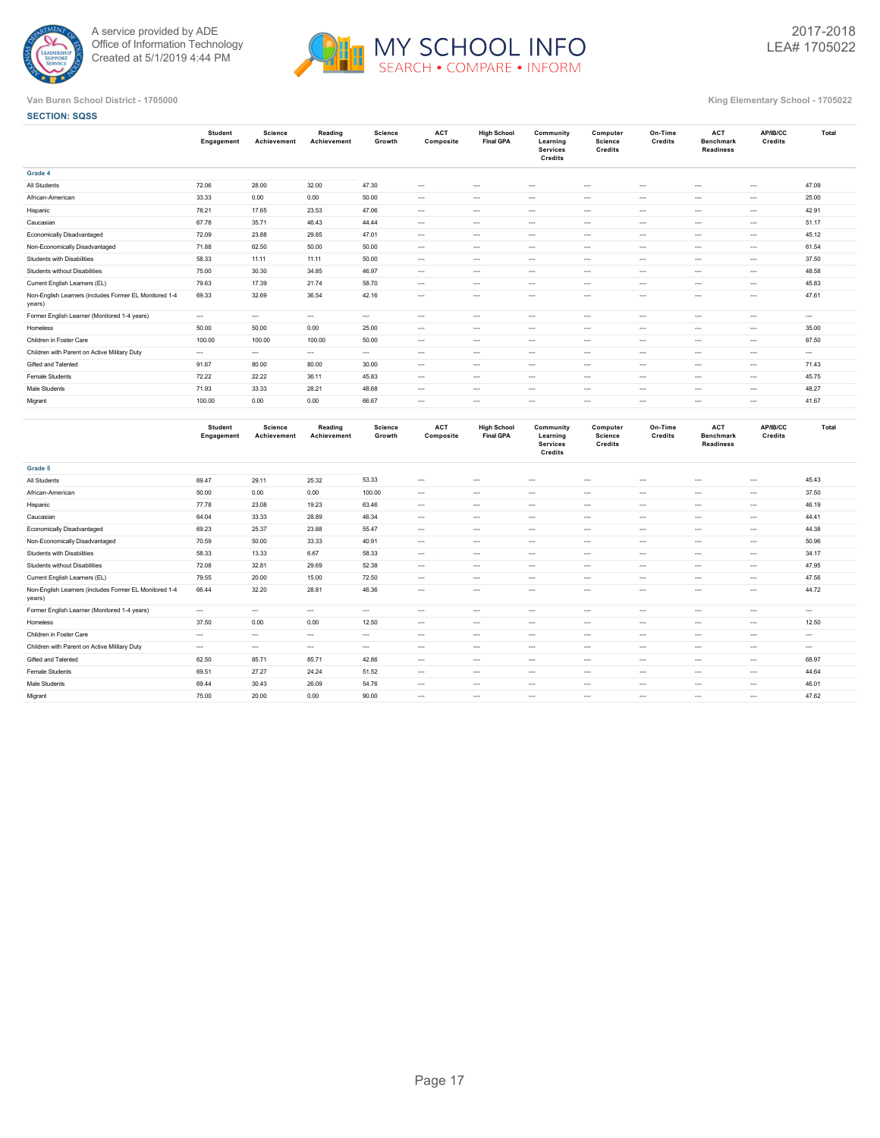



# **SECTION: SQSS**

|                                                                  | <b>Student</b><br>Engagement | Science<br>Achievement | Reading<br>Achievement | Science<br>Growth | <b>ACT</b><br>Composite | <b>High School</b><br><b>Final GPA</b> | Community<br>Learning<br><b>Services</b><br>Credits | Computer<br>Science<br>Credits | On-Time<br>Credits | <b>ACT</b><br><b>Benchmark</b><br><b>Readiness</b> | AP/IB/CC<br>Credits | Total    |
|------------------------------------------------------------------|------------------------------|------------------------|------------------------|-------------------|-------------------------|----------------------------------------|-----------------------------------------------------|--------------------------------|--------------------|----------------------------------------------------|---------------------|----------|
| Grade 4                                                          |                              |                        |                        |                   |                         |                                        |                                                     |                                |                    |                                                    |                     |          |
| All Students                                                     | 72.06                        | 28.00                  | 32.00                  | 47.30             | $\cdots$                | $---$                                  | $\cdots$                                            | $\cdots$                       | $\sim$             | $\sim$                                             | $\cdots$            | 47.09    |
| African-American                                                 | 33.33                        | 0.00                   | 0.00                   | 50.00             | $\cdots$                | $\cdots$                               | $\cdots$                                            | $\cdots$                       | $\sim$             | $\cdots$                                           | $\cdots$            | 25.00    |
| Hispanic                                                         | 78.21                        | 17.65                  | 23.53                  | 47.06             | $\cdots$                | $\cdots$                               | $\cdots$                                            | $\cdots$                       | $\sim$             | $\cdots$                                           | $\cdots$            | 42.91    |
| Caucasian                                                        | 67.78                        | 35.71                  | 46.43                  | 44.44             | $\cdots$                | $\cdots$                               | $\cdots$                                            | $\cdots$                       | $\cdots$           | $\sim$                                             | $\cdots$            | 51.17    |
| Economically Disadvantaged                                       | 72.09                        | 23.88                  | 29.85                  | 47.01             | $\cdots$                | $\cdots$                               | $\cdots$                                            | $\cdots$                       | $\sim$             | $\cdots$                                           | $\cdots$            | 45.12    |
| Non-Economically Disadvantaged                                   | 71.88                        | 62.50                  | 50.00                  | 50.00             | $\cdots$                | $\cdots$                               | $\cdots$                                            | $\cdots$                       | $\cdots$           | $\sim$                                             | $\cdots$            | 61.54    |
| Students with Disabilities                                       | 58.33                        | 11.11                  | 11.11                  | 50.00             | $\cdots$                | $\cdots$                               | $\cdots$                                            | $\cdots$                       | $\sim$             | $\cdots$                                           | $\cdots$            | 37.50    |
| Students without Disabilities                                    | 75.00                        | 30.30                  | 34.85                  | 46.97             | $\cdots$                | $\cdots$                               | $\cdots$                                            | $\cdots$                       | $\sim$             | $\cdots$                                           | $\cdots$            | 48.58    |
| Current English Learners (EL)                                    | 79.63                        | 17.39                  | 21.74                  | 58.70             | $\cdots$                | $\cdots$                               | $\cdots$                                            | $\cdots$                       | $\sim$             | $\cdots$                                           | $\cdots$            | 45.83    |
| Non-English Learners (includes Former EL Monitored 1-4<br>years) | 69.33                        | 32.69                  | 36.54                  | 42.16             | $\cdots$                | $\cdots$                               | $\cdots$                                            | $\cdots$                       | $\cdots$           | $\sim$                                             | $\cdots$            | 47.61    |
| Former English Learner (Monitored 1-4 years)                     | $\cdots$                     | $\cdots$               | $\cdots$               | $\sim$ $ -$       | $\cdots$                | $\cdots$                               | $\cdots$                                            | $\cdots$                       | $\sim$             | $\cdots$                                           | $\cdots$            | $\cdots$ |
| Homeless                                                         | 50.00                        | 50.00                  | 0.00                   | 25.00             | $\cdots$                | $\cdots$                               | $\cdots$                                            | $\cdots$                       | $\cdots$           | $\sim$                                             | $\cdots$            | 35.00    |
| Children in Foster Care                                          | 100.00                       | 100.00                 | 100.00                 | 50.00             | $\cdots$                | $\cdots$                               | $\cdots$                                            | $\cdots$                       | $\sim$             | $\sim$                                             | $\cdots$            | 87.50    |
| Children with Parent on Active Military Duty                     | $\sim$ $\sim$                | $\cdots$               | $\cdots$               | $\sim$ $ -$       | $\cdots$                | $\cdots$                               | $\cdots$                                            | $\cdots$                       | $\sim$             | $\cdots$                                           | $\cdots$            | $\cdots$ |
| Gifted and Talented                                              | 91.67                        | 80.00                  | 80.00                  | 30.00             | $\cdots$                | $\cdots$                               | $\cdots$                                            | $\cdots$                       | $\sim$             | $\cdots$                                           | $\cdots$            | 71.43    |
| Female Students                                                  | 72.22                        | 22.22                  | 36.11                  | 45.83             | $\cdots$                | $\cdots$                               | $\cdots$                                            | $\cdots$                       | $\cdots$           | $\cdots$                                           | $\cdots$            | 45.75    |
| Male Students                                                    | 71.93                        | 33.33                  | 28.21                  | 48.68             | $\cdots$                | $\cdots$                               | $\cdots$                                            | $\cdots$                       | $\cdots$           | $\cdots$                                           | $\cdots$            | 48.27    |
| Migrant                                                          | 100.00                       | 0.00                   | 0.00                   | 66.67             | $\cdots$                | $\cdots$                               | $\cdots$                                            | $\cdots$                       | $\cdots$           | $\cdots$                                           | $\cdots$            | 41.67    |
|                                                                  |                              |                        |                        |                   |                         |                                        |                                                     |                                |                    |                                                    |                     |          |

| <b>Student</b><br>Engagement | Science<br>Achievement | Reading<br>Achievement | Science<br>Growth | <b>ACT</b><br>Composite | <b>High School</b><br><b>Final GPA</b> | Community<br>Learning<br><b>Services</b><br>Credits | Computer<br>Science<br>Credits | On-Time<br>Credits | <b>ACT</b><br><b>Benchmark</b><br><b>Readiness</b> | AP/IB/CC<br>Credits | Total    |
|------------------------------|------------------------|------------------------|-------------------|-------------------------|----------------------------------------|-----------------------------------------------------|--------------------------------|--------------------|----------------------------------------------------|---------------------|----------|
|                              |                        |                        |                   |                         |                                        |                                                     |                                |                    |                                                    |                     |          |
| 69.47                        | 29.11                  | 25.32                  | 53.33             | $\sim$                  | $---$                                  | $\cdots$                                            |                                | $\cdots$           | $\cdots$                                           | $\cdots$            | 45.43    |
| 50.00                        | 0.00                   | 0.00                   | 100.00            | $-1$                    | $\cdots$                               | $---$                                               | $---$                          | $\cdots$           | $\sim$                                             | $\cdots$            | 37.50    |
| 77.78                        | 23.08                  | 19.23                  | 63.46             | $\sim$                  | $\cdots$                               | $\cdots$                                            | $\cdots$                       | $\sim$             | $\sim$                                             | $\cdots$            | 46.19    |
| 64.04                        | 33.33                  | 28.89                  | 46.34             | $-1$                    | $\cdots$                               | $\cdots$                                            |                                | $\cdots$           | $\sim$                                             | $\cdots$            | 44.41    |
| 69.23                        | 25.37                  | 23.88                  | 55.47             | $-1$                    | $\cdots$                               | $\cdots$                                            |                                | $\cdots$           | $\sim$                                             | $\cdots$            | 44.38    |
| 70.59                        | 50.00                  | 33.33                  | 40.91             | $\sim$                  | $\cdots$                               | $\cdots$                                            |                                | $\cdots$           | $\sim$                                             | $\cdots$            | 50.96    |
| 58.33                        | 13.33                  | 6.67                   | 58.33             | $\sim$                  | $\cdots$                               | $\cdots$                                            |                                | $\cdots$           | $\sim$                                             | $\cdots$            | 34.17    |
| 72.08                        | 32.81                  | 29.69                  | 52.38             | $\sim$                  | $\cdots$                               | $\cdots$                                            | $---$                          | $\cdots$           | $\sim$                                             | $\cdots$            | 47.95    |
| 79.55                        | 20.00                  | 15.00                  | 72.50             | $\sim$                  | $\cdots$                               | $---$                                               | $---$                          | $\cdots$           | $\sim$                                             | $\cdots$            | 47.56    |
| 66.44                        | 32.20                  | 28.81                  | 46.36             | $-1$                    | $\cdots$                               | $\cdots$                                            | $\cdots$                       | $\cdots$           | $\sim$                                             | $\cdots$            | 44.72    |
| $- - -$                      | $---$                  | $---$                  | $\cdots$          | $\sim$                  | $\cdots$                               | $\cdots$                                            |                                | $\cdots$           | $\sim$                                             | $\cdots$            | $\cdots$ |
| 37.50                        | 0.00                   | 0.00                   | 12.50             | $-1$                    | $\cdots$                               | $---$                                               | $---$                          | $\cdots$           | $\sim$                                             | $\cdots$            | 12.50    |
| $- - -$                      | $---$                  | $---$                  | $\cdots$          | $-1$                    | $\cdots$                               | $\cdots$                                            | $---$                          | $\cdots$           | $\sim$                                             | $\cdots$            | $- - -$  |
| $- - -$                      | $---$                  | $---$                  | $\cdots$          | $\sim$                  | $\cdots$                               | $\cdots$                                            |                                | $\cdots$           | $\sim$                                             | $\cdots$            | $\cdots$ |
| 62.50                        | 85.71                  | 85.71                  | 42.86             | $\sim$                  | $\cdots$                               | $\cdots$                                            |                                | $\cdots$           | $\sim$                                             | $\cdots$            | 68.97    |
| 69.51                        | 27.27                  | 24.24                  | 51.52             | $\sim$                  | $\cdots$                               | $\cdots$                                            | $\cdots$                       | $\sim$             | $\sim$                                             | $\cdots$            | 44.64    |
| 69.44                        | 30.43                  | 26.09                  | 54.76             | $\sim$                  | $\cdots$                               | $\cdots$                                            | $- - -$                        | $\sim$             | $\sim$                                             | $\cdots$            | 46.01    |
| 75.00                        | 20.00                  | 0.00                   | 90.00             | $\sim$                  | $\cdots$                               | $\cdots$                                            |                                | $\cdots$           | $\sim$                                             | $\cdots$            | 47.62    |
|                              |                        |                        |                   |                         |                                        |                                                     |                                |                    |                                                    |                     |          |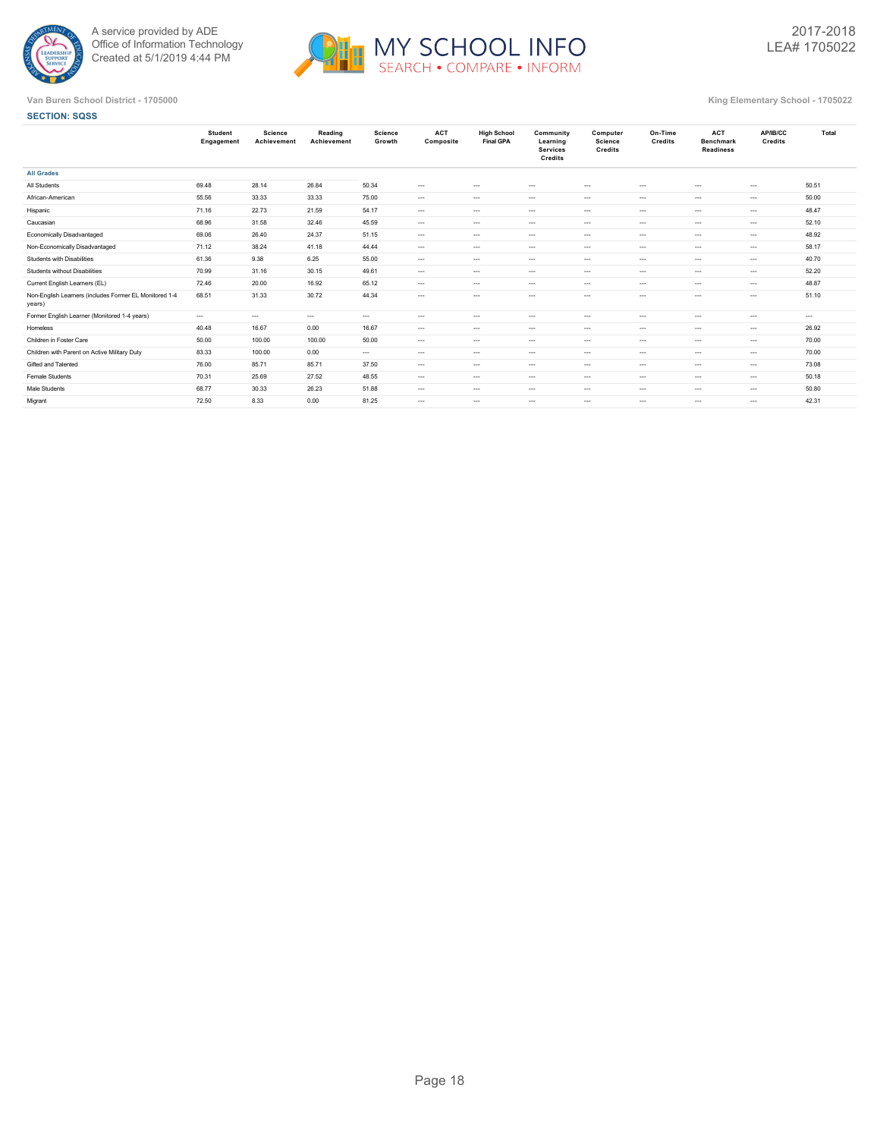

**SECTION: SQSS**



| King Elementary School - 170502 |  |
|---------------------------------|--|

|                                                                  | <b>Student</b><br>Engagement | Science<br>Achievement | Reading<br>Achievement | Science<br>Growth | <b>ACT</b><br>Composite | <b>High School</b><br><b>Final GPA</b> | Community<br>Learning<br><b>Services</b><br>Credits | Computer<br>Science<br>Credits | On-Time<br>Credits | <b>ACT</b><br><b>Benchmark</b><br><b>Readiness</b> | AP/IB/CC<br>Credits | Total    |
|------------------------------------------------------------------|------------------------------|------------------------|------------------------|-------------------|-------------------------|----------------------------------------|-----------------------------------------------------|--------------------------------|--------------------|----------------------------------------------------|---------------------|----------|
| <b>All Grades</b>                                                |                              |                        |                        |                   |                         |                                        |                                                     |                                |                    |                                                    |                     |          |
| All Students                                                     | 69.48                        | 28.14                  | 26.84                  | 50.34             | $\sim$                  | $- - -$                                | $\cdots$                                            | $\cdots$                       | $\cdots$           | $\cdots$                                           | $\cdots$            | 50.51    |
| African-American                                                 | 55.56                        | 33.33                  | 33.33                  | 75.00             | $\cdots$                | $-1$                                   | $\cdots$                                            | $---$                          | $\cdots$           | $\sim$                                             | $\cdots$            | 50.00    |
| Hispanic                                                         | 71.16                        | 22.73                  | 21.59                  | 54.17             | $\cdots$                | $\cdots$                               | $\cdots$                                            | $---$                          | $\cdots$           | $\cdots$                                           | $\cdots$            | 48.47    |
| Caucasian                                                        | 68.96                        | 31.58                  | 32.46                  | 45.59             | $\cdots$                | $\cdots$                               | $\cdots$                                            |                                | $\cdots$           | $\sim$                                             | $\cdots$            | 52.10    |
| Economically Disadvantaged                                       | 69.06                        | 26.40                  | 24.37                  | 51.15             | $\sim$                  | $\cdots$                               | $---$                                               |                                | $\cdots$           | $\sim$                                             | $\cdots$            | 48.92    |
| Non-Economically Disadvantaged                                   | 71.12                        | 38.24                  | 41.18                  | 44.44             | $\sim$                  | $\cdots$                               | $\cdots$                                            | $\cdots$                       | $\cdots$           | $\sim$                                             | $\cdots$            | 58.17    |
| Students with Disabilities                                       | 61.36                        | 9.38                   | 6.25                   | 55.00             | $\cdots$                | $-1$                                   | $\cdots$                                            | $---$                          | $\cdots$           | $\sim$                                             | $\cdots$            | 40.70    |
| Students without Disabilities                                    | 70.99                        | 31.16                  | 30.15                  | 49.61             | $\cdots$                | $-1$                                   | $\cdots$                                            | $---$                          | $\cdots$           | $\sim$                                             | $\cdots$            | 52.20    |
| Current English Learners (EL)                                    | 72.46                        | 20.00                  | 16.92                  | 65.12             | $\cdots$                | $\cdots$                               | $---$                                               |                                | $\cdots$           | $\sim$                                             | $\cdots$            | 48.87    |
| Non-English Learners (includes Former EL Monitored 1-4<br>years) | 68.51                        | 31.33                  | 30.72                  | 44.34             | $\cdots$                | $\cdots$                               | $\cdots$                                            | $---$                          | $\cdots$           | $\sim$                                             | $\cdots$            | 51.10    |
| Former English Learner (Monitored 1-4 years)                     | $\sim$                       | $\cdots$               | $\cdots$               | $\cdots$          | $\sim$                  | $- - -$                                | $\cdots$                                            | $\cdots$                       | $\cdots$           | $\cdots$                                           | $\cdots$            | $\cdots$ |
| Homeless                                                         | 40.48                        | 16.67                  | 0.00                   | 16.67             | $\sim$                  | $\cdots$                               | $\cdots$                                            | $- - -$                        | $\cdots$           | $\cdots$                                           | $\cdots$            | 26.92    |
| Children in Foster Care                                          | 50.00                        | 100.00                 | 100.00                 | 50.00             | $\cdots$                | $\cdots$                               | $\cdots$                                            | $- - -$                        | $\cdots$           | $\sim$                                             | $\cdots$            | 70.00    |
| Children with Parent on Active Military Duty                     | 83.33                        | 100.00                 | 0.00                   | $\cdots$          | $\sim$                  | $\cdots$                               | $\cdots$                                            | $\cdots$                       | $\cdots$           | $\sim$                                             | $\cdots$            | 70.00    |
| Gifted and Talented                                              | 76.00                        | 85.71                  | 85.71                  | 37.50             | $\cdots$                | $\cdots$                               | $---$                                               |                                | $\cdots$           | $\sim$                                             | $\cdots$            | 73.08    |
| Female Students                                                  | 70.31                        | 25.69                  | 27.52                  | 48.55             | $\cdots$                | $\cdots$                               | $---$                                               |                                | $\cdots$           | $\cdots$                                           | $\cdots$            | 50.18    |
| Male Students                                                    | 68.77                        | 30.33                  | 26.23                  | 51.88             | $\sim$                  | $- - -$                                | $\cdots$                                            | $\cdots$                       | $\cdots$           | $\cdots$                                           | $\cdots$            | 50.80    |
| Migrant                                                          | 72.50                        | 8.33                   | 0.00                   | 81.25             | $\cdots$                | $\cdots$                               | $\cdots$                                            | $\cdots$                       | $\cdots$           | $\cdots$                                           | $\cdots$            | 42.31    |
|                                                                  |                              |                        |                        |                   |                         |                                        |                                                     |                                |                    |                                                    |                     |          |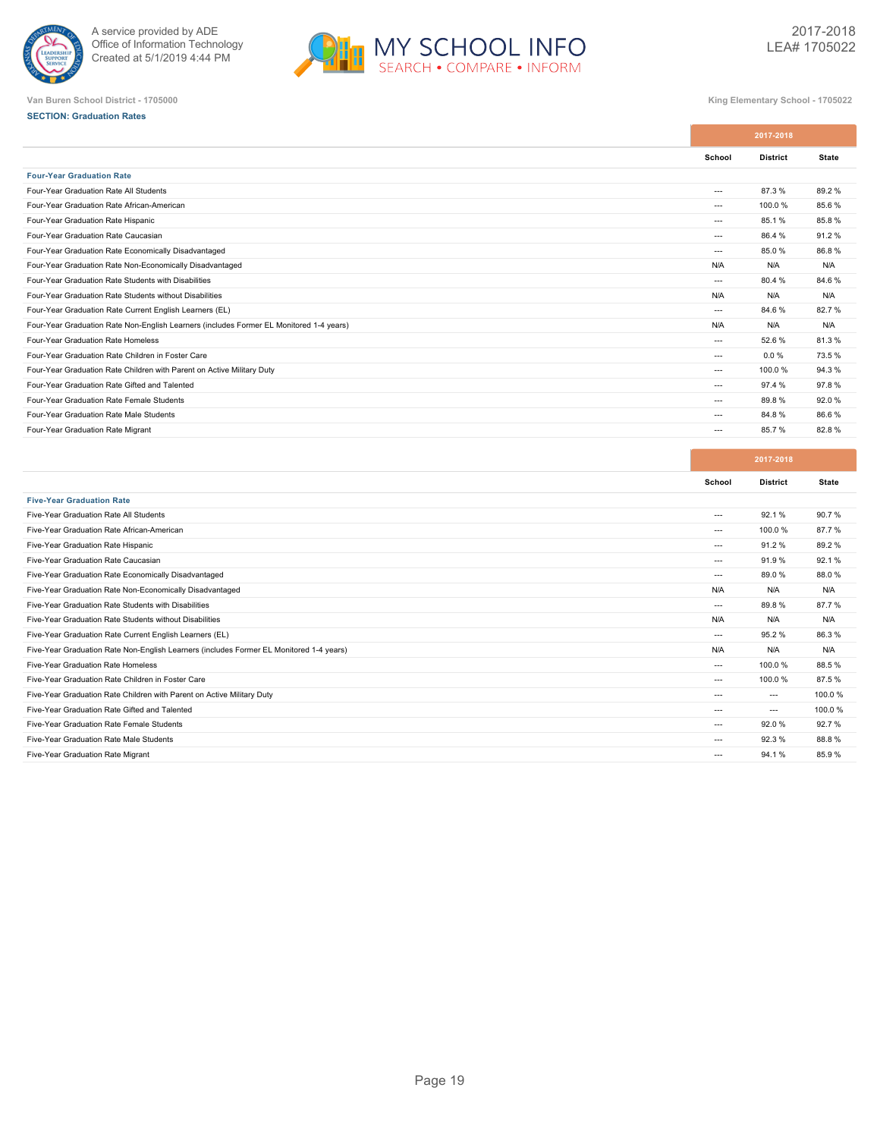



## **SECTION: Graduation Rates**

|                                                                                         |                          | 2017-2018       |              |  |
|-----------------------------------------------------------------------------------------|--------------------------|-----------------|--------------|--|
|                                                                                         | School                   | <b>District</b> | <b>State</b> |  |
| <b>Four-Year Graduation Rate</b>                                                        |                          |                 |              |  |
| Four-Year Graduation Rate All Students                                                  | $---$                    | 87.3%           | 89.2%        |  |
| Four-Year Graduation Rate African-American                                              | $---$                    | 100.0%          | 85.6%        |  |
| Four-Year Graduation Rate Hispanic                                                      | $---$                    | 85.1%           | 85.8%        |  |
| Four-Year Graduation Rate Caucasian                                                     | $\cdots$                 | 86.4 %          | 91.2%        |  |
| Four-Year Graduation Rate Economically Disadvantaged                                    | $---$                    | 85.0%           | 86.8%        |  |
| Four-Year Graduation Rate Non-Economically Disadvantaged                                | <b>N/A</b>               | N/A             | N/A          |  |
| Four-Year Graduation Rate Students with Disabilities                                    | $\sim$ $\sim$            | 80.4%           | 84.6%        |  |
| Four-Year Graduation Rate Students without Disabilities                                 | N/A                      | N/A             | N/A          |  |
| Four-Year Graduation Rate Current English Learners (EL)                                 | $---$                    | 84.6%           | 82.7 %       |  |
| Four-Year Graduation Rate Non-English Learners (includes Former EL Monitored 1-4 years) | N/A                      | <b>N/A</b>      | N/A          |  |
| Four-Year Graduation Rate Homeless                                                      | $---$                    | 52.6%           | 81.3%        |  |
| Four-Year Graduation Rate Children in Foster Care                                       | $\hspace{0.05cm} \ldots$ | 0.0%            | 73.5%        |  |
| Four-Year Graduation Rate Children with Parent on Active Military Duty                  | $---$                    | 100.0%          | 94.3%        |  |
| Four-Year Graduation Rate Gifted and Talented                                           | $\sim$ $\sim$            | 97.4 %          | 97.8%        |  |
| Four-Year Graduation Rate Female Students                                               | $---$                    | 89.8%           | 92.0%        |  |
| Four-Year Graduation Rate Male Students                                                 | $---$                    | 84.8%           | 86.6%        |  |
| Four-Year Graduation Rate Migrant                                                       | $---$                    | 85.7%           | 82.8%        |  |
|                                                                                         |                          |                 |              |  |

|                                                                                         | 2017-2018                |                 |              |
|-----------------------------------------------------------------------------------------|--------------------------|-----------------|--------------|
|                                                                                         | School                   | <b>District</b> | <b>State</b> |
| <b>Five-Year Graduation Rate</b>                                                        |                          |                 |              |
| Five-Year Graduation Rate All Students                                                  | $\cdots$                 | 92.1%           | 90.7%        |
| Five-Year Graduation Rate African-American                                              | $---$                    | 100.0%          | 87.7%        |
| Five-Year Graduation Rate Hispanic                                                      | $---$                    | 91.2%           | 89.2%        |
| Five-Year Graduation Rate Caucasian                                                     | $\cdots$                 | 91.9%           | 92.1 %       |
| Five-Year Graduation Rate Economically Disadvantaged                                    | $---$                    | 89.0%           | 88.0%        |
| Five-Year Graduation Rate Non-Economically Disadvantaged                                | N/A                      | N/A             | N/A          |
| Five-Year Graduation Rate Students with Disabilities                                    | $---$                    | 89.8%           | 87.7%        |
| Five-Year Graduation Rate Students without Disabilities                                 | N/A                      | N/A             | N/A          |
| Five-Year Graduation Rate Current English Learners (EL)                                 | $\hspace{0.05cm} \ldots$ | 95.2%           | 86.3%        |
| Five-Year Graduation Rate Non-English Learners (includes Former EL Monitored 1-4 years) | N/A                      | N/A             | N/A          |
| Five-Year Graduation Rate Homeless                                                      | $---$                    | 100.0%          | 88.5%        |
| Five-Year Graduation Rate Children in Foster Care                                       | $---$                    | 100.0%          | 87.5 %       |
| Five-Year Graduation Rate Children with Parent on Active Military Duty                  | $\cdots$                 | $\cdots$        | 100.0%       |
| Five-Year Graduation Rate Gifted and Talented                                           | $\cdots$                 | $\cdots$        | 100.0%       |
| Five-Year Graduation Rate Female Students                                               | $---$                    | 92.0%           | 92.7%        |
| Five-Year Graduation Rate Male Students                                                 | $---$                    | 92.3%           | 88.8%        |
| Five-Year Graduation Rate Migrant                                                       | $---$                    | 94.1%           | 85.9%        |
|                                                                                         |                          |                 |              |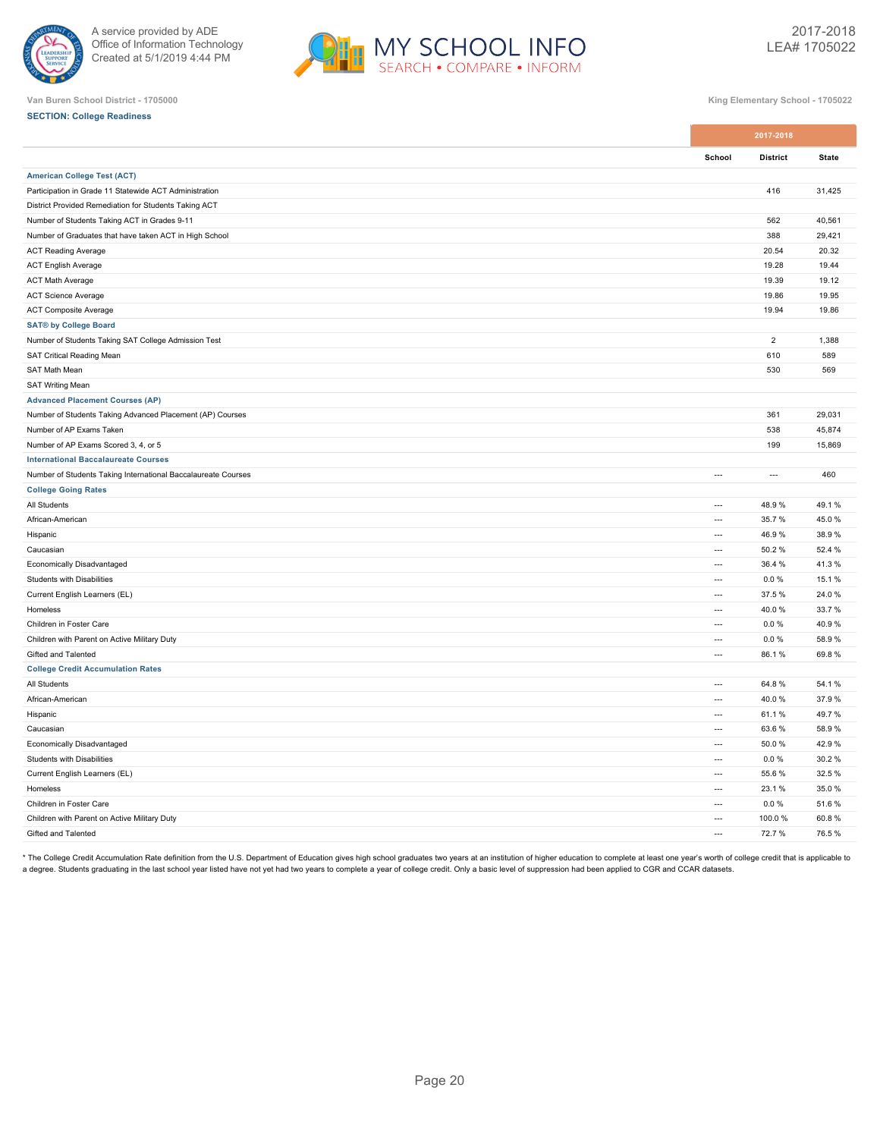

**SECTION: College Readiness**



**Van Buren School District - 1705000 King Elementary School - 1705022**

|                                                               | School                   | <b>District</b>          | <b>State</b> |
|---------------------------------------------------------------|--------------------------|--------------------------|--------------|
| <b>American College Test (ACT)</b>                            |                          |                          |              |
| Participation in Grade 11 Statewide ACT Administration        |                          | 416                      | 31,425       |
| District Provided Remediation for Students Taking ACT         |                          |                          |              |
| Number of Students Taking ACT in Grades 9-11                  |                          | 562                      | 40,561       |
| Number of Graduates that have taken ACT in High School        |                          | 388                      | 29,421       |
| <b>ACT Reading Average</b>                                    |                          | 20.54                    | 20.32        |
| <b>ACT English Average</b>                                    |                          | 19.28                    | 19.44        |
| <b>ACT Math Average</b>                                       |                          | 19.39                    | 19.12        |
| <b>ACT Science Average</b>                                    |                          | 19.86                    | 19.95        |
| <b>ACT Composite Average</b>                                  |                          | 19.94                    | 19.86        |
| <b>SAT® by College Board</b>                                  |                          |                          |              |
| Number of Students Taking SAT College Admission Test          |                          | $\overline{2}$           | 1,388        |
| SAT Critical Reading Mean                                     |                          | 610                      | 589          |
| SAT Math Mean                                                 |                          | 530                      | 569          |
| <b>SAT Writing Mean</b>                                       |                          |                          |              |
| <b>Advanced Placement Courses (AP)</b>                        |                          |                          |              |
| Number of Students Taking Advanced Placement (AP) Courses     |                          | 361                      | 29,031       |
| Number of AP Exams Taken                                      |                          | 538                      | 45,874       |
| Number of AP Exams Scored 3, 4, or 5                          |                          | 199                      | 15,869       |
| <b>International Baccalaureate Courses</b>                    |                          |                          |              |
| Number of Students Taking International Baccalaureate Courses | $\overline{\phantom{a}}$ | $\overline{\phantom{a}}$ | 460          |
| <b>College Going Rates</b>                                    |                          |                          |              |
| All Students                                                  | $\overline{a}$           | 48.9%                    | 49.1%        |
| African-American                                              | $\overline{a}$           | 35.7%                    | 45.0%        |
| Hispanic                                                      | $\overline{\phantom{a}}$ | 46.9%                    | 38.9%        |
| Caucasian                                                     | $\overline{\phantom{a}}$ | 50.2%                    | 52.4 %       |
| Economically Disadvantaged                                    | $\overline{\phantom{a}}$ | 36.4%                    | 41.3%        |
| Students with Disabilities                                    | $\overline{a}$           | 0.0%                     | 15.1 %       |
| Current English Learners (EL)                                 | $\overline{a}$           | 37.5%                    | 24.0%        |
| Homeless                                                      | $\overline{\phantom{a}}$ | 40.0%                    | 33.7%        |
| Children in Foster Care                                       | $---$                    | 0.0 %                    | 40.9%        |
| Children with Parent on Active Military Duty                  | $\overline{\phantom{a}}$ | 0.0%                     | 58.9%        |
| Gifted and Talented                                           | $\overline{a}$           | 86.1%                    | 69.8%        |
| <b>College Credit Accumulation Rates</b>                      |                          |                          |              |
| All Students                                                  | $\overline{\phantom{a}}$ | 64.8%                    | 54.1%        |
| African-American                                              | $\overline{\phantom{a}}$ | 40.0%                    | 37.9%        |
| Hispanic                                                      | $\overline{a}$           | 61.1%                    | 49.7%        |
| Caucasian                                                     | $\overline{\phantom{a}}$ | 63.6%                    | 58.9%        |
| Economically Disadvantaged                                    | $\cdots$                 | 50.0%                    | 42.9%        |
| Students with Disabilities                                    | $\overline{\phantom{a}}$ | 0.0%                     | 30.2%        |
| Current English Learners (EL)                                 | $\overline{a}$           | 55.6%                    | 32.5%        |
| Homeless                                                      | $\overline{\phantom{a}}$ | 23.1%                    | 35.0%        |
| Children in Foster Care                                       | $\overline{\phantom{a}}$ | 0.0%                     | 51.6%        |
| Children with Parent on Active Military Duty                  | $\hspace{0.05cm} \cdots$ | 100.0%                   | 60.8%        |
| Gifted and Talented                                           | $\overline{\phantom{a}}$ | 72.7%                    | 76.5%        |

\* The College Credit Accumulation Rate definition from the U.S. Department of Education gives high school graduates two years at an institution of higher education to complete at least one year's worth of college credit th a degree. Students graduating in the last school year listed have not yet had two years to complete a year of college credit. Only a basic level of suppression had been applied to CGR and CCAR datasets.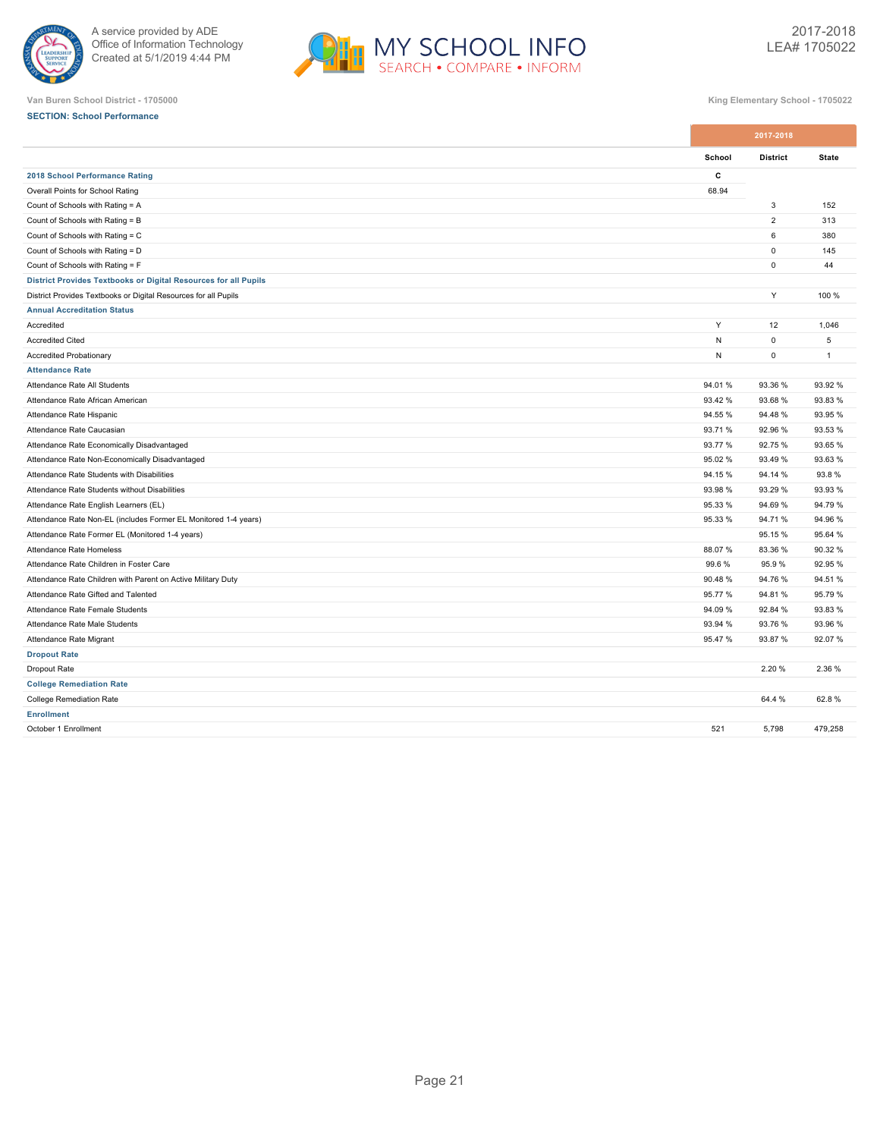



# **SECTION: School Performance**

|                                                                 | School    | <b>District</b> | <b>State</b> |
|-----------------------------------------------------------------|-----------|-----------------|--------------|
| 2018 School Performance Rating                                  | c         |                 |              |
| Overall Points for School Rating                                | 68.94     |                 |              |
| Count of Schools with Rating = A                                |           | 3               | 152          |
| Count of Schools with Rating = B                                |           | $\overline{2}$  | 313          |
| Count of Schools with Rating = C                                |           | 6               | 380          |
| Count of Schools with Rating = D                                |           | $\mathbf 0$     | 145          |
| Count of Schools with Rating = F                                |           | $\mathbf 0$     | 44           |
| District Provides Textbooks or Digital Resources for all Pupils |           |                 |              |
| District Provides Textbooks or Digital Resources for all Pupils |           | Υ               | 100 %        |
| <b>Annual Accreditation Status</b>                              |           |                 |              |
| Accredited                                                      | Y         | 12              | 1,046        |
| <b>Accredited Cited</b>                                         | ${\sf N}$ | 0               | 5            |
| Accredited Probationary                                         | $\sf N$   | $\mathbf 0$     | $\mathbf{1}$ |
| <b>Attendance Rate</b>                                          |           |                 |              |
| Attendance Rate All Students                                    | 94.01%    | 93.36 %         | 93.92 %      |
| Attendance Rate African American                                | 93.42%    | 93.68%          | 93.83%       |
| Attendance Rate Hispanic                                        | 94.55 %   | 94.48 %         | 93.95 %      |
| Attendance Rate Caucasian                                       | 93.71%    | 92.96 %         | 93.53 %      |
| Attendance Rate Economically Disadvantaged                      | 93.77%    | 92.75 %         | 93.65 %      |
| Attendance Rate Non-Economically Disadvantaged                  | 95.02%    | 93.49 %         | 93.63%       |
| Attendance Rate Students with Disabilities                      | 94.15%    | 94.14 %         | 93.8%        |
| Attendance Rate Students without Disabilities                   | 93.98%    | 93.29 %         | 93.93 %      |
| Attendance Rate English Learners (EL)                           | 95.33%    | 94.69 %         | 94.79%       |
| Attendance Rate Non-EL (includes Former EL Monitored 1-4 years) | 95.33 %   | 94.71%          | 94.96 %      |
| Attendance Rate Former EL (Monitored 1-4 years)                 |           | 95.15 %         | 95.64 %      |
| Attendance Rate Homeless                                        | 88.07%    | 83.36 %         | 90.32 %      |
| Attendance Rate Children in Foster Care                         | 99.6 %    | 95.9%           | 92.95 %      |
| Attendance Rate Children with Parent on Active Military Duty    | 90.48%    | 94.76%          | 94.51 %      |
| Attendance Rate Gifted and Talented                             | 95.77%    | 94.81%          | 95.79%       |
| Attendance Rate Female Students                                 | 94.09%    | 92.84 %         | 93.83 %      |
| Attendance Rate Male Students                                   | 93.94 %   | 93.76 %         | 93.96 %      |
| Attendance Rate Migrant                                         | 95.47%    | 93.87 %         | 92.07%       |
| <b>Dropout Rate</b>                                             |           |                 |              |
| Dropout Rate                                                    |           | 2.20%           | 2.36 %       |
| <b>College Remediation Rate</b>                                 |           |                 |              |
| College Remediation Rate                                        |           | 64.4%           | 62.8%        |
| <b>Enrollment</b>                                               |           |                 |              |
| October 1 Enrollment                                            | 521       | 5,798           | 479,258      |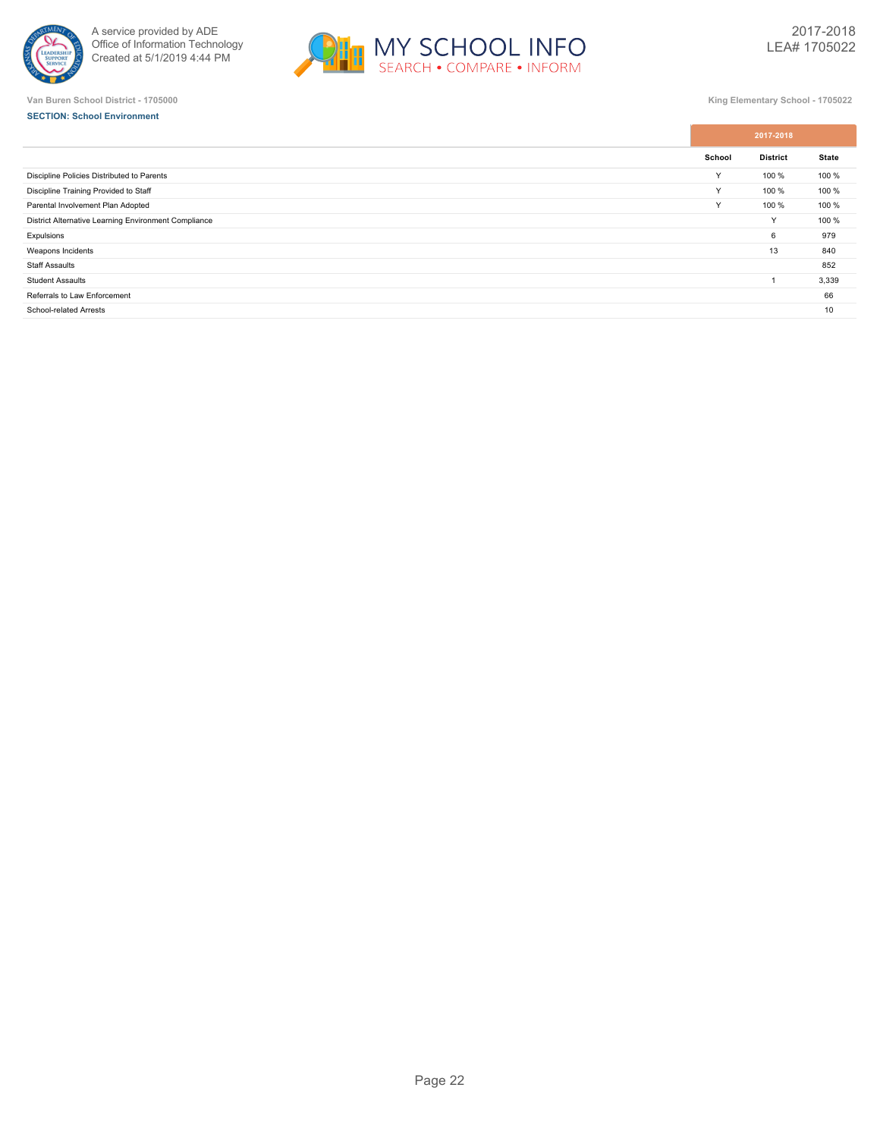



| <b>SECTION: School Environment</b>                   |        |                 |       |
|------------------------------------------------------|--------|-----------------|-------|
|                                                      |        | 2017-2018       |       |
|                                                      | School | <b>District</b> | State |
| Discipline Policies Distributed to Parents           | Y      | 100 %           | 100 % |
| Discipline Training Provided to Staff                | Y      | 100 %           | 100 % |
| Parental Involvement Plan Adopted                    | Y      | 100 %           | 100 % |
| District Alternative Learning Environment Compliance |        | Y               | 100 % |
| Expulsions                                           |        | 6               | 979   |
| Weapons Incidents                                    |        | 13              | 840   |
| <b>Staff Assaults</b>                                |        |                 | 852   |
| <b>Student Assaults</b>                              |        |                 | 3,339 |
| Referrals to Law Enforcement                         |        |                 | 66    |
| School-related Arrests                               |        |                 | 10    |
|                                                      |        |                 |       |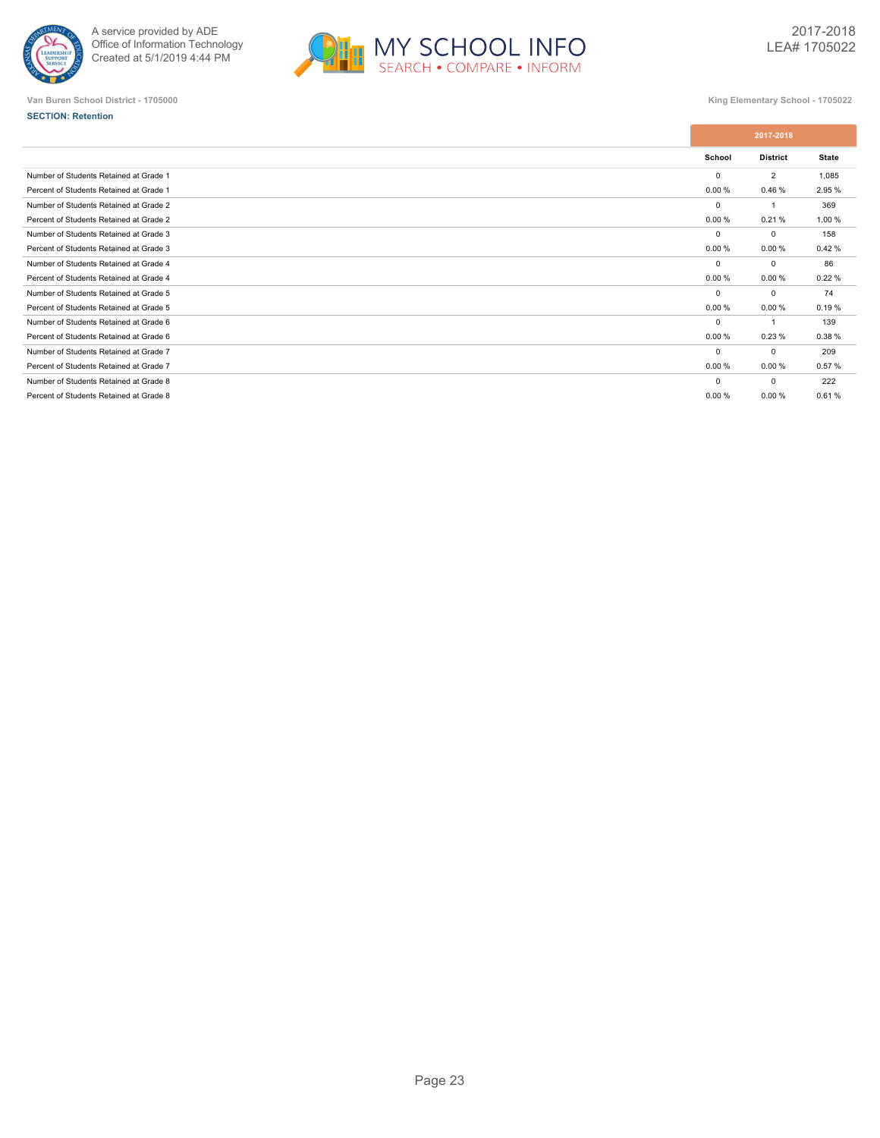



## **SECTION: Retention**

|                                         |             | 2017-2018       |              |
|-----------------------------------------|-------------|-----------------|--------------|
|                                         | School      | <b>District</b> | <b>State</b> |
| Number of Students Retained at Grade 1  | 0           | 2               | 1,085        |
| Percent of Students Retained at Grade 1 | 0.00%       | 0.46%           | 2.95 %       |
| Number of Students Retained at Grade 2  | 0           | -1              | 369          |
| Percent of Students Retained at Grade 2 | 0.00%       | 0.21%           | 1.00 %       |
| Number of Students Retained at Grade 3  | 0           | 0               | 158          |
| Percent of Students Retained at Grade 3 | 0.00%       | 0.00%           | 0.42%        |
| Number of Students Retained at Grade 4  | 0           | 0               | 86           |
| Percent of Students Retained at Grade 4 | 0.00%       | 0.00%           | 0.22%        |
| Number of Students Retained at Grade 5  | 0           | 0               | 74           |
| Percent of Students Retained at Grade 5 | 0.00%       | 0.00%           | 0.19%        |
| Number of Students Retained at Grade 6  | $\mathbf 0$ | 1               | 139          |
| Percent of Students Retained at Grade 6 | 0.00%       | 0.23%           | 0.38%        |
| Number of Students Retained at Grade 7  | 0           | 0               | 209          |
| Percent of Students Retained at Grade 7 | 0.00%       | 0.00%           | 0.57%        |
| Number of Students Retained at Grade 8  | 0           | 0               | 222          |
| Percent of Students Retained at Grade 8 | 0.00%       | 0.00%           | 0.61%        |
|                                         |             |                 |              |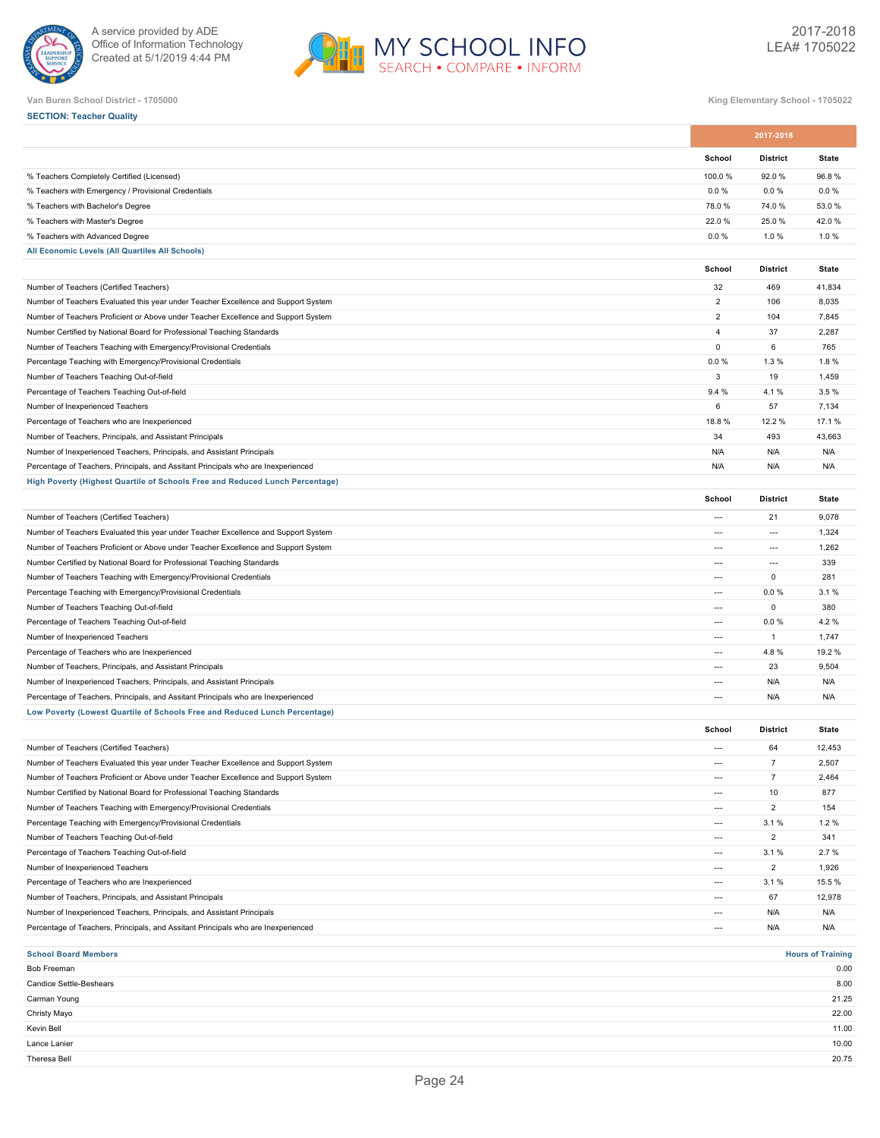



**2017-2018**

# **SECTION: Teacher Quality**

|                                                                                                                                                                          |                          | $2011 - 2010$                              |                          |
|--------------------------------------------------------------------------------------------------------------------------------------------------------------------------|--------------------------|--------------------------------------------|--------------------------|
|                                                                                                                                                                          | School                   | <b>District</b>                            | <b>State</b>             |
| % Teachers Completely Certified (Licensed)                                                                                                                               | 100.0%                   | 92.0%                                      | 96.8%                    |
| % Teachers with Emergency / Provisional Credentials                                                                                                                      | 0.0%                     | 0.0%                                       | $0.0 \%$                 |
| % Teachers with Bachelor's Degree                                                                                                                                        | 78.0%                    | 74.0%                                      | 53.0%                    |
| % Teachers with Master's Degree                                                                                                                                          | 22.0%                    | 25.0%                                      | 42.0%                    |
| % Teachers with Advanced Degree                                                                                                                                          | 0.0%                     | 1.0%                                       | 1.0%                     |
| All Economic Levels (All Quartiles All Schools)                                                                                                                          |                          |                                            |                          |
|                                                                                                                                                                          | School                   | <b>District</b>                            | <b>State</b>             |
| Number of Teachers (Certified Teachers)                                                                                                                                  | 32                       | 469                                        | 41,834                   |
| Number of Teachers Evaluated this year under Teacher Excellence and Support System                                                                                       | $\overline{2}$           | 106                                        | 8,035                    |
| Number of Teachers Proficient or Above under Teacher Excellence and Support System                                                                                       | $\overline{2}$           | 104                                        | 7,845                    |
| Number Certified by National Board for Professional Teaching Standards                                                                                                   | $\overline{4}$           | 37                                         | 2,287                    |
| Number of Teachers Teaching with Emergency/Provisional Credentials                                                                                                       | $\mathsf 0$              | 6                                          | 765                      |
| Percentage Teaching with Emergency/Provisional Credentials                                                                                                               | 0.0%                     | 1.3%                                       | 1.8%                     |
| Number of Teachers Teaching Out-of-field                                                                                                                                 | 3                        | 19                                         | 1,459                    |
| Percentage of Teachers Teaching Out-of-field                                                                                                                             | 9.4 %                    | 4.1%                                       | 3.5%                     |
| Number of Inexperienced Teachers                                                                                                                                         | 6                        | 57                                         | 7,134                    |
| Percentage of Teachers who are Inexperienced                                                                                                                             | 18.8%                    | 12.2 %                                     | 17.1 %                   |
| Number of Teachers, Principals, and Assistant Principals                                                                                                                 | 34                       | 493                                        | 43,663                   |
| Number of Inexperienced Teachers, Principals, and Assistant Principals                                                                                                   | N/A                      | N/A                                        | N/A                      |
| Percentage of Teachers, Principals, and Assitant Principals who are Inexperienced                                                                                        | N/A                      | N/A                                        | N/A                      |
| High Poverty (Highest Quartile of Schools Free and Reduced Lunch Percentage)                                                                                             |                          |                                            |                          |
|                                                                                                                                                                          | School                   | <b>District</b>                            | <b>State</b>             |
|                                                                                                                                                                          |                          |                                            |                          |
| Number of Teachers (Certified Teachers)                                                                                                                                  | $\overline{a}$           | 21                                         | 9,078                    |
| Number of Teachers Evaluated this year under Teacher Excellence and Support System<br>Number of Teachers Proficient or Above under Teacher Excellence and Support System | $\sim$ $\sim$<br>---     | $\overline{\phantom{a}}$<br>$\overline{a}$ | 1,324                    |
|                                                                                                                                                                          |                          |                                            | 1,262                    |
| Number Certified by National Board for Professional Teaching Standards                                                                                                   | $\overline{a}$<br>---    | $\overline{\phantom{a}}$<br>$\mathsf 0$    | 339<br>281               |
| Number of Teachers Teaching with Emergency/Provisional Credentials<br>Percentage Teaching with Emergency/Provisional Credentials                                         | $\hspace{0.05cm} \ldots$ | 0.0%                                       | 3.1%                     |
| Number of Teachers Teaching Out-of-field                                                                                                                                 | ---                      | 0                                          | 380                      |
| Percentage of Teachers Teaching Out-of-field                                                                                                                             | $\hspace{0.05cm} \ldots$ | 0.0%                                       | 4.2%                     |
| Number of Inexperienced Teachers                                                                                                                                         | $---$                    | $\mathbf{1}$                               | 1,747                    |
| Percentage of Teachers who are Inexperienced                                                                                                                             | $\sim$ $\sim$            | 4.8%                                       | 19.2 %                   |
| Number of Teachers, Principals, and Assistant Principals                                                                                                                 | $---$                    | 23                                         | 9,504                    |
| Number of Inexperienced Teachers, Principals, and Assistant Principals                                                                                                   | $---$                    | N/A                                        | N/A                      |
| Percentage of Teachers, Principals, and Assitant Principals who are Inexperienced                                                                                        | $\overline{\phantom{a}}$ | N/A                                        | N/A                      |
| Low Poverty (Lowest Quartile of Schools Free and Reduced Lunch Percentage)                                                                                               |                          |                                            |                          |
|                                                                                                                                                                          | School                   | <b>District</b>                            | <b>State</b>             |
|                                                                                                                                                                          |                          |                                            |                          |
| Number of Teachers (Certified Teachers)                                                                                                                                  | $\overline{\phantom{a}}$ | 64                                         | 12,453                   |
| Number of Teachers Evaluated this year under Teacher Excellence and Support System                                                                                       | ---                      | $\overline{7}$                             | 2,507                    |
| Number of Teachers Proficient or Above under Teacher Excellence and Support System                                                                                       | $\overline{a}$           | $\overline{7}$                             | 2,464                    |
| Number Certified by National Board for Professional Teaching Standards                                                                                                   | ---                      | 10                                         | 877                      |
| Number of Teachers Teaching with Emergency/Provisional Credentials                                                                                                       | ---                      | $\overline{2}$                             | 154                      |
| Percentage Teaching with Emergency/Provisional Credentials                                                                                                               | ---                      | 3.1%                                       | 1.2%                     |
| Number of Teachers Teaching Out-of-field                                                                                                                                 | $\overline{a}$           | $\overline{2}$                             | 341                      |
| Percentage of Teachers Teaching Out-of-field                                                                                                                             | $---$                    | 3.1%                                       | 2.7%                     |
| Number of Inexperienced Teachers                                                                                                                                         | $---$                    | $\overline{\mathbf{c}}$                    | 1,926                    |
| Percentage of Teachers who are Inexperienced                                                                                                                             | $---$                    | 3.1%                                       | 15.5 %                   |
| Number of Teachers, Principals, and Assistant Principals                                                                                                                 | $---$                    | 67                                         | 12,978                   |
| Number of Inexperienced Teachers, Principals, and Assistant Principals                                                                                                   | $---$                    | N/A                                        | N/A                      |
| Percentage of Teachers, Principals, and Assitant Principals who are Inexperienced                                                                                        | $\overline{a}$           | N/A                                        | N/A                      |
| <b>School Board Members</b>                                                                                                                                              |                          |                                            | <b>Hours of Training</b> |
| Bob Freeman                                                                                                                                                              |                          |                                            | 0.00                     |
| Candice Settle-Beshears                                                                                                                                                  |                          |                                            | 8.00                     |
| Carman Young                                                                                                                                                             |                          |                                            | 21.25                    |
| Christy Mayo                                                                                                                                                             |                          |                                            | 22.00                    |
| Kevin Bell                                                                                                                                                               |                          |                                            | 11.00                    |

Lance Lanier 10.00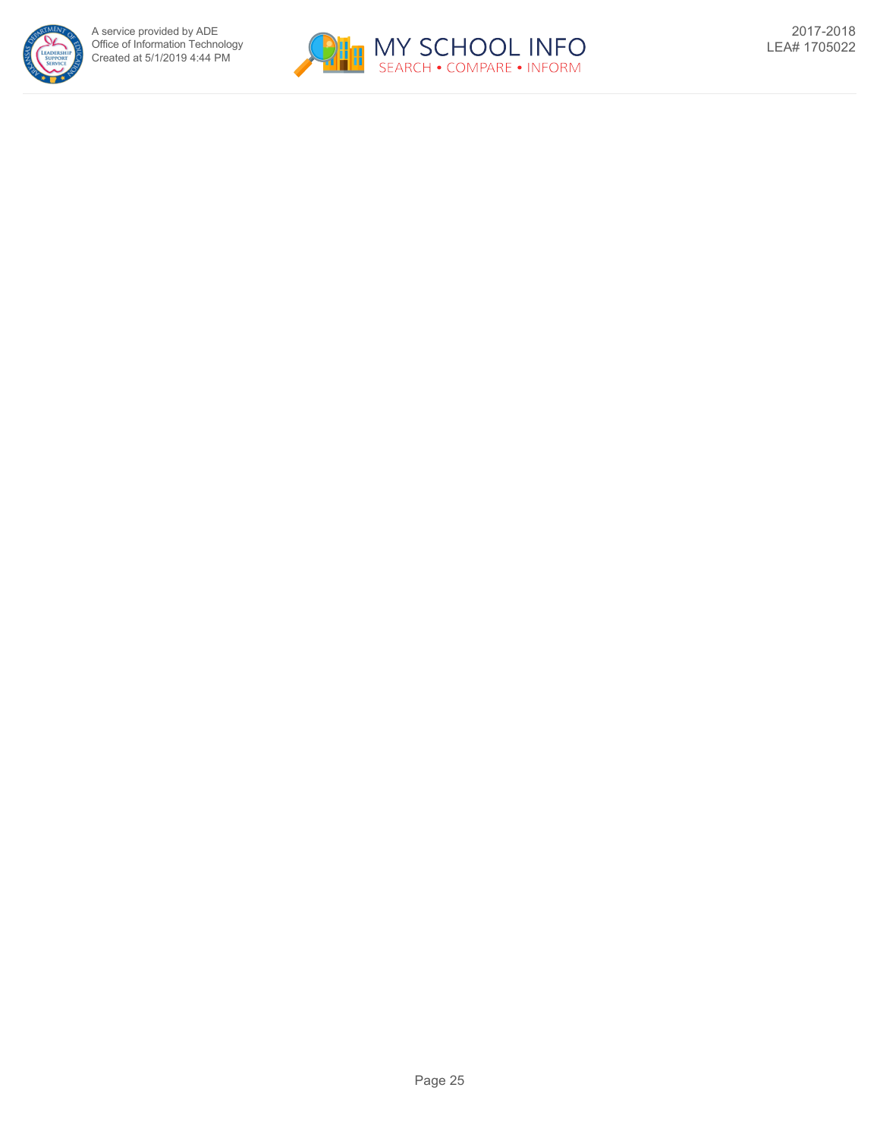

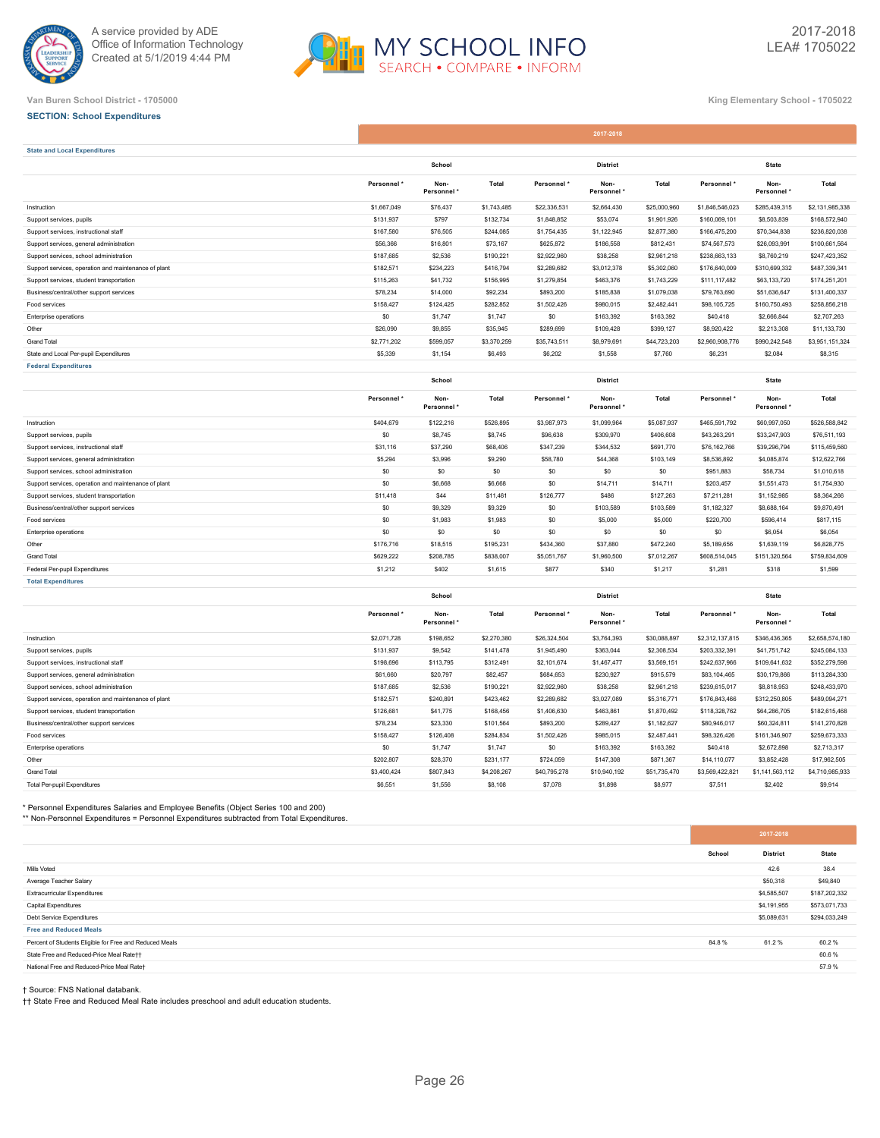



#### **SECTION: School Expenditures**

|                                                      |             |                                |             |              | 2017-2018                      |              |                        |                                |                 |
|------------------------------------------------------|-------------|--------------------------------|-------------|--------------|--------------------------------|--------------|------------------------|--------------------------------|-----------------|
| <b>State and Local Expenditures</b>                  |             |                                |             |              |                                |              |                        |                                |                 |
|                                                      |             | School                         |             |              | <b>District</b>                |              |                        | <b>State</b>                   |                 |
|                                                      | Personnel * | Non-<br>Personnel *            | Total       | Personnel*   | Non-<br>Personnel *            | Total        | Personnel *            | Non-<br>Personnel              | Total           |
| Instruction                                          | \$1,667,049 | \$76,437                       | \$1,743,485 | \$22,336,531 | \$2,664,430                    | \$25,000,960 | \$1,846,546,023        | \$285,439,315                  | \$2,131,985,338 |
| Support services, pupils                             | \$131,937   | \$797                          | \$132,734   | \$1,848,852  | \$53,074                       | \$1,901,926  | \$160,069,101          | \$8,503,839                    | \$168,572,940   |
| Support services, instructional staff                | \$167,580   | \$76,505                       | \$244,085   | \$1,754,435  | \$1,122,945                    | \$2,877,380  | \$166,475,200          | \$70,344,838                   | \$236,820,038   |
| Support services, general administration             | \$56,366    | \$16,801                       | \$73,167    | \$625,872    | \$186,558                      | \$812,431    | \$74,567,573           | \$26,093,991                   | \$100,661,564   |
| Support services, school administration              | \$187,685   | \$2,536                        | \$190,221   | \$2,922,960  | \$38,258                       | \$2,961,218  | \$238,663,133          | \$8,760,219                    | \$247,423,352   |
| Support services, operation and maintenance of plant | \$182,571   | \$234,223                      | \$416,794   | \$2,289,682  | \$3,012,378                    | \$5,302,060  | \$176,640,009          | \$310,699,332                  | \$487,339,341   |
| Support services, student transportation             | \$115,263   | \$41,732                       | \$156,995   | \$1,279,854  | \$463,376                      | \$1,743,229  | \$111,117,482          | \$63,133,720                   | \$174,251,201   |
| Business/central/other support services              | \$78,234    | \$14,000                       | \$92,234    | \$893,200    | \$185,838                      | \$1,079,038  | \$79,763,690           | \$51,636,647                   | \$131,400,337   |
| Food services                                        | \$158,427   | \$124,425                      | \$282,852   | \$1,502,426  | \$980,015                      | \$2,482,441  | \$98,105,725           | \$160,750,493                  | \$258,856,218   |
| Enterprise operations                                | \$0         | \$1,747                        | \$1,747     | $\$0$        | \$163,392                      | \$163,392    | \$40,418               | \$2,666,844                    | \$2,707,263     |
| Other                                                | \$26,090    | \$9,855                        | \$35,945    | \$289,699    | \$109,428                      | \$399,127    | \$8,920,422            | \$2,213,308                    | \$11,133,730    |
| <b>Grand Total</b>                                   | \$2,771.202 | \$599,057                      | \$3,370,259 | \$35,743,511 | \$8,979,691                    | \$44,723,203 | \$2,960,908,776        | \$990,242,548                  | \$3,951,151,324 |
| State and Local Per-pupil Expenditures               | \$5,339     | \$1,154                        | \$6,493     | \$6,202      | \$1,558                        | \$7,760      | \$6,231                | \$2,084                        | \$8,315         |
| <b>Federal Expenditures</b>                          |             |                                |             |              |                                |              |                        |                                |                 |
|                                                      |             | School                         |             |              | <b>District</b>                |              |                        | <b>State</b>                   |                 |
|                                                      | Personnel * | Non-<br>Personnel <sup>'</sup> | Total       | Personnel *  | Non-<br>Personnel *            | Total        | Personnel *            | Non-<br>Personnel <sup>®</sup> | Total           |
| Instruction                                          | \$404,679   | \$122,216                      | \$526,895   | \$3,987,973  | \$1,099,964                    | \$5,087,937  | \$465,591,792          | \$60,997,050                   | \$526,588,842   |
| Support services, pupils                             | \$0         | \$8,745                        | \$8,745     | \$96,638     | \$309,970                      | \$406,608    | \$43,263,291           | \$33,247,903                   | \$76,511,193    |
| Support services, instructional staff                | \$31,116    | \$37,290                       | \$68,406    | \$347.239    | \$344,532                      | \$691,770    | \$76,162,766           | \$39,296,794                   | \$115,459,560   |
| Support services, general administration             | \$5,294     | \$3,996                        | \$9,290     | \$58,780     | \$44,368                       | \$103,149    | \$8,536,892            | \$4,085,874                    | \$12,622,766    |
| Support services, school administration              | \$0         | \$0                            | \$0         | \$0          | \$0                            | \$0          | \$951,883              | \$58,734                       | \$1,010,618     |
| Support services, operation and maintenance of plant | \$0         | \$6,668                        | \$6,668     | \$0          | \$14,711                       | \$14,711     | \$203,457              | \$1,551,473                    | \$1,754,930     |
| Support services, student transportation             | \$11,418    | \$44                           | \$11,461    | \$126,777    | \$486                          | \$127,263    | \$7,211,281            | \$1,152,985                    | \$8,364,266     |
| Business/central/other support services              | \$0         | \$9,329                        | \$9,329     | \$0          | \$103,589                      | \$103,589    | \$1,182,327            | \$8,688,164                    | \$9,870,491     |
| Food services                                        | \$0         | \$1,983                        | \$1,983     | \$0          | \$5,000                        | \$5,000      | \$220,700              | \$596,414                      | \$817,115       |
| Enterprise operations                                | \$0         | \$0                            | \$0         | \$0          | \$0                            | \$0          | \$0                    | \$6,054                        | \$6,054         |
| Other                                                | \$176,716   | \$18,515                       | \$195,231   | \$434,360    | \$37,880                       | \$472,240    | \$5,189,656            | \$1,639,119                    | \$6,828,775     |
| <b>Grand Total</b>                                   | \$629,222   | \$208,785                      | \$838,007   | \$5,051,767  | \$1,960,500                    | \$7,012,267  | \$608,514,045          | \$151,320,564                  | \$759,834,609   |
| Federal Per-pupil Expenditures                       | \$1,212     | \$402                          | \$1,615     | \$877        | \$340                          | \$1,217      | \$1,281                | \$318                          | \$1,599         |
| <b>Total Expenditures</b>                            |             |                                |             |              |                                |              |                        |                                |                 |
|                                                      |             | School                         |             |              | <b>District</b>                |              |                        | <b>State</b>                   |                 |
|                                                      | Personnel*  | Non-<br>Personnel <sup>'</sup> | Total       | Personnel*   | Non-<br>Personnel <sup>*</sup> | Total        | Personnel <sup>'</sup> | Non-<br>Personnel              | Total           |
| Instruction                                          | \$2,071,728 | \$198,652                      | \$2,270,380 | \$26,324,504 | \$3,764,393                    | \$30,088,897 | \$2,312,137,815        | \$346,436,365                  | \$2,658,574,180 |
| Support services, pupils                             | \$131,937   | \$9,542                        | \$141,478   | \$1,945,490  | \$363,044                      | \$2,308,534  | \$203,332,391          | \$41,751,742                   | \$245,084,133   |
| Support services, instructional staff                | \$198,696   | \$113,795                      | \$312,491   | \$2,101,674  | \$1,467,477                    | \$3,569,151  | \$242,637,966          | \$109,641,632                  | \$352,279,598   |
| Support services, general administration             | \$61,660    | \$20,797                       | \$82,457    | \$684,653    | \$230,927                      | \$915,579    | \$83,104,465           | \$30,179,866                   | \$113,284,330   |
| Support services, school administration              | \$187,685   | \$2,536                        | \$190,221   | \$2,922,960  | \$38,258                       | \$2,961,218  | \$239,615,017          | \$8,818,953                    | \$248,433,970   |
| Support services, operation and maintenance of plant | \$182,571   | \$240,891                      | \$423,462   | \$2,289,682  | \$3,027,089                    | \$5,316,771  | \$176,843,466          | \$312,250,805                  | \$489,094,271   |

\* Personnel Expenditures Salaries and Employee Benefits (Object Series 100 and 200) \*\* Non-Personnel Expenditures = Personnel Expenditures subtracted from Total Expenditures.

|                                                         |        | 2017-2018       |               |
|---------------------------------------------------------|--------|-----------------|---------------|
|                                                         | School | <b>District</b> | State         |
| Mills Voted                                             |        | 42.6            | 38.4          |
| Average Teacher Salary                                  |        | \$50,318        | \$49,840      |
| <b>Extracurricular Expenditures</b>                     |        | \$4,585,507     | \$187,202,332 |
| Capital Expenditures                                    |        | \$4,191,955     | \$573,071,733 |
| Debt Service Expenditures                               |        | \$5,089,631     | \$294,033,249 |
| <b>Free and Reduced Meals</b>                           |        |                 |               |
| Percent of Students Eligible for Free and Reduced Meals | 84.8%  | 61.2%           | 60.2%         |
| State Free and Reduced-Price Meal Rate††                |        |                 | 60.6%         |
| National Free and Reduced-Price Meal Rate+              |        |                 | 57.9%         |
|                                                         |        |                 |               |

Support services, student transportation \$126,681 \$41,775 \$168,456 \$1,406,630 \$463,861 \$1,870,492 \$118,328,762 \$64,286,705 \$182,615,468 Business/central/other support services \$78,234 \$23,330 \$101,564 \$893,200 \$289,427 \$1,182,627 \$80,946,017 \$60,324,811 \$141,270,828 Food services \$158,427 \$126,408 \$284,834 \$1,502,426 \$985,015 \$2,487,441 \$98,326,426 \$161,346,907 \$259,673,333 Enterprise operations \$0 \$1,747 \$1,747 \$0 \$163,392 \$163,392 \$40,418 \$2,672,898 \$2,713,317 Other \$202,807 \$28,370 \$231,177 \$724,059 \$147,308 \$871,367 \$14,110,077 \$3,852,428 \$17,962,505 Grand Total \$3,400,424 \$807,843 \$4,208,267 \$40,795,278 \$10,940,192 \$51,735,470 \$3,569,422,821 \$1,141,563,112 \$4,710,985,933 Total Per-pupil Expenditures \$6,551 \$1,556 \$8,108 \$7,078 \$1,898 \$8,977 \$7,511 \$2,402 \$9,914

† Source: FNS National databank.

†† State Free and Reduced Meal Rate includes preschool and adult education students.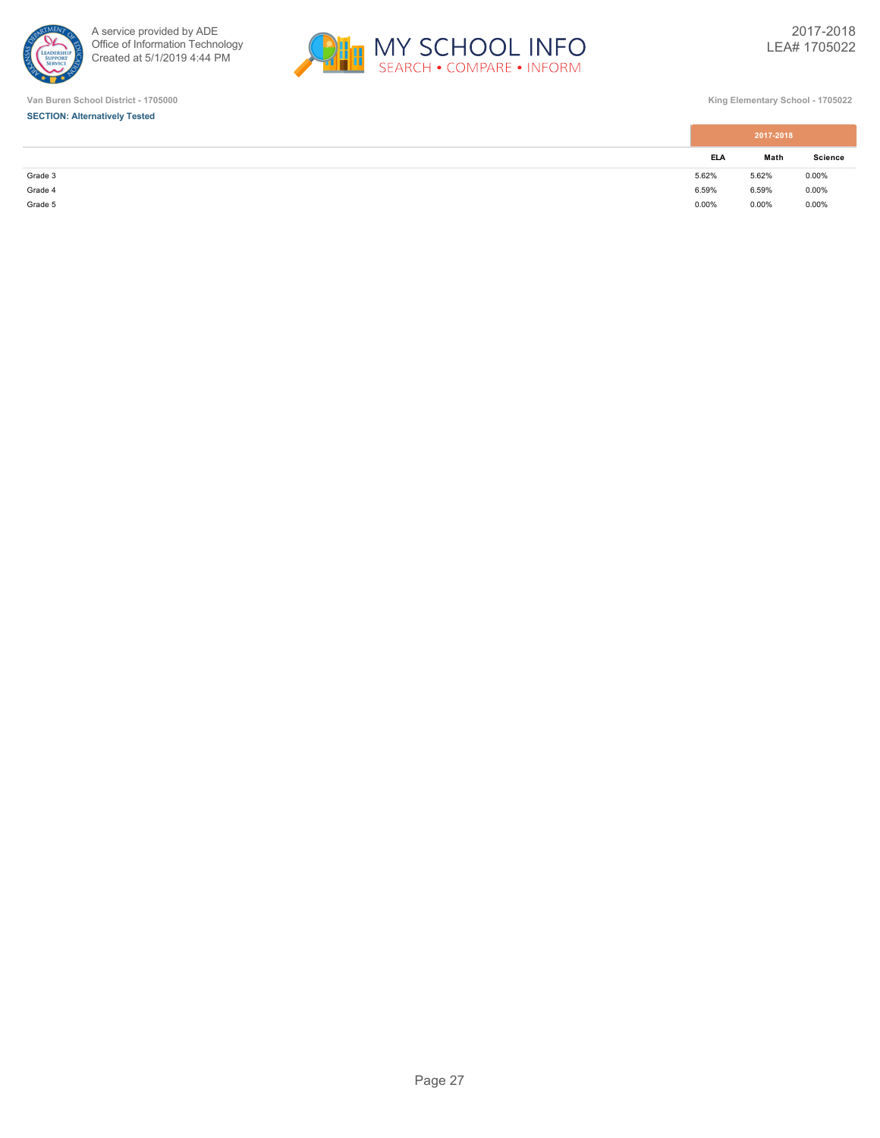

A service provided by ADE Office of Information Technology Created at 5/1/2019 4:44 PM





|                    |            | 2017-2018 |                |
|--------------------|------------|-----------|----------------|
|                    | <b>ELA</b> | Math      | <b>Science</b> |
|                    | 5.62%      | 5.62%     | 0.00%          |
| Grade 3<br>Grade 4 | 6.59%      | 6.59%     | $0.00\%$       |
| Grade 5            | 0.00%      | 0.00%     | 0.00%          |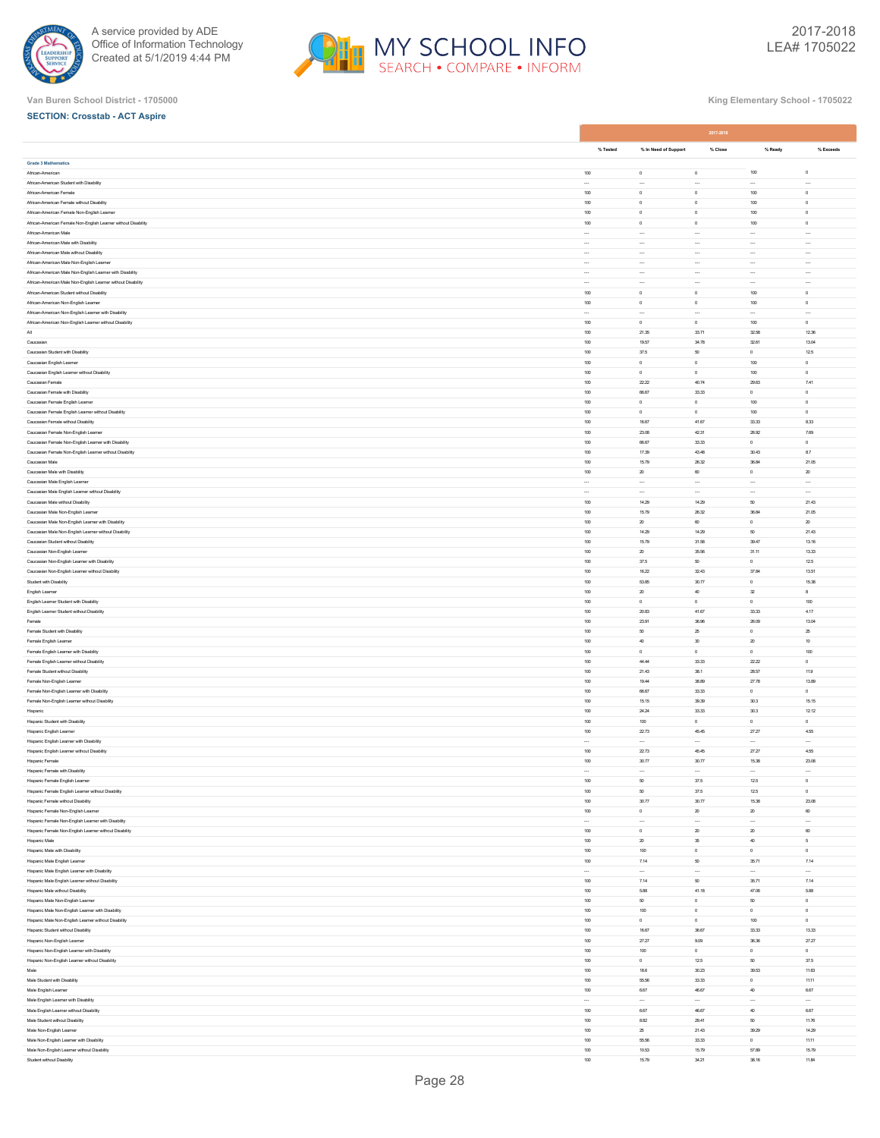



|                                                                                              |                     |                          | 2017-2018                  |                       |                            |
|----------------------------------------------------------------------------------------------|---------------------|--------------------------|----------------------------|-----------------------|----------------------------|
|                                                                                              | % Tested            | % In Need of Support     | % Close                    | % Ready               | % Exceeds                  |
| <b>Grade 3 Mathematics</b>                                                                   |                     |                          |                            |                       |                            |
| African-American                                                                             | 100                 | $\circ$                  | $\mathbf 0$                | 100                   | $\,$ 0 $\,$                |
| African-American Student with Disability                                                     | $\ldots$            | $\ddotsc$                | $\ddotsc$                  | $\cdots$              | $\cdots$                   |
| African-American Female                                                                      | 100                 | $\circ$                  | $\,$ 0 $\,$                | 100                   | $\mathbb O$                |
| African-American Female without Disability                                                   | 100                 | $\circ$                  | $\circ$                    | 100                   | $\circ$                    |
| African-American Female Non-English Learner                                                  | $100\,$<br>100      | $\,$ 0 $\,$<br>$\circ$   | $\,$ 0 $\,$<br>$\,$ 0 $\,$ | 100<br>100            | $\mathbb O$<br>$\,$ 0 $\,$ |
| African-American Female Non-English Learner without Disability<br>African-American Male      | $\cdots$            | $\cdots$                 | $\cdots$                   | $\cdots$              | $\cdots$                   |
| African-American Male with Disability                                                        | $\cdots$            | $\cdots$                 | $\cdots$                   | $\cdots$              | $\cdots$                   |
| African-American Male without Disability                                                     | $\cdots$            | $\cdots$                 | $\ddotsc$                  | $\cdots$              | $\cdots$                   |
| African-American Male Non-English Learner                                                    | $\cdots$            | $\cdots$                 | $\cdots$                   | $\cdots$              | $\cdots$                   |
| African-American Male Non-English Learner with Disability                                    | $\cdots$            | $\sim$                   | $\ddot{\phantom{0}}$       |                       | $\cdots$                   |
| African-American Male Non-English Learner without Disability                                 | $\cdots$            | $\cdots$                 | $\ddotsc$                  | $\cdots$              | $\cdots$                   |
| African-American Student without Disability                                                  | $100\,$             | $\,$ 0 $\,$              | $\,$ 0 $\,$                | 100                   | $\,$ 0 $\,$                |
| African-American Non-English Learner<br>African-American Non-English Learner with Disability | 100<br>$\cdots$     | $\,$ 0 $\,$<br>$\ddotsc$ | $\,$ 0 $\,$<br>$\cdots$    | 100<br>$\cdots$       | $\mathsf{O}$<br>$\cdots$   |
| African-American Non-English Learner without Disability                                      | $100\,$             | $\circ$                  | $\,$ 0 $\,$                | 100                   | $\,$ 0                     |
| All                                                                                          | 100                 | 21.35                    | 33.71                      | 32.58                 | 12.36                      |
| Caucasian                                                                                    | 100                 | 19.57                    | 34.78                      | 32.61                 | 13.04                      |
| Caucasian Student with Disability                                                            | 100                 | 37.5                     | $_{50}$                    | $\mathbb O$           | 12.5                       |
| Caucasian English Learner                                                                    | 100                 | $\circ$                  | $\mathbf 0$                | 100                   | $\circ$                    |
| Caucasian English Learner without Disability                                                 | $100\,$             | $\,$ 0 $\,$              | $\,$ 0 $\,$                | 100                   | $\,$ 0 $\,$                |
| Caucasian Female<br>Caucasian Female with Disability                                         | 100<br>100          | 22.22<br>66.67           | 40.74<br>33.33             | 29.63<br>$\mathbb O$  | $7.41\,$<br>$\mathbb O$    |
| Caucasian Female English Learner                                                             | 100                 | $\,$ 0 $\,$              | $\,$ 0 $\,$                | 100                   | $\,$ 0 $\,$                |
| Caucasian Female English Learner without Disability                                          | 100                 | $^{\circ}$               | $\circ$                    | 100                   | $\mathbf{0}$               |
| Caucasian Female without Disability                                                          | 100                 | 16.67                    | 41.67                      | 33.33                 | 8.33                       |
| Caucasian Female Non-English Learner                                                         | 100                 | 23.08                    | 42.31                      | 26.92                 | 7.69                       |
| Caucasian Female Non-English Learner with Disability                                         | 100                 | 66.67                    | 33.33                      | $\circ$               | $^{\circ}$                 |
| Caucasian Female Non-English Learner without Disability                                      | $100\,$             | 17.39                    | 43.48                      | 30.43                 | 8.7                        |
| Caucasian Male<br>Caucasian Male with Disability                                             | 100<br>100          | 15.79<br>$\rm{20}$       | 26.32<br>$60\,$            | 36.84<br>$\,$ 0 $\,$  | 21.05<br>$\rm{20}$         |
| Caucasian Male English Learner                                                               | $\cdots$            | $\cdots$                 | $\cdots$                   | $\cdots$              | $\ddotsc$                  |
| Caucasian Male English Learner without Disability                                            | $\cdots$            | $\cdots$                 | $\cdots$                   | $\cdots$              | $\cdots$                   |
| Caucasian Male without Disability                                                            | 100                 | 14.29                    | 14.29                      | $_{50}$               | 21.43                      |
| Caucasian Male Non-English Learner                                                           | 100                 | 15.79                    | 26.32                      | 36.84                 | 21.05                      |
| Caucasian Male Non-English Learner with Disability                                           | 100                 | 20                       | 60                         | $\mathbb O$           | 20                         |
| Caucasian Male Non-English Learner without Disability                                        | $100\,$             | 14.29                    | 14.29                      | $_{\rm 50}$           | 21.43                      |
| Caucasian Student without Disability<br>Caucasian Non-English Learner                        | 100<br>100          | 15.79<br>$20\,$          | 31.58<br>35.56             | 39.47<br>31.11        | 13.16<br>13.33             |
| Caucasian Non-English Learner with Disability                                                | $100\,$             | 37.5                     | $_{\rm S0}$                | $\,$ 0 $\,$           | 12.5                       |
| Caucasian Non-English Learner without Disability                                             | 100                 | 16.22                    | 32.43                      | 37.84                 | 13.51                      |
| Student with Disability                                                                      | 100                 | 53.85                    | 30.77                      | $\mathbb O$           | 15.38                      |
| English Learner                                                                              | 100                 | $\rm{20}$                | $40\,$                     | $\mathfrak V$         | 8                          |
| English Learner Student with Disability                                                      | 100                 | $^{\circ}$               | $\circ$                    | $\circ$               | 100                        |
| English Learner Student without Disability                                                   | $100\,$             | 20.83                    | 41.67                      | 33.33                 | 4.17                       |
| Female<br>Female Student with Disability                                                     | 100<br>100          | 23.91<br>$_{50}$         | 36.96<br>$\rm{2S}$         | 26.09<br>$\mathbb O$  | 13.04<br>$\rm{25}$         |
| Female English Learner                                                                       | $100\,$             | $40$                     | $_{30}$                    | $\rm{20}$             | $10\,$                     |
| Female English Learner with Disability                                                       | 100                 | $\circ$                  | $\circ$                    | $^{\circ}$            | 100                        |
| Female English Learner without Disability                                                    | 100                 | 44.44                    | 33.33                      | 22.22                 | $\,$ 0 $\,$                |
| Female Student without Disability                                                            | 100                 | 21.43                    | 38.1                       | 28.57                 | 11.9                       |
| Female Non-English Learner                                                                   | 100                 | 19.44                    | 38.89                      | 27.78                 | 13.89                      |
| Female Non-English Learner with Disability                                                   | $100\,$             | 66.67                    | 33.33                      | $\mathbb O$<br>30.3   | $\mathbb O$                |
| Female Non-English Learner without Disability<br>Hispanic                                    | 100<br>100          | 15.15<br>24.24           | 39.39<br>33.33             | 30.3                  | 15.15<br>12.12             |
| Hispanic Student with Disability                                                             | $100\,$             | $100\,$                  | $\,$ 0 $\,$                | $\mathbb O$           | $\mathbb O$                |
| Hispanic English Learner                                                                     | 100                 | 22.73                    | 45.45                      | 27.27                 | 4.55                       |
| Hispanic English Learner with Disability                                                     | $\cdots$            | $\cdots$                 | $\cdots$                   | $\ddotsc$             | $\cdots$                   |
| Hispanic English Learner without Disability                                                  | 100                 | 22.73                    | 45.45                      | 27.27                 | $4.55\,$                   |
| Hispanic Female                                                                              | 100                 | 30.77                    | 30.77                      | 15.38                 | 23.08                      |
| Hispanic Female with Disability<br>Hispanic Female English Learner                           | 100                 | 60                       | 37.5                       | 12.5                  | $\,$ 0 $\,$                |
| Hispanic Female English Learner without Disability                                           | 100                 | $_{50}$                  | 37.5                       | 12.5                  | $\,$ 0 $\,$                |
| Hispanic Female without Disability                                                           | $100\,$             | 30.77                    | 30.77                      | 15.38                 | 23.08                      |
| Hispanic Female Non-English Learner                                                          | 100                 | $\circ$                  | $20\,$                     | $20\,$                | $60\,$                     |
| Hispanic Female Non-English Learner with Disability                                          | $\cdots$            | $\cdots$                 | $\cdots$                   | $\cdots$              | $\cdots$                   |
| Hispanic Female Non-English Learner without Disability                                       | 100                 | $^{\circ}$<br>20         | 20                         | 20                    | $60\,$                     |
| Hispanic Male<br>Hispanic Male with Disability                                               | 100<br>100          | 100                      | 35<br>$\,$ 0 $\,$          | $40\,$<br>$\mathbb O$ | $\,$ 5<br>$\mathbb O$      |
| Hispanic Male English Learner                                                                | 100                 | 7.14                     | $_{50}$                    | 35.71                 | 7.14                       |
| Hispanic Male English Learner with Disability                                                | $\cdots$            | $\cdots$                 | $\cdots$                   | $\cdots$              | $\cdots$                   |
| Hispanic Male English Learner without Disability                                             | $100\,$             | 7.14                     | $_{\rm S0}$                | 35.71                 | 7.14                       |
| Hispanic Male without Disability                                                             | 100                 | 5.88                     | 41.18                      | 47.06                 | 5.88                       |
| Hispanic Male Non-English Learner                                                            | 100                 | $_{50}$                  | $\mathbf 0$                | 50                    | $\mathbb O$                |
| Hispanic Male Non-English Learner with Disability                                            | 100                 | 100                      | $\,$ 0 $\,$                | $\mathbb O$           | $\,$ 0 $\,$                |
| Hispanic Male Non-English Learner without Disability<br>Hispanic Student without Disability  | 100<br>$100\,$      | $^{\circ}$<br>16.67      | $\circ$<br>36.67           | 100<br>33.33          | $\circ$<br>13.33           |
| Hispanic Non-English Learner                                                                 | 100                 | 27.27                    | 9.09                       | 36.36                 | 27.27                      |
| Hispanic Non-English Learner with Disability                                                 | 100                 | 100                      | $\,$ 0 $\,$                | $\mathbb O$           | $\mathsf{O}$               |
| Hispanic Non-English Learner without Disability                                              | $100\,$             | $\circ$                  | $12.5\,$                   | $_{50}$               | 37.5                       |
| Male                                                                                         | 100                 | 18.6                     | 30.23                      | 39.53                 | 11.63                      |
| Male Student with Disability                                                                 | 100                 | 55.56                    | 33.33                      | $\mathbb O$           | 11.11                      |
| Male English Learner                                                                         | 100                 | 6.67                     | 46.67                      | $40\,$                | 6.67                       |
| Male English Learner with Disability<br>Male English Learner without Disability              | $\cdots$<br>$100\,$ | $\cdots$<br>6.67         | $\ddotsc$<br>46.67         | $\cdots$<br>$40\,$    | $\cdots$<br>6.67           |
| Male Student without Disability                                                              | 100                 | 8.82                     | 29.41                      | 50                    | 11.76                      |
| Male Non-English Learner                                                                     | 100                 | $\rm{2S}$                | 21.43                      | 39.29                 | 14.29                      |
| Male Non-English Learner with Disability                                                     | $100\,$             | 55.56                    | 33.33                      | $\,$ 0 $\,$           | 11.11                      |
| Male Non-English Learner without Disability                                                  | 100                 | 10.53                    | 15.79                      | 57.89                 | 15.79                      |
| Student without Disability                                                                   | 100                 | 15.79                    | 34.21                      | 38.16                 | 11.84                      |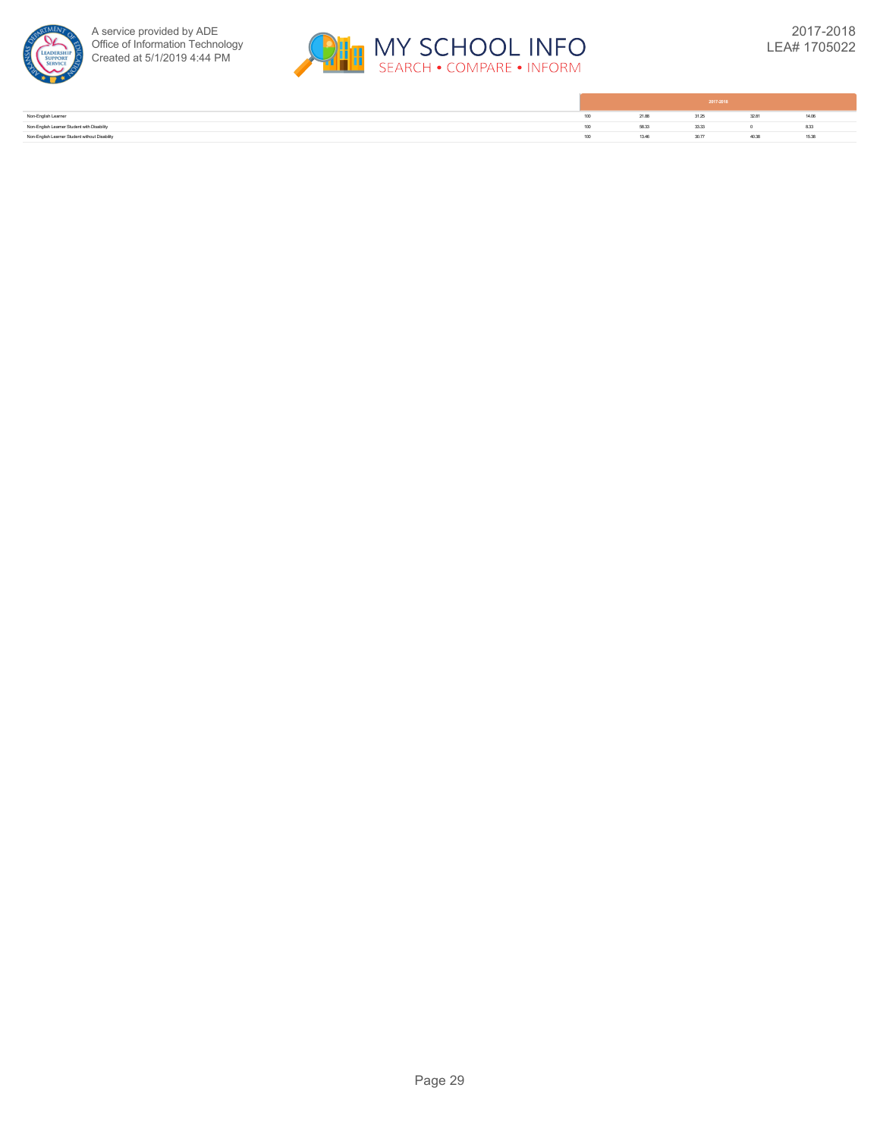



|                                                | 2017-2018 |       |       |       |       |
|------------------------------------------------|-----------|-------|-------|-------|-------|
| Non-English Learner                            | 100       | 21.88 | 31.25 | 32.81 | 14.06 |
| Non-English Learner Student with Disability    | 100       | 58.33 | 33.33 |       | 8.33  |
| Non-English Learner Student without Disability | 100       | 13.46 | 30.77 | 40.38 | 15.38 |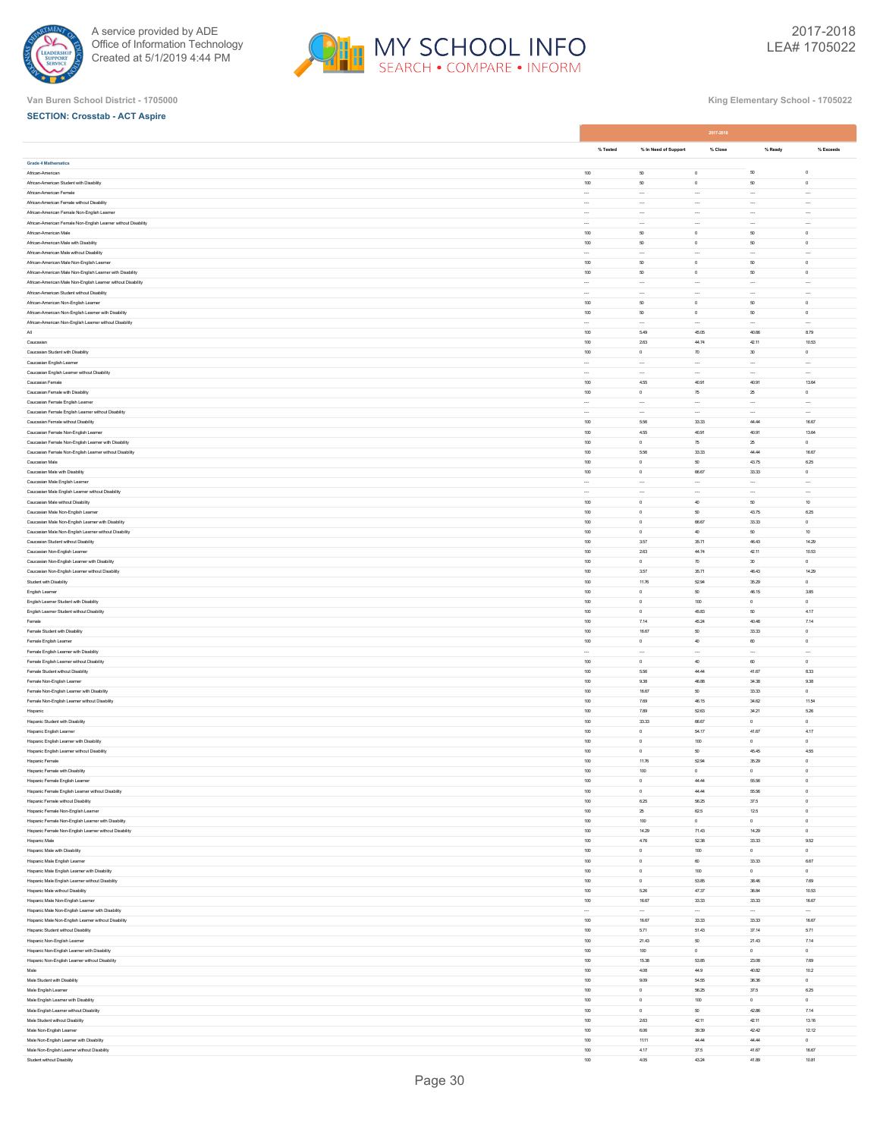



|                                                                                                                 |                      |                         | 2017-2018                |                       |                            |
|-----------------------------------------------------------------------------------------------------------------|----------------------|-------------------------|--------------------------|-----------------------|----------------------------|
|                                                                                                                 | % Tested             | % In Need of Support    | $%$ Close                | % Ready               | % Exceeds                  |
| <b>Grade 4 Mathematics</b>                                                                                      |                      |                         |                          |                       |                            |
| African-American                                                                                                | 100                  | 60                      | $\circ$                  | $_{50}$               | $\,$ 0 $\,$                |
| African-American Student with Disability                                                                        | 100                  | 60                      | $\,$ 0 $\,$              | $_{50}$               | $\circ$                    |
| African-American Female                                                                                         | $\ldots$             | $\sim$                  | $\ddotsc$                | $\ddotsc$             | $\ddotsc$                  |
| African-American Female without Disability<br>African-American Female Non-English Learner                       | $\cdots$<br>$\cdots$ | $\cdots$<br>$\cdots$    | $\ddotsc$<br>$\cdots$    | $\ddotsc$<br>$\cdots$ | $\cdots$<br>$\cdots$       |
| African-American Female Non-English Learner without Disability                                                  | $\cdots$             | $\sim$                  | $\cdots$                 | $\cdots$              | $\cdots$                   |
| African-American Male                                                                                           | 100                  | $_{50}$                 | $\,$ 0 $\,$              | $_{50}$               | $\,$ 0 $\,$                |
| African-American Male with Disability                                                                           | 100                  | $_{50}$                 | $\,$ 0                   | $_{\rm 50}$           | $\,$ 0                     |
| African-American Male without Disability                                                                        | $\cdots$             | $\cdots$                | $\overline{\phantom{a}}$ | $\cdots$              | $\cdots$                   |
| African-American Male Non-English Learner<br>African-American Male Non-English Learner with Disability          | 100<br>100           | $_{50}$<br>$_{50}$      | $\,$ 0 $\,$<br>$\,$ 0    | $_{50}$<br>$_{50}$    | $\,$ 0 $\,$<br>$\,$ 0 $\,$ |
| African-American Male Non-English Learner without Disability                                                    | $\cdots$             | $\cdots$                | $\cdots$                 | $\cdots$              | $\cdots$                   |
| African-American Student without Disability                                                                     | $\cdots$             | $\sim$                  | $\cdots$                 | $\ddotsc$             | $\ddotsc$                  |
| African-American Non-English Learner                                                                            | 100                  | 50                      | $\circ$                  | $_{50}$               | $\circ$                    |
| African-American Non-English Learner with Disability                                                            | 100                  | 60                      | $\,$ 0 $\,$              | $_{50}$               | $\circ$                    |
| African-American Non-English Learner without Disability<br>All                                                  | $\ddotsc$<br>100     | $\sim$<br>5.49          | $\ddotsc$<br>45.05       | $\ddotsc$<br>40.66    | $\ddotsc$<br>8.79          |
| Caucasian                                                                                                       | 100                  | 2.63                    | 44.74                    | 42.11                 | 10.53                      |
| Caucasian Student with Disability                                                                               | 100                  | $\,$ 0                  | 70                       | $30\,$                | $\,$ 0 $\,$                |
| Caucasian English Learner                                                                                       | $\cdots$             | $\sim$                  | $\ddotsc$                | $\ddotsc$             | $\cdots$                   |
| Caucasian English Learner without Disability                                                                    | $\ddot{\phantom{0}}$ | $\sim$                  |                          |                       |                            |
| Caucasian Female<br>Caucasian Female with Disability                                                            | 100<br>100           | 4.55<br>$\,$ 0 $\,$     | 40.91<br>75              | 40.91<br>$\rm 25$     | 13.64<br>$\,$ 0 $\,$       |
| Caucasian Female English Learner                                                                                | $\cdots$             | $\cdots$                | $\cdots$                 | $\cdots$              | $\cdots$                   |
| Caucasian Female English Learner without Disability                                                             | $\cdots$             | $\cdots$                | $\cdots$                 | $\cdots$              | $\cdots$                   |
| Caucasian Female without Disability                                                                             | 100                  | 5.56                    | 33.33                    | 44.44                 | 16.67                      |
| Caucasian Female Non-English Learner                                                                            | 100                  | 4.55                    | 40.91                    | 40.91                 | 13.64                      |
| Caucasian Female Non-English Learner with Disability<br>Caucasian Female Non-English Learner without Disability | 100<br>$100\,$       | $\circ$<br>5.56         | 75<br>33.33              | 25<br>44.44           | $^{\circ}$<br>16.67        |
| Caucasian Male                                                                                                  | 100                  | $\circ$                 | 50                       | 43.75                 | 6.25                       |
| Caucasian Male with Disability                                                                                  | 100                  | $\,$ 0 $\,$             | 66.67                    | 33.33                 | $\circ$                    |
| Caucasian Male English Learner                                                                                  | $\cdots$             | $\cdots$                | $\cdots$                 | $\cdots$              | $\cdots$                   |
| Caucasian Male English Learner without Disability                                                               | $\cdots$             | $\sim$                  | $\cdots$                 | $\ddotsc$             | $\cdots$                   |
| Caucasian Male without Disability<br>Caucasian Male Non-English Learner                                         | 100<br>100           | $\circ$<br>$\circ$      | 40<br>$_{50}$            | $_{50}$<br>43.75      | $10\,$<br>6.25             |
| Caucasian Male Non-English Learner with Disability                                                              | 100                  | $\circ$                 | 66.67                    | 33.33                 | $\circ$                    |
| Caucasian Male Non-English Learner without Disability                                                           | $100\,$              | $\circ$                 | $40\,$                   | $_{\rm 50}$           | $10\,$                     |
| Caucasian Student without Disability                                                                            | 100                  | 3.57                    | 35.71                    | 46.43                 | 14.29                      |
| Caucasian Non-English Learner                                                                                   | 100                  | 2.63                    | 44.74                    | 42.11                 | 10.53                      |
| Caucasian Non-English Learner with Disability                                                                   | $100\,$              | $\circ$                 | $70\,$                   | $30\,$                | $\,$ 0                     |
| Caucasian Non-English Learner without Disability                                                                | 100                  | 3.57                    | 35.71                    | 46.43                 | 14.29                      |
| Student with Disability<br>English Learner                                                                      | 100<br>100           | 11.76<br>$\circ$        | 52.94<br>50              | 35.29<br>46.15        | $\,$ 0 $\,$<br>3.85        |
| English Learner Student with Disability                                                                         | 100                  | $\circ$                 | 100                      | $\circ$               | $\circ$                    |
| English Learner Student without Disability                                                                      | $100\,$              | $\,$ 0                  | 45.83                    | $_{\rm 50}$           | 4.17                       |
| Female                                                                                                          | 100                  | 7.14                    | 45.24                    | 40.48                 | 7.14                       |
| Female Student with Disability                                                                                  | 100                  | 16.67                   | $_{50}$                  | 33.33                 | $\circ$                    |
| Female English Learner                                                                                          | $100\,$<br>$\cdots$  | $\,$ 0 $\,$<br>$\cdots$ | $40\,$<br>$\cdots$       | $_{60}$<br>$\ddotsc$  | $\,$ 0 $\,$<br>$\cdots$    |
| Female English Learner with Disability<br>Female English Learner without Disability                             | 100                  | $\circ$                 | 40                       | 60                    | $\circ$                    |
| Female Student without Disability                                                                               | 100                  | 5.56                    | 44.44                    | 41.67                 | 8.33                       |
| Female Non-English Learner                                                                                      | 100                  | 9.38                    | 46.88                    | 34.38                 | 9.38                       |
| Female Non-English Learner with Disability                                                                      | $100\,$              | 16.67                   | $_{50}$                  | 33.33                 | $\,$ 0                     |
| Female Non-English Learner without Disability                                                                   | 100                  | 7.69                    | 46.15                    | 34.62                 | 11.54                      |
| Hispanic<br>Hispanic Student with Disability                                                                    | 100<br>100           | 7.89<br>33.33           | 52.63<br>66.67           | 34.21<br>$\circ$      | 5.26<br>$\,$ 0             |
| Hispanic English Learner                                                                                        | 100                  | $\circ$                 | 54.17                    | 41.67                 | 4.17                       |
| Hispanic English Learner with Disability                                                                        | 100                  | $\,$ 0 $\,$             | 100                      | $\,$ 0 $\,$           | $\,$ 0 $\,$                |
| Hispanic English Learner without Disability                                                                     | 100                  | $\circ$                 | $_{50}$                  | 45.45                 | $4.55\,$                   |
| Hispanic Female                                                                                                 | 100                  | 11.76                   | 52.94                    | 35.29                 | $\circ$                    |
| Hispanic Female with Disability                                                                                 | 100                  | 100<br>$\circ$          |                          | $\circ$               | $\circ$                    |
| Hispanic Female English Learner<br>Hispanic Female English Learner without Disability                           | 100<br>100           | $\,$ 0 $\,$             | 44.44<br>44.44           | 55.56<br>55.56        | $\,$ 0<br>$\,$ 0 $\,$      |
| Hispanic Female without Disability                                                                              | $100\,$              | $626\,$                 | 56.25                    | 37.5                  | $\,$ 0 $\,$                |
| Hispanic Female Non-English Learner                                                                             | 100                  | 25                      | 62.5                     | 12.5                  | $\circ$                    |
| Hispanic Female Non-English Learner with Disability                                                             | 100                  | 100                     | $\circ$                  | $\circ$               | $\circ$                    |
| Hispanic Female Non-English Learner without Disability                                                          | 100<br>100           | 14.29<br>4.76           | 71.43<br>52.38           | 14.29<br>33.33        | $\,$ 0 $\,$<br>9.52        |
| Hispanic Male<br>Hispanic Male with Disability                                                                  | $100\,$              | $\,$ 0 $\,$             | $100\,$                  | $\,$ 0 $\,$           | $\,$ 0 $\,$                |
| Hispanic Male English Learner                                                                                   | 100                  | $\circ$                 | 60                       | 33.33                 | 6.67                       |
| Hispanic Male English Learner with Disability                                                                   | 100                  | $\,$ 0 $\,$             | 100                      | $\,$ 0 $\,$           | $\,$ 0 $\,$                |
| Hispanic Male English Learner without Disability                                                                | 100                  | $\,$ 0                  | 53.85                    | 38.46                 | 7.69                       |
| Hispanic Male without Disability                                                                                | 100                  | 5.26                    | 47.37                    | 36.84                 | 10.53                      |
| Hispanic Male Non-English Learner                                                                               | 100<br>              | 16.67                   | 33.33                    | 33.33                 | 16.67                      |
| Hispanic Male Non-English Learner with Disability<br>Hispanic Male Non-English Learner without Disability       | 100                  | 16.67                   | 33.33                    | 33.33                 | 16.67                      |
| Hispanic Student without Disability                                                                             | $100\,$              | 6.71                    | 51.43                    | 37.14                 | 5.71                       |
| Hispanic Non-English Learner                                                                                    | 100                  | 21.43                   | 50                       | 21.43                 | 7.14                       |
| Hispanic Non-English Learner with Disability                                                                    | 100                  | 100                     | $\,$ 0 $\,$              | $\circ$               | $\circ$                    |
| Hispanic Non-English Learner without Disability                                                                 | $100\,$              | 15.38                   | 53.85                    | 23.08                 | 7.69                       |
| Male                                                                                                            | 100                  | 4.08                    | 44.9                     | 40.82                 | 10.2                       |
| Male Student with Disability<br>Male English Learner                                                            | 100<br>100           | 9.09<br>$\circ$         | 54.55<br>56.25           | 36.36<br>37.5         | $\circ$<br>6.25            |
| Male English Learner with Disability                                                                            | 100                  | $\circ$                 | 100                      | $\circ$               | $\circ$                    |
| Male English Learner without Disability                                                                         | 100                  | $\,$ 0                  | $_{\rm 50}$              | 42.86                 | 7.14                       |
| Male Student without Disability                                                                                 | 100                  | 2.63                    | 42.11                    | 42.11                 | 13.16                      |
| Male Non-English Learner                                                                                        | 100                  | 6.06                    | 39.39                    | 42.42                 | 12.12                      |
| Male Non-English Learner with Disability                                                                        | $100\,$<br>100       | 11.11<br>4.17           | 44.44<br>37.5            | 44.44<br>41.67        | $\,$ 0<br>16.67            |
| Male Non-English Learner without Disability<br>Student without Disability                                       | 100                  | 4.05                    | 43.24                    | 41.89                 | 10.81                      |
|                                                                                                                 |                      |                         |                          |                       |                            |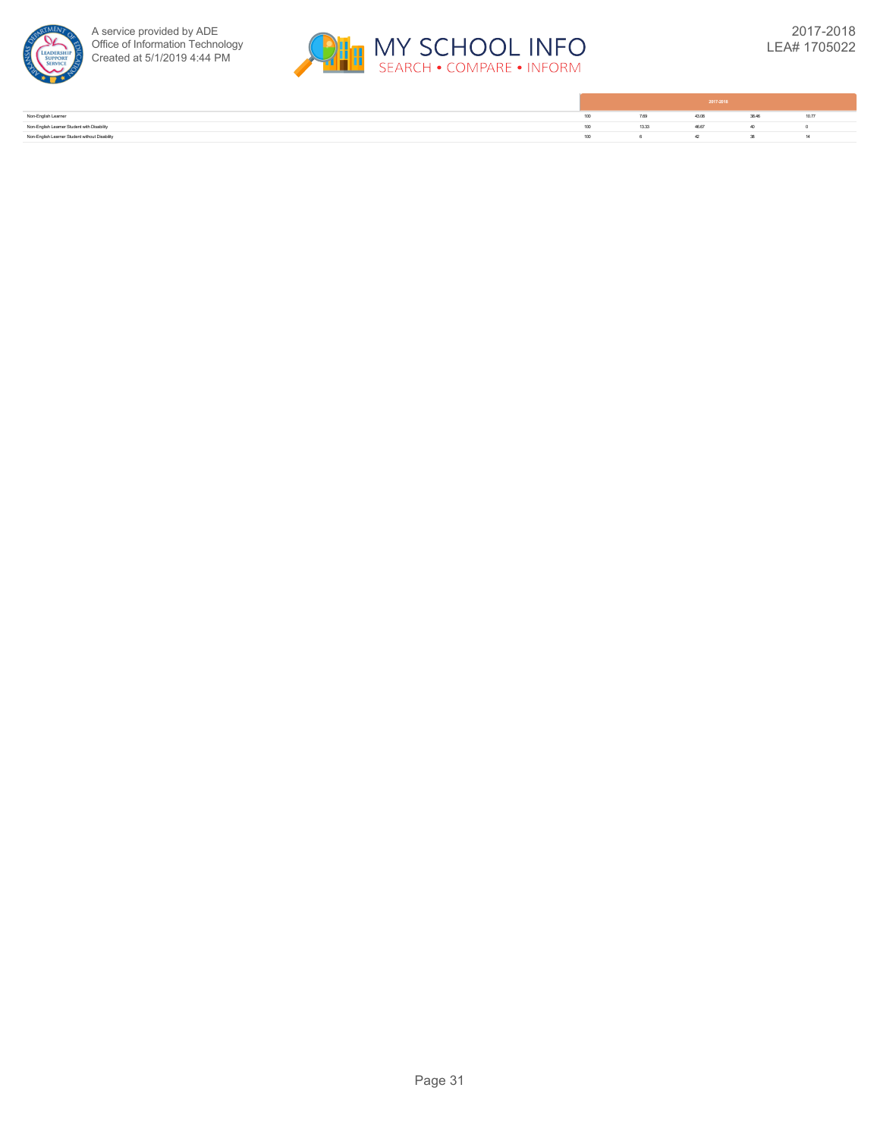



|                                                | 2017-2018 |       |       |       |       |
|------------------------------------------------|-----------|-------|-------|-------|-------|
| Non-English Learner                            | 100       | 7.69  | 43.08 | 38.46 | 10.77 |
| Non-English Learner Student with Disability    | 100       | 13.33 | 46.67 | -40   |       |
| Non-English Learner Student without Disability | 100       |       |       |       | 14    |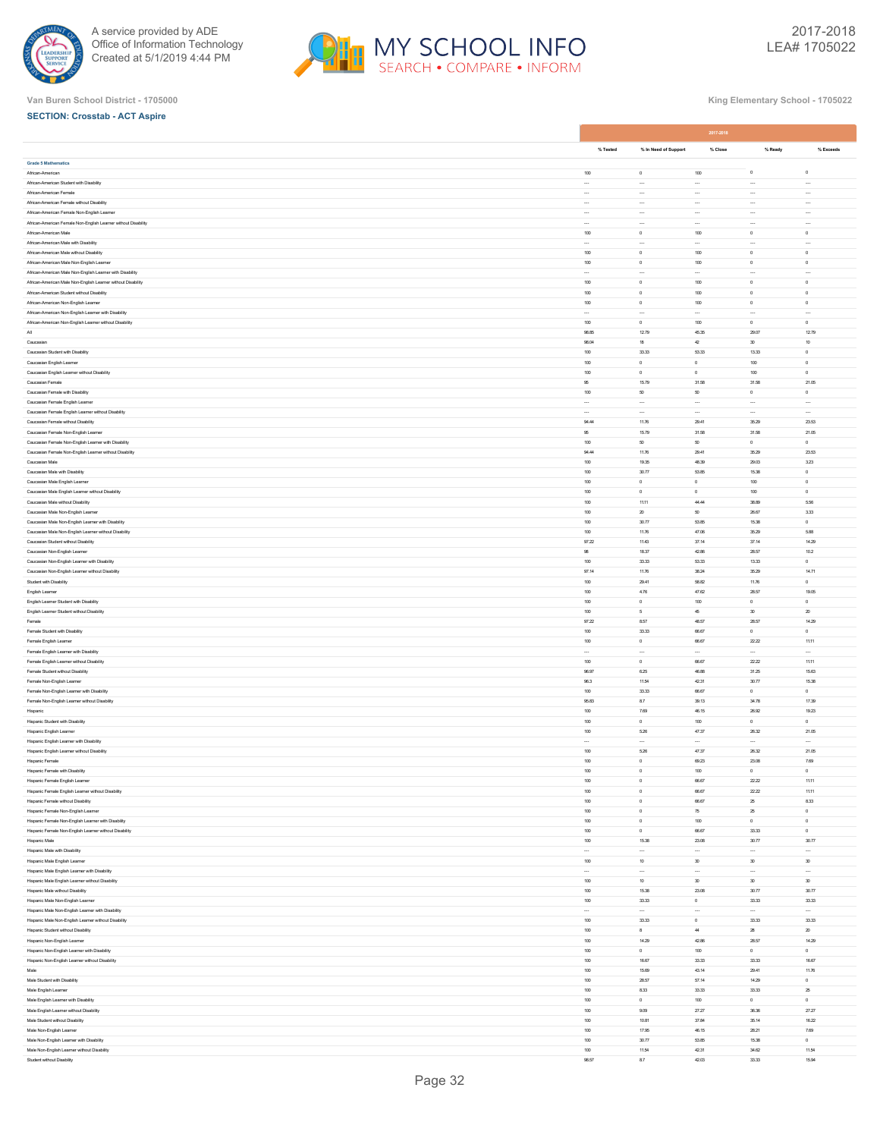



|                                                                                                               |                      |                            | 2017-2018            |                         |                              |
|---------------------------------------------------------------------------------------------------------------|----------------------|----------------------------|----------------------|-------------------------|------------------------------|
|                                                                                                               | % Tested             | % In Need of Support       | % Close              | % Ready                 | % Exceeds                    |
| <b>Grade 5 Mathematics</b>                                                                                    |                      |                            |                      |                         |                              |
| African-American                                                                                              | $100\,$              | $\,$ 0 $\,$                | $100\,$              | $\,$ 0 $\,$             | $\,$ 0 $\,$                  |
| African-American Student with Disability                                                                      | $\ldots$             | $\ddotsc$                  | $\ddotsc$            | $\cdots$                | $\cdots$                     |
| African-American Female                                                                                       | $\cdots$             | $\ddotsc$                  | $\cdots$             | $\cdots$                | $\cdots$                     |
| African-American Female without Disability                                                                    | $\cdots$             | $\sim$                     | $\cdots$             | $\ddotsc$               | $\cdots$                     |
| African-American Female Non-English Learner                                                                   | $\cdots$             | $\cdots$                   | $\cdots$             | $\cdots$                | $\cdots$                     |
| African-American Female Non-English Learner without Disability<br>African-American Male                       | $\cdots$<br>100      | $\cdots$<br>$\circ$        | $\cdots$<br>100      | $\cdots$<br>$\,$ 0 $\,$ | $\cdots$<br>$\,$ 0 $\,$      |
| African-American Male with Disability                                                                         | $\cdots$             | $\cdots$                   | $\cdots$             | $\cdots$                | $\cdots$                     |
| African-American Male without Disability                                                                      | $100\,$              | $\,$ 0 $\,$                | 100                  | $\,$ 0 $\,$             | $\,$ 0 $\,$                  |
| African-American Male Non-English Learner                                                                     | 100                  | $\circ$                    | 100                  | $\,$ 0 $\,$             | $\,$ 0 $\,$                  |
| African-American Male Non-English Learner with Disability                                                     | $\cdots$             | $\cdots$                   | $\cdots$             | $\cdots$                | $\cdots$                     |
| African-American Male Non-English Learner without Disability                                                  | $100\,$              | $\,$ 0                     | 100                  | $\,$ 0 $\,$             | $\,$ 0 $\,$                  |
| African-American Student without Disability                                                                   | 100                  | $\circ$                    | 100                  | $^{\circ}$              | $^{\circ}$                   |
| African-American Non-English Learner                                                                          | 100                  | $\circ$                    | 100                  | $\,$ 0 $\,$             | $\,$ 0 $\,$                  |
| African-American Non-English Learner with Disability                                                          | $\cdots$             | $\cdots$                   | $\ddotsc$            | $\cdots$                | $\cdots$                     |
| African-American Non-English Learner without Disability<br>All                                                | 100<br>98.85         | $^{\circ}$<br>12.79        | 100<br>45.35         | $\circ$<br>29.07        | $\circ$<br>12.79             |
| Caucasian                                                                                                     | 98.04                | 18                         | $42\,$               | $30\,$                  | $10\,$                       |
| Caucasian Student with Disability                                                                             | 100                  | 33.33                      | 53.33                | 13.33                   | $\,$ 0 $\,$                  |
| Caucasian English Learner                                                                                     | $100\,$              | $\circ$                    | $\,$ 0 $\,$          | $100\,$                 | $\,$ 0 $\,$                  |
| Caucasian English Learner without Disability                                                                  | 100                  | $^{\circ}$                 | $\mathbf 0$          | 100                     | $\circ$                      |
| Caucasian Female                                                                                              | $96\,$               | 15.79                      | 31.58                | 31.58                   | 21.05                        |
| Caucasian Female with Disability                                                                              | 100                  | 60                         | $_{50}$              | $\,$ 0 $\,$             | $\,$ 0                       |
| Caucasian Female English Learner                                                                              | $\cdots$             | $\cdots$                   | $\cdots$             | $\cdots$                | $\cdots$                     |
| Caucasian Female English Learner without Disability                                                           | $\cdots$             | $\ddotsc$                  | $\ddot{\phantom{0}}$ | $\ddotsc$               | $\cdots$                     |
| Caucasian Female without Disability                                                                           | 94.44                | 11.76                      | 29.41                | 35.29                   | 23.53                        |
| Caucasian Female Non-English Learner<br>Caucasian Female Non-English Learner with Disability                  | $96\,$<br>$100\,$    | 15.79<br>$_{50}$           | 31.58<br>$_{\rm S0}$ | 31.58<br>$\,$ 0 $\,$    | 21.05<br>$\,$ 0 $\,$         |
| Caucasian Female Non-English Learner without Disability                                                       | 94.44                | 11.76                      | 29.41                | 35.29                   | 23.53                        |
| Caucasian Male                                                                                                | 100                  | 19.35                      | 48.39                | 29.03                   | 3.23                         |
| Caucasian Male with Disability                                                                                | 100                  | 30.77                      | 53.85                | 15.38                   | $\,$ 0 $\,$                  |
| Caucasian Male English Learner                                                                                | 100                  | $^{\circ}$                 | $\circ$              | 100                     | $\mathbf{0}$                 |
| Caucasian Male English Learner without Disability                                                             | $100\,$              | $\,$ 0                     | $\,$ 0 $\,$          | 100                     | $\,$ 0                       |
| Caucasian Male without Disability                                                                             | 100                  | 11.11                      | 44.44                | 38.89                   | 5.56                         |
| Caucasian Male Non-English Learner                                                                            | 100                  | $\rm{20}$                  | $_{\rm 50}$          | 26.67                   | 3.33                         |
| Caucasian Male Non-English Learner with Disability                                                            | $100\,$              | 30.77                      | 53.85                | 15.38                   | $\,$ 0                       |
| Caucasian Male Non-English Learner without Disability                                                         | 100                  | 11.76                      | 47.06                | 35.29                   | 5.88                         |
| Caucasian Student without Disability<br>Caucasian Non-English Learner                                         | 97.22<br>98          | 11.43<br>18.37             | 37.14<br>42.86       | 37.14<br>28.57          | 14.29<br>$10.2\,$            |
| Caucasian Non-English Learner with Disability                                                                 | 100                  | 33.33                      | 53.33                | 13.33                   | $\circ$                      |
| Caucasian Non-English Learner without Disability                                                              | 97.14                | 11.76                      | 38.24                | 35.29                   | 14.71                        |
| Student with Disability                                                                                       | 100                  | 29.41                      | 58.82                | 11.76                   | $\,$ 0 $\,$                  |
| English Learner                                                                                               | 100                  | 4.76                       | 47.62                | 28.57                   | 19.05                        |
| English Learner Student with Disability                                                                       | $100\,$              | $\,$ 0 $\,$                | $100\,$              | $\,$ 0 $\,$             | $\,$ 0 $\,$                  |
| English Learner Student without Disability                                                                    | 100                  | 5                          | 45                   | 30                      | 20                           |
| Female                                                                                                        | 97.22                | 8.57                       | 48.57                | 28.57                   | 14.29                        |
| Female Student with Disability                                                                                | 100<br>100           | 33.33<br>$^{\circ}$        | 66.67<br>66.67       | $\mathbb O$             | $\mathsf{O}$<br>11.11        |
| Female English Learner<br>Female English Learner with Disability                                              | $\cdots$             | $\cdots$                   |                      | 22.22<br>$\ddotsc$      | $\cdots$                     |
| Female English Learner without Disability                                                                     | 100                  | $\,$ 0 $\,$                | 66.67                | 22.22                   | 11.11                        |
| Female Student without Disability                                                                             | 96.97                | 6.25                       | 46.88                | 31.25                   | 15.63                        |
| Female Non-English Learner                                                                                    | 96.3                 | 11.54                      | 42.31                | 30.77                   | 15.38                        |
| Female Non-English Learner with Disability                                                                    | 100                  | 33.33                      | 66.67                | $\circ$                 | $\circ$                      |
| Female Non-English Learner without Disability                                                                 | 95.83                | 8.7                        | 39.13                | 34.78                   | 17.39                        |
| Hispanic                                                                                                      | 100                  | 7.69                       | 46.15                | 26.92                   | 19.23                        |
| Hispanic Student with Disability                                                                              | 100                  | $\circ$                    | 100                  | $\circ$                 | $\circ$                      |
| Hispanic English Learner<br>Hispanic English Learner with Disability                                          | $100\,$<br>$\ddotsc$ | 5.26<br>$\sim$             | 47.37                | 26.32                   | 21.05                        |
| Hispanic English Learner without Disability                                                                   | 100                  | 5.26                       | 47.37                | 26.32                   | 21.05                        |
| Hispanic Female                                                                                               | 100                  | $\,$ 0 $\,$                | 69.23                | 23.08                   | 7.69                         |
| Hispanic Female with Disability                                                                               | 100                  | $\circ$                    | 100                  | $^{\circ}$              | $^{\circ}$                   |
| Hispanic Female English Learner                                                                               | 100                  | $\circ$                    | 66.67                | 22.22                   | 11.11                        |
| Hispanic Female English Learner without Disability                                                            | 100                  | $\circ$                    | 66.67                | 22.22                   | 11.11                        |
| Hispanic Female without Disability                                                                            | 100                  | $^{\circ}$                 | 66.67                | 25                      | 8.33                         |
| Hispanic Female Non-English Learner                                                                           | $100\,$              | $\,$ 0 $\,$                | $7\!$                | $\rm 25$                | $\,$ 0 $\,$                  |
| Hispanic Female Non-English Learner with Disability<br>Hispanic Female Non-English Learner without Disability | 100<br>100           | $\,$ 0 $\,$<br>$\,$ 0 $\,$ | 100<br>66.67         | $\mathbb O$<br>33.33    | $\mathsf{O}$<br>$\mathsf{O}$ |
| Hispanic Male                                                                                                 | $100\,$              | 15.38                      | 23.08                | 30.77                   | 30.77                        |
| Hispanic Male with Disability                                                                                 | $\cdots$             | $\cdots$                   | $\ddotsc$            | $\cdots$                | $\cdots$                     |
| Hispanic Male English Learner                                                                                 | 100                  | $10\,$                     | $_{\rm 30}$          | $30\,$                  | $_{\rm 30}$                  |
| Hispanic Male English Learner with Disability                                                                 | $\sim$               | $\sim$                     | $\ddot{\phantom{a}}$ | $\ddotsc$               | $\ddotsc$                    |
| Hispanic Male English Learner without Disability                                                              |                      |                            | 30                   | 30                      | 30                           |
| Hispanic Male without Disability                                                                              | 100                  | 10                         |                      | 30.77                   | 30.77                        |
|                                                                                                               | $100\,$              | 15.38                      | 23.08                |                         | 33.33                        |
| Hispanic Male Non-English Learner                                                                             | 100                  | 33.33                      | $\,$ 0 $\,$          | 33.33                   |                              |
| Hispanic Male Non-English Learner with Disability                                                             | $\cdots$             | $\cdots$                   | $\cdots$             | $\cdots$                | $\cdots$                     |
| Hispanic Male Non-English Learner without Disability                                                          | 100                  | 33.33                      | $\,$ 0 $\,$          | 33.33                   | 33.33                        |
| Hispanic Student without Disability<br>Hispanic Non-English Learner                                           | 100                  | 8                          | 44                   | 28                      | 20                           |
|                                                                                                               | 100<br>100           | 14.29<br>$\,$ 0 $\,$       | 42.86<br>100         | 28.57<br>$\mathbb O$    | 14.29<br>$\mathsf{O}$        |
| Hispanic Non-English Learner with Disability                                                                  | 100                  | 16.67                      | 33.33                | 33.33                   | 16.67                        |
| Hispanic Non-English Learner without Disability<br>Male                                                       | $100\,$              | 15.69                      | 43.14                | 29.41                   | 11.76                        |
| Male Student with Disability                                                                                  | 100                  | 28.57                      | 57.14                | 14.29                   | $\mathbb O$                  |
| Male English Learner                                                                                          | 100                  | 8.33                       | 33.33                | 33.33                   | $\rm{25}$                    |
| Male English Learner with Disability                                                                          | $100\,$              | $\circ$                    | $100\,$              | $\circ$                 | $\circ$                      |
| Male English Learner without Disability                                                                       | 100                  | 9.09                       | 27.27                | 36.36                   | 27.27                        |
| Male Student without Disability                                                                               | 100                  | 10.81                      | 37.84                | 35.14                   | 16.22                        |
| Male Non-English Learner                                                                                      | 100                  | 17.95                      | 46.15                | 28.21                   | 7.69                         |
| Male Non-English Learner with Disability                                                                      | 100<br>100           | 30.77                      | 53.85                | 15.38                   | $\circ$                      |
| Male Non-English Learner without Disability<br>Student without Disability                                     | 98.57                | 11.54<br>8.7               | 42.31<br>42.03       | 34.62<br>33.33          | 11.54<br>15.94               |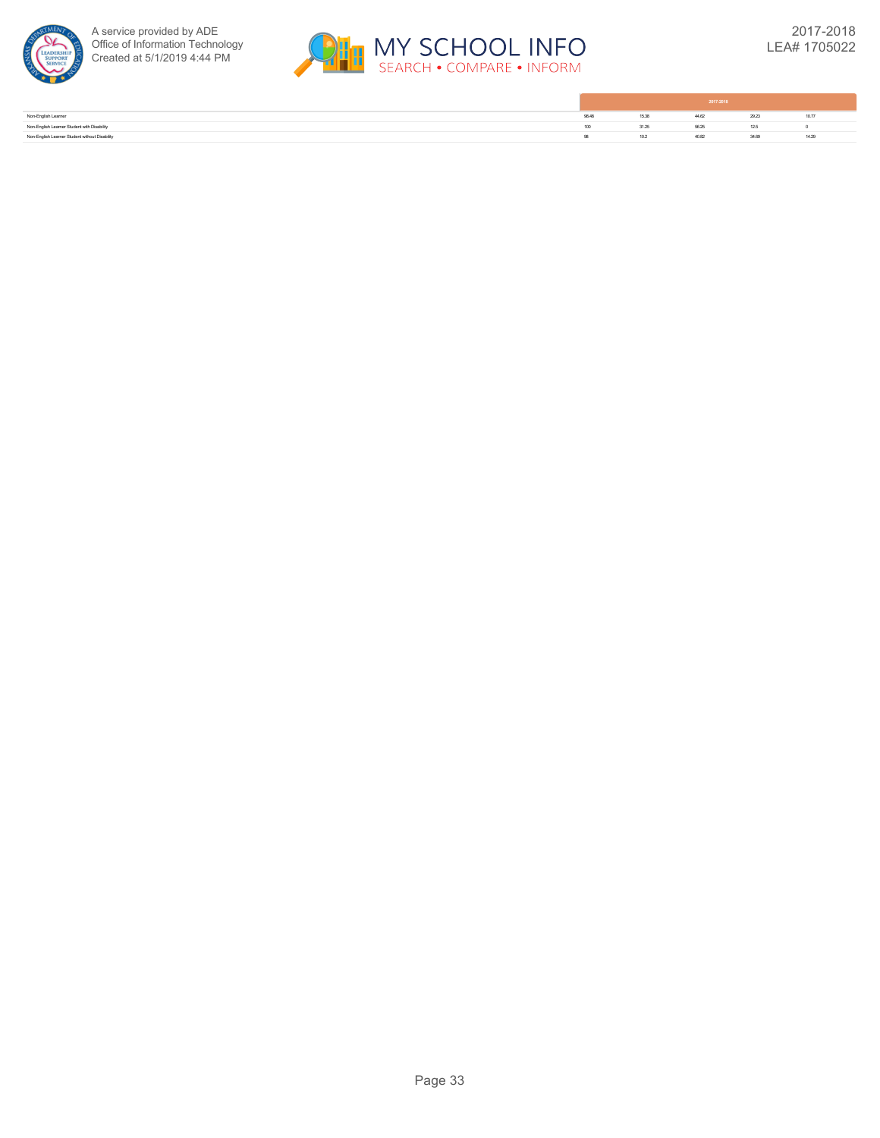



|                                                | 2017-2018 |       |       |       |       |
|------------------------------------------------|-----------|-------|-------|-------|-------|
| Non-English Learner                            | 98.48     | 15.38 | 44.62 | 29.23 | 10.77 |
| Non-English Learner Student with Disability    | 100       | 31.25 | 56.25 | 12.5  |       |
| Non-English Learner Student without Disability |           | 10.2  | 40.82 | 34.69 | 14.29 |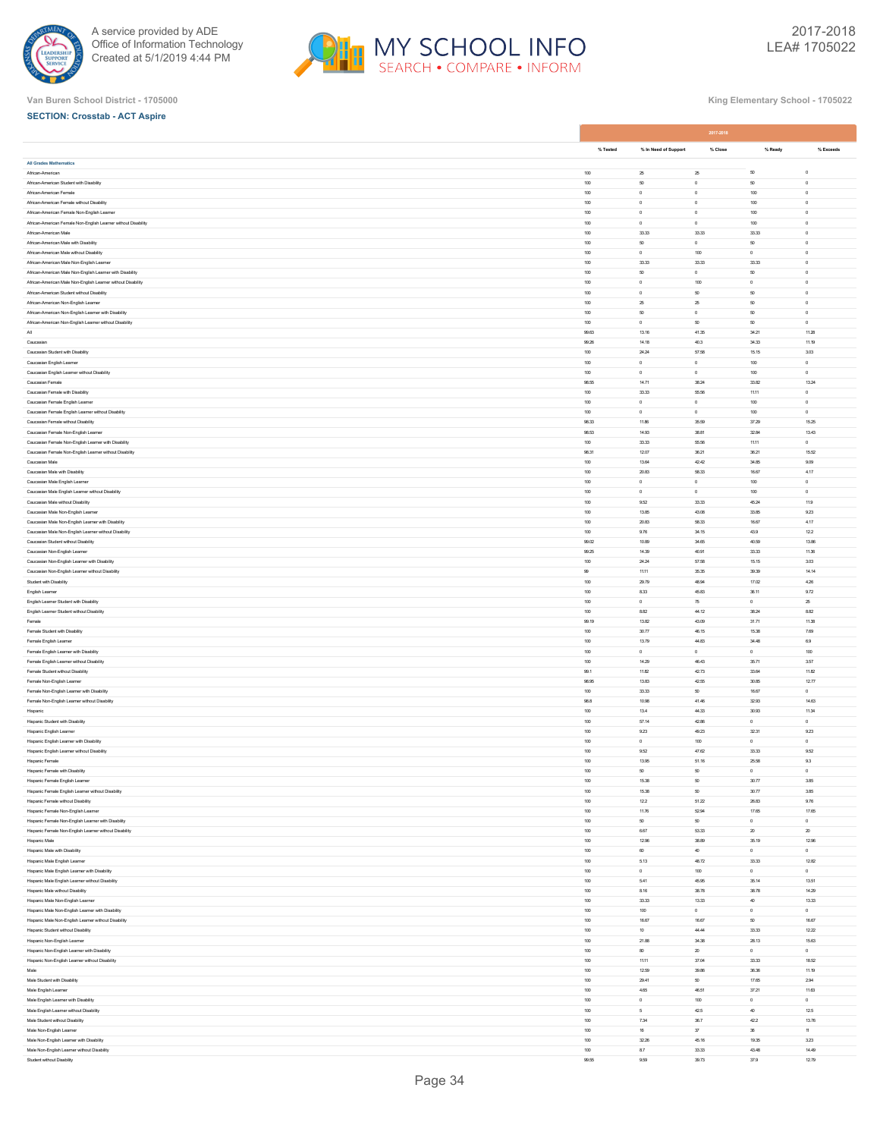



|                                                                                                                 |                |                           | 2017-2018                  |                        |                            |
|-----------------------------------------------------------------------------------------------------------------|----------------|---------------------------|----------------------------|------------------------|----------------------------|
|                                                                                                                 | % Tested       | % In Need of Support      | % Close                    | % Ready                | % Exceeds                  |
| <b>All Grades Mathematics</b>                                                                                   |                |                           |                            |                        |                            |
| African-American                                                                                                | 100            | 25                        | 25                         | $_{50}$                | $\,$ 0 $\,$                |
| African-American Student with Disability                                                                        | 100            | $_{50}$                   | $\,$ 0 $\,$                | $_{50}$                | $\,$ 0 $\,$                |
| African-American Female                                                                                         | 100            | $\,$ 0                    | $\,$ 0 $\,$                | 100                    | $\,$ 0 $\,$                |
| African-American Female without Disability                                                                      | 100            | $\circ$                   | $\circ$                    | 100                    | $\circ$                    |
| African-American Female Non-English Learner<br>African-American Female Non-English Learner without Disability   | $100\,$<br>100 | $\,$ 0 $\,$<br>$^{\circ}$ | $\,$ 0 $\,$<br>$\mathbf 0$ | 100<br>100             | $\,$ 0 $\,$<br>$\mathbb O$ |
| African-American Male                                                                                           | 100            | 33.33                     | 33.33                      | 33.33                  | $\,$ 0 $\,$                |
| African-American Male with Disability                                                                           | $100\,$        | $_{50}$                   | $\,$ 0 $\,$                | $_{\rm 50}$            | $\mathbb O$                |
| African-American Male without Disability                                                                        | 100            | $^{\circ}$                | 100                        | $^{\circ}$             | $^{\circ}$                 |
| African-American Male Non-English Learner                                                                       | 100            | 33.33                     | 33.33                      | 33.33                  | $\mathbb O$                |
| African-American Male Non-English Learner with Disability                                                       | 100            | 60                        | $\,$ 0 $\,$                | $_{50}$                | $\,$ 0 $\,$                |
| African-American Male Non-English Learner without Disability                                                    | 100            | $^{\circ}$<br>$\,$ 0      | 100                        | $^{\circ}$             | $\mathbf{0}$               |
| African-American Student without Disability<br>African-American Non-English Learner                             | $100\,$<br>100 | $\rm{25}$                 | $_{\rm S0}$<br>$\rm{2S}$   | $_{\rm 50}$<br>$_{50}$ | $\mathbb O$<br>$\,$ 0 $\,$ |
| African-American Non-English Learner with Disability                                                            | 100            | $_{50}$                   | $\,$ 0 $\,$                | $_{50}$                | $\,$ 0 $\,$                |
| African-American Non-English Learner without Disability                                                         | $100\,$        | $\circ$                   | $_{50}$                    | $_{50}$                | $\,$ 0                     |
| All                                                                                                             | 99.63          | 13.16                     | 41.35                      | 34.21                  | 11.28                      |
| Caucasian                                                                                                       | 99.26          | 14.18                     | 40.3                       | 34.33                  | 11.19                      |
| Caucasian Student with Disability                                                                               | 100            | 24.24                     | 57.58                      | 15.15                  | 3.03                       |
| Caucasian English Learner<br>Caucasian English Learner without Disability                                       | 100<br>$100\,$ | $\circ$<br>$\,$ 0 $\,$    | $\circ$<br>$\,$ 0 $\,$     | 100<br>$100\,$         | $\circ$<br>$\mathbb O$     |
| Caucasian Female                                                                                                | 98.55          | 14.71                     | 38.24                      | 33.82                  | 13.24                      |
| Caucasian Female with Disability                                                                                | 100            | 33.33                     | 55.56                      | 11.11                  | $\mathbb O$                |
| Caucasian Female English Learner                                                                                | 100            | $\,$ 0 $\,$               | $\,$ 0 $\,$                | 100                    | $\mathbb O$                |
| Caucasian Female English Learner without Disability                                                             | 100            | $^{\circ}$                | $\circ$                    | 100                    | $\ddot{\phantom{0}}$       |
| Caucasian Female without Disability                                                                             | 98.33          | 11.86                     | 35.59                      | 37.29                  | 15.25                      |
| Caucasian Female Non-English Learner                                                                            | 98.53<br>100   | 14.93<br>33.33            | 38.81<br>55.56             | 32.84<br>11.11         | 13.43<br>$\circ$           |
| Caucasian Female Non-English Learner with Disability<br>Caucasian Female Non-English Learner without Disability | 98.31          | 12.07                     | 36.21                      | 36.21                  | 15.52                      |
| Caucasian Male                                                                                                  | 100            | 13.64                     | 42.42                      | 34.85                  | 9.09                       |
| Caucasian Male with Disability                                                                                  | 100            | 20.83                     | 58.33                      | 16.67                  | 4.17                       |
| Caucasian Male English Learner                                                                                  | $100\,$        | $\circ$                   | $\,$ 0 $\,$                | $100\,$                | $\,$ 0                     |
| Caucasian Male English Learner without Disability                                                               | 100            | $\circ$                   | $\circ$                    | 100                    | $\circ$                    |
| Caucasian Male without Disability                                                                               | 100            | 9.52                      | 33.33                      | 45.24                  | 11.9                       |
| Caucasian Male Non-English Learner<br>Caucasian Male Non-English Learner with Disability                        | 100<br>100     | 13.85<br>20.83            | 43.08<br>58.33             | 33.85<br>16.67         | 9.23<br>4.17               |
| Caucasian Male Non-English Learner without Disability                                                           | $100\,$        | 9.76                      | 34.15                      | 43.9                   | $12.2\,$                   |
| Caucasian Student without Disability                                                                            | 99.02          | 10.89                     | 34.65                      | 40.59                  | 13.86                      |
| Caucasian Non-English Learner                                                                                   | 99.25          | 14.39                     | 40.91                      | 33.33                  | 11.36                      |
| Caucasian Non-English Learner with Disability                                                                   | $100\,$        | 24.24                     | 57.58                      | 15.15                  | 3.03                       |
| Caucasian Non-English Learner without Disability                                                                | 99             | 11.11                     | 35.35                      | 39.39                  | 14.14                      |
| Student with Disability<br>English Learner                                                                      | 100<br>100     | 29.79<br>8.33             | 48.94<br>45.83             | 17.02<br>36.11         | 4.26<br>9.72               |
| English Learner Student with Disability                                                                         | 100            | $^{\circ}$                | 75                         | $^{\circ}$             | $\rm{25}$                  |
| English Learner Student without Disability                                                                      | $100\,$        | 8.82                      | 44.12                      | 38.24                  | 8.82                       |
| Female                                                                                                          | 99.19          | 13.82                     | 43.09                      | 31.71                  | 11.38                      |
| Female Student with Disability                                                                                  | 100            | 30.77                     | 46.15                      | 15.38                  | 7.69                       |
| Female English Learner                                                                                          | $100\,$        | 13.79                     | 44.83                      | 34.48                  | $_{6.9}$                   |
| Female English Learner with Disability<br>Female English Learner without Disability                             | 100<br>100     | $\circ$<br>14.29          | $\circ$<br>46.43           | $\circ$<br>35.71       | 100<br>3.57                |
| Female Student without Disability                                                                               | 99.1           | 11.82                     | 42.73                      | 33.64                  | 11.82                      |
| Female Non-English Learner                                                                                      | 98.95          | 13.83                     | 42.55                      | 30.85                  | 12.77                      |
| Female Non-English Learner with Disability                                                                      | $100\,$        | 33.33                     | $_{\rm S0}$                | 16.67                  | $\,$ 0 $\,$                |
| Female Non-English Learner without Disability                                                                   | 98.8           | 10.98                     | 41.46                      | 32.93                  | 14.63                      |
| Hispanic                                                                                                        | 100            | 13.4                      | 44.33                      | 30.93                  | 11.34                      |
| Hispanic Student with Disability<br>Hispanic English Learner                                                    | $100\,$<br>100 | 57.14<br>9.23             | 42.86<br>49.23             | $\,$ 0 $\,$<br>32.31   | $\,$ 0 $\,$<br>9.23        |
| Hispanic English Learner with Disability                                                                        | 100            | $\circ$                   | 100                        | $\circ$                | $\mathbb O$                |
| Hispanic English Learner without Disability                                                                     | 100            | 9.52                      | 47.62                      | 33.33                  | 9.52                       |
| Hispanic Female                                                                                                 | 100            | 13.95                     | 51.16                      | 25.58                  | 9.3                        |
| Hispanic Female with Disability                                                                                 | 100            | $_{50}$                   | $_{50}$                    | $\mathbb O$            | $\circ$                    |
| Hispanic Female English Learner<br>Hispanic Female English Learner without Disability                           | 100<br>100     | 15.38<br>15.38            | $_{50}$<br>$_{\rm 50}$     | 30.77<br>30.77         | 3.85<br>3.85               |
| Hispanic Female without Disability                                                                              | $100\,$        | $12.2$                    | 51.22                      | 26.83                  | 9.76                       |
| Hispanic Female Non-English Learner                                                                             | 100            | 11.76                     | 52.94                      | 17.65                  | 17.65                      |
| Hispanic Female Non-English Learner with Disability                                                             | 100            | $_{50}$                   | $_{\rm 50}$                | $\mathbb O$            | $\,$ 0 $\,$                |
| Hispanic Female Non-English Learner without Disability                                                          | 100            | 6.67                      | 53.33                      | $\rm{20}$              | $\rm{20}$                  |
| Hispanic Male                                                                                                   | 100            | 12.96                     | 38.89                      | 35.19                  | 12.96                      |
| Hispanic Male with Disability                                                                                   | 100            | $_{60}$                   | $40\,$                     | $\,$ 0 $\,$            | $\mathbb O$                |
| Hispanic Male English Learner<br>Hispanic Male English Learner with Disability                                  | 100<br>100     | 5.13<br>$\circ$           | 48.72<br>100               | 33.33<br>$\mathbb O$   | 12.82<br>$\mathbb O$       |
| Hispanic Male English Learner without Disability                                                                | $100\,$        | 5.41                      | 45.95                      | 35.14                  | 13.51                      |
| Hispanic Male without Disability                                                                                | 100            | 8.16                      | 38.78                      | 38.78                  | 14.29                      |
| Hispanic Male Non-English Learner                                                                               | 100            | 33.33                     | 13.33                      | 40                     | 13.33                      |
| Hispanic Male Non-English Learner with Disability                                                               | 100            | 100                       | $\,$ 0 $\,$                | $\,$ 0 $\,$            | $\mathsf{O}$               |
| Hispanic Male Non-English Learner without Disability<br>Hispanic Student without Disability                     | 100            | 16.67<br>10               | 16.67                      | 50                     | 16.67                      |
| Hispanic Non-English Learner                                                                                    | $100\,$<br>100 | 21.88                     | 44.44<br>34.38             | 33.33<br>28.13         | 12.22<br>15.63             |
| Hispanic Non-English Learner with Disability                                                                    | 100            | 80                        | $\rm{20}$                  | $\mathbb O$            | $\mathsf{O}$               |
| Hispanic Non-English Learner without Disability                                                                 | $100\,$        | $11.11\,$                 | 37.04                      | 33.33                  | 18.52                      |
| Male                                                                                                            | 100            | 12.59                     | 39.86                      | 36.36                  | 11.19                      |
| Male Student with Disability                                                                                    | 100            | 29.41                     | $_{\rm 50}$                | 17.65                  | 2.94                       |
| Male English Learner                                                                                            | 100<br>100     | 4.65                      | 46.51<br>100               | 37.21                  | 11.63                      |
| Male English Learner with Disability<br>Male English Learner without Disability                                 | $100\,$        | $\circ$<br>$\sqrt{5}$     | $42.5\,$                   | $\circ$<br>$40\,$      | $\circ$<br>12.5            |
| Male Student without Disability                                                                                 | 100            | 7.34                      | 36.7                       | 42.2                   | 13.76                      |
| Male Non-English Learner                                                                                        | 100            | $16\,$                    | $\sqrt{37}$                | $36\,$                 | $\mathfrak n$              |
| Male Non-English Learner with Disability                                                                        | $100\,$        | 32.26                     | 45.16                      | 19.35                  | $3.23\,$                   |
| Male Non-English Learner without Disability                                                                     | 100            | 8.7                       | 33.33                      | 43.48                  | 14.49                      |
| Student without Disability                                                                                      | 99.55          | 9.59                      | 39.73                      | 37.9                   | 12.79                      |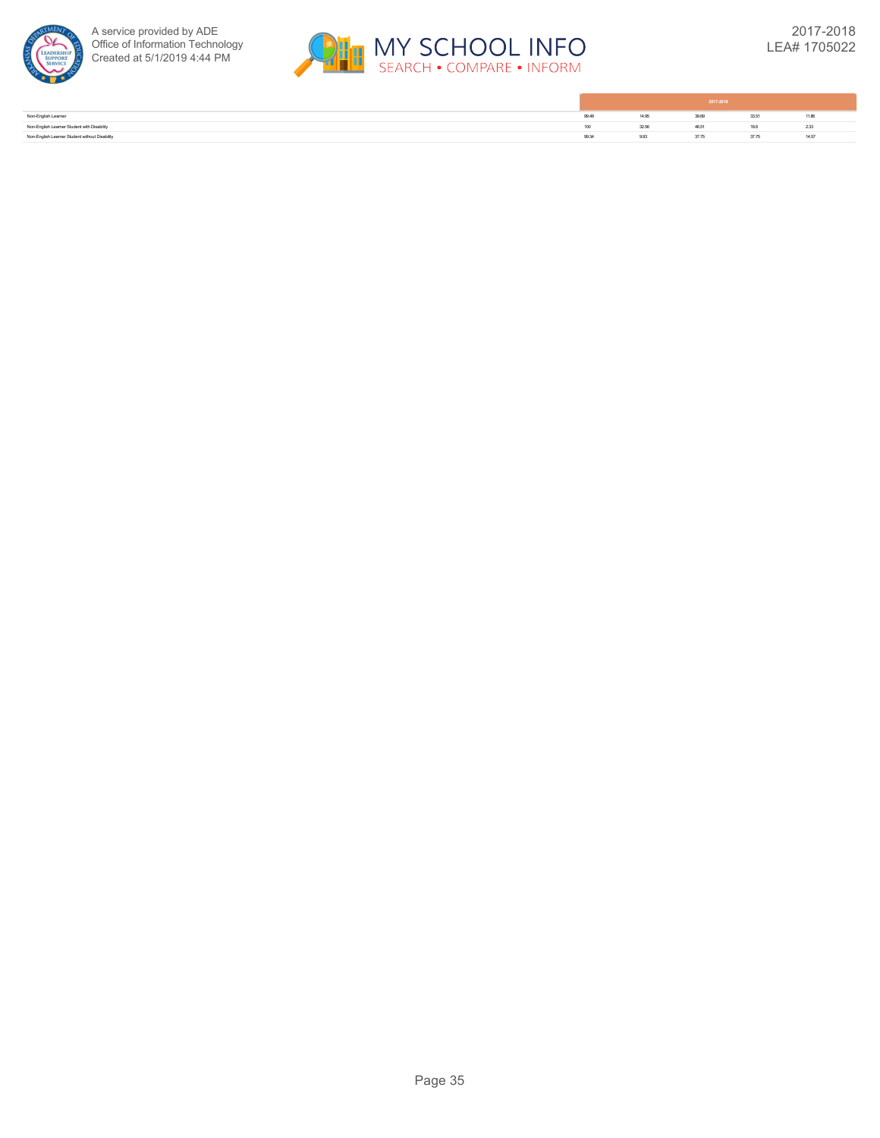



|                                                | 2017-2018 |       |       |       |       |  |
|------------------------------------------------|-----------|-------|-------|-------|-------|--|
| Non-English Learner                            | 99.49     | 14.95 | 39.69 | 33.51 | 11.86 |  |
| Non-English Learner Student with Disability    | 100       | 32.56 | 46.51 | 18.6  | 2.33  |  |
| Non-English Learner Student without Disability | 99.34     | 9.93  | 37.75 | 37.75 | 14.57 |  |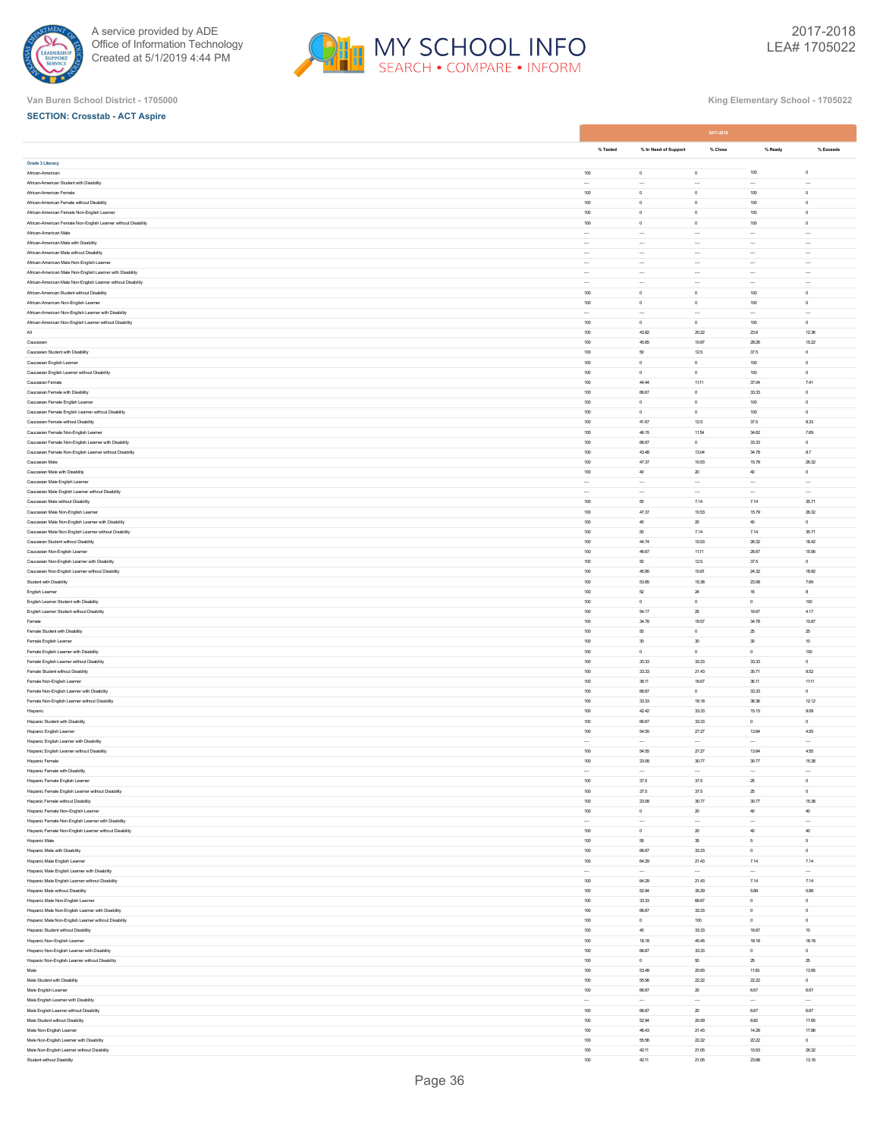



|                                                                                                               |            |                        | 2017-2018                  |                      |                       |
|---------------------------------------------------------------------------------------------------------------|------------|------------------------|----------------------------|----------------------|-----------------------|
|                                                                                                               | $%$ Tested | % In Need of Support   | $\%$ Close                 | % Ready              | % Exceeds             |
| <b>Grade 3 Literacy</b>                                                                                       |            |                        |                            |                      |                       |
| African-American                                                                                              | 100        | $\,$ 0                 | $\,$ 0                     | 100                  | $\circ$               |
| African-American Student with Disability                                                                      | $\cdots$   | $\cdots$               | $\cdots$                   | $\ddotsc$            | $\cdots$              |
| African-American Female                                                                                       | 100        | $\,$ 0                 | $\,$ 0                     | $100\,$              | $\,$ 0 $\,$           |
| African-American Female without Disability                                                                    | 100        | $\circ$                | $\,$ 0 $\,$                | 100                  | $\circ$               |
| African-American Female Non-English Learner                                                                   | 100        | $\,$ 0 $\,$            | $\,$ 0 $\,$                | 100                  | $\circ$               |
| African-American Female Non-English Learner without Disability                                                | 100        | $\,$ 0 $\,$            | $\,$ 0                     | $100\,$              | $\,$ 0 $\,$           |
| African-American Male                                                                                         | $\cdots$   | $\cdots$               | $\cdots$                   | $\ddotsc$            | $\cdots$              |
| African-American Male with Disability                                                                         | $\cdots$   | $\cdots$               | $\cdots$                   | $\cdots$             | $\cdots$              |
| African-American Male without Disability                                                                      | $\cdots$   | $\cdots$               | $\ddotsc$                  | $\ddotsc$            | $\cdots$              |
| African-American Male Non-English Learner                                                                     | $\cdots$   | $\cdots$               | $\ddotsc$                  | $\ddotsc$            | $\cdots$              |
| African-American Male Non-English Learner with Disability                                                     | $\cdots$   | $\ddot{\phantom{0}}$   | $\ddotsc$                  | $\cdots$             | $\cdots$              |
| African-American Male Non-English Learner without Disability                                                  | $\cdots$   | $\sim$                 | $\ddotsc$                  | $\ddotsc$            | $\ddotsc$             |
| African-American Student without Disability                                                                   | 100        | $\,$ 0 $\,$            | $\,$ 0 $\,$                | 100                  | $\,$ 0 $\,$           |
| African-American Non-English Learner                                                                          | 100        | $\,0\,$                | $\,$ 0                     | $100\,$              | $\,$ 0 $\,$           |
| African-American Non-English Learner with Disability                                                          | $\cdots$   | $\cdots$               | $\cdots$                   | $\cdots$             | $\cdots$              |
| African-American Non-English Learner without Disability                                                       | 100        | $\,$ 0 $\,$            | $\,$ 0 $\,$                | 100                  | $\,$ 0 $\,$           |
| All                                                                                                           | 100        | 43.82                  | 20.22                      | 23.6                 | 12.36                 |
| Caucasian                                                                                                     | 100        | 45.65                  | 10.87                      | 28.26                | 15.22                 |
| Caucasian Student with Disability                                                                             | 100        | $_{50}$                | $12.5\,$                   | 37.5                 | $\,$ 0 $\,$           |
| Caucasian English Learner                                                                                     | 100<br>100 | $\circ$<br>$\,$ 0 $\,$ | $\,$ 0 $\,$<br>$\,$ 0 $\,$ | 100<br>100           | $\circ$<br>$\circ$    |
| Caucasian English Learner without Disability<br>Caucasian Female                                              | 100        | 44.44                  | 11.11                      | 37.04                | 7.41                  |
| Caucasian Female with Disability                                                                              | 100        | 66.67                  | $\circ$                    | 33.33                | $\circ$               |
| Caucasian Female English Learner                                                                              | 100        | $\circ$                | $\,$ 0 $\,$                | 100                  | $\circ$               |
| Caucasian Female English Learner without Disability                                                           | 100        | $\circ$                | $\,$ 0 $\,$                | 100                  | $\,$ 0 $\,$           |
| Caucasian Female without Disability                                                                           | 100        | 41.67                  | 12.5                       | 37.5                 | 8.33                  |
| Caucasian Female Non-English Learner                                                                          | 100        | 46.15                  | 11.54                      | 34.62                | 7.69                  |
| Caucasian Female Non-English Learner with Disability                                                          | 100        | 66.67                  | $\,$ 0                     | 33.33                | $\,$ 0 $\,$           |
| Caucasian Female Non-English Learner without Disability                                                       | 100        | 43.48                  | 13.04                      | 34.78                | 8.7                   |
| Caucasian Male                                                                                                | 100        | 47.37                  | 10.53                      | 15.79                | 26.32                 |
| Caucasian Male with Disability                                                                                | 100        | 40                     | 20                         | 40                   | $\circ$               |
| Caucasian Male English Learner                                                                                | $\ldots$   | $\cdots$               | $\cdots$                   | $\cdots$             | $\cdots$              |
| Caucasian Male English Learner without Disability                                                             | $\sim$     | $\sim$                 | $\ddotsc$                  | $\ddot{\phantom{a}}$ | $\sim$                |
| Caucasian Male without Disability                                                                             | 100        | 50                     | 7.14                       | 7.14                 | 35.71                 |
| Caucasian Male Non-English Learner                                                                            | 100        | 47.37                  | 10.53                      | 15.79                | 26.32                 |
| Caucasian Male Non-English Learner with Disability                                                            | 100        | 40                     | $20\,$                     | $40\,$               | $\circ$               |
| Caucasian Male Non-English Learner without Disability                                                         | 100        | $_{50}$                | 7.14                       | 7.14                 | 35.71                 |
| Caucasian Student without Disability                                                                          | 100        | 44.74                  | 10.53                      | 26.32                | 18.42                 |
| Caucasian Non-English Learner                                                                                 | 100        | 46.67                  | 11.11                      | 26.67                | 15.56                 |
| Caucasian Non-English Learner with Disability                                                                 | 100        | 60                     | 12.5                       | 37.5                 | $\circ$               |
| Caucasian Non-English Learner without Disability                                                              | 100        | 45.95                  | 10.81                      | 24.32                | 18.92                 |
| Student with Disability                                                                                       | 100        | 53.85                  | 15.38                      | 23.08                | 7.69                  |
| English Learner                                                                                               | 100        | $_{\rm S2}$            | $24\,$                     | 16                   | 8                     |
|                                                                                                               |            |                        |                            |                      |                       |
| English Learner Student with Disability                                                                       | 100        | $\circ$                | $\,$ 0 $\,$                | $\,0\,$              | 100                   |
| English Learner Student without Disability                                                                    | 100        | 54.17                  | $\rm{z}\rm{s}$             | 16.67                | 4.17                  |
| Female                                                                                                        | 100        | 34.78                  | 19.57<br>$\circ$           | 34.78                | 10.87                 |
| Female Student with Disability                                                                                | 100        | 50                     |                            | 25                   | $\rm{25}$             |
| Female English Learner                                                                                        | 100        | 30<br>$\circ$          | 30<br>$\,$ 0 $\,$          | $30\,$<br>$\,$ 0     | $10$                  |
| Female English Learner with Disability<br>Female English Learner without Disability                           | 100<br>100 | 33.33                  | 33.33                      | 33.33                | 100<br>$\circ$        |
| Female Student without Disability                                                                             | 100        | 33.33                  | 21.43                      | 35.71                | 9.52                  |
| Female Non-English Learner                                                                                    | 100        | 36.11                  | 16.67                      | 36.11                | 11.11                 |
| Female Non-English Learner with Disability                                                                    | 100        | 66.67                  | $\,$ 0 $\,$                | 33.33                | $\,$ 0 $\,$           |
| Female Non-English Learner without Disability                                                                 | 100        | 33.33                  | 18.18                      | 36.36                | 12.12                 |
| Hispanic                                                                                                      | 100        | 42.42                  | 33.33                      | 15.15                | 9.09                  |
| Hispanic Student with Disability                                                                              | 100        | 66.67                  | 33.33                      | $\circ$              | $\circ$               |
| Hispanic English Learner                                                                                      | 100        | 54.55                  | 27.27                      | 13.64                | 4.55                  |
| Hispanic English Learner with Disability                                                                      | $\cdots$   | $\sim$                 | $\cdots$                   | $\ddotsc$            | $\cdots$              |
| Hispanic English Learner without Disability                                                                   | 100        | 54.55                  | 27.27                      | 13.64                | 4.55                  |
| Hispanic Female                                                                                               | 100        | 23.08                  | 30.77                      | 30.77                | 15.38                 |
| Hispanic Female with Disability                                                                               | $\cdots$   | $\ddotsc$              | $\ddotsc$                  | $\cdots$             | $\ddotsc$             |
| Hispanic Female English Learner<br>Hispanic Female English Learner without Disability                         | 100<br>100 | $37.5\,$<br>37.5       | $37.5\,$<br>37.5           | 25<br>25             | $\,0\,$<br>$^{\circ}$ |
| Hispanic Female without Disability                                                                            | 100        | 23.08                  | 30.77                      | 30.77                | 15.38                 |
| Hispanic Female Non-English Learner                                                                           | 100        | $\circ$                | $20\,$                     | 40                   | 40                    |
|                                                                                                               | $\cdots$   | $\sim$                 | $\cdots$                   | $\cdots$             | $\cdots$              |
| Hispanic Female Non-English Learner with Disability<br>Hispanic Female Non-English Learner without Disability | 100        | $\,$ 0                 | $\rm{20}$                  | 40                   | $40\,$                |
| Hispanic Male                                                                                                 | 100        | 55                     | 36                         | $\overline{5}$       | $\overline{5}$        |
| Hispanic Male with Disability                                                                                 | 100        | 66.67                  | 33.33                      | $\circ$              | $\circ$               |
| Hispanic Male English Learner                                                                                 | 100        | 64.29                  | 21.43                      | 7.14                 | 7.14                  |
| Hispanic Male English Learner with Disability                                                                 | $\cdots$   | $\sim$                 | $\ddotsc$                  | $\ddotsc$            | $\cdots$              |
| Hispanic Male English Learner without Disability                                                              | 100        | 64.29                  | 21.43                      | 7.14                 | 7.14                  |
| Hispanic Male without Disability                                                                              | 100        | 52.94                  | 35.29                      | 5.88                 | 5.88                  |
| Hispanic Male Non-English Learner                                                                             | 100        | 33.33                  | 66.67                      | $\circ$              | $\circ$               |
| Hispanic Male Non-English Learner with Disability                                                             | 100        | 66.67                  | 33.33                      | $\,0\,$              | $\,0\,$               |
| Hispanic Male Non-English Learner without Disability                                                          | 100        | $\circ$                | 100                        | $\,0\,$              | $\,$ 0 $\,$           |
| Hispanic Student without Disability                                                                           | 100        | 40                     | 33.33                      | 16.67                | $10\,$                |
| Hispanic Non-English Learner                                                                                  | 100        | 18.18                  | 45.45                      | 18.18                | 18.18                 |
| Hispanic Non-English Learner with Disability                                                                  | 100        | 66.67                  | 33.33                      | $^{\circ}$           | $\circ$               |
| Hispanic Non-English Learner without Disability<br>Male                                                       | 100        | $\,$ 0 $\,$<br>53.49   | 60                         | $\rm{25}$<br>11.63   | $\rm{25}$<br>13.95    |
| Male Student with Disability                                                                                  | 100<br>100 | 55.56                  | 20.93<br>22.22             | 22.22                | $\circ$               |
| Male English Learner                                                                                          | 100        | 66.67                  | $\rm{20}$                  | 6.67                 | 6.67                  |
| Male English Learner with Disability                                                                          |            |                        | $\ddotsc$                  | $\ddot{\phantom{a}}$ |                       |
| Male English Learner without Disability                                                                       | 100        | 66.67                  | $20\,$                     | 6.67                 | 6.67                  |
| Male Student without Disability                                                                               | 100        | 52.94                  | 20.59                      | 8.82                 | 17.65                 |
| Male Non-English Learner                                                                                      | 100        | 46.43                  | 21.43                      | 14.29                | 17.86                 |
| Male Non-English Learner with Disability                                                                      | 100        | 55.56                  | 22.22                      | 22.22                | $\circ$               |
| Male Non-English Learner without Disability<br>Student without Disability                                     | 100<br>100 | 42.11<br>42.11         | 21.05<br>21.05             | 10.53<br>23.68       | 26.32<br>13.16        |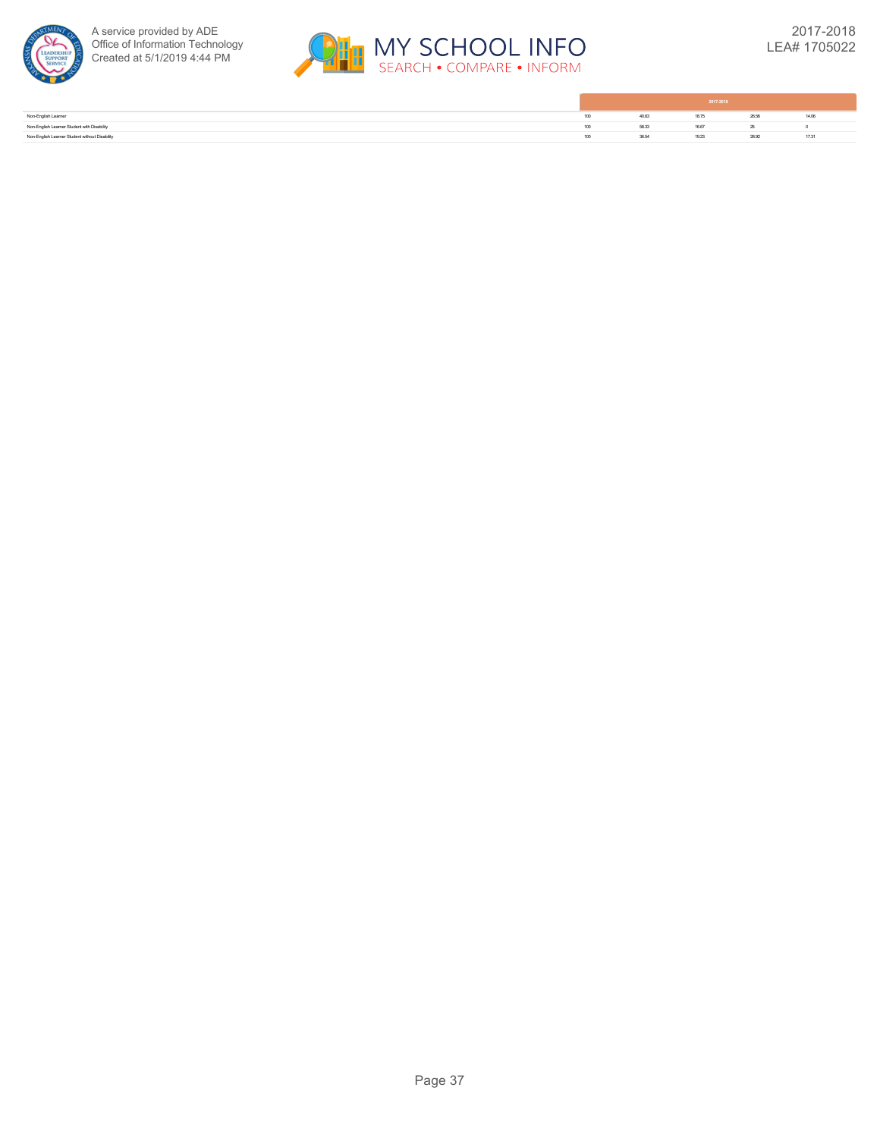



|                                                | 2017-2018 |       |       |       |       |
|------------------------------------------------|-----------|-------|-------|-------|-------|
| Non-English Learner                            | 100       | 40.63 | 18.75 | 26.56 | 14.06 |
| Non-English Learner Student with Disability    | 100       | 58.33 | 16.67 | 25    |       |
| Non-English Learner Student without Disability | 100       | 36.54 | 19.23 | 26.92 | 17.31 |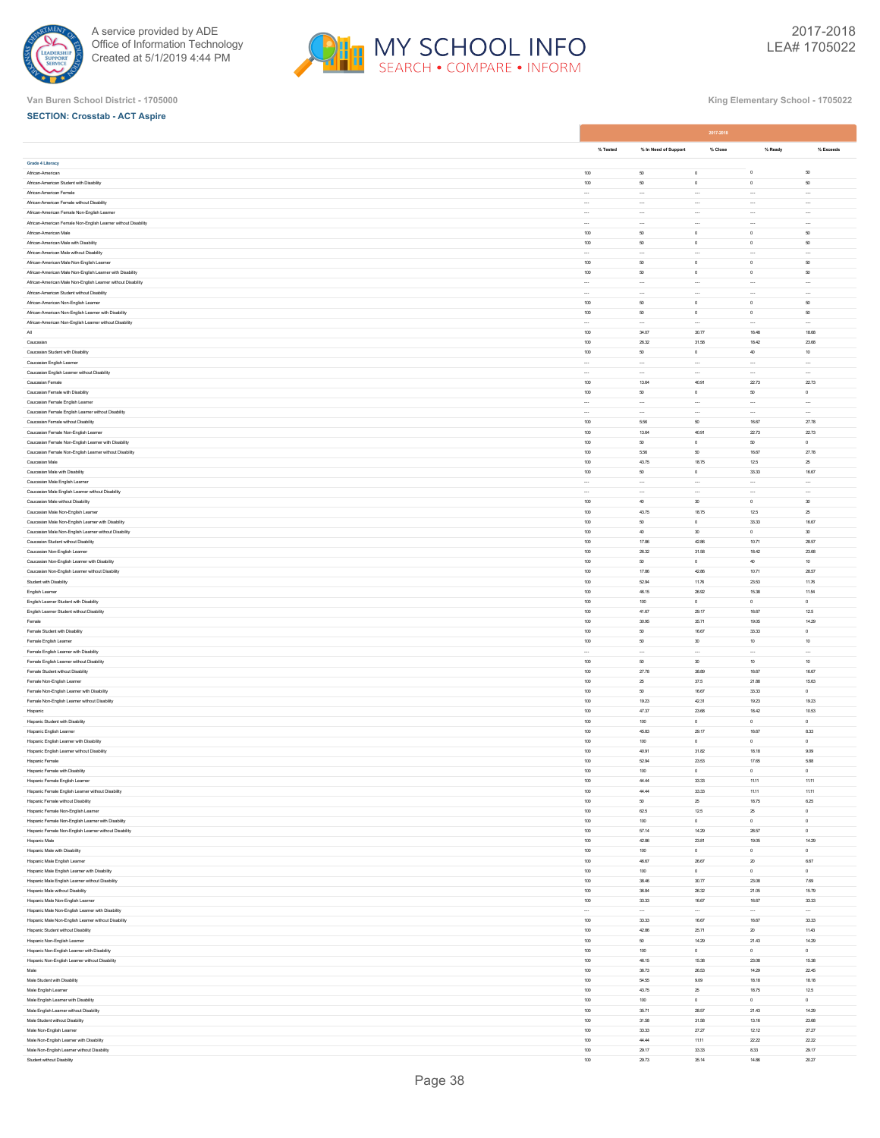



|                                                                                     |                    |                      | 2017-2018             |                       |                       |
|-------------------------------------------------------------------------------------|--------------------|----------------------|-----------------------|-----------------------|-----------------------|
|                                                                                     | % Tested           | % In Need of Support | % Close               | % Ready               | % Exceeds             |
|                                                                                     |                    |                      |                       |                       |                       |
| Grade 4 Literacy<br>African-American                                                | 100                | 60                   | $\,$ 0 $\,$           | $\,$ 0                | $_{\rm 50}$           |
| African-American Student with Disability                                            | $100\,$            | $_{50}$              | $\,$ 0 $\,$           | $\,$ 0 $\,$           | $_{\rm 50}$           |
| African-American Female                                                             | $\cdots$           | $\cdots$             | $\ddotsc$             | $\cdots$              | $\cdots$              |
| African-American Female without Disability                                          | $\cdots$           | $\cdots$             | $\cdots$              | $\cdots$              | $\cdots$              |
| African-American Female Non-English Learner                                         | $\ddotsc$          | $\ddotsc$            | $\ddot{\phantom{0}}$  | $\cdots$              | $\cdots$              |
| African-American Female Non-English Learner without Disability                      | $\cdots$           | $\cdots$             | $\ddotsc$             | $\cdots$              | $\cdots$              |
| African-American Male                                                               | $100\,$            | $_{50}$              | $\,$ 0 $\,$           | $\,$ 0                | $_{\rm 50}$           |
| African-American Male with Disability                                               | 100                | $_{50}$              | $\,$ 0 $\,$           | $\,$ 0 $\,$           | $_{\rm 50}$           |
| African-American Male without Disability                                            | $\cdots$           | $\ddotsc$            | $\cdots$              | $\cdots$              | $\ldots$              |
| African-American Male Non-English Learner                                           | $100\,$            | $_{50}$              | $\,$ 0 $\,$           | $\,$ 0                | $_{\rm 50}$           |
| African-American Male Non-English Learner with Disability                           | 100                | 50                   | $\circ$               | $\circ$               | 50                    |
| African-American Male Non-English Learner without Disability                        | $\cdots$<br>$\sim$ | $\cdots$<br>$\sim$   | $\cdots$<br>$\ddotsc$ | $\cdots$<br>$\ddotsc$ | $\cdots$<br>$\ddotsc$ |
| African-American Student without Disability<br>African-American Non-English Learner | 100                | $_{50}$              | $\mathbf 0$           | $\mathbb O$           | $_{\rm 50}$           |
| African-American Non-English Learner with Disability                                | $100\,$            | $_{50}$              | $\,$ 0 $\,$           | $\mathbb O$           | $_{\rm 50}$           |
| African-American Non-English Learner without Disability                             | $\ddotsc$          | $\sim$               | $\ddotsc$             | $\ddotsc$             | $\ddotsc$             |
| All                                                                                 | 100                | 34.07                | 30.77                 | 16.48                 | 18.68                 |
| Caucasian                                                                           | $100\,$            | 26.32                | 31.58                 | 18.42                 | 23.68                 |
| Caucasian Student with Disability                                                   | 100                | 50                   | $\circ$               | $40\,$                | 10                    |
| Caucasian English Learner                                                           | $\cdots$           | $\cdots$             | $\cdots$              | $\cdots$              | $\cdots$              |
| Caucasian English Learner without Disability                                        | $\ddotsc$          | $\ddotsc$            | $\ddotsc$             | $\cdots$              | $\cdots$              |
| Caucasian Female                                                                    | 100                | 13.64                | 40.91                 | 22.73                 | 22.73                 |
| Caucasian Female with Disability                                                    | $100\,$            | $_{50}$              | $\,$ 0 $\,$           | $_{\rm 50}$           | $\,$ 0                |
| Caucasian Female English Learner                                                    | $\cdots$           | $\ddotsc$            | $\ddot{\phantom{0}}$  | $\cdots$              | $\cdots$              |
| Caucasian Female English Learner without Disability                                 | $\cdots$           | $\cdots$             | $\ddot{\phantom{0}}$  | $\cdots$              | $\cdots$              |
| Caucasian Female without Disability                                                 | $100\,$            | 5.56                 | $_{\rm S0}$           | 16.67                 | 27.78                 |
| Caucasian Female Non-English Learner                                                | 100                | 13.64                | 40.91                 | 22.73                 | 22.73                 |
| Caucasian Female Non-English Learner with Disability                                | 100                | 60                   | $\,$ 0 $\,$           | $_{50}$               | $\,$ 0 $\,$           |
| Caucasian Female Non-English Learner without Disability                             | 100                | 5.56                 | $_{50}$               | 16.67                 | 27.78                 |
| Caucasian Male                                                                      | 100                | 43.75                | 18.75                 | 12.5                  | 25                    |
| Caucasian Male with Disability                                                      | $100\,$            | $_{50}$              | $\,$ 0 $\,$           | 33.33                 | 16.67                 |
| Caucasian Male English Learner                                                      | $\cdots$           |                      | $\sim$                | $\ddotsc$             | $\ddotsc$             |
| Caucasian Male English Learner without Disability                                   | $\cdots$           | $\cdots$             | $\cdots$              | $\cdots$              | $\cdots$              |
| Caucasian Male without Disability<br>Caucasian Male Non-English Learner             | $100\,$<br>100     | $40$<br>43.75        | $_{30}$<br>18.75      | $\mathbb O$<br>12.5   | $_{\rm 30}$<br>25     |
| Caucasian Male Non-English Learner with Disability                                  | 100                | $_{50}$              | $\mathbf 0$           | 33.33                 | 16.67                 |
| Caucasian Male Non-English Learner without Disability                               | 100                | 40                   | $30\,$                | $\mathbb O$           | $30\,$                |
| Caucasian Student without Disability                                                | 100                | 17.86                | 42.86                 | 10.71                 | 28.57                 |
| Caucasian Non-English Learner                                                       | $100\,$            | 26.32                | 31.58                 | 18.42                 | 23.68                 |
| Caucasian Non-English Learner with Disability                                       | 100                | 60                   | $\,$ 0 $\,$           | $40\,$                | $10\,$                |
| Caucasian Non-English Learner without Disability                                    | 100                | 17.86                | 42.86                 | 10.71                 | 28.57                 |
| Student with Disability                                                             | $100\,$            | 52.94                | 11.76                 | 23.53                 | 11.76                 |
| English Learner                                                                     | 100                | 46.15                | 26.92                 | 15.38                 | 11.54                 |
| English Learner Student with Disability                                             | 100                | 100                  | $\,$ 0 $\,$           | $\,$ 0 $\,$           | $\,$ 0 $\,$           |
| English Learner Student without Disability                                          | 100                | 41.67                | 29.17                 | 16.67                 | 12.5                  |
| Female                                                                              | 100                | 30.95                | 35.71                 | 19.05                 | 14.29                 |
| Female Student with Disability                                                      | $100\,$            | $_{50}$              | 16.67                 | 33.33                 | $\mathbb O$           |
| Female English Learner                                                              | 100                | 60                   | $30\,$                | $10\,$                | $10\,$                |
| Female English Learner with Disability                                              | $\cdots$           | $\cdots$             | $\cdots$              | $\cdots$              | $\cdots$              |
| Female English Learner without Disability                                           | $100\,$            | $_{50}$              | $_{30}$               | $10\,$                | $10\,$                |
| Female Student without Disability                                                   | 100                | 27.78                | 38.89                 | 16.67                 | 16.67                 |
| Female Non-English Learner<br>Female Non-English Learner with Disability            | 100                | $\rm{z}$             | 37.5                  | 21.88                 | 15.63                 |
| Female Non-English Learner without Disability                                       | 100<br>100         | 60<br>19.23          | 16.67<br>42.31        | 33.33<br>19.23        | $\mathsf{O}$<br>19.23 |
| Hispanic                                                                            | $100\,$            | 47.37                | 23.68                 | 18.42                 | 10.53                 |
| Hispanic Student with Disability                                                    | 100                | 100                  | $\,$ 0 $\,$           | $\,$ 0 $\,$           | $\mathbb O$           |
| Hispanic English Learner                                                            | 100                | 45.83                | 29.17                 | 16.67                 | 8.33                  |
| Hispanic English Learner with Disability                                            | $100\,$            | $100\,$              | $\,$ 0 $\,$           | $\,$ 0                | $\,$ 0                |
| Hispanic English Learner without Disability                                         | 100                | 40.91                | 31.82                 | 18.18                 | 9.09                  |
| Hispanic Female                                                                     | 100                | 52.94                | 23.53                 | 17.65                 | 5.88                  |
| Hispanic Female with Disability                                                     | 100                | 100                  | $\circ$               | $\circ$               | $\circ$               |
| Hispanic Female English Learner                                                     | 100                | 44.44                | 33.33                 | 11.11                 | 11.11                 |
| Hispanic Female English Learner without Disability                                  | 100                | 44.44                | 33.33                 | 11.11                 | 11.11                 |
| Hispanic Female without Disability                                                  | 100                | 50                   | $\rm{2S}$             | 18.75                 | 6.25                  |
| Hispanic Female Non-English Learner                                                 | 100                | 62.5                 | 12.5                  | $\rm 25$              | $\mathsf{O}$          |
| Hispanic Female Non-English Learner with Disability                                 | $100\,$            | $100\,$              | $\,$ 0 $\,$           | $\mathbb O$           | $\mathbb O$           |
| Hispanic Female Non-English Learner without Disability                              | 100                | 57.14                | 14.29                 | 28.57                 | $^{\circ}$            |
| Hispanic Male                                                                       | 100                | 42.86                | 23.81                 | 19.05                 | 14.29                 |
| Hispanic Male with Disability                                                       | 100                | 100                  | $\,$ 0 $\,$           | $\,$ 0 $\,$           | $\circ$               |
| Hispanic Male English Learner                                                       | 100                | 46.67                | 26.67                 | $\rm{20}$             | 6.67                  |
| Hispanic Male English Learner with Disability                                       | $100\,$            | $100\,$              | $\,$ 0 $\,$           | $\,$ 0                | $\mathbb O$           |
| Hispanic Male English Learner without Disability                                    | 100<br>100         | 38.46<br>36.84       | 30.77<br>26.32        | 23.08<br>21.05        | 7.69<br>15.79         |
| Hispanic Male without Disability<br>Hispanic Male Non-English Learner               | $100\,$            | 33.33                | 16.67                 | 16.67                 | 33.33                 |
| Hispanic Male Non-English Learner with Disability                                   | $\cdots$           | $\cdots$             | $\ddotsc$             | $\cdots$              | $\cdots$              |
| Hispanic Male Non-English Learner without Disability                                | 100                | 33.33                | 16.67                 | 16.67                 | 33.33                 |
| Hispanic Student without Disability                                                 | 100                | 42.86                | 25.71                 | $\rm{20}$             | 11.43                 |
| Hispanic Non-English Learner                                                        | 100                | 50                   | 14.29                 | 21.43                 | 14.29                 |
| Hispanic Non-English Learner with Disability                                        | $100\,$            | $100\,$              | $\,$ 0 $\,$           | $\mathbb O$           | $\mathbf 0$           |
| Hispanic Non-English Learner without Disability                                     | 100                | 46.15                | 15.38                 | 23.08                 | 15.38                 |
| Male                                                                                | 100                | 36.73                | 26.53                 | 14.29                 | 22.45                 |
| Male Student with Disability                                                        | 100                | 54.55                | 9.09                  | 18.18                 | 18.18                 |
| Male English Learner                                                                | 100                | 43.75                | 25                    | 18.75                 | 12.5                  |
| Male English Learner with Disability                                                | 100                | 100                  | $\mathbf 0$           | $\circ$               | $\mathbb O$           |
| Male English Learner without Disability                                             | 100                | 35.71                | 28.57                 | 21.43                 | 14.29                 |
| Male Student without Disability                                                     | 100                | 31.58                | 31.58                 | 13.16                 | 23.68                 |
| Male Non-English Learner                                                            | $100\,$            | 33.33                | 27.27                 | 12.12                 | 27.27                 |
| Male Non-English Learner with Disability                                            | 100                | 44.44                | 11.11                 | 22.22                 | 22.22                 |
| Male Non-English Learner without Disability                                         | 100<br>$100\,$     | 29.17<br>29.73       | 33.33<br>35.14        | 8.33<br>14.86         | 29.17<br>20.27        |
| Student without Disability                                                          |                    |                      |                       |                       |                       |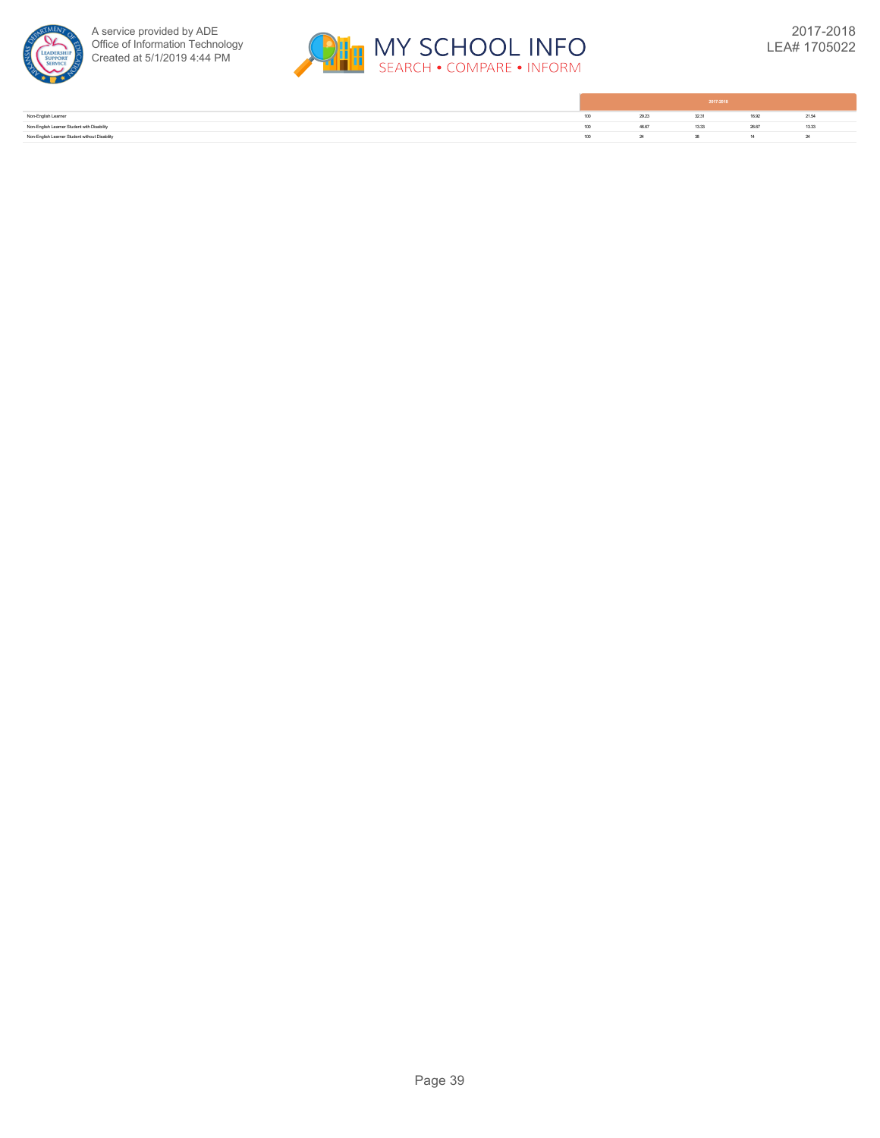



| 2017-2018                                                                              |  |  |  |  |  |
|----------------------------------------------------------------------------------------|--|--|--|--|--|
|                                                                                        |  |  |  |  |  |
| Non-English Learner<br>16.92<br>29.23<br>32.31<br>21.54<br>100                         |  |  |  |  |  |
| 46.67<br>26.67<br>Non-English Learner Student with Disability<br>13.33<br>13.33<br>100 |  |  |  |  |  |
| 100<br>Non-English Learner Student without Disability                                  |  |  |  |  |  |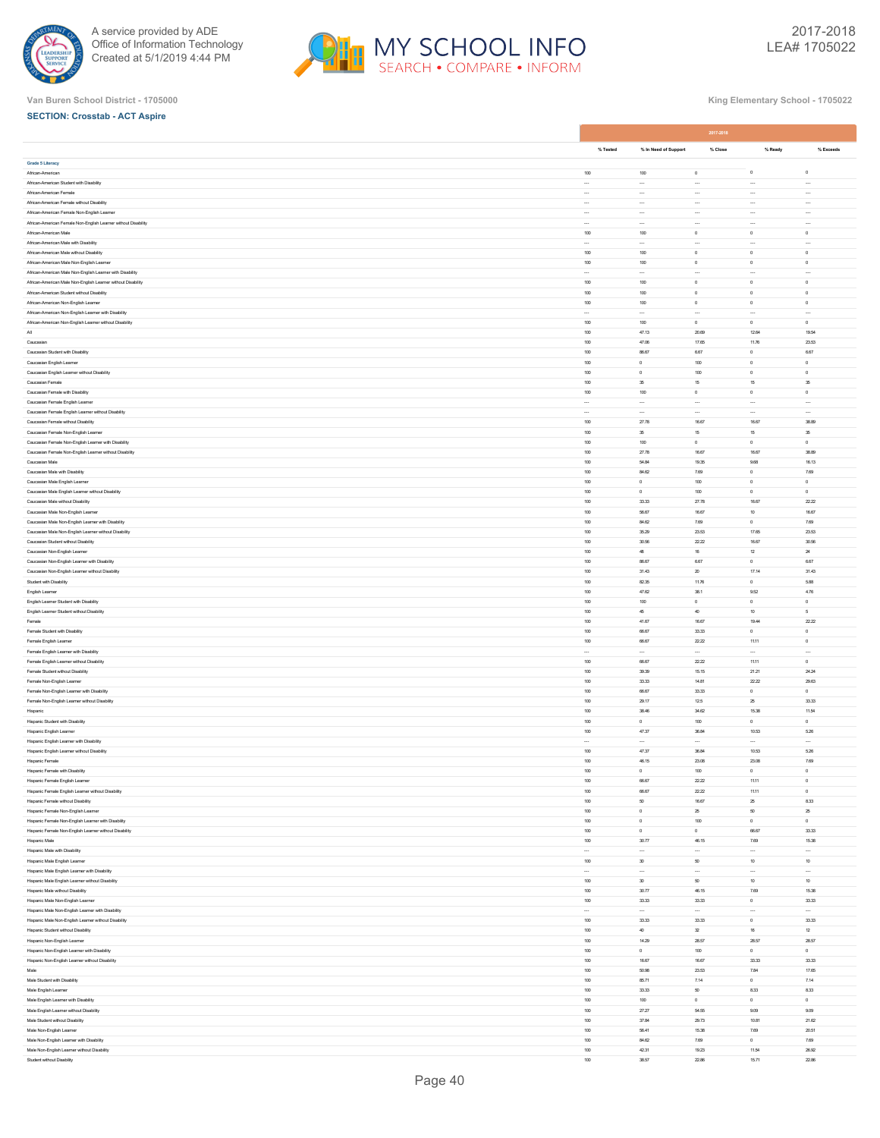



|                                                                                                             |                      |                                   | 2017-2018                           |                       |                        |
|-------------------------------------------------------------------------------------------------------------|----------------------|-----------------------------------|-------------------------------------|-----------------------|------------------------|
|                                                                                                             | % Tested             | % In Need of Support              | % Close                             | % Ready               | % Exceeds              |
| <b>Grade 5 Literacy</b>                                                                                     |                      |                                   |                                     |                       |                        |
| African-American                                                                                            | 100                  | 100                               | $\,$ 0 $\,$                         | $\mathbb O$           | $\circ$                |
| African-American Student with Disability                                                                    | $\cdots$             | $\cdots$                          | $\cdots$                            | $\cdots$              | $\cdots$               |
| African-American Female<br>African-American Female without Disability                                       | $\cdots$<br>$\cdots$ | $\ddot{\phantom{0}}$<br>$\ddotsc$ | $\cdots$<br>$\ddotsc$               | <br>$\cdots$          | <br>$\cdots$           |
| African-American Female Non-English Learner                                                                 | $\cdots$             | $\ddotsc$                         | $\ddotsc$                           | $\cdots$              | $\cdots$               |
| African-American Female Non-English Learner without Disability                                              | $\ddotsc$            | $\overline{\phantom{a}}$          | $\ddot{\phantom{a}}$                |                       |                        |
| African-American Male                                                                                       | 100                  | 100                               | $\,$ 0 $\,$                         | $\mathbb O$           | $\mathbb O$            |
| African-American Male with Disability                                                                       | $\cdots$             | $\ddotsc$                         | $\ddotsc$                           | $\cdots$              | $\cdots$               |
| African-American Male without Disability                                                                    | 100                  | 100                               | $\,0\,$                             | $\mathbb O$           | $\circ$                |
| African-American Male Non-English Learner<br>African-American Male Non-English Learner with Disability      | 100<br>$\ddotsc$     | 100<br>$\ddotsc$                  | $\mathbf 0$<br>$\ddot{\phantom{0}}$ | $\,$ 0<br>            | $\circ$<br>            |
| African-American Male Non-English Learner without Disability                                                | 100                  | 100                               | $\,$ 0 $\,$                         | $\mathbb O$           | $\mathbb O$            |
| African-American Student without Disability                                                                 | 100                  | 100                               | $\,$ 0 $\,$                         | $\mathbb O$           | $\mathbb O$            |
| African-American Non-English Learner                                                                        | $100\,$              | $100\,$                           | $\,$ 0 $\,$                         | $\mathbb O$           | $\mathbb O$            |
| African-American Non-English Learner with Disability                                                        | $\cdots$             | $\cdots$                          | $\cdots$                            | $\cdots$              | $\cdots$               |
| African-American Non-English Learner without Disability                                                     | 100                  | 100                               | $\,0\,$                             | $\mathbb O$           | $\mathbb O$            |
| All                                                                                                         | 100                  | 47.13                             | 20.69                               | 12.64                 | 19.54                  |
| Caucasian<br>Caucasian Student with Disability                                                              | 100<br>$100\,$       | 47.06<br>86.67                    | 17.65<br>6.67                       | 11.76<br>$\mathbb O$  | 23.53<br>6.67          |
| Caucasian English Learner                                                                                   | 100                  | $\,$ 0 $\,$                       | 100                                 | $\mathbb O$           | $\mathbb O$            |
| Caucasian English Learner without Disability                                                                | 100                  | $\,$ 0 $\,$                       | 100                                 | $\mathbf 0$           | $\mathsf{o}\,$         |
| Caucasian Female                                                                                            | $100\,$              | $_{35}$                           | $15\,$                              | $15\,$                | $35\,$                 |
| Caucasian Female with Disability                                                                            | 100                  | 100                               | $\circ$                             | $\circ$               | $\circ$                |
| Caucasian Female English Learner                                                                            | $\cdots$             | $\cdots$                          | $\ddot{\phantom{0}}$                | $\cdots$              | $\ldots$               |
| Caucasian Female English Learner without Disability                                                         | $\ddotsc$            | $\ddot{\phantom{a}}$              | $\ddot{\phantom{a}}$                | $\ddotsc$             | $\cdots$               |
| Caucasian Female without Disability<br>Caucasian Female Non-English Learner                                 | 100                  | 27.78                             | 16.67                               | 16.67                 | 38.89                  |
| Caucasian Female Non-English Learner with Disability                                                        | $100\,$<br>100       | $_{35}$<br>100                    | $15\,$<br>$\,0\,$                   | $15\,$<br>$\mathbb O$ | $35\,$<br>$\circ$      |
| Caucasian Female Non-English Learner without Disability                                                     | 100                  | 27.78                             | 16.67                               | 16.67                 | 38.89                  |
| Caucasian Male                                                                                              | $100\,$              | 54.84                             | 19.35                               | 9.68                  | 16.13                  |
| Caucasian Male with Disability                                                                              | 100                  | 84.62                             | 7.69                                | $\circ$               | 7.69                   |
| Caucasian Male English Learner                                                                              | 100                  | $\circ$                           | 100                                 | $\mathbb O$           | $\mathbb O$            |
| Caucasian Male English Learner without Disability                                                           | 100                  | $\,$ 0 $\,$                       | 100                                 | $\mathbb O$           | $\mathsf{o}$           |
| Caucasian Male without Disability                                                                           | 100                  | 33.33                             | 27.78                               | 16.67                 | 22.22                  |
| Caucasian Male Non-English Learner                                                                          | $100\,$              | 56.67                             | 16.67                               | $10\,$                | 16.67                  |
| Caucasian Male Non-English Learner with Disability<br>Caucasian Male Non-English Learner without Disability | 100<br>100           | 84.62<br>35.29                    | 7.69<br>23.53                       | $\mathsf{o}$<br>17.65 | 7.69<br>23.53          |
| Caucasian Student without Disability                                                                        | $100\,$              | 30.56                             | $\mathbf{222}$                      | 16.67                 | 30.56                  |
| Caucasian Non-English Learner                                                                               | 100                  | 48                                | $16\,$                              | $\mathfrak{12}$       | $24\,$                 |
| Caucasian Non-English Learner with Disability                                                               | 100                  | 86.67                             | 6.67                                | $\mathbb O$           | 6.67                   |
| Caucasian Non-English Learner without Disability                                                            | 100                  | 31.43                             | $\rm{20}$                           | 17.14                 | 31.43                  |
| Student with Disability                                                                                     | 100                  | 8235                              | 11.76                               | $\circ$               | 5.88                   |
| English Learner                                                                                             | $100\,$              | 47.62                             | 38.1                                | 9.52                  | 4.76                   |
| English Learner Student with Disability<br>English Learner Student without Disability                       | 100<br>100           | 100<br>$46\,$                     | $\,0\,$<br>$40\,$                   | $\mathbb O$<br>$10\,$ | $\mathbb O$<br>5       |
| Female                                                                                                      | $100\,$              | 41.67                             | 16.67                               | 19.44                 | 22.22                  |
| Female Student with Disability                                                                              | 100                  | 66.67                             | 33.33                               | $\circ$               | $\circ$                |
| Female English Learner                                                                                      | 100                  | 66.67                             | 22.22                               | 11.11                 | $\mathbb O$            |
| Female English Learner with Disability                                                                      | $\sim$               | $\sim$                            | $\sim$                              | $\cdots$              | $\cdots$               |
| Female English Learner without Disability                                                                   | 100                  | 66.67                             | 22.22                               | 11.11                 | $\circ$                |
| Female Student without Disability                                                                           | $100\,$              | 39.39                             | 15.15                               | 21.21                 | 24.24                  |
| Female Non-English Learner<br>Female Non-English Learner with Disability                                    | 100<br>100           | 33.33<br>66.67                    | 14.81<br>33.33                      | 22.22<br>$\mathsf{o}$ | 29.63<br>$\mathsf{o}$  |
| Female Non-English Learner without Disability                                                               | $100\,$              | 29.17                             | $12.5\,$                            | $2\!$                 | 33.33                  |
| Hispanic                                                                                                    | 100                  | 38.46                             | 34.62                               | 15.38                 | 11.54                  |
| Hispanic Student with Disability                                                                            | 100                  | $\circ$                           | 100                                 | $\mathbb O$           | $\mathbb O$            |
| Hispanic English Learner                                                                                    | 100                  | 47.37                             | 36.84                               | 10.53                 | 5.26                   |
| Hispanic English Learner with Disability                                                                    | $\cdots$             | $\cdots$                          | $\cdots$                            | $\cdots$              | $\cdots$               |
| Hispanic English Learner without Disability                                                                 | $100\,$              | 47.37                             | 36.84                               | 10.53                 | 5.26                   |
| Hispanic Female<br>Hispanic Female with Disability                                                          | 100<br>100           | 46.15<br>$\,0\,$                  | 23.08<br>100                        | 23.08<br>$\mathbf 0$  | 7.69<br>$\circ$        |
| Hispanic Female English Learner                                                                             | $100\,$              | 66.67                             | $\mathbf{222}$                      | 11.11                 | $\mathbb O$            |
| Hispanic Female English Learner without Disability                                                          | 100                  | 66.67                             | 22.22                               | 11.11                 | $\circ$                |
| Hispanic Female without Disability                                                                          | 100                  | $_{50}$                           | 16.67                               | $\rm{25}$             | 8.33                   |
| Hispanic Female Non-English Learner                                                                         | 100                  | $\,$ 0 $\,$                       | $\rm{2S}$                           | $_{50}$               | $\rm 25$               |
| Hispanic Female Non-English Learner with Disability                                                         | 100                  | $\circ$                           | 100                                 | $\,$ 0 $\,$           | $\circ$                |
| Hispanic Female Non-English Learner without Disability                                                      | $100\,$              | $\,$ 0 $\,$                       | $\,$ 0 $\,$                         | 66.67                 | 33.33                  |
| Hispanic Male<br>Hispanic Male with Disability                                                              | 100<br>$\cdots$      | 30.77<br>$\ddotsc$                | 46.15<br>$\cdots$                   | 7.69<br>$\cdots$      | 15.38<br>$\cdots$      |
| Hispanic Male English Learner                                                                               | $100\,$              | $_{30}$                           | $_{\rm 50}$                         | $10\,$                | $10\,$                 |
| Hispanic Male English Learner with Disability                                                               | $\cdots$             | $\cdots$                          | $\ddotsc$                           | $\cdots$              | $\cdots$               |
| Hispanic Male English Learner without Disability                                                            | 100                  | $_{30}$                           | $_{50}$                             | $10\,$                | $10\,$                 |
| Hispanic Male without Disability                                                                            | 100                  | 30.77                             | 46.15                               | 7.69                  | 15.38                  |
| Hispanic Male Non-English Learner                                                                           | 100                  | 33.33                             | 33.33                               | $\circ$               | 33.33                  |
| Hispanic Male Non-English Learner with Disability                                                           | <br>100              | $\ddotsc$                         |                                     | <br>$\mathbb O$       |                        |
| Hispanic Male Non-English Learner without Disability<br>Hispanic Student without Disability                 | 100                  | 33.33<br>40                       | 33.33<br>$\infty$                   | $16\,$                | 33.33<br>$\mathbf{12}$ |
| Hispanic Non-English Learner                                                                                | $100\,$              | 14.29                             | 28.57                               | 28.57                 | 28.57                  |
| Hispanic Non-English Learner with Disability                                                                | 100                  | $^{\circ}$                        | 100                                 | $\circ$               | $\circ$                |
| Hispanic Non-English Learner without Disability                                                             | 100                  | 16.67                             | 16.67                               | 33.33                 | 33.33                  |
| Male                                                                                                        | 100                  | 50.98                             | 23.53                               | 7.84                  | 17.65                  |
| Male Student with Disability                                                                                | 100                  | 85.71                             | 7.14                                | $\circ$               | 7.14                   |
| Male English Learner                                                                                        | $100\,$              | 33.33                             | $_{\rm 50}$                         | 8.33                  | 8.33                   |
| Male English Learner with Disability<br>Male English Learner without Disability                             | 100<br>100           | 100<br>27.27                      | $\,$ 0 $\,$<br>54.55                | $\mathsf{o}$<br>9.09  | $\mathsf{o}$<br>9.09   |
| Male Student without Disability                                                                             | $100\,$              | 37.84                             | 29.73                               | 10.81                 | 21.62                  |
| Male Non-English Learner                                                                                    | 100                  | 56.41                             | 15.38                               | 7.69                  | 20.51                  |
| Male Non-English Learner with Disability                                                                    | 100                  | 84.62                             | 7.69                                | $\mathsf{o}$          | 7.69                   |
| Male Non-English Learner without Disability                                                                 | 100                  | 42.31                             | 19.23                               | 11.54                 | 26.92                  |
| Student without Disability                                                                                  | 100                  | 38.57                             | 22.86                               | 15.71                 | 22.86                  |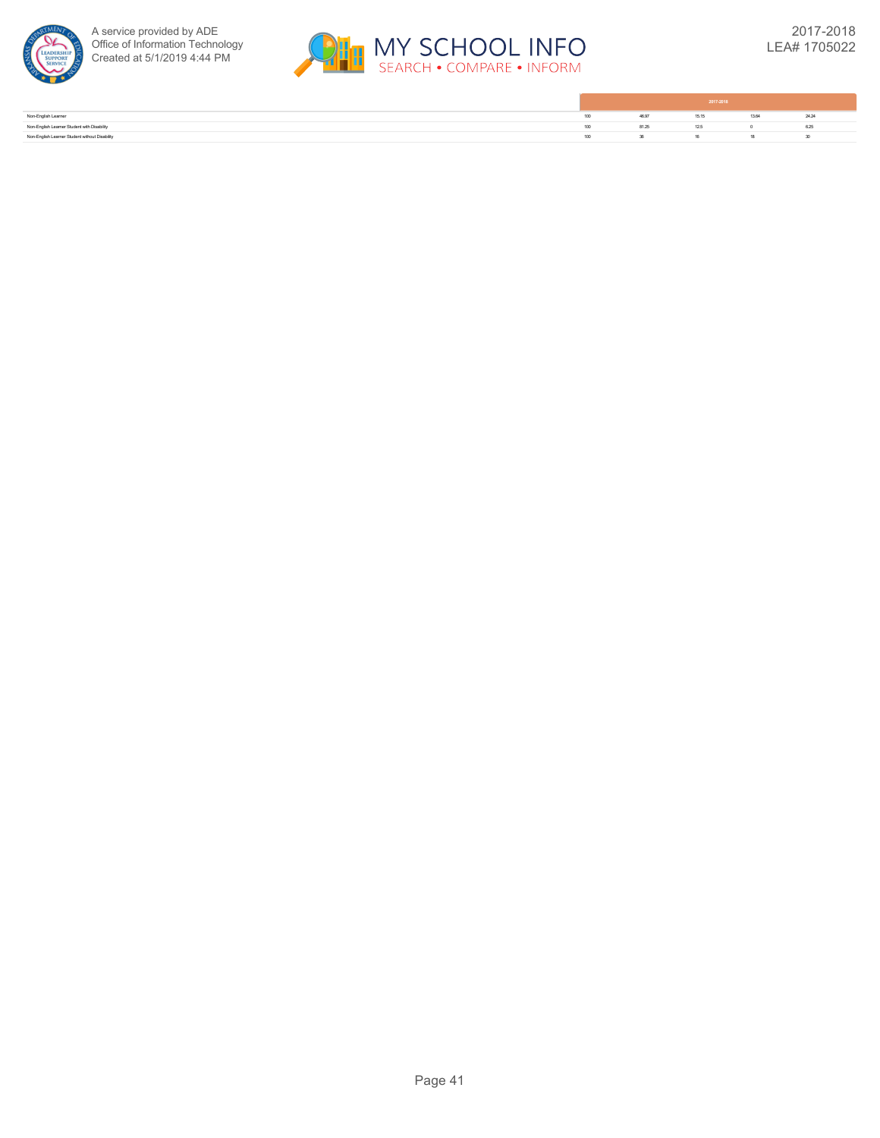



|                                                |     | 2017-2018 |       |       |       |  |
|------------------------------------------------|-----|-----------|-------|-------|-------|--|
| Non-English Learner                            | 100 | 46.97     | 15.15 | 13.64 | 24.24 |  |
| Non-English Learner Student with Disability    | 100 | 81.25     | 12.5  |       | 6.25  |  |
| Non-English Learner Student without Disability | 100 |           |       |       |       |  |
|                                                |     |           |       |       |       |  |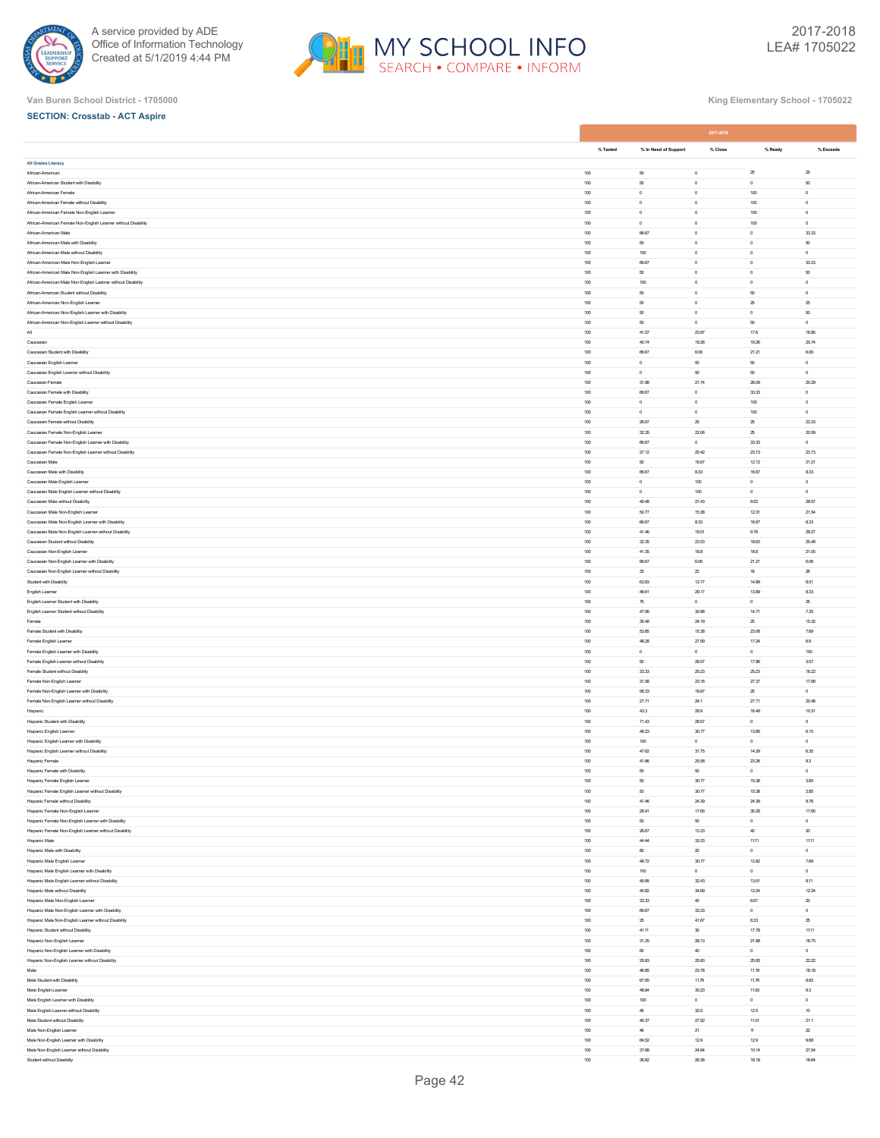



|                                                                                                                 | 2017-2018      |                      |                            |                        |                      |  |
|-----------------------------------------------------------------------------------------------------------------|----------------|----------------------|----------------------------|------------------------|----------------------|--|
|                                                                                                                 | % Tested       | % In Need of Support | % Close                    | % Ready                | % Exceeds            |  |
| All Grades Literacy                                                                                             |                |                      |                            |                        |                      |  |
| African-American                                                                                                | 100            | 50                   | $\,0\,$                    | $\rm{25}$              | $\rm{25}$            |  |
| African-American Student with Disability                                                                        | 100            | $_{\rm S0}$          | $\,$ 0 $\,$                | $\mathbb O$            | $_{50}$              |  |
| African-American Female                                                                                         | 100            | $\,0\,$              | $\,$ 0                     | 100                    | $\mathbf 0$          |  |
| African-American Female without Disability                                                                      | 100            | $\circ$              | $\circ$                    | 100                    | $\circ$              |  |
| African-American Female Non-English Learner                                                                     | $100\,$        | $\,$ 0 $\,$          | $\,$ 0 $\,$                | 100                    | $\mathbf 0$          |  |
| African-American Female Non-English Learner without Disability                                                  | 100            | $\,0\,$              | $\,$ 0 $\,$                | 100                    | $\circ$              |  |
| African-American Male<br>African-American Male with Disability                                                  | 100<br>$100\,$ | 66.67<br>$_{\rm S0}$ | $\,$ 0 $\,$<br>$\,$ 0 $\,$ | $\mathbb O$<br>$\circ$ | 33.33<br>$_{\rm 50}$ |  |
| African-American Male without Disability                                                                        | 100            | 100                  | $\circ$                    | $\circ$                | $\circ$              |  |
| African-American Male Non-English Learner                                                                       | 100            | 66.67                | $\,0\,$                    | $\mathbf 0$            | 33.33                |  |
| African-American Male Non-English Learner with Disability                                                       | 100            | $_{50}$              | $\,$ 0 $\,$                | $\mathbb O$            | $_{50}$              |  |
| African-American Male Non-English Learner without Disability                                                    | 100            | 100                  | $\mathbf{0}$               | $\circ$                | $\circ$              |  |
| African-American Student without Disability                                                                     | $100\,$        | $_{\rm S0}$          | $\,$ 0                     | $_{\rm 50}$            | $\mathbb O$          |  |
| African-American Non-English Learner                                                                            | 100            | $_{50}$              | $\,$ 0 $\,$                | $\rm 25$               | $\rm 25$             |  |
| African-American Non-English Learner with Disability                                                            | 100            | $_{\rm S0}$          | $\,$ 0 $\,$                | $\mathbf 0$            | $_{50}$              |  |
| African-American Non-English Learner without Disability                                                         | $100\,$        | $_{\rm S0}$          | $\,$ 0                     | $_{\rm 50}$            | $\circ$              |  |
| All                                                                                                             | 100            | 41.57                | 23.97                      | 17.6                   | 16.85                |  |
| Caucasian<br>Caucasian Student with Disability                                                                  | 100<br>100     | 40.74<br>66.67       | 19.26<br>6.06              | 19.26<br>21.21         | 20.74<br>6.06        |  |
| Caucasian English Learner                                                                                       | 100            | $\circ$              | $_{\rm 50}$                | $_{50}$                | $\circ$              |  |
| Caucasian English Learner without Disability                                                                    | $100\,$        | $\,$ 0 $\,$          | $_{\rm 50}$                | $_{\rm 50}$            | $\mathbb O$          |  |
| Caucasian Female                                                                                                | 100            | 31.88                | 21.74                      | 26.09                  | 20.29                |  |
| Caucasian Female with Disability                                                                                | 100            | 66.67                | $\,0\,$                    | 33.33                  | $\mathbb O$          |  |
| Caucasian Female English Learner                                                                                | $100\,$        | $\,$ 0 $\,$          | $\,$ 0 $\,$                | $100\,$                | $\mathbf 0$          |  |
| Caucasian Female English Learner without Disability                                                             | 100            | $^{\circ}$           | $\mathbf{0}$               | 100                    | $\circ$              |  |
| Caucasian Female without Disability                                                                             | 100            | 26.67                | $\rm{z}\rm{s}$             | $\rm{25}$              | 23.33                |  |
| Caucasian Female Non-English Learner                                                                            | 100<br>100     | 32.35<br>66.67       | 22.06<br>$\mathbf{0}$      | $\rm 25$<br>33.33      | 20.59<br>$\circ$     |  |
| Caucasian Female Non-English Learner with Disability<br>Caucasian Female Non-English Learner without Disability | $100\,$        | 27.12                | 25.42                      | 23.73                  | 23.73                |  |
| Caucasian Male                                                                                                  | 100            | $_{50}$              | 16.67                      | 12.12                  | 21.21                |  |
| Caucasian Male with Disability                                                                                  | 100            | 66.67                | 8.33                       | 16.67                  | 8.33                 |  |
| Caucasian Male English Learner                                                                                  | $100\,$        | $\,0\,$              | $100\,$                    | $\mathbb O$            | $\mathbb O$          |  |
| Caucasian Male English Learner without Disability                                                               | 100            | $\circ$              | 100                        | $^{\circ}$             | $\mathbb O$          |  |
| Caucasian Male without Disability                                                                               | 100            | 40.48                | 21.43                      | 9.62                   | 28.57                |  |
| Caucasian Male Non-English Learner                                                                              | 100            | 50.77                | 15.38                      | 12.31                  | 21.54                |  |
| Caucasian Male Non-English Learner with Disability                                                              | 100            | 66.67                | 8.33                       | 16.67                  | 8.33                 |  |
| Caucasian Male Non-English Learner without Disability                                                           | $100\,$        | 41.46                | 19.51                      | 9.76                   | 29.27                |  |
| Caucasian Student without Disability<br>Caucasian Non-English Learner                                           | 100<br>100     | 32.35<br>41.35       | 23.53<br>18.8              | 18.63<br>18.8          | 25.49<br>21.05       |  |
| Caucasian Non-English Learner with Disability                                                                   | $100\,$        | 66.67                | 6.06                       | 21.21                  | 6.06                 |  |
| Caucasian Non-English Learner without Disability                                                                | 100            | $_{33}$              | $\rm{z}$                   | $18$                   | 26                   |  |
| Student with Disability                                                                                         | 100            | 63.83                | 12.77                      | 14.89                  | 8.51                 |  |
| English Learner                                                                                                 | 100            | 48.61                | 29.17                      | 13.89                  | 8.33                 |  |
| English Learner Student with Disability                                                                         | 100            | 75                   | $\mathbf{0}$               | $\circ$                | 25                   |  |
| English Learner Student without Disability                                                                      | $100\,$        | 47.06                | 30.88                      | 14.71                  | $7.35\,$             |  |
| Female                                                                                                          | 100            | 35.48                | 24.19                      | $\rm 25$               | 15.32                |  |
| Female Student with Disability                                                                                  | 100            | 53.85                | 15.38                      | 23.08                  | 7.69                 |  |
| Female English Learner                                                                                          | $100\,$<br>100 | 48.28<br>$\circ$     | 27.59<br>$\circ$           | 17.24<br>$\circ$       | 6.9<br>100           |  |
| Female English Learner with Disability<br>Female English Learner without Disability                             | 100            | $_{50}$              | 28.57                      | 17.86                  | 3.57                 |  |
| Female Student without Disability                                                                               | 100            | 33.33                | 25.23                      | 25.23                  | 16.22                |  |
| Female Non-English Learner                                                                                      | 100            | 31.58                | 23.16                      | 27.37                  | 17.89                |  |
| Female Non-English Learner with Disability                                                                      | $100\,$        | 58.33                | 16.67                      | $2\!$                  | $\mathsf{o}$         |  |
| Female Non-English Learner without Disability                                                                   | 100            | 27.71                | 24.1                       | 27.71                  | 20.48                |  |
| Hispanic                                                                                                        | 100            | 43.3                 | 29.9                       | 16.49                  | 10.31                |  |
| Hispanic Student with Disability                                                                                | $100\,$        | 71.43                | 28.57                      | $\mathbb O$            | $\mathbf 0$          |  |
| Hispanic English Learner                                                                                        | 100            | 49.23                | 30.77                      | 13.85                  | 6.15                 |  |
| Hispanic English Learner with Disability                                                                        | 100            | 100                  | $\circ$                    | $\mathbb O$            | $\mathbb O$          |  |
| Hispanic English Learner without Disability<br>Hispanic Female                                                  | 100<br>100     | 47.62<br>41.86       | 31.75<br>25.58             | 14.29<br>23.26         | 6.35<br>9.3          |  |
| Hispanic Female with Disability                                                                                 | 100            | $_{\rm S0}$          | $_{\rm 50}$                | $\circ$                | $\circ$              |  |
| Hispanic Female English Learner                                                                                 | 100            | $_{50}$              | 30.77                      | 15.38                  | 3.85                 |  |
| Hispanic Female English Learner without Disability                                                              | 100            | $_{\rm S0}$          | 30.77                      | 15.38                  | 3.85                 |  |
| Hispanic Female without Disability                                                                              | $100\,$        | 41.46                | 24.39                      | 24.39                  | 9.76                 |  |
| Hispanic Female Non-English Learner                                                                             | 100            | 29.41                | 17.65                      | 35.29                  | 17.65                |  |
| Hispanic Female Non-English Learner with Disability                                                             | 100            | $_{50}$              | $_{50}$                    | $\mathsf{o}$           | $\mathbb O$          |  |
| Hispanic Female Non-English Learner without Disability                                                          | 100            | 26.67                | 13.33                      | 40                     | $20\,$               |  |
| Hispanic Male                                                                                                   | 100            | 44.44                | 33.33                      | 11.11                  | 11.11<br>$\mathbb O$ |  |
| Hispanic Male with Disability                                                                                   | $100\,$<br>100 | $_{80}$<br>48.72     | $\rm{20}$<br>30.77         | $\mathbb O$<br>12.82   | 7.69                 |  |
| Hispanic Male English Learner<br>Hispanic Male English Learner with Disability                                  | 100            | 100                  | $\,0\,$                    | $\circ$                | $\mathsf{o}$         |  |
| Hispanic Male English Learner without Disability                                                                | $100\,$        | 45.95                | 32.43                      | 13.51                  | 8.11                 |  |
| Hispanic Male without Disability                                                                                | 100            | 40.82                | 34.69                      | 12.24                  | 12.24                |  |
| Hispanic Male Non-English Learner                                                                               | 100            | 33.33                | 40                         | 6.67                   | $\rm{20}$            |  |
| Hispanic Male Non-English Learner with Disability                                                               | 100            | 66.67                | 33.33                      | $\mathbb O$            | $\mathbb O$          |  |
| Hispanic Male Non-English Learner without Disability                                                            | 100            | 25                   | 41.67                      | 8.33                   | $2\!$                |  |
| Hispanic Student without Disability                                                                             | $100\,$        | 41.11                | $30\,$                     | 17.78                  | 11.11                |  |
| Hispanic Non-English Learner                                                                                    | 100            | 31.25                | 28.13                      | 21.88                  | 18.75                |  |
| Hispanic Non-English Learner with Disability                                                                    | 100            | $_{60}$              | $40\,$                     | $\,$ 0 $\,$            | $\mathsf{o}$         |  |
| Hispanic Non-English Learner without Disability<br>Male                                                         | $100\,$<br>100 | 25.93<br>46.85       | 25.93<br>23.78             | 25.93<br>11.19         | 22.22<br>18.18       |  |
| Male Student with Disability                                                                                    | 100            | 67.65                | 11.76                      | 11.76                  | 8.82                 |  |
| Male English Learner                                                                                            | 100            | 48.84                | 30.23                      | 11.63                  | 9.3                  |  |
| Male English Learner with Disability                                                                            | 100            | 100                  | $\circ$                    | $\circ$                | $\circ$              |  |
| Male English Learner without Disability                                                                         | $100\,$        | $4\!$                | $32.5\,$                   | 12.5                   | $10\,$               |  |
| Male Student without Disability                                                                                 | 100            | 40.37                | 27.52                      | 11.01                  | 21.1                 |  |
| Male Non-English Learner                                                                                        | 100            | 46                   | $21\,$                     | 11                     | $\rm{z}$             |  |
| Male Non-English Learner with Disability                                                                        | $100\,$        | 64.52                | 12.9                       | 12.9                   | 9.68                 |  |
| Male Non-English Learner without Disability                                                                     | 100            | 37.68                | 24.64                      | 10.14                  | 27.54                |  |
| Student without Disability                                                                                      | 100            | 36.82                | 26.36                      | 18.18                  | 18.64                |  |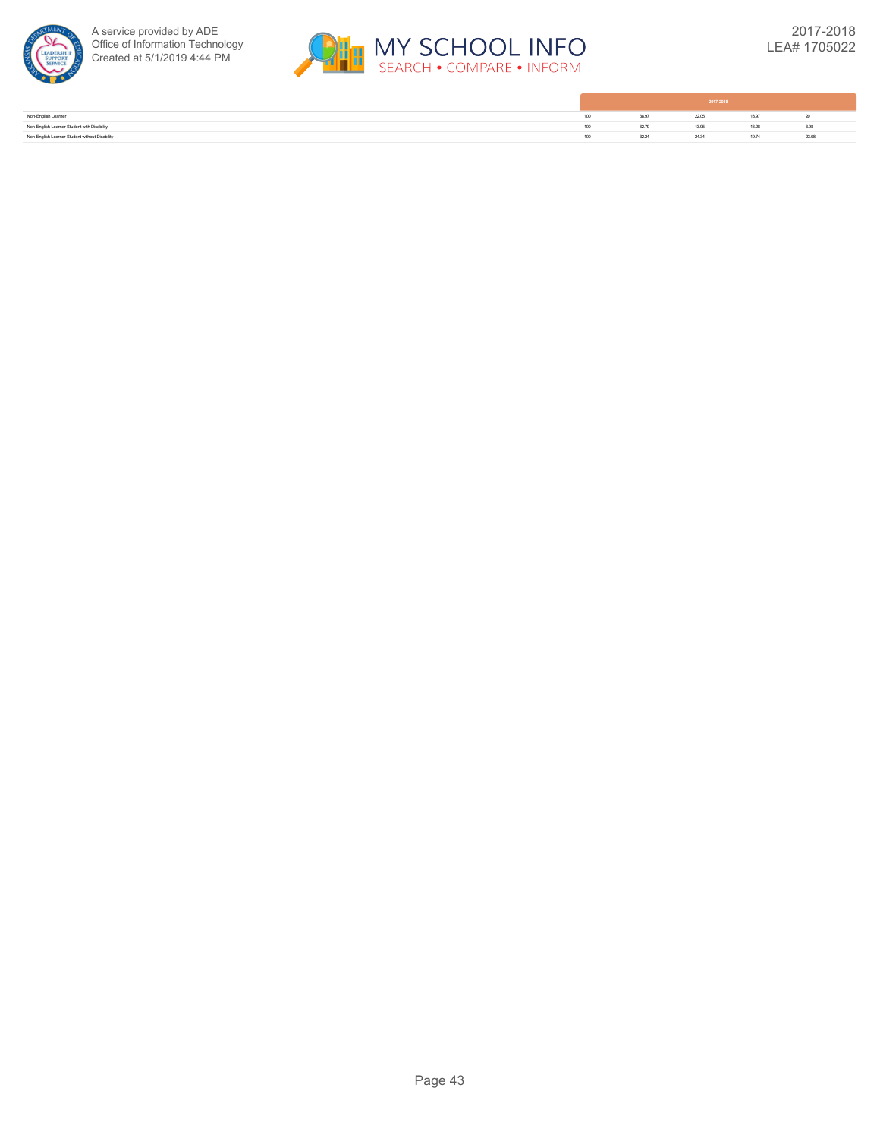



|                                                | 2017-2018 |       |       |       |       |  |
|------------------------------------------------|-----------|-------|-------|-------|-------|--|
| Non-English Learner                            | 100       | 38.97 | 22.05 | 18.97 | - 20  |  |
| Non-English Learner Student with Disability    | 100       | 62.79 | 13.95 | 16.28 | 6.98  |  |
| Non-English Learner Student without Disability | 100       | 32.24 | 24.34 | 19.74 | 23.68 |  |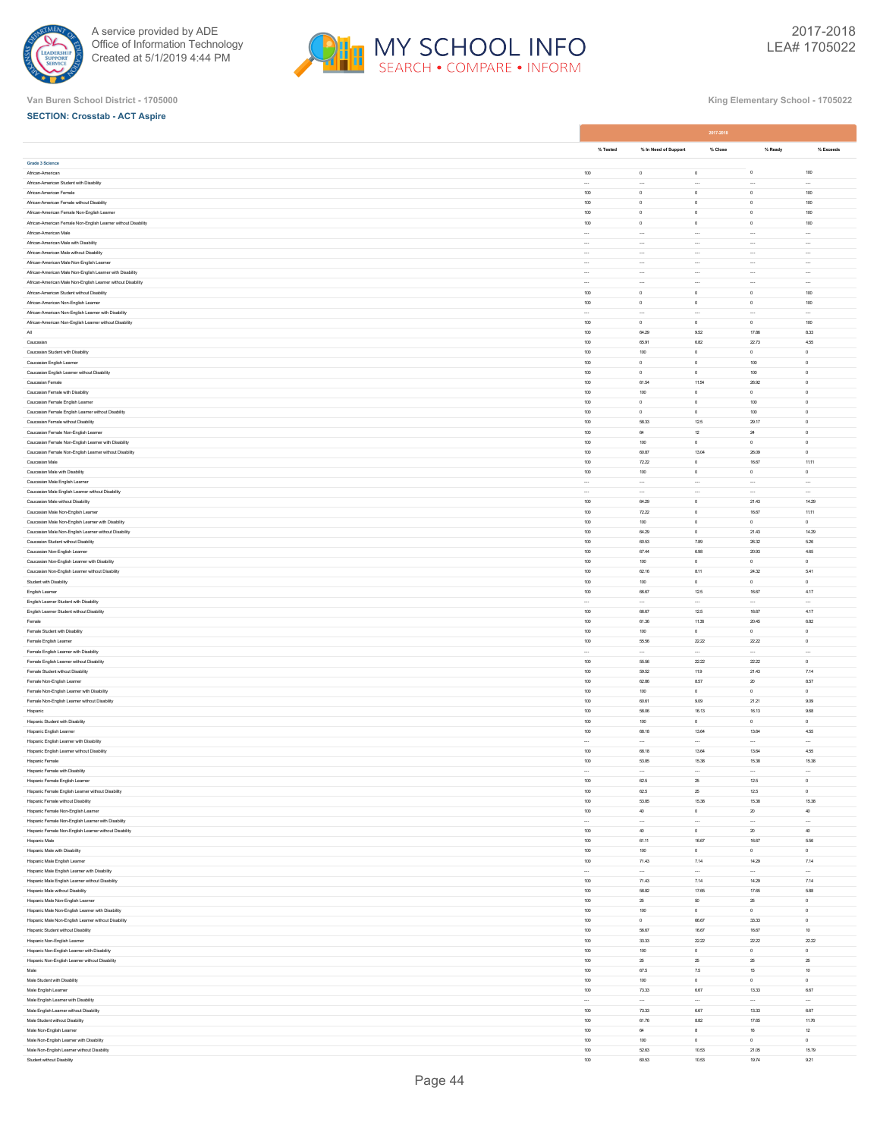



|                                                                                                             |                       |                      | 2017-2018                                    |                       |                          |
|-------------------------------------------------------------------------------------------------------------|-----------------------|----------------------|----------------------------------------------|-----------------------|--------------------------|
|                                                                                                             | % Tested              | % In Need of Support | $\%$ Close                                   | % Ready               | % Exceeds                |
| Grade 3 Science                                                                                             |                       |                      |                                              |                       |                          |
| African-American                                                                                            | 100                   | $\,$ 0 $\,$          | $\,$ 0 $\,$                                  | $\mathbb O$           | 100                      |
| African-American Student with Disability                                                                    | $\cdots$              | $\sim$               | $\overline{\phantom{a}}$                     | $\cdots$              | $\cdots$                 |
| African-American Female                                                                                     | $100\,$               | $\,$ 0 $\,$          | $\,$ 0 $\,$                                  | $\mathbb O$           | $100\,$                  |
| African-American Female without Disability                                                                  | 100                   | $\circ$              | $\circ$                                      | $\mathbb O$           | 100                      |
| African-American Female Non-English Learner                                                                 | 100                   | $\,$ 0 $\,$          | $\circ$                                      | $\,$ 0 $\,$           | 100                      |
| African-American Female Non-English Learner without Disability                                              | $100\,$               | $\,$ 0 $\,$          | $\,$ 0 $\,$                                  | $\mathbb O$           | $100\,$                  |
| African-American Male                                                                                       | $\ddotsc$             | $\sim$               | $\ddotsc$                                    | $\cdots$              | $\cdots$                 |
| African-American Male with Disability                                                                       | $\cdots$              | $\cdots$             | $\cdots$                                     | $\cdots$              | $\cdots$                 |
| African-American Male without Disability                                                                    | $\cdots$              | $\sim$               | $\cdots$                                     | $\cdots$              | $\cdots$                 |
| African-American Male Non-English Learner                                                                   | $\cdots$              | $\cdots$             | $\overline{\phantom{a}}$                     | $\cdots$              | $\cdots$                 |
| African-American Male Non-English Learner with Disability                                                   | $\ddotsc$<br>$\cdots$ | $\sim$<br>$\sim$     | $\ddot{\phantom{a}}$<br>$\ddot{\phantom{0}}$ | $\ddotsc$<br>$\cdots$ | $\cdots$<br>$\cdots$     |
| African-American Male Non-English Learner without Disability<br>African-American Student without Disability | 100                   | $\,$ 0 $\,$          | $\,$ 0 $\,$                                  | $\,$ 0 $\,$           | 100                      |
| African-American Non-English Learner                                                                        | $100\,$               | $\,$ 0               | $\,$ 0 $\,$                                  | $\mathbb O$           | $100\,$                  |
| African-American Non-English Learner with Disability                                                        | $\cdots$              | $\cdots$             | $\cdots$                                     | $\cdots$              | $\cdots$                 |
| African-American Non-English Learner without Disability                                                     | 100                   | $\,$ 0 $\,$          | $\,$ 0 $\,$                                  | $\mathbb O$           | 100                      |
| AII                                                                                                         | 100                   | 64.29                | 9.52                                         | 17.86                 | 8.33                     |
| Caucasian                                                                                                   | 100                   | 65.91                | 6.82                                         | 22.73                 | 4.55                     |
| Caucasian Student with Disability                                                                           | $100\,$               | $100\,$              | $\,$ 0                                       | $\,$ 0 $\,$           | $\,$ 0 $\,$              |
| Caucasian English Learner                                                                                   | 100                   | $\circ$              | $\,$ 0 $\,$                                  | 100                   | $\,$ 0 $\,$              |
| Caucasian English Learner without Disability                                                                | 100                   | $\,$ 0 $\,$          | $\,$ 0 $\,$                                  | 100                   | $\,$ 0 $\,$              |
| Caucasian Female                                                                                            | $100\,$               | 61.54                | 11.54                                        | 26.92                 | $\,$ 0 $\,$              |
| Caucasian Female with Disability                                                                            | 100                   | 100                  | $\circ$                                      | $\ddot{\phantom{0}}$  | $\ddot{\phantom{0}}$     |
| Caucasian Female English Learner                                                                            | 100                   | $\circ$              | $\circ$                                      | 100                   | $\mathbb O$              |
| Caucasian Female English Learner without Disability                                                         | 100                   | $\,$ 0 $\,$          | $\,$ 0 $\,$                                  | 100                   | $\,$ 0 $\,$              |
| Caucasian Female without Disability                                                                         | 100                   | 58.33                | 12.5                                         | 29.17                 | $^{\circ}$               |
| Caucasian Female Non-English Learner                                                                        | $100\,$               | $64\,$               | $12\,$                                       | $24\,$                | $\,$ 0 $\,$              |
| Caucasian Female Non-English Learner with Disability                                                        | 100                   | 100                  | $\,$ 0 $\,$                                  | $\mathbb O$           | $\mathbb O$              |
| Caucasian Female Non-English Learner without Disability                                                     | 100                   | 60.87                | 13.04                                        | 26.09                 | $\mathbb O$              |
| Caucasian Male                                                                                              | 100                   | 72.22                | $\,$ 0                                       | 16.67                 | 11.11                    |
| Caucasian Male with Disability<br>Caucasian Male English Learner                                            | 100                   | 100                  | $\circ$                                      | $\circ$               | $\circ$                  |
| Caucasian Male English Learner without Disability                                                           | $\cdots$<br>$\sim$    | $\cdots$<br>÷.       | $\cdots$<br>$\ddot{\phantom{a}}$             | $\cdots$              | $\cdots$                 |
| Caucasian Male without Disability                                                                           | 100                   | 64.29                | $\circ$                                      | 21.43                 | 14.29                    |
| Caucasian Male Non-English Learner                                                                          | $100\,$               | 72.22                | $\,$ 0 $\,$                                  | 16.67                 | $11.11\,$                |
| Caucasian Male Non-English Learner with Disability                                                          | 100                   | 100                  | $\,$ 0 $\,$                                  | $\circ$               | $\mathbb O$              |
| Caucasian Male Non-English Learner without Disability                                                       | 100                   | 64.29                | $\circ$                                      | 21.43                 | 14.29                    |
| Caucasian Student without Disability                                                                        | $100\,$               | 60.53                | 7.89                                         | 26.32                 | $_{\rm 5.26}$            |
| Caucasian Non-English Learner                                                                               | 100                   | 67.44                | 6.98                                         | 20.93                 | 4.65                     |
| Caucasian Non-English Learner with Disability                                                               | 100                   | 100                  | $\circ$                                      | $\mathbb O$           | $\,$ 0 $\,$              |
| Caucasian Non-English Learner without Disability                                                            | 100                   | 62.16                | 8.11                                         | 24.32                 | 5.41                     |
| Student with Disability                                                                                     | 100                   | 100                  | $\circ$                                      | $\circ$               | $\circ$                  |
| English Learner                                                                                             | 100                   | 66.67                | $12.5$                                       | 16.67                 | 4.17                     |
| English Learner Student with Disability                                                                     | $\sim$                | $\sim$               | $\sim$                                       | $\ddotsc$             | $\overline{\phantom{a}}$ |
| English Learner Student without Disability                                                                  | 100                   | 66.67                | 12.5                                         | 16.67                 | 4.17                     |
| Female                                                                                                      | $100\,$               | 61.36                | 11.36                                        | 20.45                 | 6.82                     |
| Female Student with Disability                                                                              | 100                   | 100                  | $\circ$                                      | $\circ$               | $\mathbb O$              |
| Female English Learner                                                                                      | 100<br>$\sim$         | 55.56<br>$\sim$      | 22.22<br>$\sim$                              | 22.22<br>$\ddotsc$    | $\mathbb O$<br>$\ddotsc$ |
| Female English Learner with Disability                                                                      | 100                   | 55.56                | 22.22                                        | 22.22                 | $\circ$                  |
| Female English Learner without Disability<br>Female Student without Disability                              | $100\,$               | 59.52                | 11.9                                         | 21.43                 | 7.14                     |
| Female Non-English Learner                                                                                  | 100                   | 62.86                | 8.57                                         | $\rm{20}$             | 8.57                     |
| Female Non-English Learner with Disability                                                                  | 100                   | 100                  | $\,$ 0 $\,$                                  | $\,$ 0 $\,$           | $\,$ 0 $\,$              |
| Female Non-English Learner without Disability                                                               | $100\,$               | 60.61                | 9.09                                         | 21.21                 | 9.09                     |
| Hispanic                                                                                                    | 100                   | 58.06                | 16.13                                        | 16.13                 | 9.68                     |
| Hispanic Student with Disability                                                                            | 100                   | 100                  | $\circ$                                      | $\circ$               | $\circ$                  |
| Hispanic English Learner                                                                                    | 100                   | 68.18                | 13.64                                        | 13.64                 | $4.55\,$                 |
| Hispanic English Learner with Disability                                                                    | $\cdots$              | $\sim$               | $\ddotsc$                                    | $\ddotsc$             | $\ddotsc$                |
| Hispanic English Learner without Disability                                                                 | $100\,$               | 68.18                | 13.64                                        | 13.64                 | 4.55                     |
| Hispanic Female                                                                                             | 100                   | 53.85                | 15.38                                        | 15.38                 | 15.38                    |
| Hispanic Female with Disability                                                                             | $\cdots$              | $\sim$               | $\ddot{\phantom{0}}$                         |                       |                          |
| Hispanic Female English Learner                                                                             | $100\,$               | 62.5                 | $\rm{2S}$                                    | 12.5                  | $\,$ 0 $\,$              |
| Hispanic Female English Learner without Disability<br>Hispanic Female without Disability                    | 100<br>100            | 62.5<br>53.85        | 25<br>15.38                                  | 12.5<br>15.38         | $\circ$<br>15.38         |
| Hispanic Female Non-English Learner                                                                         | 100                   | 40                   | $\circ$                                      | $\rm{20}$             | $40\,$                   |
| Hispanic Female Non-English Learner with Disability                                                         | $\cdots$              | $\sim$               | $\cdots$                                     | $\cdots$              | $\cdots$                 |
| Hispanic Female Non-English Learner without Disability                                                      | $100\,$               | $40\,$               | $\,$ 0 $\,$                                  | $\rm{20}$             | $40\,$                   |
| Hispanic Male                                                                                               | 100                   | 61.11                | 16.67                                        | 16.67                 | 5.56                     |
| Hispanic Male with Disability                                                                               | 100                   | 100                  | $\circ$                                      | $\mathbb O$           | $\mathbb O$              |
| Hispanic Male English Learner                                                                               | $100\,$               | 71.43                | 7.14                                         | 14.29                 | 7.14                     |
| Hispanic Male English Learner with Disability                                                               | $\cdots$              | $\sim$               | $\ddotsc$                                    | $\ddotsc$             | $\cdots$                 |
| Hispanic Male English Learner without Disability                                                            | 100                   | 71.43                | 7.14                                         | 14.29                 | 7.14                     |
| Hispanic Male without Disability                                                                            | 100                   | 58.82                | 17.65                                        | 17.65                 | 5.88                     |
| Hispanic Male Non-English Learner                                                                           | 100                   | $_{\rm 25}$          | 50                                           | 25                    | $\circ$                  |
| Hispanic Male Non-English Learner with Disability                                                           | 100                   | 100                  | $\,$ 0                                       | $\,$ 0 $\,$           | $\,$ 0 $\,$              |
| Hispanic Male Non-English Learner without Disability                                                        | 100                   | $\circ$              | 66.67                                        | 33.33                 | $\,$ 0 $\,$              |
| Hispanic Student without Disability                                                                         | 100                   | 56.67                | 16.67                                        | 16.67                 | $10\,$                   |
| Hispanic Non-English Learner                                                                                | $100\,$               | 33.33                | 22.22                                        | 22.22                 | 22.22                    |
| Hispanic Non-English Learner with Disability                                                                | 100                   | 100                  | $\circ$                                      | $\circ$               | $\circ$                  |
| Hispanic Non-English Learner without Disability<br>Male                                                     | 100<br>100            | $_{\rm 25}$<br>67.5  | $\rm{2S}$<br>$7.5\,$                         | $\rm 25$<br>$15\,$    | $\rm 25$<br>$10\,$       |
| Male Student with Disability                                                                                | 100                   | 100                  | $\circ$                                      | $\circ$               | $\circ$                  |
| Male English Learner                                                                                        | $100\,$               | 73.33                | 6.67                                         | 13.33                 | 6.67                     |
| Male English Learner with Disability                                                                        | $\ddotsc$             | $\sim$               | $\sim$                                       | $\ddotsc$             | $\ddotsc$                |
| Male English Learner without Disability                                                                     | 100                   | 73.33                | 6.67                                         | 13.33                 | 6.67                     |
| Male Student without Disability                                                                             | $100\,$               | 61.76                | 8.82                                         | 17.65                 | 11.76                    |
| Male Non-English Learner                                                                                    | 100                   | 64                   | 8                                            | 16                    | $^{\rm 12}$              |
| Male Non-English Learner with Disability                                                                    | 100                   | 100                  | $\circ$                                      | $\mathbb O$           | $\mathbb O$              |
| Male Non-English Learner without Disability                                                                 | 100                   | 52.63                | 10.53                                        | 21.05                 | 15.79                    |
| Student without Disability                                                                                  | $100\,$               | 60.53                | 10.53                                        | 19.74                 | 9.21                     |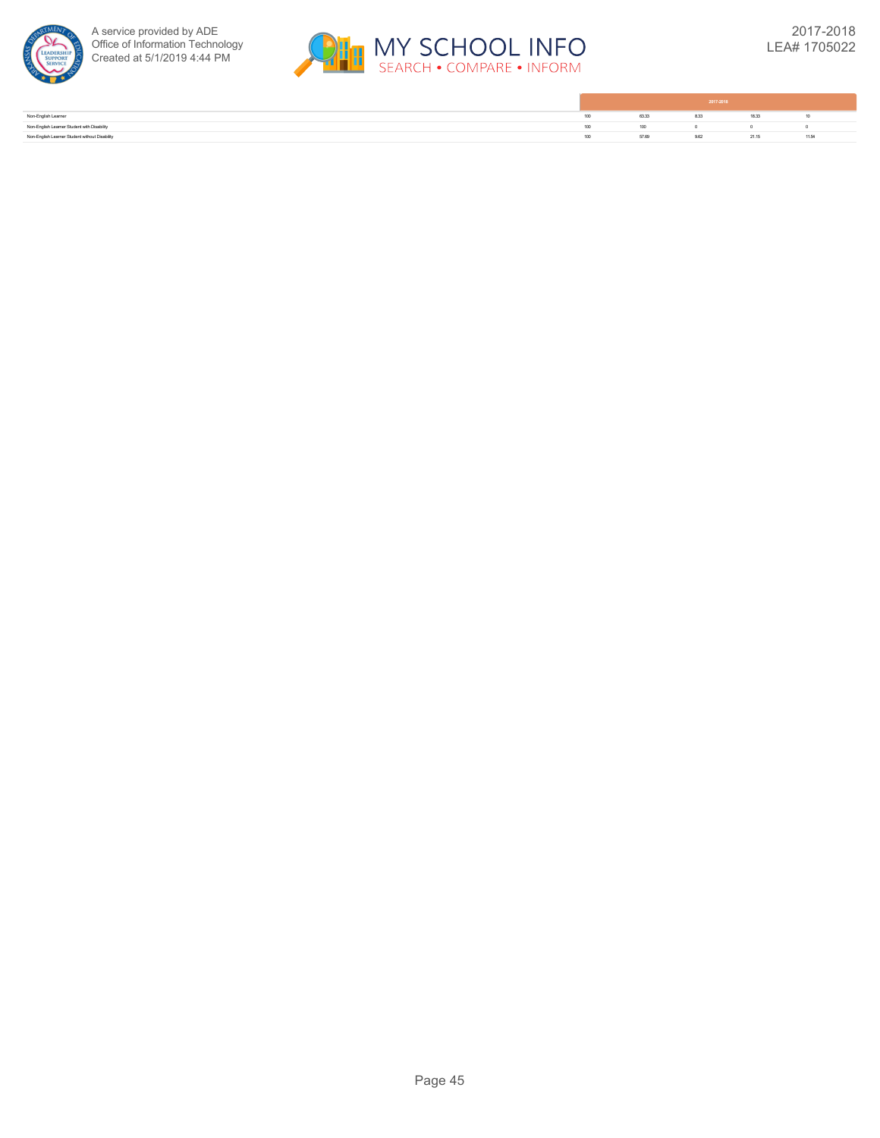



|                                                | 2017-2018 |       |      |       |       |
|------------------------------------------------|-----------|-------|------|-------|-------|
| Non-English Learner                            | 100       | 63.33 | 8.33 | 18.33 |       |
| Non-English Learner Student with Disability    | 100       | 100   |      |       |       |
| Non-English Learner Student without Disability | 100       | 57.69 | 9.62 | 21.15 | 11.54 |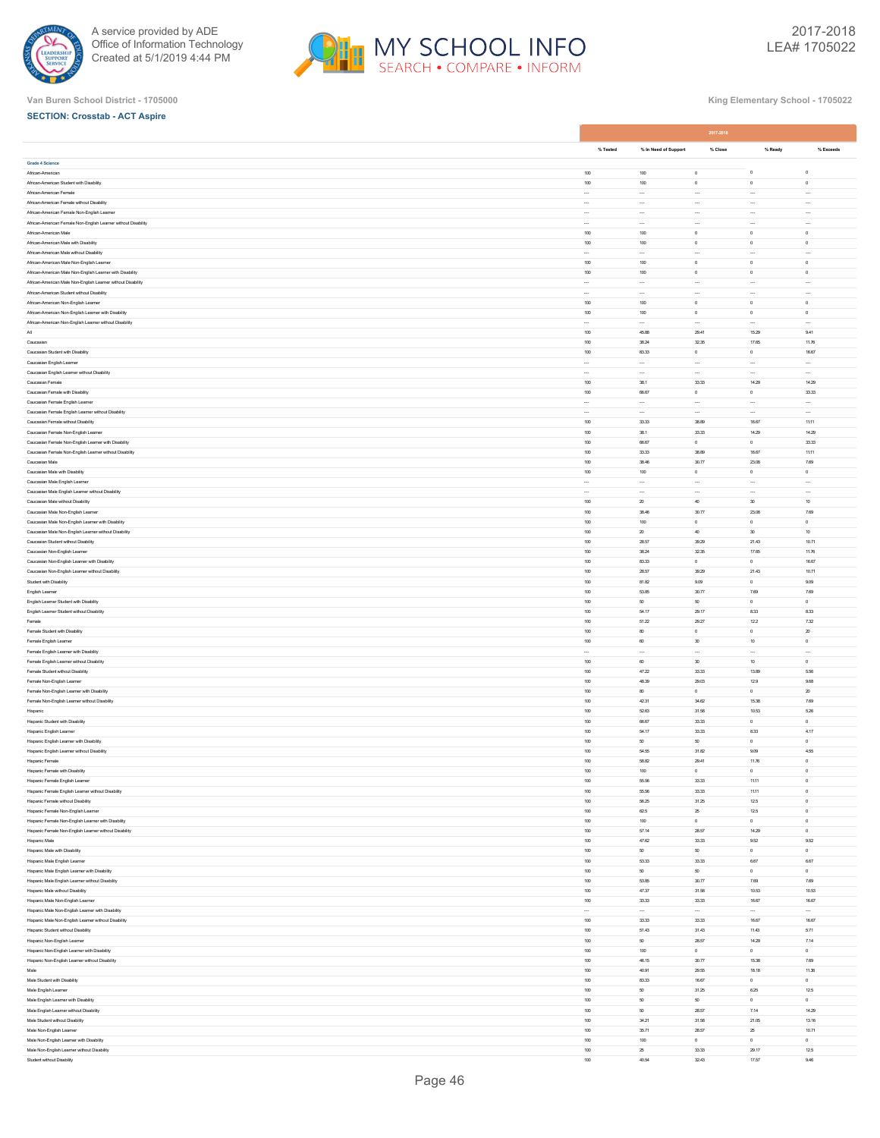



|                                                                                                                 |                      |                          | 2017-2018                                    |                        |                           |
|-----------------------------------------------------------------------------------------------------------------|----------------------|--------------------------|----------------------------------------------|------------------------|---------------------------|
|                                                                                                                 | $\%$ Tested          | % In Need of Support     | $\%$ Close                                   | % Ready                | % Exceeds                 |
| Grade 4 Science                                                                                                 |                      |                          |                                              |                        |                           |
| African-American                                                                                                | 100                  | 100                      | $\,$ 0 $\,$                                  | $\,$ 0 $\,$            | $\mathbb O$               |
| African-American Student with Disability                                                                        | 100                  | 100                      | $\circ$                                      | $\mathbf{0}$           | $^{\circ}$                |
| African-American Female<br>African-American Female without Disability                                           | $\cdots$<br>$\ldots$ | $\sim$<br>$\sim$         | $\ddot{\phantom{0}}$<br>$\ddot{\phantom{0}}$ | $\ddotsc$<br>          | $\cdots$<br>$\cdots$      |
| African-American Female Non-English Learner                                                                     | $\cdots$             | $\cdots$                 | $\cdots$                                     | $\cdots$               | $\cdots$                  |
| African-American Female Non-English Learner without Disability                                                  | $\cdots$             | $\overline{\phantom{a}}$ |                                              | $\ddotsc$              | $\ddotsc$                 |
| African-American Male                                                                                           | 100                  | 100                      | $\circ$                                      | $\circ$                | $\circ$                   |
| African-American Male with Disability                                                                           | 100                  | 100                      | $\,$ 0 $\,$                                  | $\mathbb O$            | $\mathbb O$               |
| African-American Male without Disability<br>African-American Male Non-English Learner                           | à.<br>100            | i.<br>100                | $\ddot{\phantom{a}}$<br>$\circ$              | $\ddotsc$<br>$\circ$   | $\ddotsc$<br>$\circ$      |
| African-American Male Non-English Learner with Disability                                                       | $100\,$              | 100                      | $\,$ 0 $\,$                                  | $\mathbb O$            | $\mathbb O$               |
| African-American Male Non-English Learner without Disability                                                    | $\ddot{\phantom{a}}$ | ä,                       | $\sim$                                       | $\ddotsc$              | $\cdots$                  |
| African-American Student without Disability                                                                     | $\cdots$             | $\cdots$                 | $\cdots$                                     | $\cdots$               | $\cdots$                  |
| African-American Non-English Learner                                                                            | $100\,$              | $100\,$                  | $\,$ 0 $\,$                                  | $\mathbb O$            | $\mathbb O$               |
| African-American Non-English Learner with Disability<br>African-American Non-English Learner without Disability | 100<br>$\cdots$      | 100<br>$\cdots$          | $\circ$<br>$\cdots$                          | $^{\circ}$<br>$\cdots$ | $^{\circ}$<br>$\cdots$    |
| All                                                                                                             | 100                  | 45.88                    | 29.41                                        | 15.29                  | 9.41                      |
| Caucasian                                                                                                       | 100                  | 38.24                    | 3235                                         | 17.65                  | 11.76                     |
| Caucasian Student with Disability                                                                               | $100\,$              | 83.33                    | $\,$ 0 $\,$                                  | $\mathbb O$            | 16.67                     |
| Caucasian English Learner                                                                                       | $\ldots$             | $\cdots$                 | $\cdots$                                     | $\cdots$               | $\cdots$                  |
| Caucasian English Learner without Disability<br>Caucasian Female                                                | $\cdots$<br>$100\,$  | $\cdots$<br>38.1         | $\cdots$<br>33.33                            | $\cdots$<br>14.29      | $\cdots$<br>14.29         |
| Caucasian Female with Disability                                                                                | 100                  | 66.67                    | $\circ$                                      | $\circ$                | 33.33                     |
| Caucasian Female English Learner                                                                                | $\cdots$             | $\cdots$                 | $\cdots$                                     | $\cdots$               |                           |
| Caucasian Female English Learner without Disability                                                             | $\ddotsc$            | $\sim$                   | $\ddotsc$                                    | $\ddotsc$              | $\ddotsc$                 |
| Caucasian Female without Disability                                                                             | 100                  | 33.33                    | 38.89                                        | 16.67                  | 11.11                     |
| Caucasian Female Non-English Learner<br>Caucasian Female Non-English Learner with Disability                    | $100\,$<br>100       | 38.1<br>66.67            | 33.33<br>$\circ$                             | 14.29<br>$\mathbb O$   | 14.29<br>33.33            |
| Caucasian Female Non-English Learner without Disability                                                         | 100                  | 33.33                    | 38.89                                        | 16.67                  | 11.11                     |
| Caucasian Male                                                                                                  | $100\,$              | 38.46                    | 30.77                                        | 23.08                  | 7.69                      |
| Caucasian Male with Disability                                                                                  | 100                  | 100                      | $\circ$                                      | $^{\circ}$             | $^{\circ}$                |
| Caucasian Male English Learner                                                                                  | $\cdots$             | $\cdots$                 | $\cdots$                                     | $\cdots$               | $\cdots$                  |
| Caucasian Male English Learner without Disability<br>Caucasian Male without Disability                          | $\cdots$<br>100      | $\sim$<br>20             | $\cdots$<br>40                               | $\cdots$<br>30         | $\cdots$<br>10            |
| Caucasian Male Non-English Learner                                                                              | $100\,$              | 38.46                    | 30.77                                        | 23.08                  | 7.69                      |
| Caucasian Male Non-English Learner with Disability                                                              | 100                  | 100                      | $\,$ 0 $\,$                                  | $\mathbb O$            | $\,$ 0 $\,$               |
| Caucasian Male Non-English Learner without Disability                                                           | 100                  | $20\,$                   | $40\,$                                       | $30\,$                 | $10\,$                    |
| Caucasian Student without Disability                                                                            | $100\,$              | 28.57                    | 39.29                                        | 21.43                  | 10.71                     |
| Caucasian Non-English Learner<br>Caucasian Non-English Learner with Disability                                  | 100<br>100           | 38.24<br>83.33           | 32.35<br>$\,$ 0 $\,$                         | 17.65<br>$\mathbb O$   | 11.76<br>16.67            |
| Caucasian Non-English Learner without Disability                                                                | 100                  | 28.57                    | 39.29                                        | 21.43                  | 10.71                     |
| Student with Disability                                                                                         | 100                  | 81.82                    | 9.09                                         | $\circ$                | 9.09                      |
| English Learner                                                                                                 | $100\,$              | 53.85                    | 30.77                                        | 7.69                   | 7.69                      |
| English Learner Student with Disability                                                                         | 100                  | 60                       | $_{50}$                                      | $\mathbb O$            | $\mathbb O$               |
| English Learner Student without Disability<br>Female                                                            | 100<br>$100\,$       | 54.17<br>51.22           | 29.17<br>29.27                               | 8.33<br>12.2           | 8.33<br>$7.32\,$          |
| Female Student with Disability                                                                                  | 100                  | 80                       | $\circ$                                      | $\mathbf{0}$           | $\rm{20}$                 |
| Female English Learner                                                                                          | 100                  | $_{60}$                  | $30\,$                                       | $10\,$                 | $\mathbb O$               |
| Female English Learner with Disability                                                                          | $\sim$               | $\sim$                   | $\sim$                                       | $\ddotsc$              | $\cdots$                  |
| Female English Learner without Disability                                                                       | 100                  | 60                       | 30                                           | 10                     | $\circ$                   |
| Female Student without Disability<br>Female Non-English Learner                                                 | $100\,$<br>100       | 47.22<br>48.39           | 33.33<br>29.03                               | 13.89<br>12.9          | $5.56\,$<br>9.68          |
| Female Non-English Learner with Disability                                                                      | 100                  | 80                       | $\,$ 0 $\,$                                  | $\mathbb O$            | $\rm{20}$                 |
| Female Non-English Learner without Disability                                                                   | $100\,$              | 42.31                    | 34.62                                        | 15.38                  | 7.69                      |
| Hispanic                                                                                                        | 100                  | 52.63                    | 31.58                                        | 10.53                  | 5.26                      |
| Hispanic Student with Disability                                                                                | 100                  | 66.67                    | 33.33                                        | $\,$ 0 $\,$            | $\,$ 0 $\,$               |
| Hispanic English Learner<br>Hispanic English Learner with Disability                                            | 100<br>100           | 54.17<br>50              | 33.33<br>60                                  | 8.33<br>$\circ$        | 4.17<br>$\mathbb O$       |
| Hispanic English Learner without Disability                                                                     | $100\,$              | 54.55                    | 31.82                                        | 9.09                   | 4.55                      |
| Hispanic Female                                                                                                 | 100                  | 58.82                    | 29.41                                        | 11.76                  | $\mathbb O$               |
| Hispanic Female with Disability                                                                                 | 100                  | 100                      | $\,$ 0                                       | $\mathbb O$            | $\circ$                   |
| Hispanic Female English Learner                                                                                 | $100\,$<br>100       | 55.56<br>55.56           | 33.33<br>33.33                               | 11.11<br>11.11         | $\mathbb O$<br>$^{\circ}$ |
| Hispanic Female English Learner without Disability<br>Hispanic Female without Disability                        | 100                  | 56.25                    | 31.25                                        | 12.5                   | $\mathbb O$               |
| Hispanic Female Non-English Learner                                                                             | 100                  | 62.5                     | $\mathbf{z}$                                 | 12.5                   | $\mathbb O$               |
| Hispanic Female Non-English Learner with Disability                                                             | 100                  | 100                      | $^{\circ}$                                   | $\circ$                | $\circ$                   |
| Hispanic Female Non-English Learner without Disability                                                          | $100\,$              | 57.14                    | 28.57                                        | 14.29                  | $\mathbb O$               |
| Hispanic Male<br>Hispanic Male with Disability                                                                  | 100<br>100           | 47.62<br>60              | 33.33<br>$_{50}$                             | 9.52<br>$\mathbb O$    | 9.52<br>$\,$ 0 $\,$       |
| Hispanic Male English Learner                                                                                   | $100\,$              | 53.33                    | 33.33                                        | 6.67                   | 6.67                      |
| Hispanic Male English Learner with Disability                                                                   | 100                  | 60                       | 60                                           | $\circ$                | $\circ$                   |
| Hispanic Male English Learner without Disability                                                                | 100                  | 53.85                    | 30.77                                        | 7.69                   | 7.69                      |
| Hispanic Male without Disability                                                                                | 100                  | 47.37                    | 31.58                                        | 10.53                  | 10.53                     |
| Hispanic Male Non-English Learner                                                                               | 100<br>$\ddotsc$     | 33.33<br>$\cdots$        | 33.33<br>$\ddot{\phantom{0}}$                | 16.67<br>              | 16.67<br>                 |
| Hispanic Male Non-English Learner with Disability<br>Hispanic Male Non-English Learner without Disability       | 100                  | 33.33                    | 33.33                                        | 16.67                  | 16.67                     |
| Hispanic Student without Disability                                                                             | 100                  | 51.43                    | 31.43                                        | 11.43                  | 5.71                      |
| Hispanic Non-English Learner                                                                                    | $100\,$              | $_{50}$                  | 28.57                                        | 14.29                  | 7.14                      |
| Hispanic Non-English Learner with Disability                                                                    | 100                  | 100                      | $\circ$                                      | $\circ$                | $\circ$                   |
| Hispanic Non-English Learner without Disability                                                                 | 100                  | 46.15                    | 30.77                                        | 15.38                  | 7.69                      |
| Male<br>Male Student with Disability                                                                            | 100<br>100           | 40.91<br>83.33           | 29.55<br>16.67                               | 18.18<br>$\circ$       | 11.36<br>$\circ$          |
| Male English Learner                                                                                            | $100\,$              | $_{\rm S0}$              | 31.25                                        | $6.25\,$               | 12.5                      |
| Male English Learner with Disability                                                                            | 100                  | 50                       | 50                                           | $\circ$                | $\mathbb O$               |
| Male English Learner without Disability                                                                         | 100                  | $_{50}$                  | 28.57                                        | 7.14                   | 14.29                     |
| Male Student without Disability                                                                                 |                      | 34.21                    | 31.58                                        | 21.06                  | 13.16                     |
|                                                                                                                 | 100                  |                          |                                              |                        |                           |
| Male Non-English Learner                                                                                        | 100<br>100           | 35.71<br>100             | 28.57<br>$\,$ 0 $\,$                         | 25<br>$\mathbb O$      | 10.71<br>$\mathbb O$      |
| Male Non-English Learner with Disability<br>Male Non-English Learner without Disability                         | 100                  | $\rm{25}$                | 33.33                                        | 29.17                  | 12.5                      |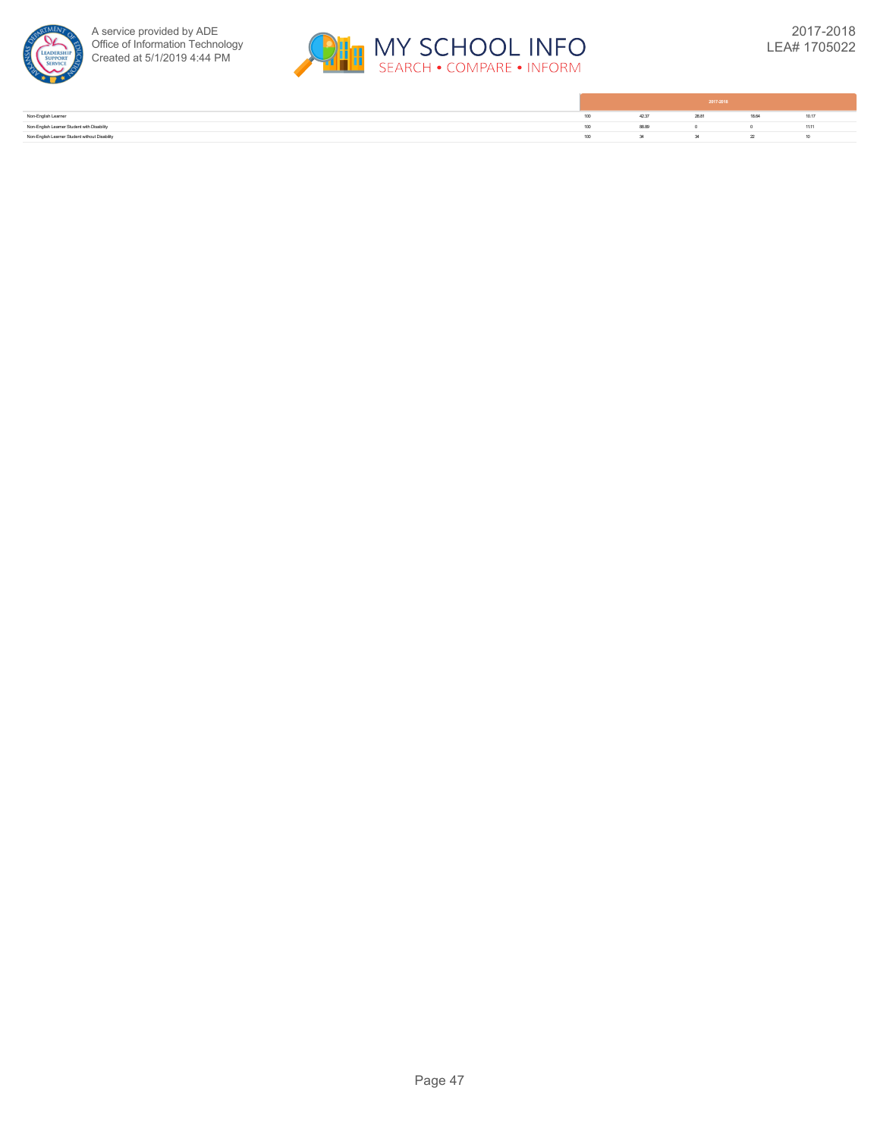



| 2017-2018<br>Non-English Learner<br>42.37<br>18.64<br>100<br>26.81<br>10.17<br>Non-English Learner Student with Disability<br>88.89<br>100<br>11.11 |                                                |     |  |  |  |  |  |
|-----------------------------------------------------------------------------------------------------------------------------------------------------|------------------------------------------------|-----|--|--|--|--|--|
|                                                                                                                                                     |                                                |     |  |  |  |  |  |
|                                                                                                                                                     |                                                |     |  |  |  |  |  |
|                                                                                                                                                     |                                                |     |  |  |  |  |  |
|                                                                                                                                                     | Non-English Learner Student without Disability | 100 |  |  |  |  |  |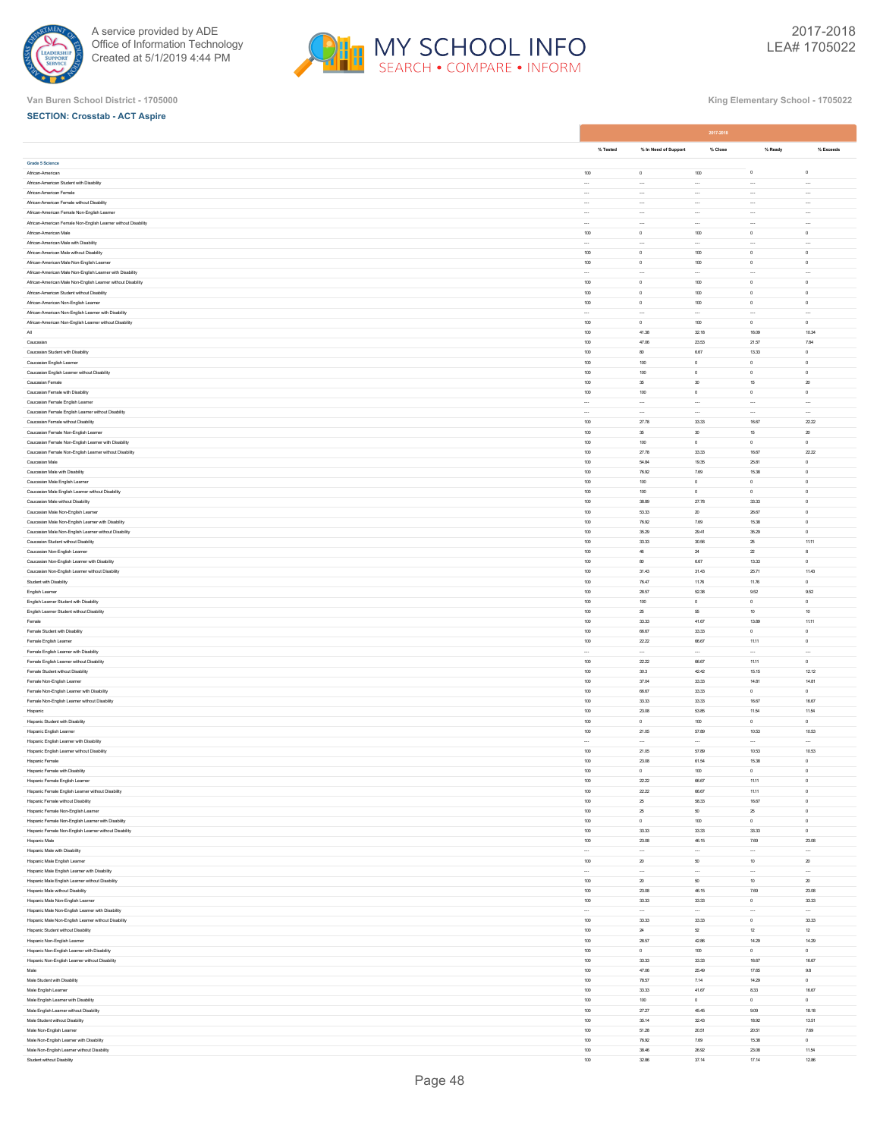



|                                                                                                           |                       |                               | 2017-2018                      |                            |                            |
|-----------------------------------------------------------------------------------------------------------|-----------------------|-------------------------------|--------------------------------|----------------------------|----------------------------|
|                                                                                                           | % Tested              | % In Need of Support          | % Close                        | % Ready                    | % Exceeds                  |
| Grade 5 Science                                                                                           |                       |                               |                                |                            |                            |
| African-American                                                                                          | 100                   | $\,$ 0 $\,$                   | 100                            | $\mathbb O$                | $\circ$                    |
| African-American Student with Disability<br>African-American Female                                       | $\ddotsc$<br>$\cdots$ | $\cdots$<br>$\cdots$          | $\sim$<br>$\ddot{\phantom{0}}$ | $\cdots$<br>               | $\cdots$<br>               |
| African-American Female without Disability                                                                | $\ddotsc$             | $\cdots$                      | $\ldots$                       | $\cdots$                   | $\cdots$                   |
| African-American Female Non-English Learner                                                               | $\cdots$              | $\ddot{\phantom{0}}$          | $\ldots$                       | $\cdots$                   | $\cdots$                   |
| African-American Female Non-English Learner without Disability                                            | $\sim$                |                               | $\ddot{\phantom{0}}$           |                            |                            |
| African-American Male                                                                                     | 100                   | $\,$ 0 $\,$                   | 100                            | $\mathbb O$                | $\circ$                    |
| African-American Male with Disability<br>African-American Male without Disability                         | $\cdots$<br>100       | $\cdots$<br>$\,0\,$           | $\cdots$<br>100                | $\cdots$<br>$\mathbb O$    | $\cdots$<br>$\circ$        |
| African-American Male Non-English Learner                                                                 | 100                   | $\circ$                       | 100                            | $\circ$                    | $\circ$                    |
| African-American Male Non-English Learner with Disability                                                 | $\cdots$              | $\sim$                        | $\ddot{\phantom{0}}$           |                            |                            |
| African-American Male Non-English Learner without Disability                                              | 100                   | $\,0\,$                       | 100                            | $\mathbb O$                | $\mathbb O$                |
| African-American Student without Disability                                                               | 100                   | $\,$ 0 $\,$                   | 100                            | $\mathbf 0$                | $\mathbb O$                |
| African-American Non-English Learner<br>African-American Non-English Learner with Disability              | $100\,$<br>$\ddotsc$  | $\,$ 0 $\,$<br>$\cdots$       | $100\,$<br>$\cdots$            | $\mathbb O$<br>$\cdots$    | $\mathbb O$<br>$\cdots$    |
| African-American Non-English Learner without Disability                                                   | 100                   | $\,0\,$                       | 100                            | $\mathbb O$                | $\mathbb O$                |
| All                                                                                                       | 100                   | 41.38                         | 32.18                          | 16.09                      | 10.34                      |
| Caucasian                                                                                                 | 100                   | 47.06                         | 23.53                          | 21.57                      | 7.84                       |
| Caucasian Student with Disability                                                                         | $100\,$               | $_{80}$                       | 6.67                           | 13.33                      | $\mathbb O$                |
| Caucasian English Learner<br>Caucasian English Learner without Disability                                 | 100<br>100            | 100<br>100                    | $\,$ 0 $\,$<br>$\,$ 0 $\,$     | $\mathbb O$<br>$\mathbf 0$ | $\mathbb O$<br>$\mathbb O$ |
| Caucasian Female                                                                                          | $100\,$               | $_{\rm 35}$                   | $30\,$                         | $15\,$                     | $20\,$                     |
| Caucasian Female with Disability                                                                          | 100                   | 100                           | $\circ$                        | $\circ$                    | $\circ$                    |
| Caucasian Female English Learner                                                                          | $\cdots$              | $\ddotsc$                     | $\ldots$                       | $\cdots$                   | $\cdots$                   |
| Caucasian Female English Learner without Disability                                                       | $\ddotsc$             | $\sim$                        | $\ddot{\phantom{a}}$           | $\cdots$                   | $\cdots$                   |
| Caucasian Female without Disability<br>Caucasian Female Non-English Learner                               | 100<br>$100\,$        | 27.78<br>$_{\rm 35}$          | 33.33<br>$30\,$                | 16.67<br>$15\,$            | 22.22<br>$20\,$            |
| Caucasian Female Non-English Learner with Disability                                                      | 100                   | 100                           | $\,0\,$                        | $\circ$                    | $\circ$                    |
| Caucasian Female Non-English Learner without Disability                                                   | 100                   | 27.78                         | 33.33                          | 16.67                      | 22.22                      |
| Caucasian Male                                                                                            | $100\,$               | 54.84                         | 19.35                          | 25.81                      | $\mathbf 0$                |
| Caucasian Male with Disability                                                                            | 100                   | 76.92                         | 7.69                           | 15.38                      | $\circ$                    |
| Caucasian Male English Learner<br>Caucasian Male English Learner without Disability                       | 100<br>100            | 100<br>100                    | $\,0\,$<br>$\,$ 0 $\,$         | $\mathbb O$<br>$\mathbb O$ | $\mathbb O$<br>$\mathbb O$ |
| Caucasian Male without Disability                                                                         | 100                   | 38.89                         | 27.78                          | 33.33                      | $\circ$                    |
| Caucasian Male Non-English Learner                                                                        | $100\,$               | 53.33                         | $\rm{20}$                      | 26.67                      | $\circ$                    |
| Caucasian Male Non-English Learner with Disability                                                        | 100                   | 76.92                         | 7.69                           | 15.38                      | $\mathbb O$                |
| Caucasian Male Non-English Learner without Disability                                                     | 100                   | 35.29                         | 29.41                          | 35.29                      | $\mathbb O$                |
| Caucasian Student without Disability<br>Caucasian Non-English Learner                                     | $100\,$<br>100        | 33.33<br>46                   | 30.56<br>$24\,$                | $2\!$<br>$\mathbf{z}$      | 11.11<br>8                 |
| Caucasian Non-English Learner with Disability                                                             | 100                   | $_{80}$                       | 6.67                           | 13.33                      | $\mathbb O$                |
| Caucasian Non-English Learner without Disability                                                          | 100                   | 31.43                         | 31.43                          | 25.71                      | 11.43                      |
| Student with Disability                                                                                   | 100                   | 76.47                         | 11.76                          | 11.76                      | $\circ$                    |
| English Learner                                                                                           | $100\,$               | 28.57                         | 52.38                          | 9.52                       | 9.52                       |
| English Learner Student with Disability<br>English Learner Student without Disability                     | 100<br>100            | 100<br>$\rm{2S}$              | $\,$ 0 $\,$<br>$_{55}$         | $\mathbb O$<br>$10\,$      | $\mathbb O$<br>$10\,$      |
| Female                                                                                                    | $100\,$               | 33.33                         | 41.67                          | 13.89                      | 11.11                      |
| Female Student with Disability                                                                            | 100                   | 66.67                         | 33.33                          | $\circ$                    | $\circ$                    |
| Female English Learner                                                                                    | 100                   | 22.22                         | 66.67                          | 11.11                      | $\mathbb O$                |
| Female English Learner with Disability                                                                    | $\sim$                | $\sim$                        | $\ldots$                       | $\cdots$                   | $\cdots$                   |
| Female English Learner without Disability                                                                 | 100<br>$100\,$        | 22.22<br>$30.3\,$             | 66.67<br>42.42                 | 11.11<br>15.15             | $\circ$<br>12.12           |
| Female Student without Disability<br>Female Non-English Learner                                           | 100                   | 37.04                         | 33.33                          | 14.81                      | 14.81                      |
| Female Non-English Learner with Disability                                                                | 100                   | 66.67                         | 33.33                          | $\mathsf{o}$               | $\mathsf{o}$               |
| Female Non-English Learner without Disability                                                             | $100\,$               | 33.33                         | 33.33                          | 16.67                      | 16.67                      |
| Hispanic                                                                                                  | 100                   | 23.08                         | 53.85                          | 11.54                      | 11.54                      |
| Hispanic Student with Disability                                                                          | 100                   | $\,$ 0 $\,$                   | 100                            | $\mathbb O$                | $\mathbb O$                |
| Hispanic English Learner<br>Hispanic English Learner with Disability                                      | 100<br>$\ddotsc$      | 21.05<br>$\cdots$             | 57.89<br>$\cdots$              | 10.53<br>$\cdots$          | 10.53<br>$\cdots$          |
| Hispanic English Learner without Disability                                                               | $100\,$               | 21.06                         | 57.89                          | 10.53                      | 10.53                      |
| Hispanic Female                                                                                           | 100                   | 23.08                         | 61.54                          | 15.38                      | $\mathbb O$                |
| Hispanic Female with Disability                                                                           | 100                   | $\,0\,$                       | 100                            | $\mathbf 0$                | $\circ$                    |
| Hispanic Female English Learner                                                                           | $100\,$<br>100        | $22\,22$<br>22.22             | 66.67<br>66.67                 | 11.11<br>11.11             | $\mathbb O$<br>$\circ$     |
| Hispanic Female English Learner without Disability<br>Hispanic Female without Disability                  | 100                   | $\rm{z}\rm{s}$                | 58.33                          | 16.67                      | $\mathbb O$                |
| Hispanic Female Non-English Learner                                                                       | 100                   | $\rm{25}$                     | $_{50}$                        | $\rm 25$                   | $\mathbb O$                |
| Hispanic Female Non-English Learner with Disability                                                       | 100                   | $\circ$                       | 100                            | $\,$ 0 $\,$                | $\circ$                    |
| Hispanic Female Non-English Learner without Disability                                                    | $100\,$               | 33.33                         | 33.33                          | 33.33                      | $\mathbb O$                |
| Hispanic Male                                                                                             | 100                   | 23.08                         | 46.15                          | 7.69<br>$\cdots$           | 23.08<br>$\cdots$          |
| Hispanic Male with Disability<br>Hispanic Male English Learner                                            | $\cdots$<br>$100\,$   | $\cdots$<br>$\rm{20}$         | $\cdots$<br>$_{\rm 50}$        | $10\,$                     | $20\,$                     |
| Hispanic Male English Learner with Disability                                                             | $\cdots$              | $\cdots$                      | $\cdots$                       | $\cdots$                   | $\cdots$                   |
| Hispanic Male English Learner without Disability                                                          | 100                   | $\rm{20}$                     | $_{50}$                        | $10\,$                     | $\rm{20}$                  |
| Hispanic Male without Disability                                                                          | 100                   | 23.08                         | 46.15                          | 7.69                       | 23.08                      |
| Hispanic Male Non-English Learner                                                                         | 100<br>$\ddotsc$      | 33.33<br>$\ddot{\phantom{0}}$ | 33.33<br>$\cdots$              | $^{\circ}$<br>             | 33.33<br>                  |
| Hispanic Male Non-English Learner with Disability<br>Hispanic Male Non-English Learner without Disability | 100                   | 33.33                         | 33.33                          | $\mathbb O$                | 33.33                      |
| Hispanic Student without Disability                                                                       | 100                   | $24\,$                        | $\mathbbmss{2}$                | $\mathfrak{12}$            | $\mathfrak{12}$            |
| Hispanic Non-English Learner                                                                              | $100\,$               | 28.57                         | 42.86                          | 14.29                      | 14.29                      |
| Hispanic Non-English Learner with Disability                                                              | 100                   | $^{\circ}$                    | 100                            | $\circ$                    | $\circ$                    |
| Hispanic Non-English Learner without Disability                                                           | 100                   | 33.33                         | 33.33                          | 16.67                      | 16.67                      |
| Male<br>Male Student with Disability                                                                      | 100<br>100            | 47.06<br>78.57                | 25.49<br>7.14                  | 17.65<br>14.29             | $9.8\,$<br>$\circ$         |
| Male English Learner                                                                                      | $100\,$               | 33.33                         | 41.67                          | 8.33                       | 16.67                      |
| Male English Learner with Disability                                                                      | 100                   | 100                           | $\,$ 0 $\,$                    | $\mathbb O$                | $\mathbb O$                |
| Male English Learner without Disability                                                                   | 100                   | 27.27                         | 45.45                          | 9.09                       | 18.18                      |
| Male Student without Disability                                                                           | $100\,$<br>100        | 35.14                         | 32.43                          | 18.92<br>20.51             | 13.51<br>7.69              |
| Male Non-English Learner<br>Male Non-English Learner with Disability                                      | 100                   | 51.28<br>76.92                | 20.51<br>7.69                  | 15.38                      | $\mathbb O$                |
| Male Non-English Learner without Disability                                                               | 100                   | 38.46                         | 26.92                          | 23.08                      | 11.54                      |
| Student without Disability                                                                                | 100                   | 32.86                         | 37.14                          | 17.14                      | 12.86                      |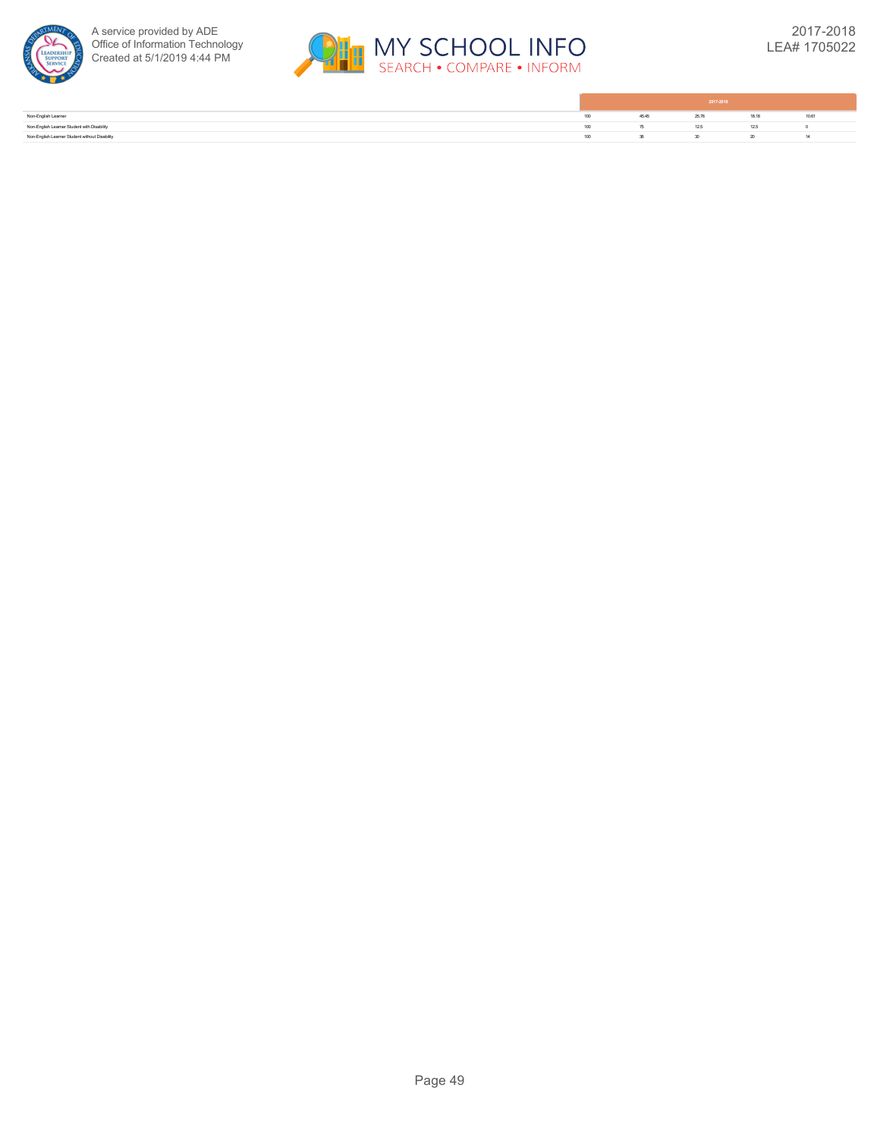



|                                                |     | 2017-2018 |       |       |       |  |
|------------------------------------------------|-----|-----------|-------|-------|-------|--|
| Non-English Learner                            | 100 | 45.45     | 25.76 | 18.18 | 10.61 |  |
| Non-English Learner Student with Disability    | 100 | 75        | 12.5  | 12.5  |       |  |
| Non-English Learner Student without Disability | 100 |           |       |       |       |  |
|                                                |     |           |       |       |       |  |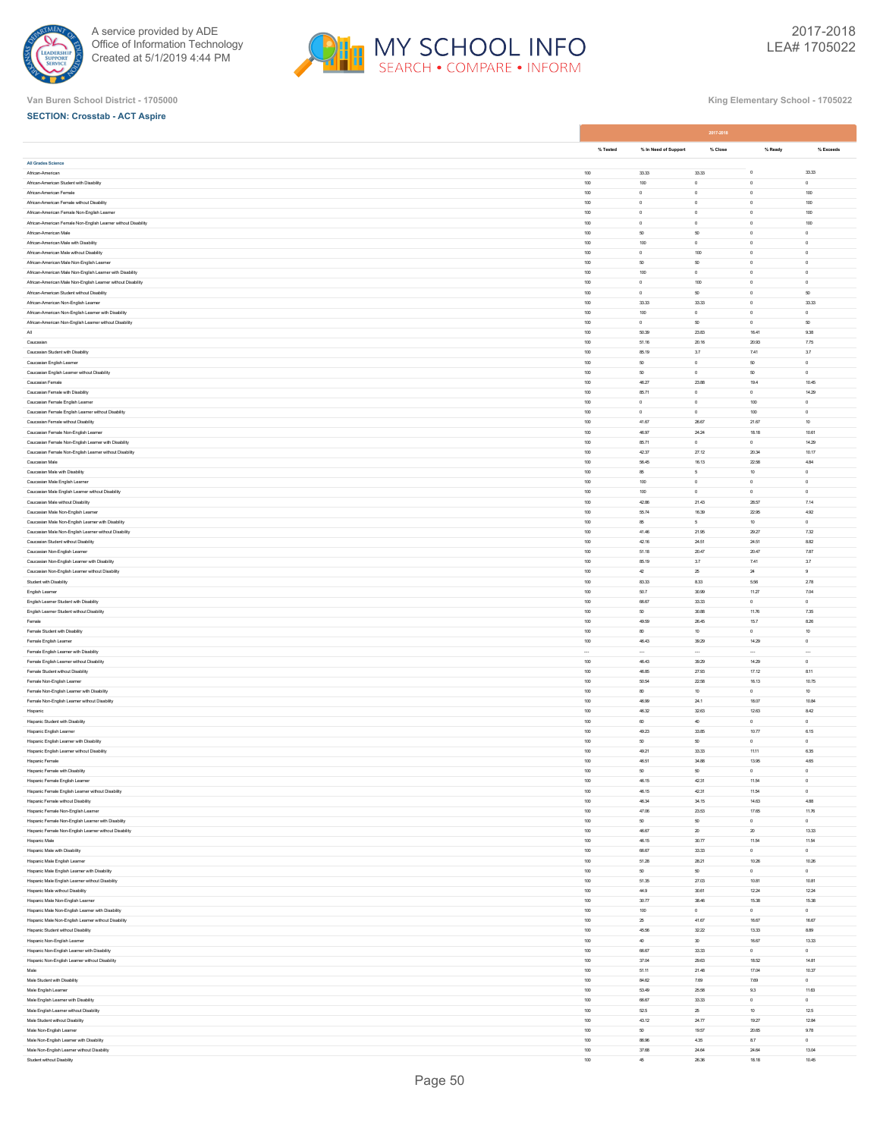



|                                                                                            | 2017-2018      |                       |                                    |                           |                           |  |  |
|--------------------------------------------------------------------------------------------|----------------|-----------------------|------------------------------------|---------------------------|---------------------------|--|--|
|                                                                                            | % Tested       | % In Need of Support  | % Close                            | % Ready                   | % Exceeds                 |  |  |
| All Grades Science                                                                         |                |                       |                                    |                           |                           |  |  |
| African-American                                                                           | 100            | 33.33                 | 33.33                              | $\,$ 0 $\,$               | 33.33                     |  |  |
| African-American Student with Disability                                                   | 100            | 100                   | $\,$ 0 $\,$                        | $\,$ 0 $\,$               | $\,$ 0 $\,$               |  |  |
| African-American Female                                                                    | 100            | $\circ$               | $\,$ 0 $\,$                        | $\,$ 0 $\,$               | 100                       |  |  |
| African-American Female without Disability                                                 | 100            | $\circ$               | $\circ$                            | $\circ$                   | 100                       |  |  |
| African-American Female Non-English Learner                                                | $100\,$        | $\,$ 0 $\,$           | $\,$ 0 $\,$                        | $\,$ 0 $\,$               | $100\,$                   |  |  |
| African-American Female Non-English Learner without Disability                             | 100            | $\circ$               | $\,$ 0 $\,$                        | $\,$ 0 $\,$               | 100                       |  |  |
| African-American Male                                                                      | 100            | 60                    | $_{50}$                            | $\,$ 0 $\,$               | $\,$ 0 $\,$               |  |  |
| African-American Male with Disability                                                      | $100\,$        | $100\,$               | $\,$ 0 $\,$                        | $\,$ 0 $\,$               | $\,$ 0 $\,$               |  |  |
| African-American Male without Disability<br>African-American Male Non-English Learner      | 100<br>100     | $^{\circ}$<br>$_{50}$ | 100<br>$_{50}$                     | $^{\circ}$<br>$\mathbb O$ | $^{\circ}$<br>$\mathbb O$ |  |  |
| African-American Male Non-English Learner with Disability                                  | 100            | 100                   | $\,$ 0 $\,$                        | $\,$ 0 $\,$               | $\,$ 0 $\,$               |  |  |
| African-American Male Non-English Learner without Disability                               | 100            | $^{\circ}$            | 100                                | $\mathbf{0}$              | $\mathbf{0}$              |  |  |
| African-American Student without Disability                                                | $100\,$        | $\,$ 0                | $_{\rm S0}$                        | $\mathbb O$               | $_{\rm 50}$               |  |  |
| African-American Non-English Learner                                                       | 100            | 33.33                 | 33.33                              | $\,$ 0 $\,$               | 33.33                     |  |  |
| African-American Non-English Learner with Disability                                       | 100            | 100                   | $\,$ 0 $\,$                        | $\,$ 0 $\,$               | $\,$ 0 $\,$               |  |  |
| African-American Non-English Learner without Disability                                    | $100\,$        | $\circ$               | $_{50}$                            | $\mathbb O$               | $_{\rm 50}$               |  |  |
| All                                                                                        | 100            | 50.39                 | 23.83                              | 16.41                     | 9.38                      |  |  |
| Caucasian                                                                                  | 100            | 51.16                 | 20.16                              | 20.93                     | 7.75                      |  |  |
| Caucasian Student with Disability                                                          | 100            | 85.19                 | 3.7                                | 7.41                      | $3.7\,$                   |  |  |
| Caucasian English Learner                                                                  | 100            | 50                    | $\mathbf 0$                        | $_{50}$                   | $\circ$                   |  |  |
| Caucasian English Learner without Disability                                               | $100\,$        | $_{50}$               | $\,$ 0 $\,$                        | $_{\rm 50}$               | $\,$ 0 $\,$               |  |  |
| Caucasian Female                                                                           | 100            | 46.27                 | 23.88                              | 19.4                      | 10.45                     |  |  |
| Caucasian Female with Disability                                                           | 100            | 85.71                 | $\mathbf 0$                        | $\mathbb O$               | 14.29                     |  |  |
| Caucasian Female English Learner                                                           | 100            | $\,$ 0 $\,$           | $\,$ 0 $\,$                        | 100                       | $\,$ 0 $\,$               |  |  |
| Caucasian Female English Learner without Disability<br>Caucasian Female without Disability | 100<br>100     | $^{\circ}$<br>41.67   | $\circ$<br>26.67                   | 100<br>21.67              | $^{\circ}$<br>$10\,$      |  |  |
| Caucasian Female Non-English Learner                                                       | 100            | 46.97                 | 24.24                              | 18.18                     | 10.61                     |  |  |
| Caucasian Female Non-English Learner with Disability                                       | 100            | 85.71                 | $\circ$                            | $\circ$                   | 14.29                     |  |  |
| Caucasian Female Non-English Learner without Disability                                    | $100\,$        | 42.37                 | 27.12                              | 20.34                     | 10.17                     |  |  |
| Caucasian Male                                                                             | 100            | 56.45                 | 16.13                              | 22.58                     | 4.84                      |  |  |
| Caucasian Male with Disability                                                             | 100            | 85                    | $\mathsf{s}$                       | $10\,$                    | $\,$ 0 $\,$               |  |  |
| Caucasian Male English Learner                                                             | $100\,$        | $100\,$               | $\,$ 0 $\,$                        | $\,$ 0 $\,$               | $\,$ 0 $\,$               |  |  |
| Caucasian Male English Learner without Disability                                          | 100            | 100                   | $\circ$                            | $\circ$                   | $\circ$                   |  |  |
| Caucasian Male without Disability                                                          | 100            | 42.86                 | 21.43                              | 28.57                     | 7.14                      |  |  |
| Caucasian Male Non-English Learner                                                         | 100            | 55.74                 | 16.39                              | 22.95                     | $4.92\,$                  |  |  |
| Caucasian Male Non-English Learner with Disability                                         | 100            | 85                    | 5                                  | 10                        | $^{\circ}$                |  |  |
| Caucasian Male Non-English Learner without Disability                                      | $100\,$        | 41.46                 | 21.95                              | 29.27                     | $7.32\,$                  |  |  |
| Caucasian Student without Disability                                                       | 100            | 42.16                 | 24.51                              | 24.51                     | 8.82                      |  |  |
| Caucasian Non-English Learner                                                              | 100            | 51.18                 | 20.47                              | 20.47                     | 7.87                      |  |  |
| Caucasian Non-English Learner with Disability                                              | $100\,$        | 85.19<br>42           | $3.7\,$<br>$\overline{\mathbf{z}}$ | 7.41<br>24                | $3.7\,$                   |  |  |
| Caucasian Non-English Learner without Disability<br>Student with Disability                | 100<br>100     | 83.33                 | 8.33                               | 5.56                      | $\theta$<br>2.78          |  |  |
| English Learner                                                                            | 100            | 50.7                  | 30.99                              | 11.27                     | 7.04                      |  |  |
| English Learner Student with Disability                                                    | 100            | 66.67                 | 33.33                              | $^{\circ}$                | $^{\circ}$                |  |  |
| English Learner Student without Disability                                                 | $100\,$        | $_{50}$               | 30.88                              | 11.76                     | $7.35\,$                  |  |  |
| Female                                                                                     | 100            | 49.59                 | 26.45                              | 15.7                      | 8.26                      |  |  |
| Female Student with Disability                                                             | 100            | $_{80}$               | $10$                               | $\mathbb O$               | $10\,$                    |  |  |
| Female English Learner                                                                     | $100\,$        | 46.43                 | 39.29                              | 14.29                     | $\,$ 0                    |  |  |
| Female English Learner with Disability                                                     | $\cdots$       | $\cdots$              | $\ddotsc$                          | $\cdots$                  | $\cdots$                  |  |  |
| Female English Learner without Disability                                                  | 100            | 46.43                 | 39.29                              | 14.29                     | $\,$ 0 $\,$               |  |  |
| Female Student without Disability                                                          | 100            | 46.85                 | 27.93                              | 17.12                     | 8.11                      |  |  |
| Female Non-English Learner                                                                 | 100            | 50.54                 | 22.58                              | 16.13                     | 10.75                     |  |  |
| Female Non-English Learner with Disability                                                 | $100\,$        | $_{80}$               | $10$                               | $\,$ 0 $\,$               | $10\,$                    |  |  |
| Female Non-English Learner without Disability                                              | 100            | 46.99                 | 24.1                               | 18.07                     | 10.84                     |  |  |
| Hispanic<br>Hispanic Student with Disability                                               | 100<br>$100\,$ | 46.32<br>$_{60}$      | 32.63<br>$40\,$                    | 12.63<br>$\,$ 0 $\,$      | 8.42<br>$\,$ 0 $\,$       |  |  |
| Hispanic English Learner                                                                   | 100            | 49.23                 | 33.85                              | 10.77                     | 6.15                      |  |  |
| Hispanic English Learner with Disability                                                   | 100            | $_{50}$               | $_{50}$                            | $\circ$                   | $\mathbb O$               |  |  |
| Hispanic English Learner without Disability                                                | 100            | 49.21                 | 33.33                              | 11.11                     | 6.35                      |  |  |
| Hispanic Female                                                                            | 100            | 46.51                 | 34.88                              | 13.95                     | 4.65                      |  |  |
| Hispanic Female with Disability                                                            | 100            | $_{50}$               | $_{50}$                            | $\mathbb O$               | $\circ$                   |  |  |
| Hispanic Female English Learner                                                            | 100            | 46.15                 | 42.31                              | 11.54                     | $\,$ 0 $\,$               |  |  |
| Hispanic Female English Learner without Disability                                         | 100            | 46.15                 | 42.31                              | 11.54                     | $\,$ 0 $\,$               |  |  |
| Hispanic Female without Disability                                                         | $100\,$        | 46.34                 | 34.15                              | 14.63                     | 4.88                      |  |  |
| Hispanic Female Non-English Learner                                                        | 100            | 47.06                 | 23.53                              | 17.65                     | 11.76                     |  |  |
| Hispanic Female Non-English Learner with Disability                                        | 100            | 60<br>46.67           | $_{\rm 50}$                        | $\mathbb O$               | $\mathsf{O}$              |  |  |
| Hispanic Female Non-English Learner without Disability                                     | 100<br>100     | 46.15                 | 20<br>30.77                        | $\rm{20}$<br>11.54        | 13.33<br>11.54            |  |  |
| Hispanic Male<br>Hispanic Male with Disability                                             | $100\,$        | 66.67                 | 33.33                              | $\,$ 0 $\,$               | $\,$ 0 $\,$               |  |  |
| Hispanic Male English Learner                                                              | 100            | 51.28                 | 28.21                              | 10.26                     | 10.26                     |  |  |
| Hispanic Male English Learner with Disability                                              | 100            | $_{50}$               | $_{\rm 50}$                        | $\mathbb O$               | $\mathbb O$               |  |  |
| Hispanic Male English Learner without Disability                                           | $100\,$        | 51.35                 | 27.03                              | 10.81                     | 10.81                     |  |  |
| Hispanic Male without Disability                                                           | 100            | 44.9                  | 30.61                              | 12.24                     | 12.24                     |  |  |
| Hispanic Male Non-English Learner                                                          | 100            | 30.77                 | 38.46                              | 15.38                     | 15.38                     |  |  |
| Hispanic Male Non-English Learner with Disability                                          | 100            | 100                   | $\,$ 0 $\,$                        | $\mathbb O$               | $\mathsf{O}$              |  |  |
| Hispanic Male Non-English Learner without Disability                                       | 100            | 25                    | 41.67                              | 16.67                     | 16.67                     |  |  |
| Hispanic Student without Disability                                                        | $100\,$        | 45.56                 | 32.22                              | 13.33                     | 8.89                      |  |  |
| Hispanic Non-English Learner                                                               | 100            | 40                    | $30\,$                             | 16.67                     | 13.33                     |  |  |
| Hispanic Non-English Learner with Disability                                               | 100            | 66.67                 | 33.33                              | $\mathbb O$               | $\mathsf{O}$              |  |  |
| Hispanic Non-English Learner without Disability<br>Male                                    | $100\,$<br>100 | 37.04<br>51.11        | 29.63<br>21.48                     | 18.52<br>17.04            | 14.81<br>10.37            |  |  |
| Male Student with Disability                                                               | 100            | 84.62                 | 7.69                               | 7.69                      | $\,$ 0 $\,$               |  |  |
| Male English Learner                                                                       | 100            | 53.49                 | 25.58                              | 9.3                       | 11.63                     |  |  |
| Male English Learner with Disability                                                       | 100            | 66.67                 | 33.33                              | $\circ$                   | $\circ$                   |  |  |
| Male English Learner without Disability                                                    | $100\,$        | $62.5\,$              | $\rm{2S}$                          | $10\,$                    | 12.5                      |  |  |
| Male Student without Disability                                                            | 100            | 43.12                 | 24.77                              | 19.27                     | 12.84                     |  |  |
| Male Non-English Learner                                                                   | 100            | 60                    | 19.57                              | 20.65                     | 9.78                      |  |  |
| Male Non-English Learner with Disability                                                   | $100\,$        | 86.96                 | $4.35\,$                           | $8.7\,$                   | $\,$ 0 $\,$               |  |  |
| Male Non-English Learner without Disability                                                | 100            | 37.68                 | 24.64                              | 24.64                     | 13.04                     |  |  |
| Student without Disability                                                                 | 100            | $45\,$                | 26.36                              | 18.18                     | 10.45                     |  |  |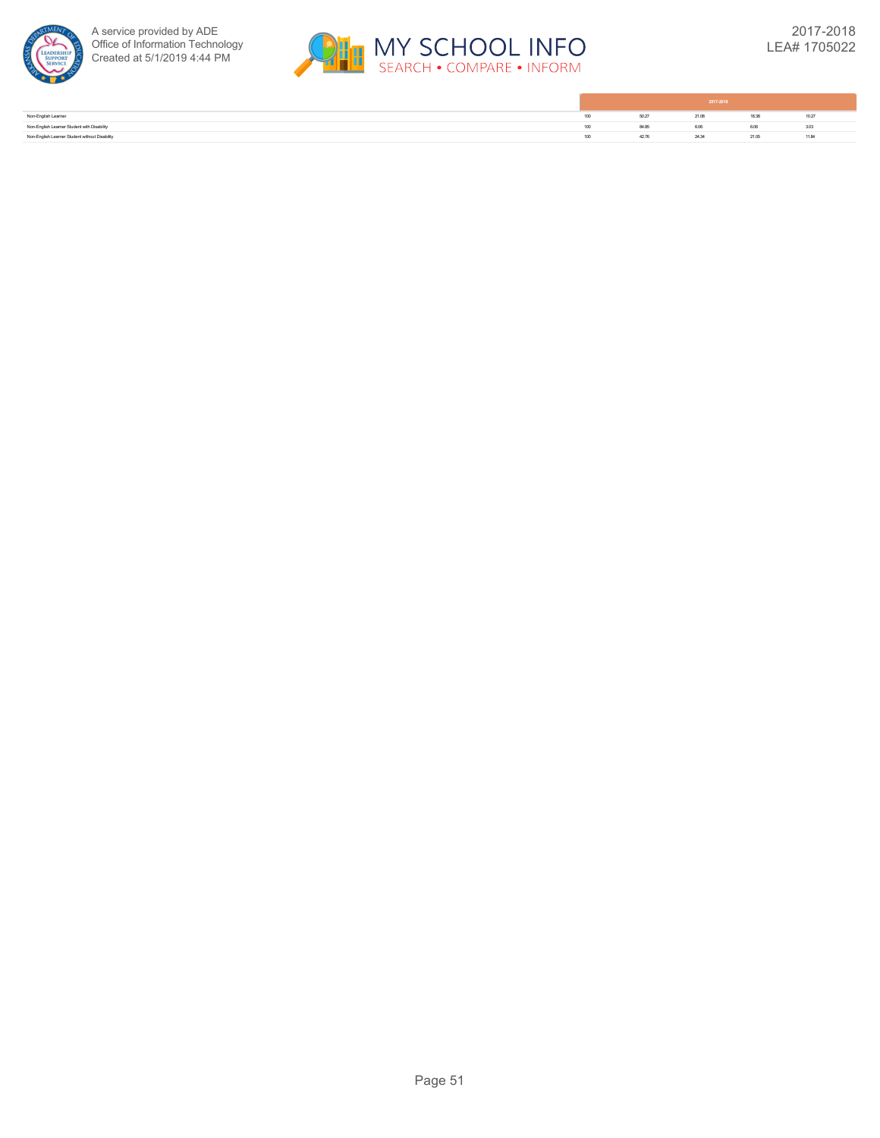



|                                                | 2017-2018 |       |       |       |       |  |  |
|------------------------------------------------|-----------|-------|-------|-------|-------|--|--|
| Non-English Learner                            | 100       | 50.27 | 21.08 | 18.38 | 10.27 |  |  |
| Non-English Learner Student with Disability    | 100       | 84.85 | 6.06  | 6.06  | 3.03  |  |  |
| Non-English Learner Student without Disability | 100       | 42.76 | 24.34 | 21.05 | 11.84 |  |  |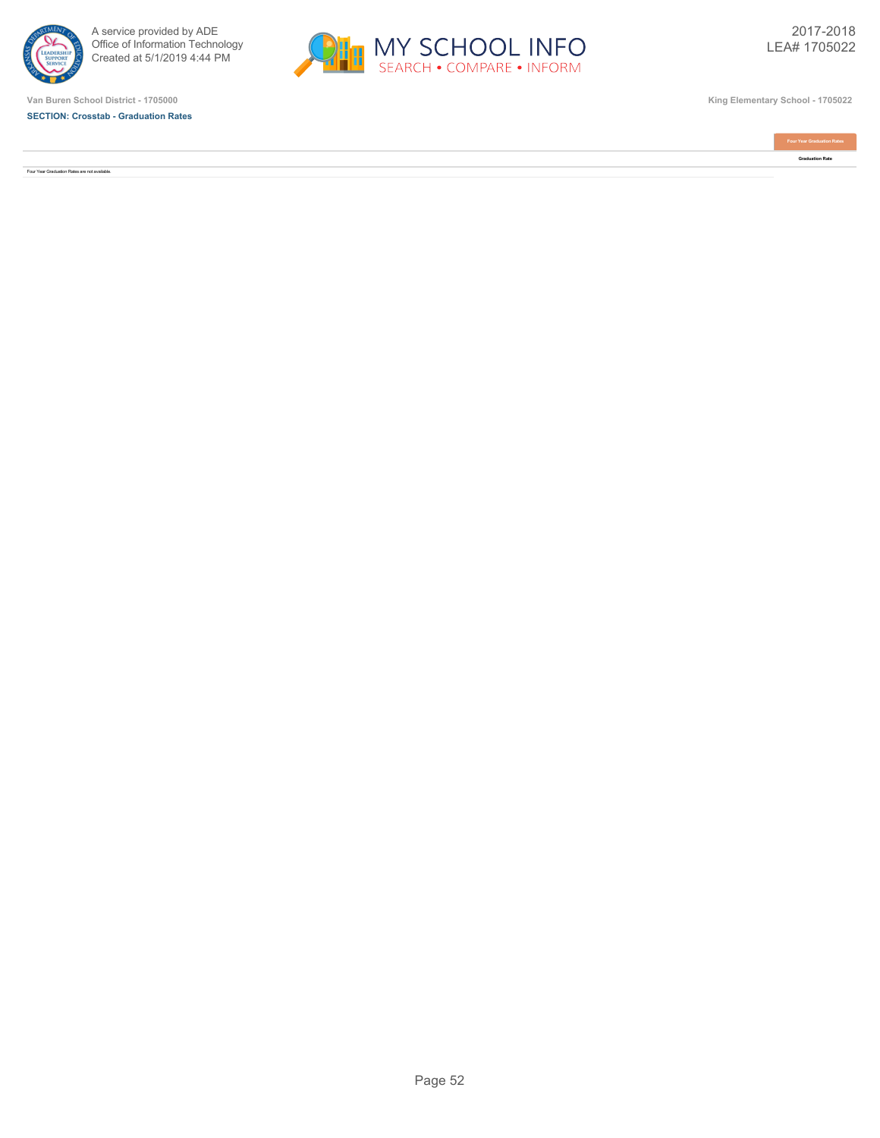

A service provided by ADE Office of Information Technology Created at 5/1/2019 4:44 PM

**SECTION: Crosstab - Graduation Rates**



**Van Buren School District - 1705000 King Elementary School - 1705022**



Four Year Graduation Rates are not available.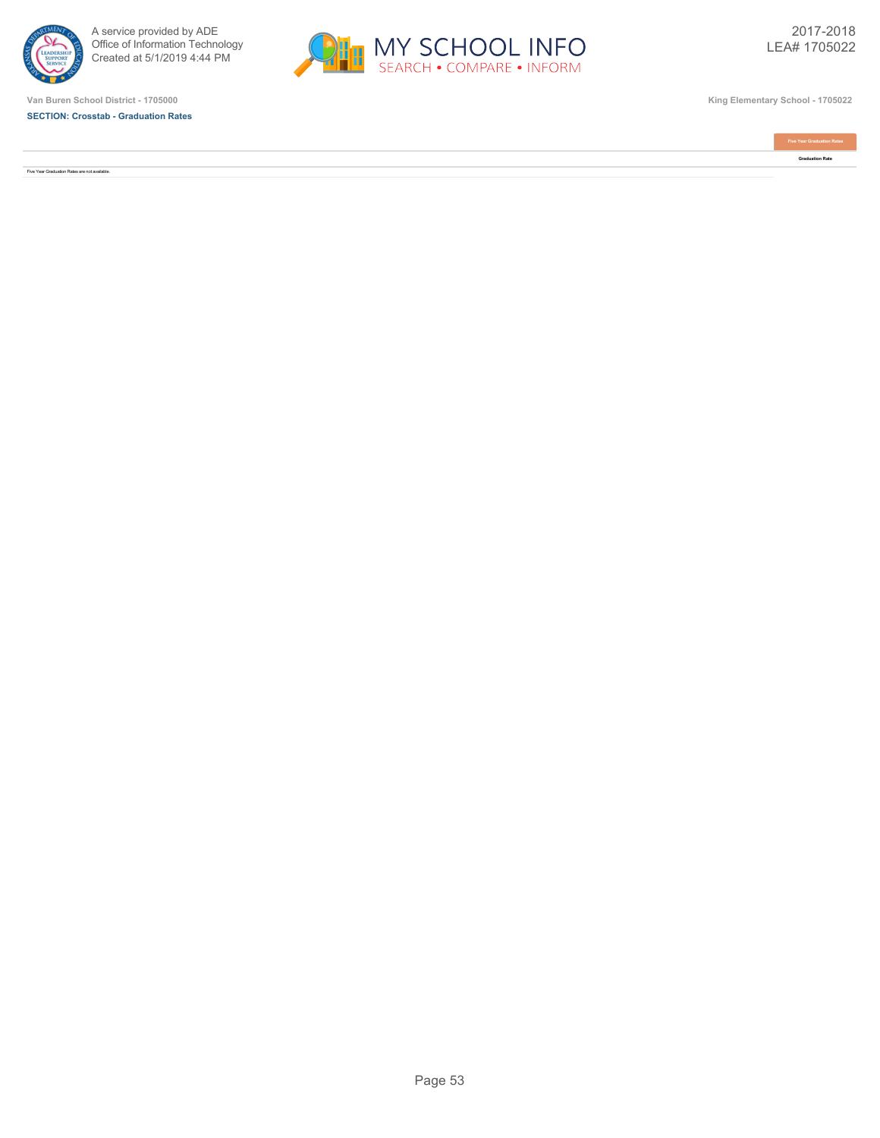

A service provided by ADE Office of Information Technology Created at 5/1/2019 4:44 PM

**SECTION: Crosstab - Graduation Rates**



**Van Buren School District - 1705000 King Elementary School - 1705022**



Five Year Graduation Rates are not available.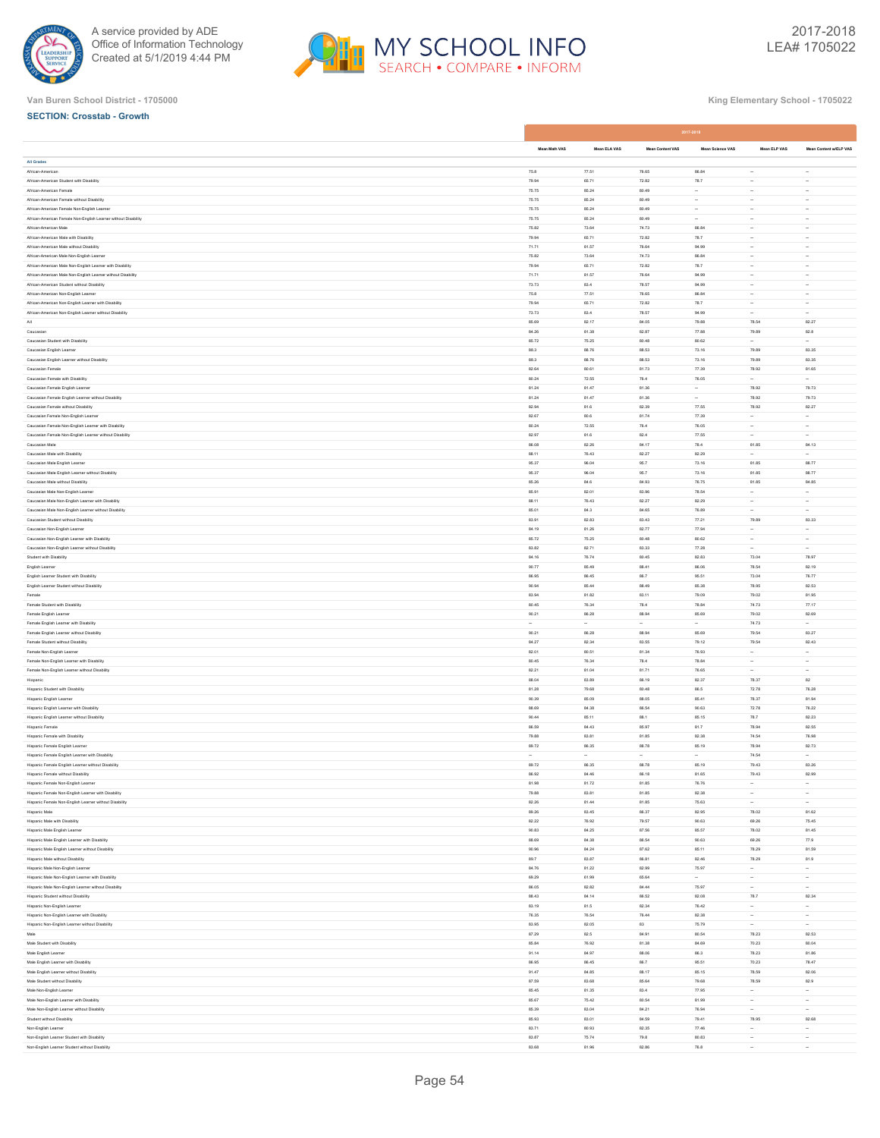



## **SECTION: Crosstab - Growth**

|                                                                                                             | Mean Math VAS  | Mean ELA VAS             | Mean Content VAS | Mean Science VAS         | Mean ELP VAS                               | Mean Content w/ELP VAS                               |
|-------------------------------------------------------------------------------------------------------------|----------------|--------------------------|------------------|--------------------------|--------------------------------------------|------------------------------------------------------|
| All Grades                                                                                                  |                |                          |                  |                          |                                            |                                                      |
| African-American                                                                                            | 75.8           | 77.51                    | 76.65            | 86.84                    | $\overline{a}$                             | $\overline{a}$                                       |
| African-American Student with Disability                                                                    | 79.94          | 65.71                    | 72.82            | 78.7                     | $\overline{a}$                             | $\overline{a}$                                       |
| African-American Female                                                                                     | 75.75          | 85.24                    | 80.49            | $\overline{a}$           | $\overline{\phantom{a}}$                   | $\overline{\phantom{a}}$                             |
| African-American Female without Disability                                                                  | 75.75          | 85.24                    | 80.49            | $\overline{\phantom{a}}$ | $\qquad \qquad$                            | $\hspace{1.0cm} \rule{1.5cm}{0.15cm}$                |
| African-American Female Non-English Learner                                                                 | 75.75          | 85.24                    | 80.49            | $\sim$                   | $\overline{\phantom{a}}$                   | $\overline{\phantom{a}}$                             |
| African-American Female Non-English Learner without Disability                                              | 75.75          | 85.24                    | 80.49            | $\overline{a}$           | $\overline{a}$                             | $\overline{a}$                                       |
| African-American Male                                                                                       | 75.82          | 73.64                    | 74.73            | 86.84                    | $\overline{a}$                             | $\overline{a}$                                       |
| African-American Male with Disability                                                                       | 79.94          | 65.71                    | 72.82            | 78.7                     | $\overline{\phantom{a}}$                   | $\overline{\phantom{a}}$                             |
| African-American Male without Disability                                                                    | 71.71          | 81.57                    | 76.64            | 94.99                    |                                            | Ĭ.                                                   |
| African-American Male Non-English Learner                                                                   | 75.82          | 73.64                    | 74.73            | 86.84                    | $\overline{\phantom{a}}$                   | $\overline{\phantom{a}}$                             |
| African-American Male Non-English Learner with Disability                                                   | 79.94          | 65.71                    | 72.82            | 78.7                     | $\overline{a}$                             | $\overline{a}$                                       |
| African-American Male Non-English Learner without Disability<br>African-American Student without Disability | 71.71          | 81.57                    | 76.64            | 94.99                    | J,                                         | i.                                                   |
|                                                                                                             | 73.73<br>75.8  | 83.4<br>77.51            | 78.57<br>76.65   | 94.99<br>86.84           | $\overline{a}$<br>$\overline{\phantom{a}}$ | $\overline{a}$<br>÷                                  |
| African-American Non-English Learner<br>African-American Non-English Learner with Disability                |                | 65.71                    |                  |                          |                                            |                                                      |
| African-American Non-English Learner without Disability                                                     | 79.94<br>73.73 | 83.4                     | 72.82<br>78.57   | 78.7<br>94.99            | $\qquad \qquad$<br>$\sim$                  | $\overline{\phantom{a}}$<br>$\overline{\phantom{a}}$ |
| $\mathsf{All}$                                                                                              | 85.69          | 82.17                    | 84.05            | 79.88                    | 78.54                                      | 82.27                                                |
| Caucasian                                                                                                   | 84.26          | 81.38                    | 82.87            | 77.88                    | 79.89                                      | 82.8                                                 |
| Caucasian Student with Disability                                                                           | 85.72          | 75.25                    | 80.48            | 80.62                    |                                            |                                                      |
| Caucasian English Learner                                                                                   | 88.3           | 88.76                    | 88.53            | 73.16                    | 79.89                                      | 83.35                                                |
| Caucasian English Learner without Disability                                                                | 88.3           | 88.76                    | 88.53            | 73.16                    | 79.89                                      | 83.35                                                |
| Caucasian Female                                                                                            | 82.64          | 80.61                    | 81.73            | 77.39                    | 78.92                                      | 81.65                                                |
| Caucasian Female with Disability                                                                            | 80.24          | 72.55                    | 76.4             | 76.05                    | $\overline{\phantom{a}}$                   | i.                                                   |
| Caucasian Female English Learner                                                                            | 81.24          | 81.47                    | 81.36            | $\overline{\phantom{a}}$ | 78.92                                      | 79.73                                                |
| Caucasian Female English Learner without Disability                                                         | 81.24          | 81.47                    | 81.36            |                          | 78.92                                      | 79.73                                                |
| Caucasian Female without Disability                                                                         | 82.94          | 81.6                     | 82.39            | 77.55                    | 78.92                                      | 82.27                                                |
| Caucasian Female Non-English Learner                                                                        | 82.67          | 80.6                     | 81.74            | 77.39                    | $\overline{a}$                             | $\sim$                                               |
| Caucasian Female Non-English Learner with Disability                                                        | 80.24          | 72.55                    | 76.4             | 76.05                    | $\overline{a}$                             | $\overline{a}$                                       |
| Caucasian Female Non-English Learner without Disability                                                     | 82.97          | 81.6                     | 82.4             | 77.55                    | $\overline{\phantom{a}}$                   | $\overline{\phantom{a}}$                             |
| Caucasian Male                                                                                              | 86.08          | 82.26                    | 84.17            | 78.4                     | 81.85                                      | 84.13                                                |
| Caucasian Male with Disability                                                                              | 88.11          | 76.43                    | 82.27            | 82.29                    |                                            |                                                      |
| Caucasian Male English Learner                                                                              | 95.37          | 96.04                    | 95.7             | 73.16                    | 81.85                                      | 88.77                                                |
| Caucasian Male English Learner without Disability                                                           | 95.37          | 96.04                    | 95.7             | 73.16                    | 81.85                                      | 88.77                                                |
| Caucasian Male without Disability                                                                           | 85.26          | 84.6                     | 84.93            | 76.75                    | 81.85                                      | 84.85                                                |
| Caucasian Male Non-English Learner                                                                          | 85.91          | 82.01                    | 83.96            | 78.54                    | $\overline{a}$                             |                                                      |
| Caucasian Male Non-English Learner with Disability                                                          | 88.11          | 76.43                    | 82.27            | 82.29                    |                                            |                                                      |
| Caucasian Male Non-English Learner without Disability                                                       | 85.01          | 84.3                     | 84.65            | 76.89                    |                                            |                                                      |
| Caucasian Student without Disability                                                                        | 83.91          | 82.83                    | 83.43            | 77.21                    | 79.89                                      | 83.33                                                |
| Caucasian Non-English Learner                                                                               | 84.19          | 81.26                    | 82.77            | 77.94                    | $\overline{a}$                             | $\overline{a}$                                       |
| Caucasian Non-English Learner with Disability                                                               | 85.72          | 75.25                    | 80.48            | 80.62                    | $\overline{\phantom{a}}$                   | $\overline{a}$                                       |
| Caucasian Non-English Learner without Disability                                                            | 83.82          | 82.71                    | 83.33            | 77.28                    | ×.                                         | $\overline{\phantom{a}}$                             |
| Student with Disability                                                                                     | 84.16          | 76.74                    | 80.45            | 82.83                    | 73.04                                      | 78.97                                                |
| English Learner                                                                                             | 90.77          | 85.49                    | 88.41            | 86.06                    | 78.54                                      | 82.19                                                |
| English Learner Student with Disability                                                                     | 86.95          | 86.45                    | 86.7             | 95.51                    | 73.04                                      | 76.77                                                |
| English Learner Student without Disability                                                                  | 90.94          | 85.44                    | 88.49            | 85.38                    | 78.95                                      | 82.53                                                |
| Female                                                                                                      | 83.94          | 81.82                    | 83.11            | 79.09                    | 79.02                                      | 81.95                                                |
| Female Student with Disability                                                                              | 80.45          | 76.34                    | 78.4             | 78.84                    | 74.73                                      | 77.17                                                |
| Female English Learner                                                                                      | 90.21          | 86.28                    | 88.94            | 85.69                    | 79.02                                      | 82.69                                                |
| Female English Learner with Disability                                                                      | $\overline{a}$ | $\overline{\phantom{a}}$ | ÷                | $\sim$                   | 74.73                                      | $\overline{a}$                                       |
| Female English Learner without Disability                                                                   | 90.21          | 86.28                    | 88.94            | 85.69                    | 79.54                                      | 83.27                                                |
| Female Student without Disability                                                                           | 84.27          | 82.34                    | 83.55            | 79.12                    | 79.54                                      | 82.43                                                |
| Female Non-English Learner                                                                                  | 82.01          | 80.51                    | 81.34            | 76.93                    |                                            |                                                      |
| Female Non-English Learner with Disability                                                                  | 80.45          | 76.34                    | 78.4             | 78.84                    | $\qquad \qquad$                            | $\qquad \qquad \blacksquare$                         |
| Female Non-English Learner without Disability                                                               | 82.21          | 81.04                    | 81.71            | 76.65                    | $\sim$                                     | $\overline{\phantom{a}}$                             |
| Hispanic                                                                                                    | 88.04          | 83.89                    | 86.19            | 82.37                    | 78.37                                      | 82                                                   |
| <b>Hispanic Student with Disability</b>                                                                     | 81.28          | 79.68                    | 80.48            | 86.5                     | 72.78                                      | 76.28                                                |
| Hispanic English Learner                                                                                    | 90.39          | 85.09                    | 88.05            | 85.41                    | 78.37                                      | 81.94                                                |
| Hispanic English Learner with Disability                                                                    | 88.69          | 84.38                    | 86.54            | 90.63                    | 72.78                                      | 76.22                                                |
| Hispanic English Learner without Disability                                                                 | 90.44          | 85.11                    | 88.1             | 85.15                    | 78.7                                       | 82.23                                                |
| <b>Hispanic Female</b>                                                                                      | 86.59          | 84.43                    | 85.97            | 81.7                     | 78.94                                      | 82.55                                                |
| <b>Hispanic Female with Disability</b>                                                                      | 79.88          | 83.81                    | 81.85            | 82.38                    | 74.54                                      | 76.98                                                |
| Hispanic Female English Learner                                                                             | 89.72          | 86.35                    | 88.78            | 85.19                    | 78.94                                      | 82.73                                                |
| Hispanic Female English Learner with Disability                                                             |                |                          |                  |                          | 74.54                                      |                                                      |
| Hispanic Female English Learner without Disability                                                          | 89.72          | 86.35                    | 88.78            | 85.19                    | 79.43                                      | 83.26                                                |
| Hispanic Female without Disability                                                                          | 86.92          | 84.46                    | 86.18            | 81.65                    | 79.43                                      | 82.99                                                |
| Hispanic Female Non-English Learner<br>Hispanic Female Non-English Learner with Disability                  | 81.98<br>79.88 | 81.72<br>83.81           | 81.85<br>81.85   | 76.76<br>82.38           | $\overline{a}$                             | $\overline{a}$                                       |
| Hispanic Female Non-English Learner without Disability                                                      | 82.26          | 81.44                    | 81.85            | 75.63                    | $\overline{\phantom{a}}$                   | $\overline{\phantom{a}}$                             |
| Hispanic Male                                                                                               | 89.26          | 83.45                    | 86.37            | 82.95                    | 78.02                                      | 81.62                                                |
| Hispanic Male with Disability                                                                               | 82.22          | 76.92                    | 79.57            | 90.63                    | 69.26                                      | 75.45                                                |
| Hispanic Male English Learner                                                                               | 90.83          | 84.25                    | 87.56            | 85.57                    | 78.02                                      | 81.45                                                |
| Hispanic Male English Learner with Disability                                                               | 88.69          | 84.38                    | 86.54            | 90.63                    | 69.26                                      | 77.9                                                 |
| Hispanic Male English Learner without Disability                                                            | 90.96          | 84.24                    | 87.62            | 85.11                    | 78.29                                      | 81.59                                                |
| Hispanic Male without Disability                                                                            | 89.7           | 83.87                    | 86.81            | 82.46                    | 78.29                                      | 81.9                                                 |
| Hispanic Male Non-English Learner                                                                           | 84.76          | 81.22                    | 82.99            | 75.97                    | $\qquad \qquad$                            | $\qquad \qquad \blacksquare$                         |
| Hispanic Male Non-English Learner with Disability                                                           | 69.29          | 61.99                    | 65.64            | $\overline{\phantom{a}}$ | $\overline{a}$                             | $\overline{a}$                                       |
| Hispanic Male Non-English Learner without Disability                                                        | 86.05          | 82.82                    | 84.44            | 75.97                    | $\overline{a}$                             | $\overline{a}$                                       |
| Hispanic Student without Disability                                                                         | 88.43          | 84.14                    | 86.52            | 82.08                    | 78.7                                       | 82.34                                                |
| Hispanic Non-English Learner                                                                                | 83.19          | 81.5                     | 82.34            | 76.42                    | $\overline{a}$                             | $\overline{\phantom{a}}$                             |
| Hispanic Non-English Learner with Disability                                                                | 76.35          | 76.54                    | 76.44            | 82.38                    | $\overline{\phantom{a}}$                   | $\overline{\phantom{a}}$                             |
| Hispanic Non-English Learner without Disability                                                             | 83.95          | 82.05                    | 83               | 75.79                    | $\overline{\phantom{a}}$                   | $\overline{\phantom{a}}$                             |
| Male                                                                                                        | 87.29          | 82.5                     | 84.91            | 80.54                    | 78.23                                      | 82.53                                                |
| Male Student with Disability                                                                                | 85.84          | 76.92                    | 81.38            | 84.69                    | 70.23                                      | 80.04                                                |
| Male English Learner                                                                                        | 91.14          | 84.97                    | 88.06            | 86.3                     | 78.23                                      | 81.86                                                |
| Male English Learner with Disability                                                                        | 86.95          | 86.45                    | 86.7             | 95.51                    | 70.23                                      | 78.47                                                |
| Male English Learner without Disability                                                                     | 91.47          | 84.85                    | 88.17            | 85.15                    | 78.59                                      | 82.06                                                |
| Male Student without Disability                                                                             | 87.59          | 83.68                    | 85.64            | 79.68                    | 78.59                                      | 82.9                                                 |
| Male Non-English Learner                                                                                    | 85.45          | 81.35                    | 83.4             | 77.95                    | $\overline{a}$                             | $\overline{a}$                                       |
| Male Non-English Learner with Disability                                                                    | 85.67          | 75.42                    | 80.54            | 81.99                    | $\overline{\phantom{a}}$                   | $\overline{a}$                                       |
| Male Non-English Learner without Disability                                                                 | 85.39          | 83.04                    | 84.21            | 76.94                    | $\overline{a}$                             | $\overline{\phantom{a}}$                             |
| Student without Disability                                                                                  | 85.93          | 83.01                    | 84.59            | 79.41                    | 78.95                                      | 82.68                                                |
| Non-English Learner                                                                                         | 83.71          | 80.93                    | 82.35            | 77.46                    | $\overline{\phantom{a}}$                   | $\overline{\phantom{a}}$                             |
| Non-English Learner Student with Disability                                                                 | 83.87          | 75.74                    | 79.8             | 80.83                    | $\overline{a}$                             | $\overline{a}$                                       |
| Non-English Learner Student without Disability                                                              | 83.68          | 81.96                    | 82.86            | 76.8                     | $\overline{a}$                             | $\overline{\phantom{a}}$                             |
|                                                                                                             |                |                          |                  |                          |                                            |                                                      |